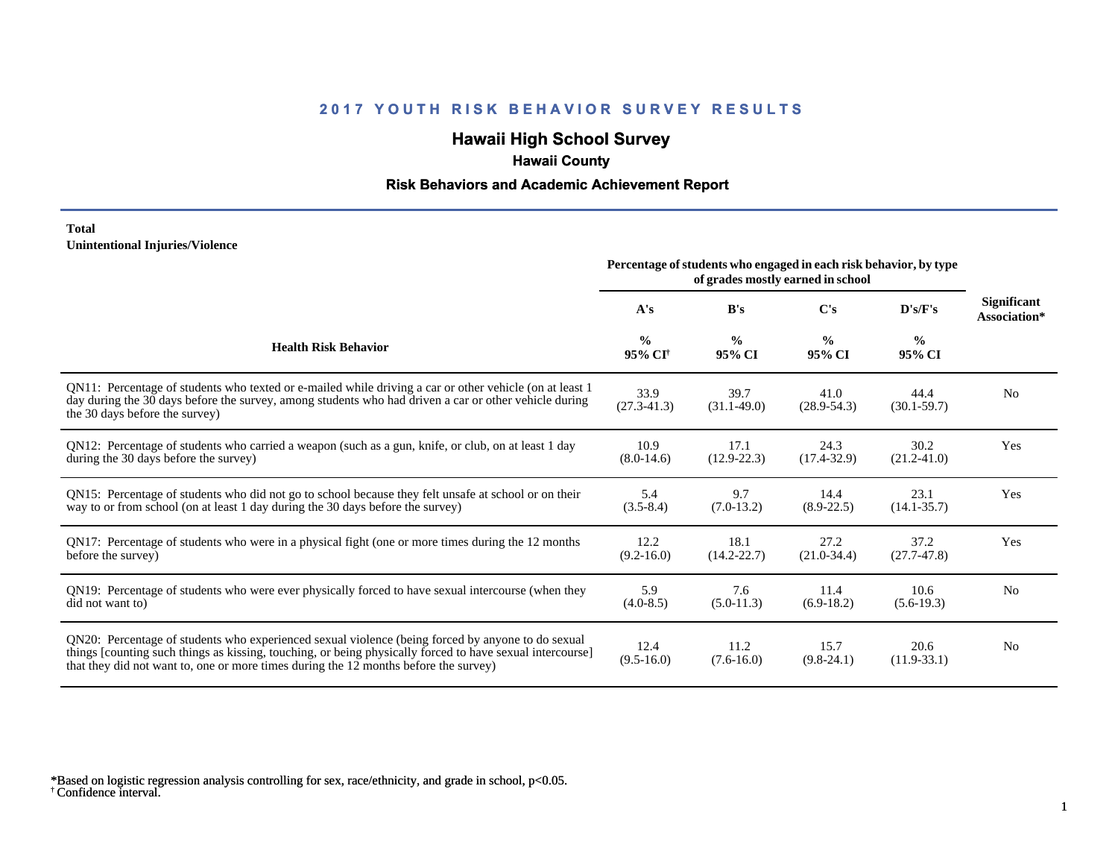# **Hawaii High School Survey**

## **Hawaii County**

### **Risk Behaviors and Academic Achievement Report**

#### **Total Unintentional Injuries/Violence**

|                                                                                                                                                                                                                                                                                                        | Percentage of students who engaged in each risk behavior, by type<br>of grades mostly earned in school |                         |                         |                         |                                    |
|--------------------------------------------------------------------------------------------------------------------------------------------------------------------------------------------------------------------------------------------------------------------------------------------------------|--------------------------------------------------------------------------------------------------------|-------------------------|-------------------------|-------------------------|------------------------------------|
|                                                                                                                                                                                                                                                                                                        | A's                                                                                                    | B's                     | $\bf C's$               | $\bf{D's/F's}$          | <b>Significant</b><br>Association* |
| <b>Health Risk Behavior</b>                                                                                                                                                                                                                                                                            | $\frac{0}{0}$<br>95% CI <sup>+</sup>                                                                   | $\frac{0}{0}$<br>95% CI | $\frac{0}{0}$<br>95% CI | $\frac{0}{0}$<br>95% CI |                                    |
| QN11: Percentage of students who texted or e-mailed while driving a car or other vehicle (on at least 1<br>day during the 30 days before the survey, among students who had driven a car or other vehicle during<br>the 30 days before the survey)                                                     | 33.9<br>$(27.3 - 41.3)$                                                                                | 39.7<br>$(31.1 - 49.0)$ | 41.0<br>$(28.9 - 54.3)$ | 44.4<br>$(30.1 - 59.7)$ | N <sub>0</sub>                     |
| QN12: Percentage of students who carried a weapon (such as a gun, knife, or club, on at least 1 day<br>during the 30 days before the survey)                                                                                                                                                           | 10.9<br>$(8.0-14.6)$                                                                                   | 17.1<br>$(12.9 - 22.3)$ | 24.3<br>$(17.4 - 32.9)$ | 30.2<br>$(21.2 - 41.0)$ | Yes                                |
| QN15: Percentage of students who did not go to school because they felt unsafe at school or on their<br>way to or from school (on at least 1 day during the 30 days before the survey)                                                                                                                 | 5.4<br>$(3.5 - 8.4)$                                                                                   | 9.7<br>$(7.0-13.2)$     | 14.4<br>$(8.9-22.5)$    | 23.1<br>$(14.1 - 35.7)$ | Yes                                |
| QN17: Percentage of students who were in a physical fight (one or more times during the 12 months<br>before the survey)                                                                                                                                                                                | 12.2<br>$(9.2 - 16.0)$                                                                                 | 18.1<br>$(14.2 - 22.7)$ | 27.2<br>$(21.0-34.4)$   | 37.2<br>$(27.7-47.8)$   | Yes                                |
| QN19: Percentage of students who were ever physically forced to have sexual intercourse (when they<br>did not want to)                                                                                                                                                                                 | 5.9<br>$(4.0-8.5)$                                                                                     | 7.6<br>$(5.0-11.3)$     | 11.4<br>$(6.9-18.2)$    | 10.6<br>$(5.6-19.3)$    | N <sub>o</sub>                     |
| QN20: Percentage of students who experienced sexual violence (being forced by anyone to do sexual<br>things [counting such things as kissing, touching, or being physically forced to have sexual intercourse]<br>that they did not want to, one or more times during the 12 months before the survey) | 12.4<br>$(9.5-16.0)$                                                                                   | 11.2<br>$(7.6-16.0)$    | 15.7<br>$(9.8-24.1)$    | 20.6<br>$(11.9-33.1)$   | N <sub>0</sub>                     |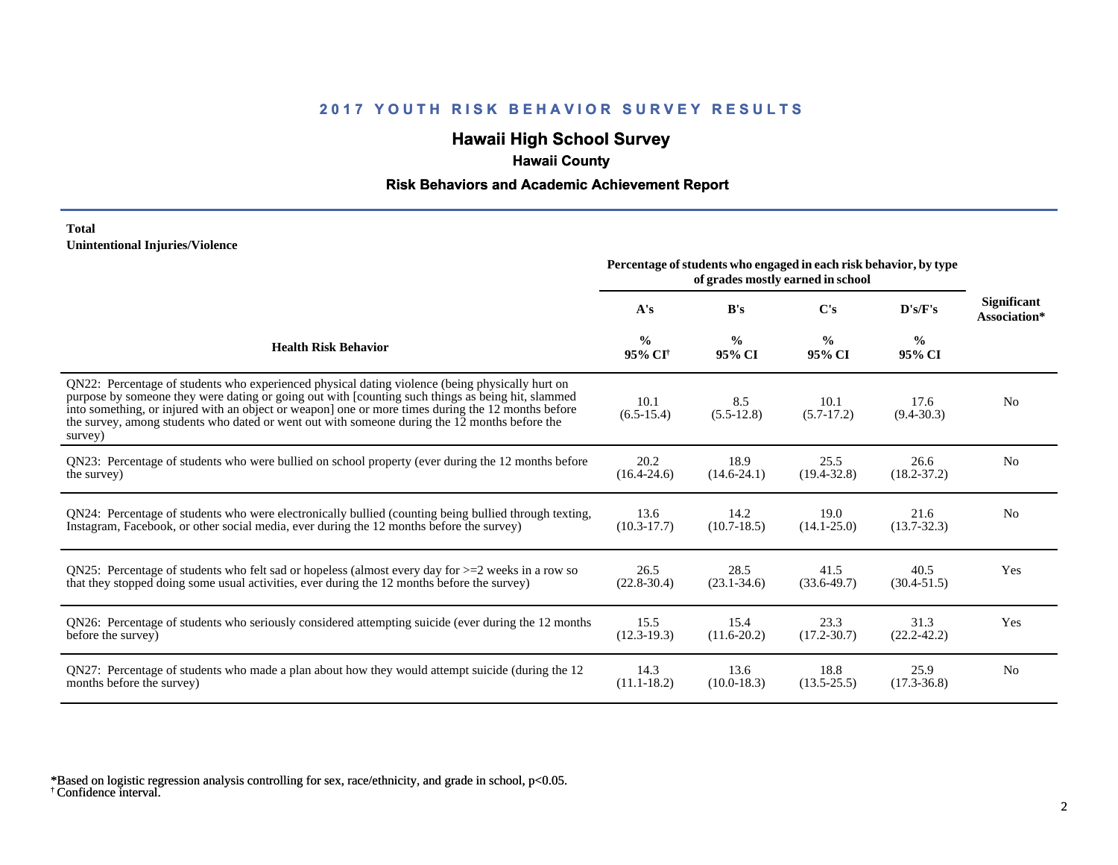# **Hawaii High School Survey**

## **Hawaii County**

### **Risk Behaviors and Academic Achievement Report**

#### **Total Unintentional Injuries/Violence**

|                                                                                                                                                                                                                                                                                                                                                                                                                        | Percentage of students who engaged in each risk behavior, by type<br>of grades mostly earned in school |                         |                         |                         |                                    |
|------------------------------------------------------------------------------------------------------------------------------------------------------------------------------------------------------------------------------------------------------------------------------------------------------------------------------------------------------------------------------------------------------------------------|--------------------------------------------------------------------------------------------------------|-------------------------|-------------------------|-------------------------|------------------------------------|
|                                                                                                                                                                                                                                                                                                                                                                                                                        | A's                                                                                                    | B's                     | C's                     | D's/F's                 | <b>Significant</b><br>Association* |
| <b>Health Risk Behavior</b>                                                                                                                                                                                                                                                                                                                                                                                            | $\frac{0}{0}$<br>95% CI <sup>+</sup>                                                                   | $\frac{0}{0}$<br>95% CI | $\frac{0}{0}$<br>95% CI | $\frac{6}{6}$<br>95% CI |                                    |
| QN22: Percentage of students who experienced physical dating violence (being physically hurt on<br>purpose by someone they were dating or going out with [counting such things as being hit, slammed<br>into something, or injured with an object or weapon] one or more times during the 12 months before<br>the survey, among students who dated or went out with someone during the 12 months before the<br>survey) | 10.1<br>$(6.5-15.4)$                                                                                   | 8.5<br>$(5.5-12.8)$     | 10.1<br>$(5.7-17.2)$    | 17.6<br>$(9.4 - 30.3)$  | N <sub>0</sub>                     |
| QN23: Percentage of students who were bullied on school property (ever during the 12 months before                                                                                                                                                                                                                                                                                                                     | 20.2                                                                                                   | 18.9                    | 25.5                    | 26.6                    | N <sub>0</sub>                     |
| the survey)                                                                                                                                                                                                                                                                                                                                                                                                            | $(16.4 - 24.6)$                                                                                        | $(14.6 - 24.1)$         | $(19.4 - 32.8)$         | $(18.2 - 37.2)$         |                                    |
| QN24: Percentage of students who were electronically bullied (counting being bullied through texting,                                                                                                                                                                                                                                                                                                                  | 13.6                                                                                                   | 14.2                    | 19.0                    | 21.6                    | N <sub>0</sub>                     |
| Instagram, Facebook, or other social media, ever during the 12 months before the survey)                                                                                                                                                                                                                                                                                                                               | $(10.3 - 17.7)$                                                                                        | $(10.7-18.5)$           | $(14.1 - 25.0)$         | $(13.7 - 32.3)$         |                                    |
| QN25: Percentage of students who felt sad or hopeless (almost every day for $>=$ 2 weeks in a row so                                                                                                                                                                                                                                                                                                                   | 26.5                                                                                                   | 28.5                    | 41.5                    | 40.5                    | Yes                                |
| that they stopped doing some usual activities, ever during the 12 months before the survey)                                                                                                                                                                                                                                                                                                                            | $(22.8-30.4)$                                                                                          | $(23.1 - 34.6)$         | $(33.6 - 49.7)$         | $(30.4 - 51.5)$         |                                    |
| QN26: Percentage of students who seriously considered attempting suicide (ever during the 12 months                                                                                                                                                                                                                                                                                                                    | 15.5                                                                                                   | 15.4                    | 23.3                    | 31.3                    | Yes                                |
| before the survey)                                                                                                                                                                                                                                                                                                                                                                                                     | $(12.3-19.3)$                                                                                          | $(11.6 - 20.2)$         | $(17.2 - 30.7)$         | $(22.2 - 42.2)$         |                                    |
| QN27: Percentage of students who made a plan about how they would attempt suicide (during the 12                                                                                                                                                                                                                                                                                                                       | 14.3                                                                                                   | 13.6                    | 18.8                    | 25.9                    | N <sub>0</sub>                     |
| months before the survey)                                                                                                                                                                                                                                                                                                                                                                                              | $(11.1 - 18.2)$                                                                                        | $(10.0-18.3)$           | $(13.5 - 25.5)$         | $(17.3 - 36.8)$         |                                    |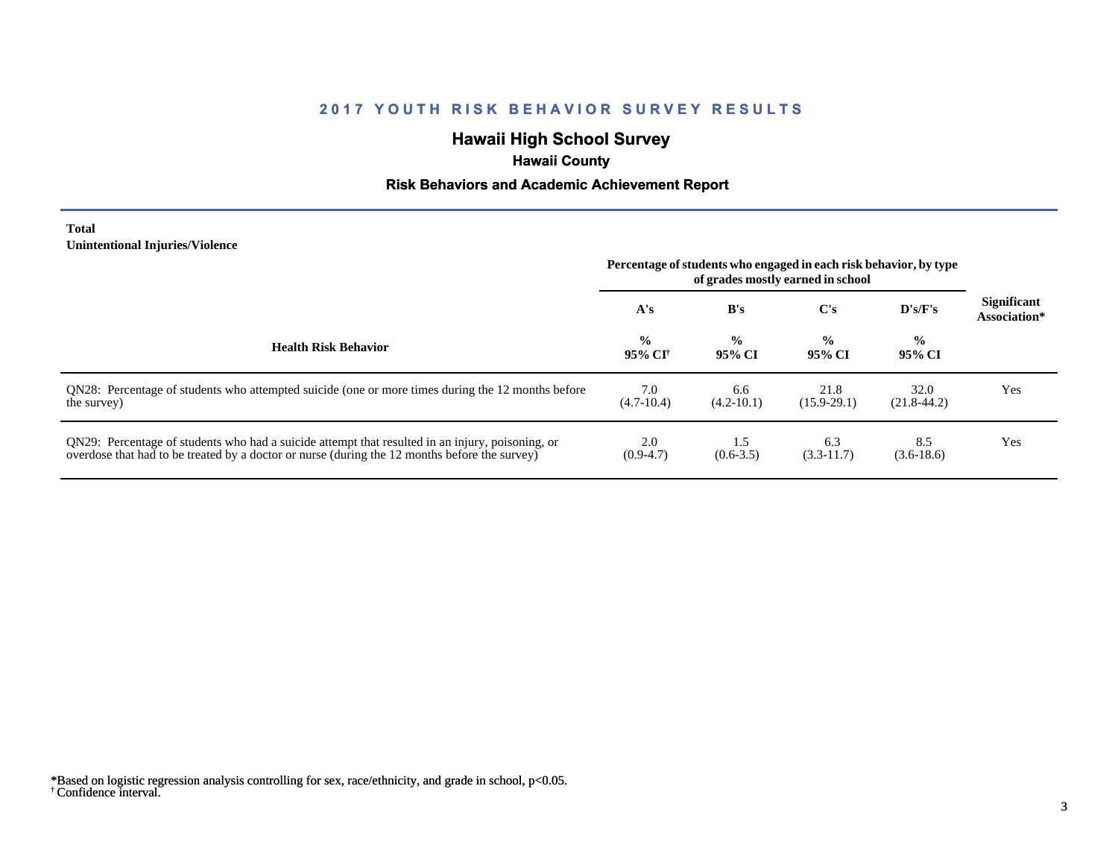# **Hawaii High School Survey**

# **Hawaii County**

### **Risk Behaviors and Academic Achievement Report**

#### **Total Unintentional Injuries/Violence**

|                                                                                                                                                                                                   | Percentage of students who engaged in each risk behavior, by type<br>of grades mostly earned in school |                         |                         |                          |                                    |
|---------------------------------------------------------------------------------------------------------------------------------------------------------------------------------------------------|--------------------------------------------------------------------------------------------------------|-------------------------|-------------------------|--------------------------|------------------------------------|
|                                                                                                                                                                                                   | A's                                                                                                    | B's                     | C's                     | D's/F's                  | <b>Significant</b><br>Association* |
| <b>Health Risk Behavior</b>                                                                                                                                                                       | $\frac{0}{0}$<br>95% CI                                                                                | $\frac{0}{0}$<br>95% CI | $\frac{0}{0}$<br>95% CI | $\frac{6}{10}$<br>95% CI |                                    |
| QN28: Percentage of students who attempted suicide (one or more times during the 12 months before<br>the survey)                                                                                  | 7.0<br>$(4.7-10.4)$                                                                                    | 6.6<br>$(4.2 - 10.1)$   | 21.8<br>$(15.9-29.1)$   | 32.0<br>$(21.8-44.2)$    | Yes                                |
| QN29: Percentage of students who had a suicide attempt that resulted in an injury, poisoning, or<br>overdose that had to be treated by a doctor or nurse (during the 12 months before the survey) | 2.0<br>$(0.9-4.7)$                                                                                     | 1.5<br>$(0.6 - 3.5)$    | 6.3<br>$(3.3-11.7)$     | 8.5<br>$(3.6-18.6)$      | Yes                                |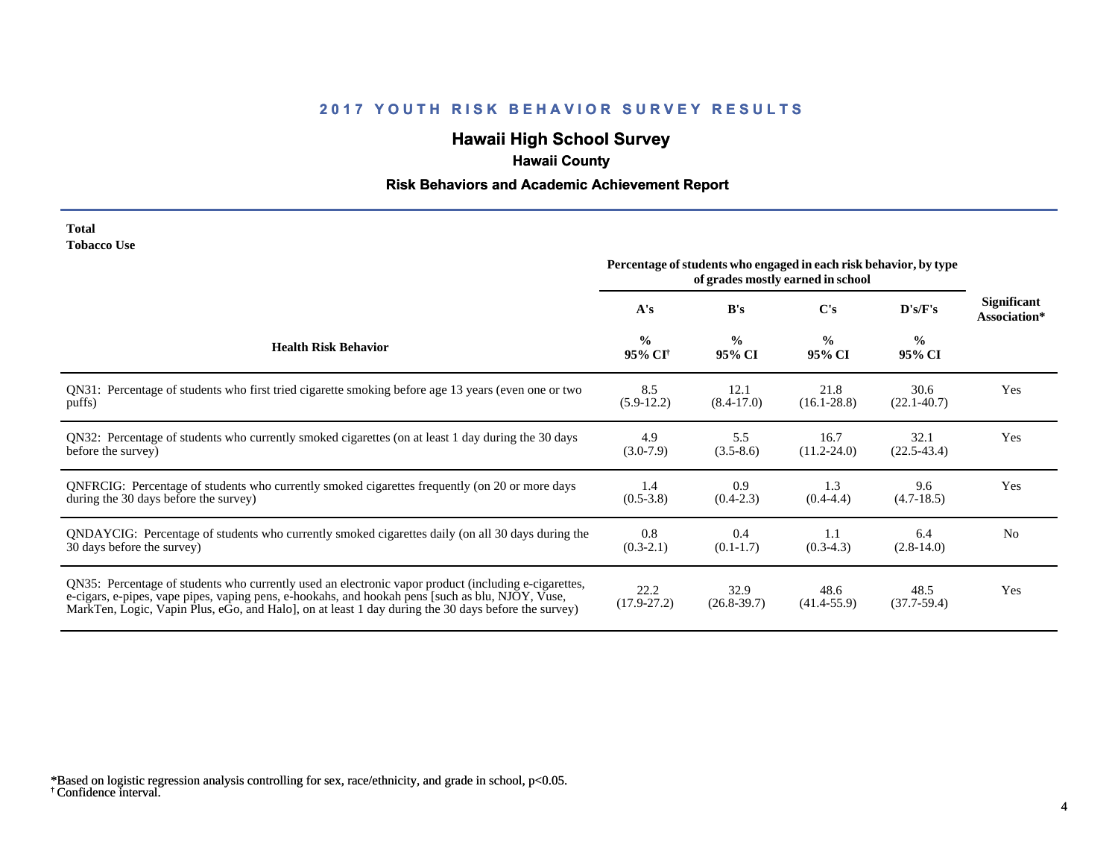# **Hawaii High School Survey**

# **Hawaii County**

# **Risk Behaviors and Academic Achievement Report**

| <b>Total</b>       |  |
|--------------------|--|
| <b>Tobacco Use</b> |  |

|                                                                                                                                                                                                                                                                                                                | Percentage of students who engaged in each risk behavior, by type<br>of grades mostly earned in school |                         |                         |                         |                                    |
|----------------------------------------------------------------------------------------------------------------------------------------------------------------------------------------------------------------------------------------------------------------------------------------------------------------|--------------------------------------------------------------------------------------------------------|-------------------------|-------------------------|-------------------------|------------------------------------|
|                                                                                                                                                                                                                                                                                                                | A's                                                                                                    | B's                     | $\bf C's$               | D's/F's                 | <b>Significant</b><br>Association* |
| <b>Health Risk Behavior</b>                                                                                                                                                                                                                                                                                    | $\frac{0}{0}$<br>95% CI <sup>+</sup>                                                                   | $\frac{0}{0}$<br>95% CI | $\frac{0}{0}$<br>95% CI | $\frac{0}{0}$<br>95% CI |                                    |
| QN31: Percentage of students who first tried cigarette smoking before age 13 years (even one or two                                                                                                                                                                                                            | 8.5                                                                                                    | 12.1                    | 21.8                    | 30.6                    | Yes                                |
| puffs)                                                                                                                                                                                                                                                                                                         | $(5.9-12.2)$                                                                                           | $(8.4 - 17.0)$          | $(16.1 - 28.8)$         | $(22.1 - 40.7)$         |                                    |
| QN32: Percentage of students who currently smoked cigarettes (on at least 1 day during the 30 days                                                                                                                                                                                                             | 4.9                                                                                                    | 5.5                     | 16.7                    | 32.1                    | Yes                                |
| before the survey)                                                                                                                                                                                                                                                                                             | $(3.0-7.9)$                                                                                            | $(3.5-8.6)$             | $(11.2 - 24.0)$         | $(22.5 - 43.4)$         |                                    |
| ONFRCIG: Percentage of students who currently smoked cigarettes frequently (on 20 or more days                                                                                                                                                                                                                 | 1.4                                                                                                    | 0.9                     | 1.3                     | 9.6                     | Yes                                |
| during the 30 days before the survey)                                                                                                                                                                                                                                                                          | $(0.5 - 3.8)$                                                                                          | $(0.4-2.3)$             | $(0.4 - 4.4)$           | $(4.7-18.5)$            |                                    |
| QNDAYCIG: Percentage of students who currently smoked cigarettes daily (on all 30 days during the                                                                                                                                                                                                              | 0.8                                                                                                    | 0.4                     | 1.1                     | 6.4                     | N <sub>0</sub>                     |
| 30 days before the survey)                                                                                                                                                                                                                                                                                     | $(0.3-2.1)$                                                                                            | $(0.1-1.7)$             | $(0.3-4.3)$             | $(2.8-14.0)$            |                                    |
| QN35: Percentage of students who currently used an electronic vapor product (including e-cigarettes,<br>e-cigars, e-pipes, vape pipes, vaping pens, e-hookahs, and hookah pens [such as blu, NJOY, Vuse,<br>MarkTen, Logic, Vapin Plus, eGo, and Halo, on at least 1 day during the 30 days before the survey) | 22.2<br>$(17.9 - 27.2)$                                                                                | 32.9<br>$(26.8 - 39.7)$ | 48.6<br>$(41.4 - 55.9)$ | 48.5<br>$(37.7-59.4)$   | Yes                                |

<sup>†</sup> Confidence interval. \*Based on logistic regression analysis controlling for sex, race/ethnicity, and grade in school, p<0.05.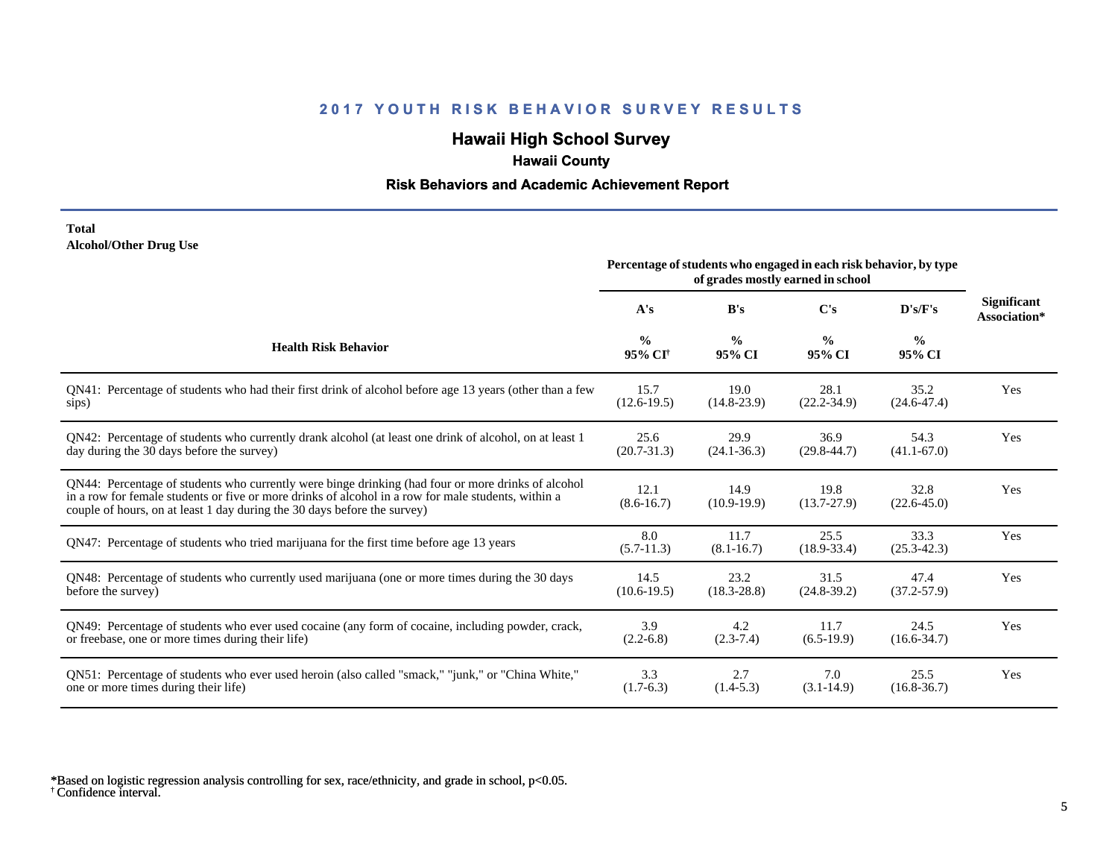# **Hawaii High School Survey**

## **Hawaii County**

### **Risk Behaviors and Academic Achievement Report**

#### **Total Alcohol/Other Drug Use**

|                                                                                                                                                                                                                                                                                       | Percentage of students who engaged in each risk behavior, by type<br>of grades mostly earned in school |                         |                         |                         |                                    |
|---------------------------------------------------------------------------------------------------------------------------------------------------------------------------------------------------------------------------------------------------------------------------------------|--------------------------------------------------------------------------------------------------------|-------------------------|-------------------------|-------------------------|------------------------------------|
|                                                                                                                                                                                                                                                                                       | A's                                                                                                    | B's                     | C's                     | D's/F's                 | <b>Significant</b><br>Association* |
| <b>Health Risk Behavior</b>                                                                                                                                                                                                                                                           | $\frac{0}{0}$<br>95% CI <sup>+</sup>                                                                   | $\frac{0}{0}$<br>95% CI | $\frac{0}{0}$<br>95% CI | $\frac{6}{6}$<br>95% CI |                                    |
| QN41: Percentage of students who had their first drink of alcohol before age 13 years (other than a few                                                                                                                                                                               | 15.7                                                                                                   | 19.0                    | 28.1                    | 35.2                    | Yes                                |
| sips)                                                                                                                                                                                                                                                                                 | $(12.6-19.5)$                                                                                          | $(14.8-23.9)$           | $(22.2 - 34.9)$         | $(24.6 - 47.4)$         |                                    |
| QN42: Percentage of students who currently drank alcohol (at least one drink of alcohol, on at least 1                                                                                                                                                                                | 25.6                                                                                                   | 29.9                    | 36.9                    | 54.3                    | Yes                                |
| day during the 30 days before the survey)                                                                                                                                                                                                                                             | $(20.7 - 31.3)$                                                                                        | $(24.1 - 36.3)$         | $(29.8 - 44.7)$         | $(41.1 - 67.0)$         |                                    |
| QN44: Percentage of students who currently were binge drinking (had four or more drinks of alcohol<br>in a row for female students or five or more drinks of alcohol in a row for male students, within a<br>couple of hours, on at least 1 day during the 30 days before the survey) | 12.1<br>$(8.6 - 16.7)$                                                                                 | 14.9<br>$(10.9-19.9)$   | 19.8<br>$(13.7 - 27.9)$ | 32.8<br>$(22.6 - 45.0)$ | Yes                                |
| QN47: Percentage of students who tried marijuana for the first time before age 13 years                                                                                                                                                                                               | 8.0<br>$(5.7-11.3)$                                                                                    | 11.7<br>$(8.1 - 16.7)$  | 25.5<br>$(18.9 - 33.4)$ | 33.3<br>$(25.3 - 42.3)$ | Yes                                |
| QN48: Percentage of students who currently used marijuana (one or more times during the 30 days                                                                                                                                                                                       | 14.5                                                                                                   | 23.2                    | 31.5                    | 47.4                    | Yes                                |
| before the survey)                                                                                                                                                                                                                                                                    | $(10.6 - 19.5)$                                                                                        | $(18.3 - 28.8)$         | $(24.8-39.2)$           | $(37.2 - 57.9)$         |                                    |
| QN49: Percentage of students who ever used cocaine (any form of cocaine, including powder, crack,                                                                                                                                                                                     | 3.9                                                                                                    | 4.2                     | 11.7                    | 24.5                    | Yes                                |
| or freebase, one or more times during their life)                                                                                                                                                                                                                                     | $(2.2-6.8)$                                                                                            | $(2.3-7.4)$             | $(6.5-19.9)$            | $(16.6 - 34.7)$         |                                    |
| QN51: Percentage of students who ever used heroin (also called "smack," "junk," or "China White,"                                                                                                                                                                                     | 3.3                                                                                                    | 2.7                     | 7.0                     | 25.5                    | Yes                                |
| one or more times during their life)                                                                                                                                                                                                                                                  | $(1.7-6.3)$                                                                                            | $(1.4-5.3)$             | $(3.1 - 14.9)$          | $(16.8 - 36.7)$         |                                    |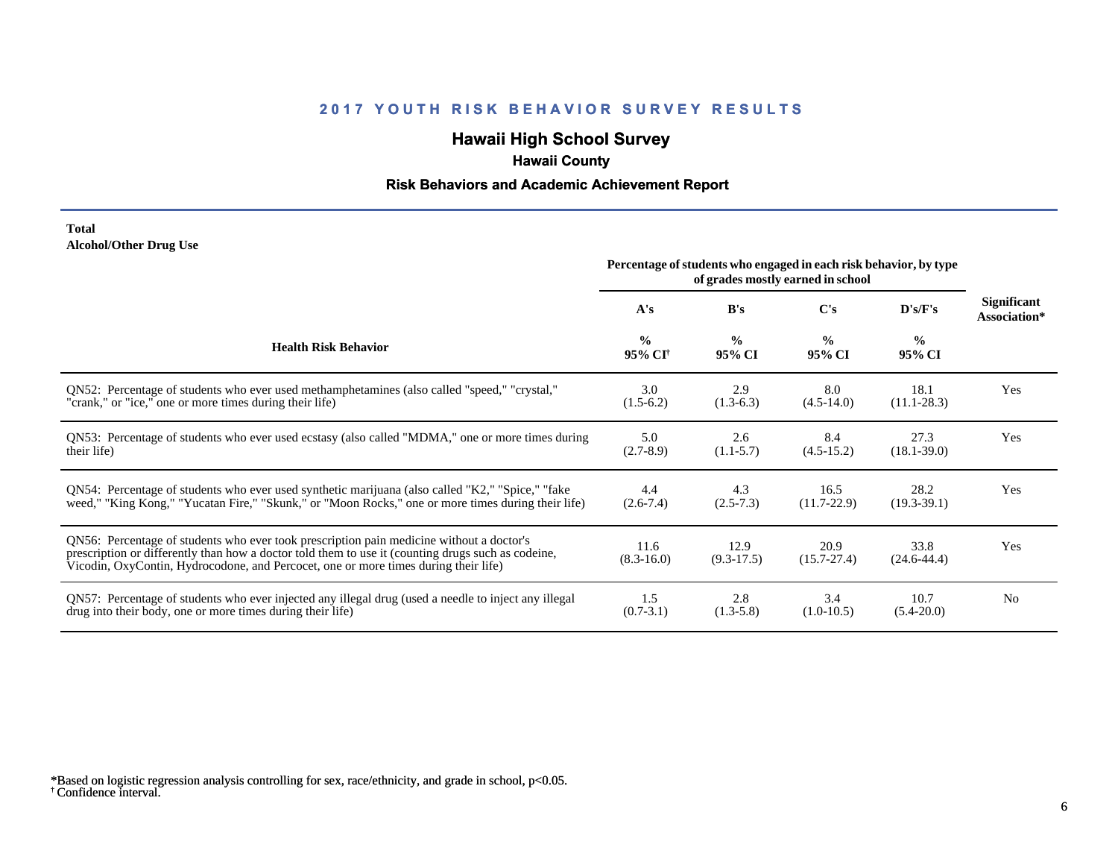# **Hawaii High School Survey**

## **Hawaii County**

### **Risk Behaviors and Academic Achievement Report**

#### **Total Alcohol/Other Drug Use**

|                                                                                                                                                                                                                                                                                       | Percentage of students who engaged in each risk behavior, by type<br>of grades mostly earned in school |                         |                         |                         |                                    |
|---------------------------------------------------------------------------------------------------------------------------------------------------------------------------------------------------------------------------------------------------------------------------------------|--------------------------------------------------------------------------------------------------------|-------------------------|-------------------------|-------------------------|------------------------------------|
|                                                                                                                                                                                                                                                                                       | A's                                                                                                    | B's                     | C's                     | D's/F's                 | <b>Significant</b><br>Association* |
| <b>Health Risk Behavior</b>                                                                                                                                                                                                                                                           | $\frac{0}{0}$<br>95% CI <sup>+</sup>                                                                   | $\frac{6}{6}$<br>95% CI | $\frac{0}{0}$<br>95% CI | $\frac{0}{0}$<br>95% CI |                                    |
| ON52: Percentage of students who ever used methamphetamines (also called "speed," "crystal,"                                                                                                                                                                                          | 3.0                                                                                                    | 2.9                     | 8.0                     | 18.1                    | Yes                                |
| "crank," or "ice," one or more times during their life)                                                                                                                                                                                                                               | $(1.5-6.2)$                                                                                            | $(1.3-6.3)$             | $(4.5-14.0)$            | $(11.1 - 28.3)$         |                                    |
| QN53: Percentage of students who ever used ecstasy (also called "MDMA," one or more times during                                                                                                                                                                                      | 5.0                                                                                                    | 2.6                     | 8.4                     | 27.3                    | Yes                                |
| their life)                                                                                                                                                                                                                                                                           | $(2.7-8.9)$                                                                                            | $(1.1-5.7)$             | $(4.5-15.2)$            | $(18.1 - 39.0)$         |                                    |
| QN54: Percentage of students who ever used synthetic marijuana (also called "K2," "Spice," "fake                                                                                                                                                                                      | 4.4                                                                                                    | 4.3                     | 16.5                    | 28.2                    | Yes                                |
| weed," "King Kong," "Yucatan Fire," "Skunk," or "Moon Rocks," one or more times during their life)                                                                                                                                                                                    | $(2.6-7.4)$                                                                                            | $(2.5 - 7.3)$           | $(11.7 - 22.9)$         | $(19.3-39.1)$           |                                    |
| QN56: Percentage of students who ever took prescription pain medicine without a doctor's<br>prescription or differently than how a doctor told them to use it (counting drugs such as codeine,<br>Vicodin, OxyContin, Hydrocodone, and Percocet, one or more times during their life) | 11.6<br>$(8.3 - 16.0)$                                                                                 | 12.9<br>$(9.3-17.5)$    | 20.9<br>$(15.7 - 27.4)$ | 33.8<br>$(24.6 - 44.4)$ | Yes                                |
| QN57: Percentage of students who ever injected any illegal drug (used a needle to inject any illegal                                                                                                                                                                                  | 1.5                                                                                                    | 2.8                     | 3.4                     | 10.7                    | N <sub>0</sub>                     |
| drug into their body, one or more times during their life)                                                                                                                                                                                                                            | $(0.7-3.1)$                                                                                            | $(1.3-5.8)$             | $(1.0-10.5)$            | $(5.4 - 20.0)$          |                                    |

<sup>†</sup> Confidence interval. \*Based on logistic regression analysis controlling for sex, race/ethnicity, and grade in school, p<0.05.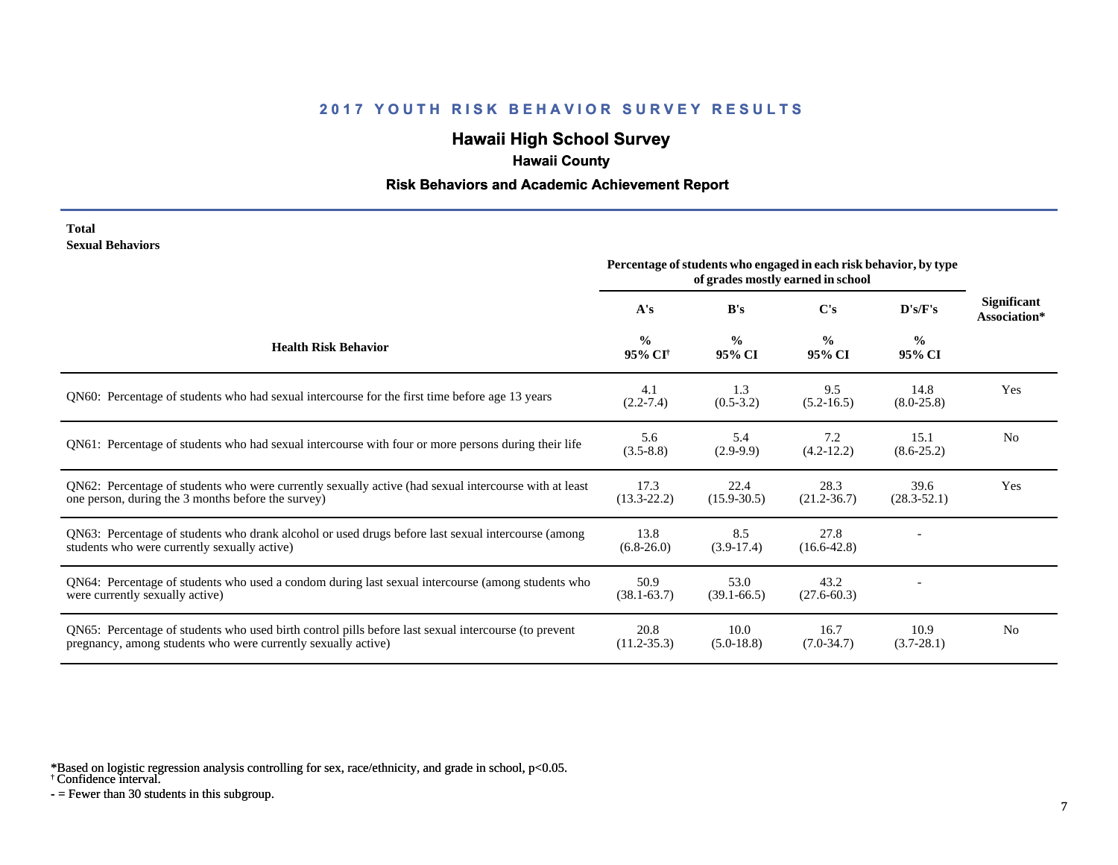# **Hawaii High School Survey**

# **Hawaii County**

#### **Risk Behaviors and Academic Achievement Report**

#### **Total Sexual Behaviors**

|                                                                                                                                                                       | Percentage of students who engaged in each risk behavior, by type<br>of grades mostly earned in school |                         |                         |                         |                                    |
|-----------------------------------------------------------------------------------------------------------------------------------------------------------------------|--------------------------------------------------------------------------------------------------------|-------------------------|-------------------------|-------------------------|------------------------------------|
|                                                                                                                                                                       | A's                                                                                                    | B's                     | C's                     | D's/F's                 | <b>Significant</b><br>Association* |
| <b>Health Risk Behavior</b>                                                                                                                                           | $\frac{0}{0}$<br>95% CI <sup>+</sup>                                                                   | $\frac{0}{0}$<br>95% CI | $\frac{0}{0}$<br>95% CI | $\frac{0}{0}$<br>95% CI |                                    |
| QN60: Percentage of students who had sexual intercourse for the first time before age 13 years                                                                        | 4.1<br>$(2.2 - 7.4)$                                                                                   | 1.3<br>$(0.5-3.2)$      | 9.5<br>$(5.2 - 16.5)$   | 14.8<br>$(8.0-25.8)$    | Yes                                |
| QN61: Percentage of students who had sexual intercourse with four or more persons during their life                                                                   | 5.6<br>$(3.5 - 8.8)$                                                                                   | 5.4<br>$(2.9-9.9)$      | 7.2<br>$(4.2 - 12.2)$   | 15.1<br>$(8.6 - 25.2)$  | N <sub>0</sub>                     |
| QN62: Percentage of students who were currently sexually active (had sexual intercourse with at least<br>one person, during the 3 months before the survey)           | 17.3<br>$(13.3 - 22.2)$                                                                                | 22.4<br>$(15.9 - 30.5)$ | 28.3<br>$(21.2 - 36.7)$ | 39.6<br>$(28.3 - 52.1)$ | Yes                                |
| QN63: Percentage of students who drank alcohol or used drugs before last sexual intercourse (among<br>students who were currently sexually active)                    | 13.8<br>$(6.8-26.0)$                                                                                   | 8.5<br>$(3.9-17.4)$     | 27.8<br>$(16.6 - 42.8)$ |                         |                                    |
| QN64: Percentage of students who used a condom during last sexual intercourse (among students who<br>were currently sexually active)                                  | 50.9<br>$(38.1 - 63.7)$                                                                                | 53.0<br>$(39.1 - 66.5)$ | 43.2<br>$(27.6 - 60.3)$ |                         |                                    |
| QN65: Percentage of students who used birth control pills before last sexual intercourse (to prevent<br>pregnancy, among students who were currently sexually active) | 20.8<br>$(11.2 - 35.3)$                                                                                | 10.0<br>$(5.0-18.8)$    | 16.7<br>$(7.0-34.7)$    | 10.9<br>$(3.7 - 28.1)$  | N <sub>0</sub>                     |

\*Based on logistic regression analysis controlling for sex, race/ethnicity, and grade in school, p<0.05.

† Confidence interval.

 $-$  = Fewer than 30 students in this subgroup.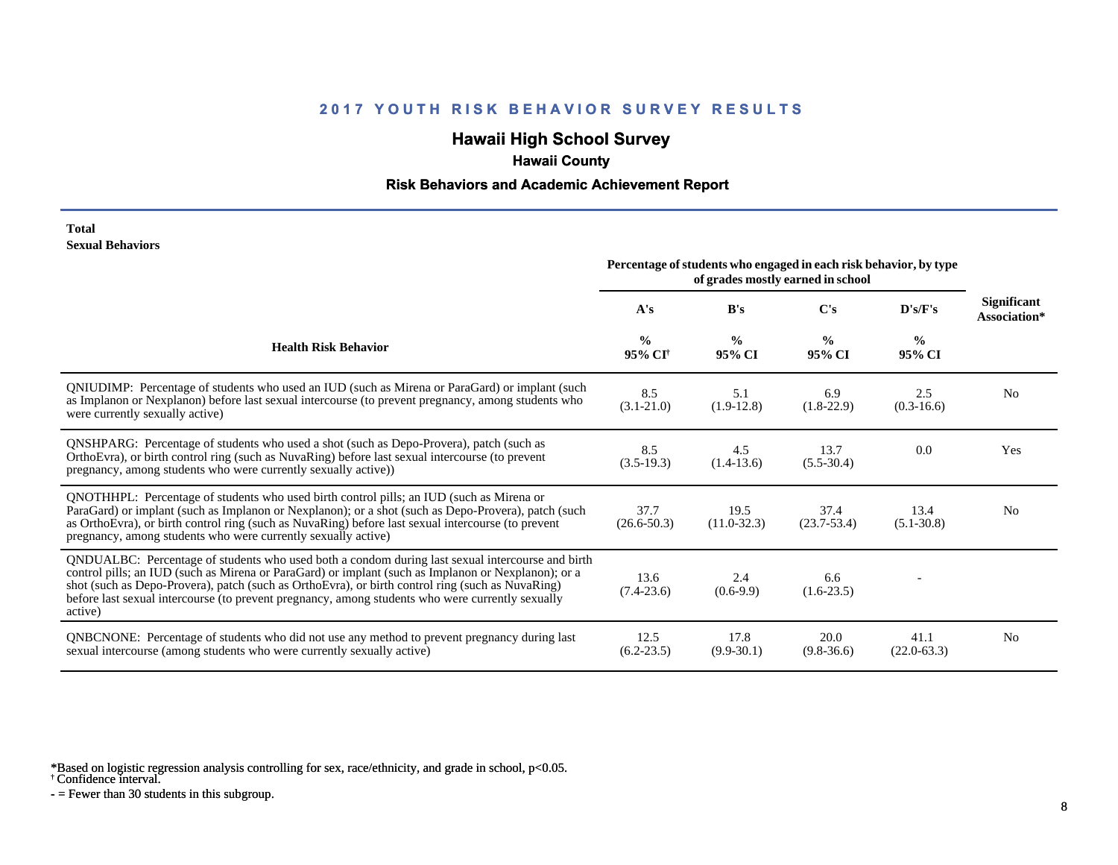# **Hawaii High School Survey**

## **Hawaii County**

#### **Risk Behaviors and Academic Achievement Report**

#### **Total Sexual Behaviors**

|                                                                                                                                                                                                                                                                                                                                                                                                                            | Percentage of students who engaged in each risk behavior, by type<br>of grades mostly earned in school |                         |                         |                         |                                    |
|----------------------------------------------------------------------------------------------------------------------------------------------------------------------------------------------------------------------------------------------------------------------------------------------------------------------------------------------------------------------------------------------------------------------------|--------------------------------------------------------------------------------------------------------|-------------------------|-------------------------|-------------------------|------------------------------------|
|                                                                                                                                                                                                                                                                                                                                                                                                                            | A's                                                                                                    | B's                     | $\bf C's$               | D's/F's                 | <b>Significant</b><br>Association* |
| <b>Health Risk Behavior</b>                                                                                                                                                                                                                                                                                                                                                                                                | $\frac{0}{0}$<br>95% CI <sup>†</sup>                                                                   | $\frac{0}{0}$<br>95% CI | $\frac{6}{9}$<br>95% CI | $\frac{0}{0}$<br>95% CI |                                    |
| QNIUDIMP: Percentage of students who used an IUD (such as Mirena or ParaGard) or implant (such<br>as Implanon or Nexplanon) before last sexual intercourse (to prevent pregnancy, among students who<br>were currently sexually active)                                                                                                                                                                                    | 8.5<br>$(3.1 - 21.0)$                                                                                  | 5.1<br>$(1.9-12.8)$     | 6.9<br>$(1.8-22.9)$     | 2.5<br>$(0.3-16.6)$     | N <sub>0</sub>                     |
| QNSHPARG: Percentage of students who used a shot (such as Depo-Provera), patch (such as<br>OrthoEvra), or birth control ring (such as NuvaRing) before last sexual intercourse (to prevent<br>pregnancy, among students who were currently sexually active))                                                                                                                                                               | 8.5<br>$(3.5-19.3)$                                                                                    | 4.5<br>$(1.4-13.6)$     | 13.7<br>$(5.5-30.4)$    | 0.0                     | Yes                                |
| QNOTHHPL: Percentage of students who used birth control pills; an IUD (such as Mirena or<br>ParaGard) or implant (such as Implanon or Nexplanon); or a shot (such as Depo-Provera), patch (such<br>as OrthoEvra), or birth control ring (such as NuvaRing) before last sexual intercourse (to prevent<br>pregnancy, among students who were currently sexually active)                                                     | 37.7<br>$(26.6 - 50.3)$                                                                                | 19.5<br>$(11.0 - 32.3)$ | 37.4<br>$(23.7 - 53.4)$ | 13.4<br>$(5.1 - 30.8)$  | N <sub>0</sub>                     |
| QNDUALBC: Percentage of students who used both a condom during last sexual intercourse and birth<br>control pills; an IUD (such as Mirena or ParaGard) or implant (such as Implanon or Nexplanon); or a<br>shot (such as Depo-Provera), patch (such as OrthoEvra), or birth control ring (such as NuvaRing)<br>before last sexual intercourse (to prevent pregnancy, among students who were currently sexually<br>active) | 13.6<br>$(7.4-23.6)$                                                                                   | 2.4<br>$(0.6-9.9)$      | 6.6<br>$(1.6-23.5)$     |                         |                                    |
| <b>QNBCNONE:</b> Percentage of students who did not use any method to prevent pregnancy during last<br>sexual intercourse (among students who were currently sexually active)                                                                                                                                                                                                                                              | 12.5<br>$(6.2 - 23.5)$                                                                                 | 17.8<br>$(9.9-30.1)$    | 20.0<br>$(9.8-36.6)$    | 41.1<br>$(22.0 - 63.3)$ | N <sub>0</sub>                     |

\*Based on logistic regression analysis controlling for sex, race/ethnicity, and grade in school, p<0.05.

† Confidence interval.

 $-$  = Fewer than 30 students in this subgroup.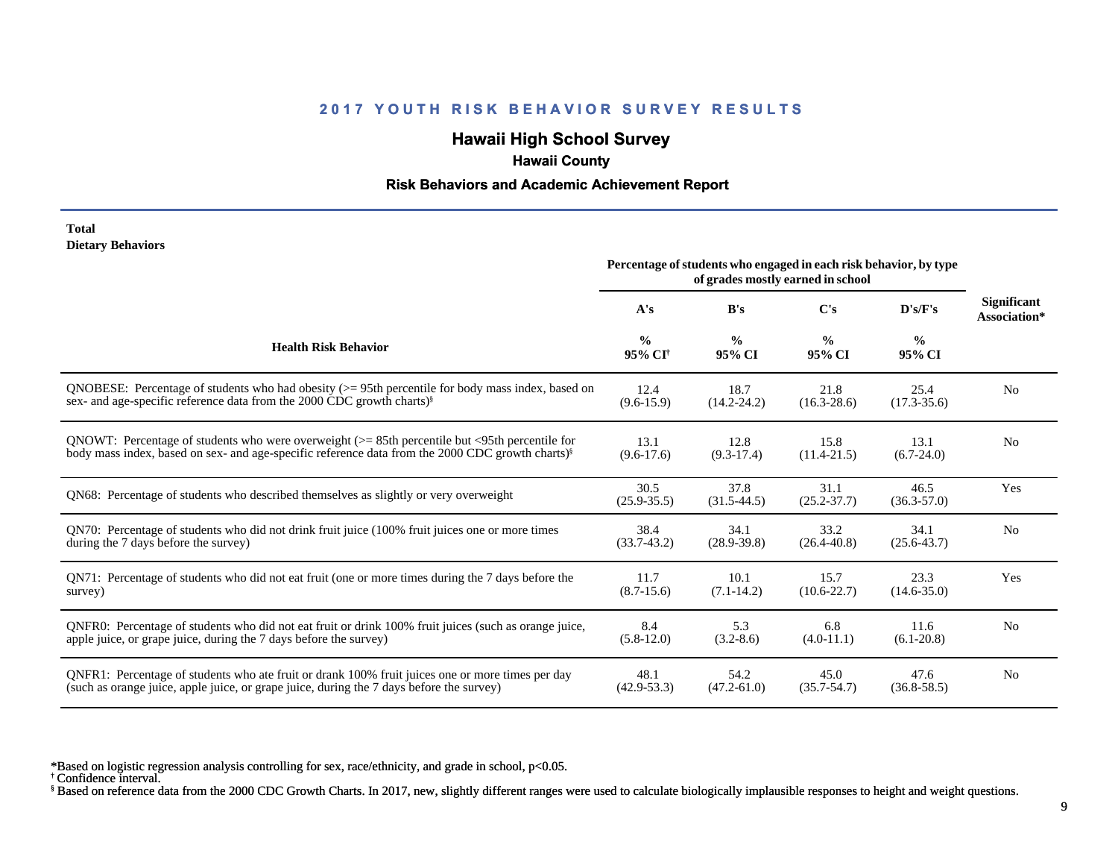# **Hawaii High School Survey**

# **Hawaii County**

#### **Risk Behaviors and Academic Achievement Report**

#### **Total Dietary Behaviors**

|                                                                                                              | Percentage of students who engaged in each risk behavior, by type |                         |                         |                         |                                    |
|--------------------------------------------------------------------------------------------------------------|-------------------------------------------------------------------|-------------------------|-------------------------|-------------------------|------------------------------------|
|                                                                                                              | A's                                                               | B's                     | C's                     | D's/F's                 | <b>Significant</b><br>Association* |
| <b>Health Risk Behavior</b>                                                                                  | $\frac{0}{0}$<br>95% CI <sup>+</sup>                              | $\frac{0}{0}$<br>95% CI | $\frac{0}{0}$<br>95% CI | $\frac{0}{0}$<br>95% CI |                                    |
| QNOBESE: Percentage of students who had obesity $(>= 95$ th percentile for body mass index, based on         | 12.4                                                              | 18.7                    | 21.8                    | 25.4                    | N <sub>0</sub>                     |
| sex- and age-specific reference data from the 2000 CDC growth charts) <sup>§</sup>                           | $(9.6-15.9)$                                                      | $(14.2 - 24.2)$         | $(16.3 - 28.6)$         | $(17.3 - 35.6)$         |                                    |
| QNOWT: Percentage of students who were overweight ( $> = 85$ th percentile but <95th percentile for          | 13.1                                                              | 12.8                    | 15.8                    | 13.1                    | N <sub>0</sub>                     |
| body mass index, based on sex- and age-specific reference data from the 2000 CDC growth charts) <sup>§</sup> | $(9.6-17.6)$                                                      | $(9.3-17.4)$            | $(11.4 - 21.5)$         | $(6.7-24.0)$            |                                    |
| QN68: Percentage of students who described themselves as slightly or very overweight                         | 30.5<br>$(25.9 - 35.5)$                                           | 37.8<br>$(31.5-44.5)$   | 31.1<br>$(25.2 - 37.7)$ | 46.5<br>$(36.3 - 57.0)$ | Yes                                |
| QN70: Percentage of students who did not drink fruit juice (100% fruit juices one or more times              | 38.4                                                              | 34.1                    | 33.2                    | 34.1                    | N <sub>0</sub>                     |
| during the 7 days before the survey)                                                                         | $(33.7-43.2)$                                                     | $(28.9 - 39.8)$         | $(26.4 - 40.8)$         | $(25.6 - 43.7)$         |                                    |
| QN71: Percentage of students who did not eat fruit (one or more times during the 7 days before the           | 11.7                                                              | 10.1                    | 15.7                    | 23.3                    | Yes                                |
| survey)                                                                                                      | $(8.7-15.6)$                                                      | $(7.1 - 14.2)$          | $(10.6 - 22.7)$         | $(14.6 - 35.0)$         |                                    |
| QNFR0: Percentage of students who did not eat fruit or drink 100% fruit juices (such as orange juice,        | 8.4                                                               | 5.3                     | 6.8                     | 11.6                    | N <sub>0</sub>                     |
| apple juice, or grape juice, during the 7 days before the survey)                                            | $(5.8-12.0)$                                                      | $(3.2 - 8.6)$           | $(4.0-11.1)$            | $(6.1 - 20.8)$          |                                    |
| QNFR1: Percentage of students who ate fruit or drank 100% fruit juices one or more times per day             | 48.1                                                              | 54.2                    | 45.0                    | 47.6                    | N <sub>0</sub>                     |
| (such as orange juice, apple juice, or grape juice, during the 7 days before the survey)                     | $(42.9 - 53.3)$                                                   | $(47.2 - 61.0)$         | $(35.7 - 54.7)$         | $(36.8 - 58.5)$         |                                    |

\*Based on logistic regression analysis controlling for sex, race/ethnicity, and grade in school, p<0.05.

† Confidence interval.

§ Based on reference data from the 2000 CDC Growth Charts. In 2017, new, slightly different ranges were used to calculate biologically implausible responses to height and weight questions.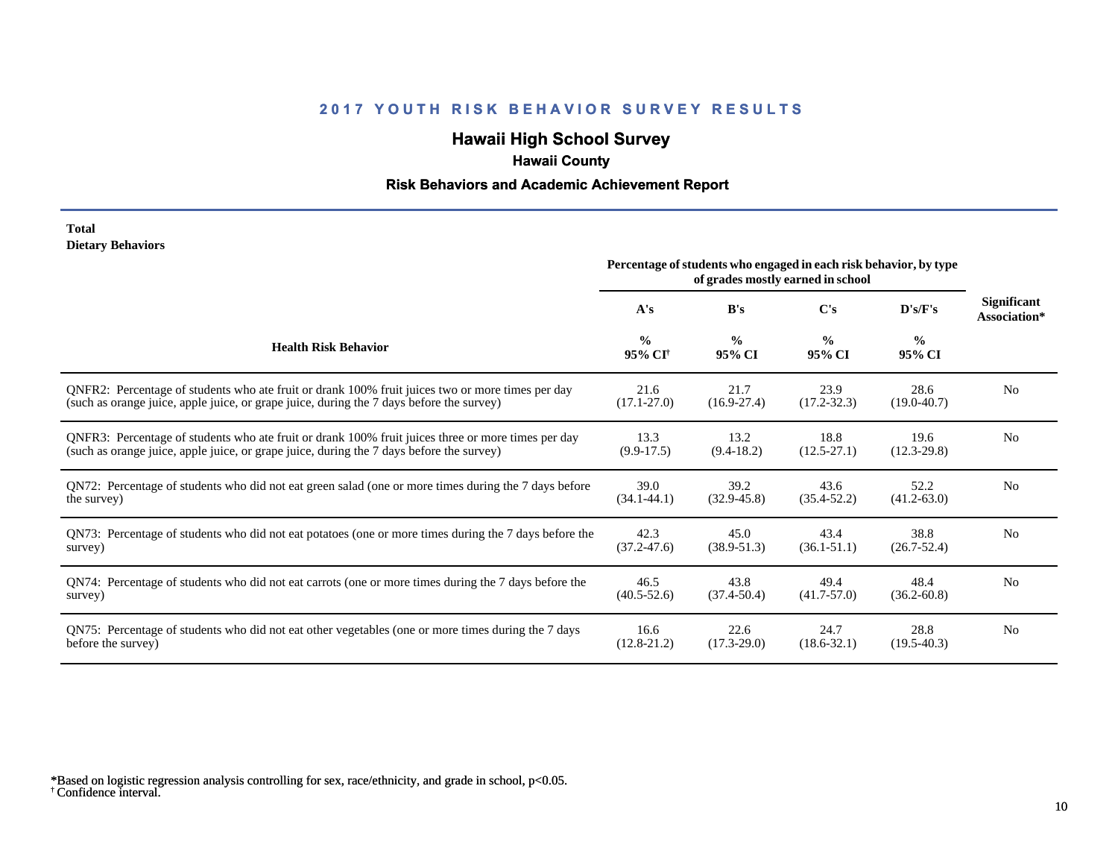# **Hawaii High School Survey**

# **Hawaii County**

### **Risk Behaviors and Academic Achievement Report**

#### **Total Dietary Behaviors**

|                                                                                                       | Percentage of students who engaged in each risk behavior, by type<br>of grades mostly earned in school |                         |                         |                         |                                    |
|-------------------------------------------------------------------------------------------------------|--------------------------------------------------------------------------------------------------------|-------------------------|-------------------------|-------------------------|------------------------------------|
|                                                                                                       | A's                                                                                                    | B's                     | C's                     | D's/F's                 | <b>Significant</b><br>Association* |
| <b>Health Risk Behavior</b>                                                                           | $\frac{0}{0}$<br>95% CI <sup>+</sup>                                                                   | $\frac{0}{0}$<br>95% CI | $\frac{0}{0}$<br>95% CI | $\frac{0}{0}$<br>95% CI |                                    |
| QNFR2: Percentage of students who ate fruit or drank 100% fruit juices two or more times per day      | 21.6                                                                                                   | 21.7                    | 23.9                    | 28.6                    | N <sub>0</sub>                     |
| (such as orange juice, apple juice, or grape juice, during the 7 days before the survey)              | $(17.1 - 27.0)$                                                                                        | $(16.9 - 27.4)$         | $(17.2 - 32.3)$         | $(19.0 - 40.7)$         |                                    |
| QNFR3: Percentage of students who ate fruit or drank 100% fruit juices three or more times per day    | 13.3                                                                                                   | 13.2                    | 18.8                    | 19.6                    | N <sub>0</sub>                     |
| (such as orange juice, apple juice, or grape juice, during the 7 days before the survey)              | $(9.9-17.5)$                                                                                           | $(9.4-18.2)$            | $(12.5 - 27.1)$         | $(12.3 - 29.8)$         |                                    |
| QN72: Percentage of students who did not eat green salad (one or more times during the 7 days before  | 39.0                                                                                                   | 39.2                    | 43.6                    | 52.2                    | N <sub>0</sub>                     |
| the survey)                                                                                           | $(34.1 - 44.1)$                                                                                        | $(32.9 - 45.8)$         | $(35.4 - 52.2)$         | $(41.2 - 63.0)$         |                                    |
| QN73: Percentage of students who did not eat potatoes (one or more times during the 7 days before the | 42.3                                                                                                   | 45.0                    | 43.4                    | 38.8                    | N <sub>0</sub>                     |
| survey)                                                                                               | $(37.2 - 47.6)$                                                                                        | $(38.9 - 51.3)$         | $(36.1 - 51.1)$         | $(26.7 - 52.4)$         |                                    |
| QN74: Percentage of students who did not eat carrots (one or more times during the 7 days before the  | 46.5                                                                                                   | 43.8                    | 49.4                    | 48.4                    | N <sub>0</sub>                     |
| survey)                                                                                               | $(40.5 - 52.6)$                                                                                        | $(37.4 - 50.4)$         | $(41.7 - 57.0)$         | $(36.2 - 60.8)$         |                                    |
| QN75: Percentage of students who did not eat other vegetables (one or more times during the 7 days    | 16.6                                                                                                   | 22.6                    | 24.7                    | 28.8                    | N <sub>0</sub>                     |
| before the survey)                                                                                    | $(12.8 - 21.2)$                                                                                        | $(17.3 - 29.0)$         | $(18.6 - 32.1)$         | $(19.5-40.3)$           |                                    |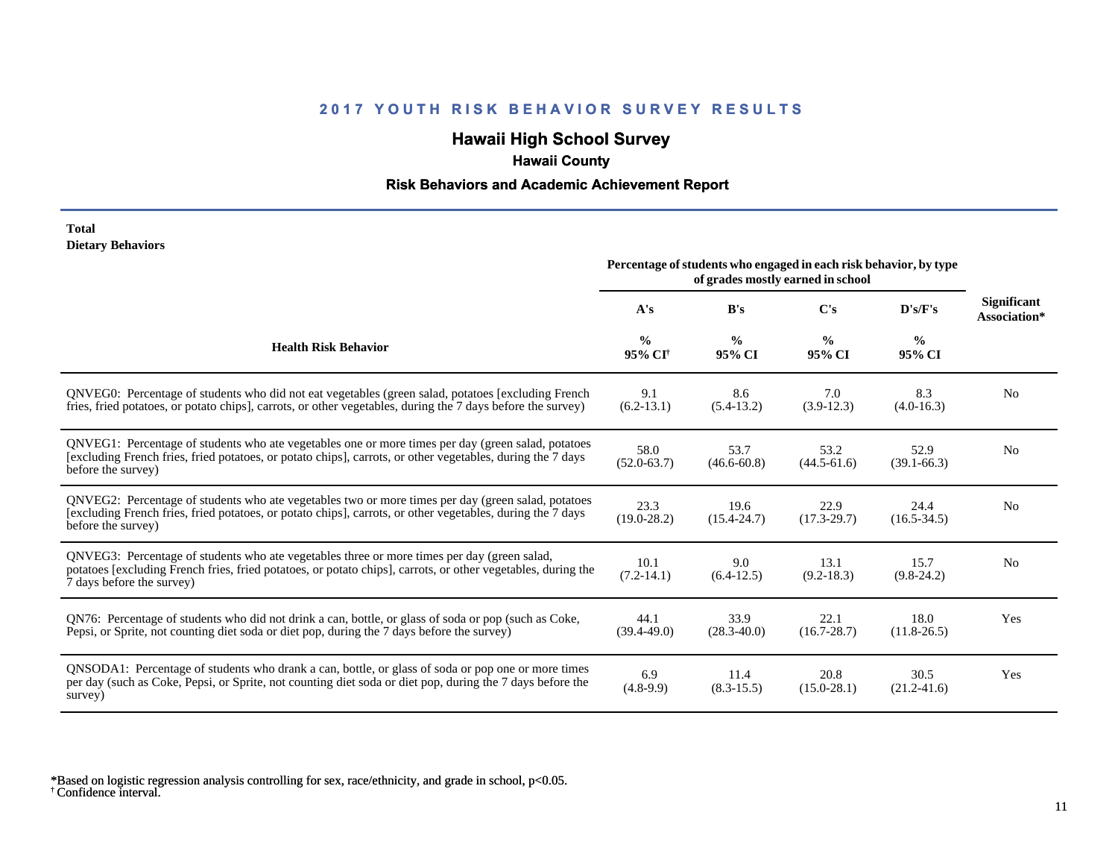# **Hawaii High School Survey**

## **Hawaii County**

### **Risk Behaviors and Academic Achievement Report**

#### **Total Dietary Behaviors**

|                                                                                                                                                                                                                                          | Percentage of students who engaged in each risk behavior, by type<br>of grades mostly earned in school |                         |                         |                         |                                    |
|------------------------------------------------------------------------------------------------------------------------------------------------------------------------------------------------------------------------------------------|--------------------------------------------------------------------------------------------------------|-------------------------|-------------------------|-------------------------|------------------------------------|
|                                                                                                                                                                                                                                          | A's                                                                                                    | B's                     | C's                     | D's/F's                 | <b>Significant</b><br>Association* |
| <b>Health Risk Behavior</b>                                                                                                                                                                                                              | $\frac{0}{0}$<br>95% CI <sup>+</sup>                                                                   | $\frac{0}{0}$<br>95% CI | $\frac{0}{0}$<br>95% CI | $\frac{0}{0}$<br>95% CI |                                    |
| QNVEG0: Percentage of students who did not eat vegetables (green salad, potatoes [excluding French<br>fries, fried potatoes, or potato chips], carrots, or other vegetables, during the 7 days before the survey)                        | 9.1<br>$(6.2-13.1)$                                                                                    | 8.6<br>$(5.4-13.2)$     | 7.0<br>$(3.9-12.3)$     | 8.3<br>$(4.0-16.3)$     | N <sub>0</sub>                     |
| QNVEG1: Percentage of students who ate vegetables one or more times per day (green salad, potatoes<br>[excluding French fries, fried potatoes, or potato chips], carrots, or other vegetables, during the 7 days<br>before the survey)   | 58.0<br>$(52.0 - 63.7)$                                                                                | 53.7<br>$(46.6 - 60.8)$ | 53.2<br>$(44.5 - 61.6)$ | 52.9<br>$(39.1 - 66.3)$ | N <sub>0</sub>                     |
| QNVEG2: Percentage of students who ate vegetables two or more times per day (green salad, potatoes<br>[excluding French fries, fried potatoes, or potato chips], carrots, or other vegetables, during the 7 days<br>before the survey)   | 23.3<br>$(19.0 - 28.2)$                                                                                | 19.6<br>$(15.4 - 24.7)$ | 22.9<br>$(17.3 - 29.7)$ | 24.4<br>$(16.5 - 34.5)$ | N <sub>0</sub>                     |
| QNVEG3: Percentage of students who ate vegetables three or more times per day (green salad,<br>potatoes [excluding French fries, fried potatoes, or potato chips], carrots, or other vegetables, during the<br>7 days before the survey) | 10.1<br>$(7.2-14.1)$                                                                                   | 9.0<br>$(6.4-12.5)$     | 13.1<br>$(9.2 - 18.3)$  | 15.7<br>$(9.8-24.2)$    | N <sub>0</sub>                     |
| QN76: Percentage of students who did not drink a can, bottle, or glass of soda or pop (such as Coke,<br>Pepsi, or Sprite, not counting diet soda or diet pop, during the 7 days before the survey)                                       | 44.1<br>$(39.4 - 49.0)$                                                                                | 33.9<br>$(28.3 - 40.0)$ | 22.1<br>$(16.7 - 28.7)$ | 18.0<br>$(11.8 - 26.5)$ | Yes                                |
| QNSODA1: Percentage of students who drank a can, bottle, or glass of soda or pop one or more times<br>per day (such as Coke, Pepsi, or Sprite, not counting diet soda or diet pop, during the 7 days before the<br>survey)               | 6.9<br>$(4.8-9.9)$                                                                                     | 11.4<br>$(8.3 - 15.5)$  | 20.8<br>$(15.0 - 28.1)$ | 30.5<br>$(21.2 - 41.6)$ | Yes                                |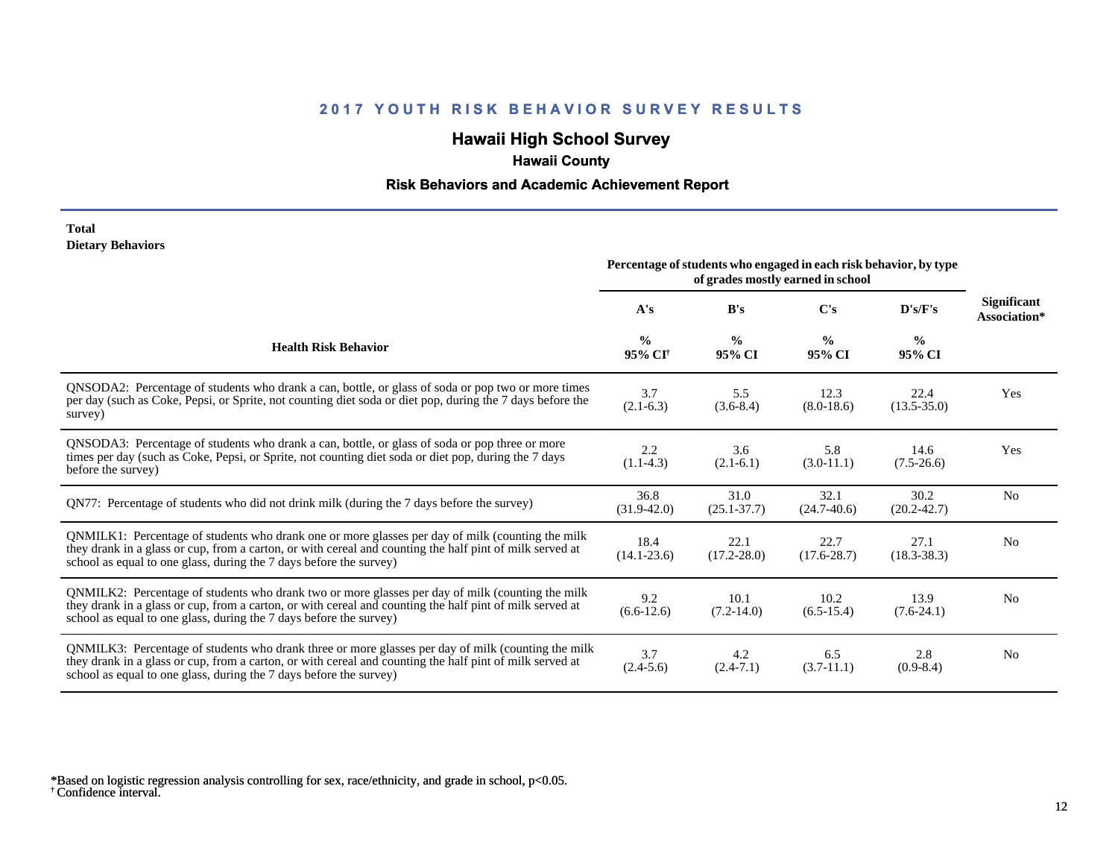# **Hawaii High School Survey**

# **Hawaii County**

### **Risk Behaviors and Academic Achievement Report**

#### **Total Dietary Behaviors**

|                                                                                                                                                                                                                                                                                      | Percentage of students who engaged in each risk behavior, by type<br>of grades mostly earned in school |                         |                         |                         |                                    |
|--------------------------------------------------------------------------------------------------------------------------------------------------------------------------------------------------------------------------------------------------------------------------------------|--------------------------------------------------------------------------------------------------------|-------------------------|-------------------------|-------------------------|------------------------------------|
|                                                                                                                                                                                                                                                                                      | A's                                                                                                    | B's                     | $\bf C's$               | D's/F's                 | <b>Significant</b><br>Association* |
| <b>Health Risk Behavior</b>                                                                                                                                                                                                                                                          | $\frac{0}{0}$<br>95% CI <sup>+</sup>                                                                   | $\frac{0}{0}$<br>95% CI | $\frac{0}{0}$<br>95% CI | $\frac{0}{0}$<br>95% CI |                                    |
| QNSODA2: Percentage of students who drank a can, bottle, or glass of soda or pop two or more times<br>per day (such as Coke, Pepsi, or Sprite, not counting diet soda or diet pop, during the 7 days before the<br>survey)                                                           | 3.7<br>$(2.1-6.3)$                                                                                     | 5.5<br>$(3.6-8.4)$      | 12.3<br>$(8.0-18.6)$    | 22.4<br>$(13.5 - 35.0)$ | Yes                                |
| ONSODA3: Percentage of students who drank a can, bottle, or glass of soda or pop three or more<br>times per day (such as Coke, Pepsi, or Sprite, not counting diet soda or diet pop, during the 7 days<br>before the survey)                                                         | 2.2<br>$(1.1-4.3)$                                                                                     | 3.6<br>$(2.1-6.1)$      | 5.8<br>$(3.0-11.1)$     | 14.6<br>$(7.5-26.6)$    | Yes                                |
| QN77: Percentage of students who did not drink milk (during the 7 days before the survey)                                                                                                                                                                                            | 36.8<br>$(31.9 - 42.0)$                                                                                | 31.0<br>$(25.1 - 37.7)$ | 32.1<br>$(24.7 - 40.6)$ | 30.2<br>$(20.2 - 42.7)$ | N <sub>0</sub>                     |
| QNMILK1: Percentage of students who drank one or more glasses per day of milk (counting the milk<br>they drank in a glass or cup, from a carton, or with cereal and counting the half pint of milk served at<br>school as equal to one glass, during the 7 days before the survey)   | 18.4<br>$(14.1 - 23.6)$                                                                                | 22.1<br>$(17.2 - 28.0)$ | 22.7<br>$(17.6 - 28.7)$ | 27.1<br>$(18.3 - 38.3)$ | N <sub>0</sub>                     |
| QNMILK2: Percentage of students who drank two or more glasses per day of milk (counting the milk<br>they drank in a glass or cup, from a carton, or with cereal and counting the half pint of milk served at<br>school as equal to one glass, during the 7 days before the survey)   | 9.2<br>$(6.6-12.6)$                                                                                    | 10.1<br>$(7.2 - 14.0)$  | 10.2<br>$(6.5-15.4)$    | 13.9<br>$(7.6-24.1)$    | N <sub>0</sub>                     |
| QNMILK3: Percentage of students who drank three or more glasses per day of milk (counting the milk<br>they drank in a glass or cup, from a carton, or with cereal and counting the half pint of milk served at<br>school as equal to one glass, during the 7 days before the survey) | 3.7<br>$(2.4-5.6)$                                                                                     | 4.2<br>$(2.4 - 7.1)$    | 6.5<br>$(3.7-11.1)$     | 2.8<br>$(0.9 - 8.4)$    | N <sub>0</sub>                     |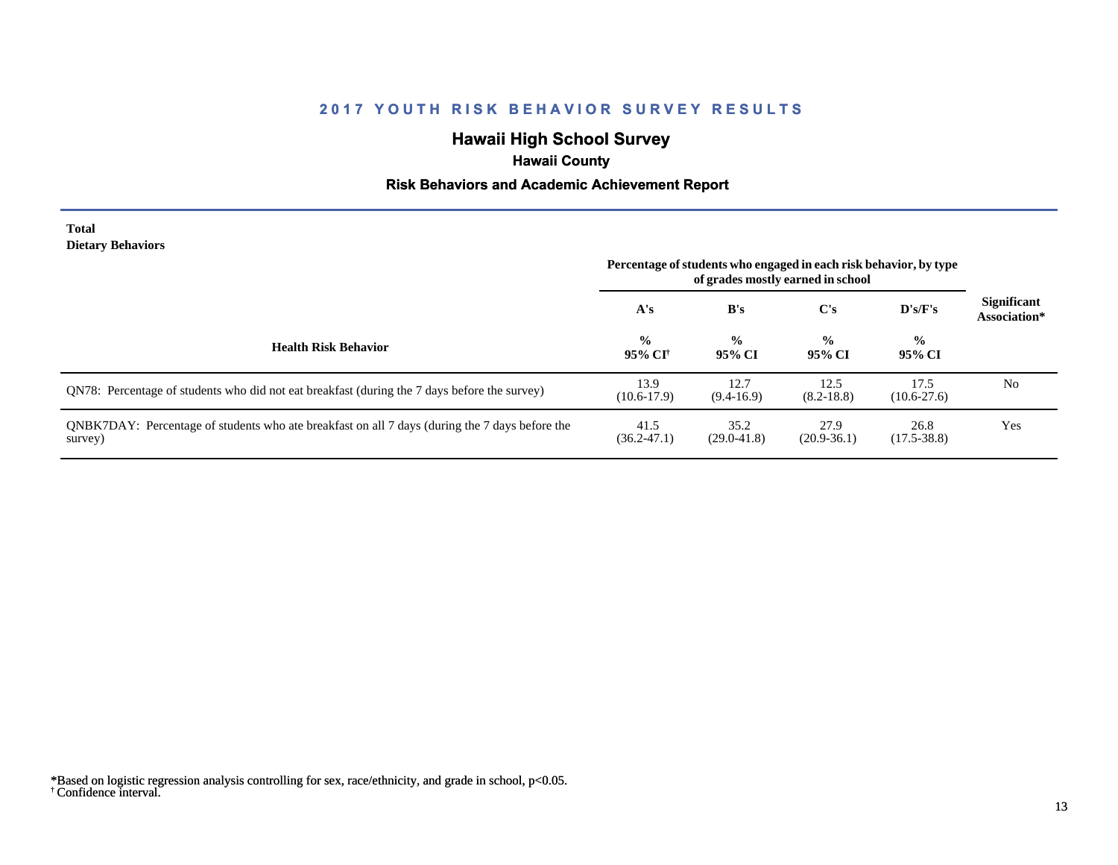# **Hawaii High School Survey**

## **Hawaii County**

### **Risk Behaviors and Academic Achievement Report**

#### **Total Dietary Behaviors**

|                                                                                                           | Percentage of students who engaged in each risk behavior, by type<br>of grades mostly earned in school |                         |                         |                         |                                    |
|-----------------------------------------------------------------------------------------------------------|--------------------------------------------------------------------------------------------------------|-------------------------|-------------------------|-------------------------|------------------------------------|
|                                                                                                           | A's                                                                                                    | B's                     | C's                     | $\bf{D's/F's}$          | <b>Significant</b><br>Association* |
| <b>Health Risk Behavior</b>                                                                               | $\frac{0}{0}$<br>95% CI <sup>+</sup>                                                                   | $\frac{0}{0}$<br>95% CI | $\frac{0}{0}$<br>95% CI | $\frac{0}{0}$<br>95% CI |                                    |
| QN78: Percentage of students who did not eat breakfast (during the 7 days before the survey)              | 13.9<br>$(10.6-17.9)$                                                                                  | 12.7<br>$(9.4-16.9)$    | 12.5<br>$(8.2 - 18.8)$  | 17.5<br>$(10.6 - 27.6)$ | N <sub>0</sub>                     |
| QNBK7DAY: Percentage of students who ate breakfast on all 7 days (during the 7 days before the<br>survey) | 41.5<br>$(36.2 - 47.1)$                                                                                | 35.2<br>$(29.0 - 41.8)$ | 27.9<br>$(20.9-36.1)$   | 26.8<br>$(17.5 - 38.8)$ | Yes                                |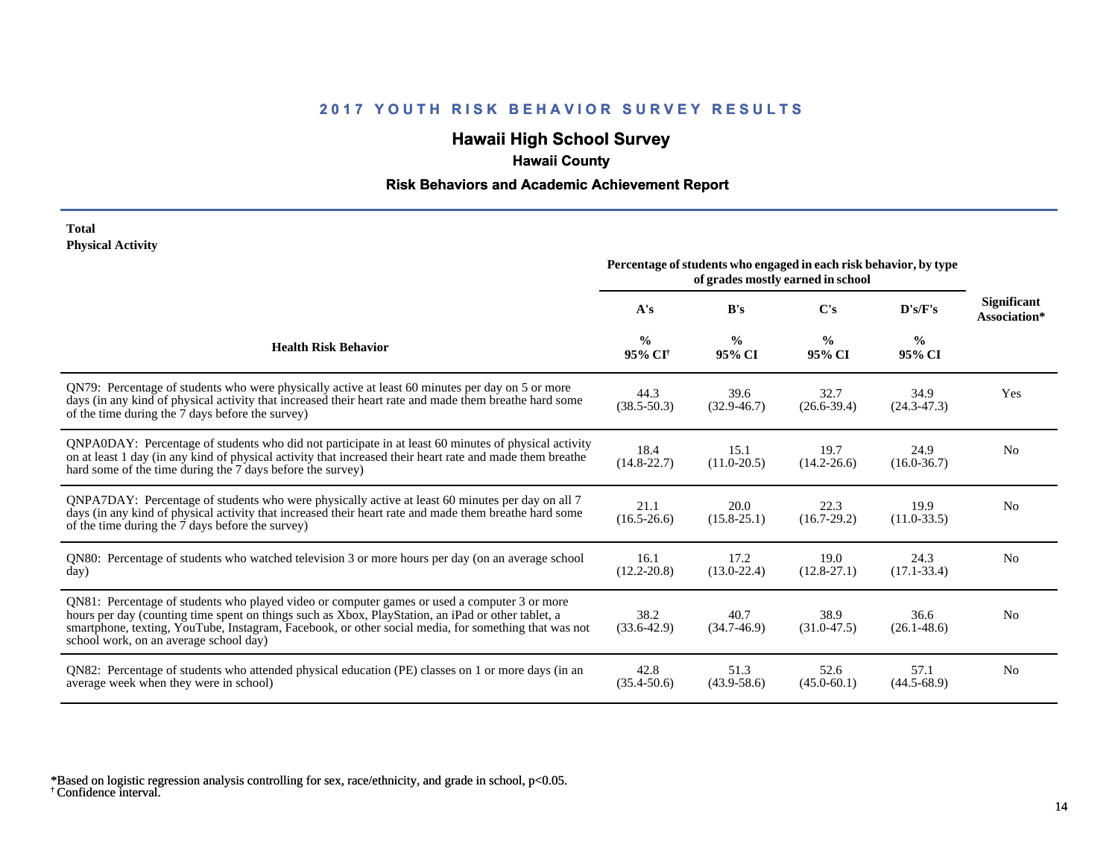# **Hawaii High School Survey**

# **Hawaii County**

### **Risk Behaviors and Academic Achievement Report**

#### **Total Physical Activity**

|                                                                                                                                                                                                                                                                                                                                                      | Percentage of students who engaged in each risk behavior, by type<br>of grades mostly earned in school |                         |                         |                         |                                    |
|------------------------------------------------------------------------------------------------------------------------------------------------------------------------------------------------------------------------------------------------------------------------------------------------------------------------------------------------------|--------------------------------------------------------------------------------------------------------|-------------------------|-------------------------|-------------------------|------------------------------------|
|                                                                                                                                                                                                                                                                                                                                                      | A's                                                                                                    | B's                     | C's                     | D's/F's                 | <b>Significant</b><br>Association* |
| <b>Health Risk Behavior</b>                                                                                                                                                                                                                                                                                                                          | $\frac{0}{0}$<br>95% CI <sup>+</sup>                                                                   | $\frac{0}{0}$<br>95% CI | $\frac{0}{0}$<br>95% CI | $\frac{0}{0}$<br>95% CI |                                    |
| QN79: Percentage of students who were physically active at least 60 minutes per day on 5 or more<br>days (in any kind of physical activity that increased their heart rate and made them breathe hard some<br>of the time during the 7 days before the survey)                                                                                       | 44.3<br>$(38.5 - 50.3)$                                                                                | 39.6<br>$(32.9 - 46.7)$ | 32.7<br>$(26.6 - 39.4)$ | 34.9<br>$(24.3 - 47.3)$ | Yes                                |
| QNPA0DAY: Percentage of students who did not participate in at least 60 minutes of physical activity<br>on at least 1 day (in any kind of physical activity that increased their heart rate and made them breathe<br>hard some of the time during the 7 days before the survey)                                                                      | 18.4<br>$(14.8 - 22.7)$                                                                                | 15.1<br>$(11.0 - 20.5)$ | 19.7<br>$(14.2 - 26.6)$ | 24.9<br>$(16.0 - 36.7)$ | N <sub>0</sub>                     |
| ONPA7DAY: Percentage of students who were physically active at least 60 minutes per day on all 7<br>days (in any kind of physical activity that increased their heart rate and made them breathe hard some<br>of the time during the 7 days before the survey)                                                                                       | 21.1<br>$(16.5 - 26.6)$                                                                                | 20.0<br>$(15.8 - 25.1)$ | 22.3<br>$(16.7-29.2)$   | 19.9<br>$(11.0-33.5)$   | N <sub>0</sub>                     |
| QN80: Percentage of students who watched television 3 or more hours per day (on an average school<br>day)                                                                                                                                                                                                                                            | 16.1<br>$(12.2 - 20.8)$                                                                                | 17.2<br>$(13.0 - 22.4)$ | 19.0<br>$(12.8 - 27.1)$ | 24.3<br>$(17.1 - 33.4)$ | N <sub>0</sub>                     |
| QN81: Percentage of students who played video or computer games or used a computer 3 or more<br>hours per day (counting time spent on things such as Xbox, PlayStation, an iPad or other tablet, a<br>smartphone, texting, YouTube, Instagram, Facebook, or other social media, for something that was not<br>school work, on an average school day) | 38.2<br>$(33.6 - 42.9)$                                                                                | 40.7<br>$(34.7-46.9)$   | 38.9<br>$(31.0 - 47.5)$ | 36.6<br>$(26.1 - 48.6)$ | N <sub>0</sub>                     |
| QN82: Percentage of students who attended physical education (PE) classes on 1 or more days (in an<br>average week when they were in school)                                                                                                                                                                                                         | 42.8<br>$(35.4 - 50.6)$                                                                                | 51.3<br>$(43.9 - 58.6)$ | 52.6<br>$(45.0 - 60.1)$ | 57.1<br>$(44.5 - 68.9)$ | N <sub>0</sub>                     |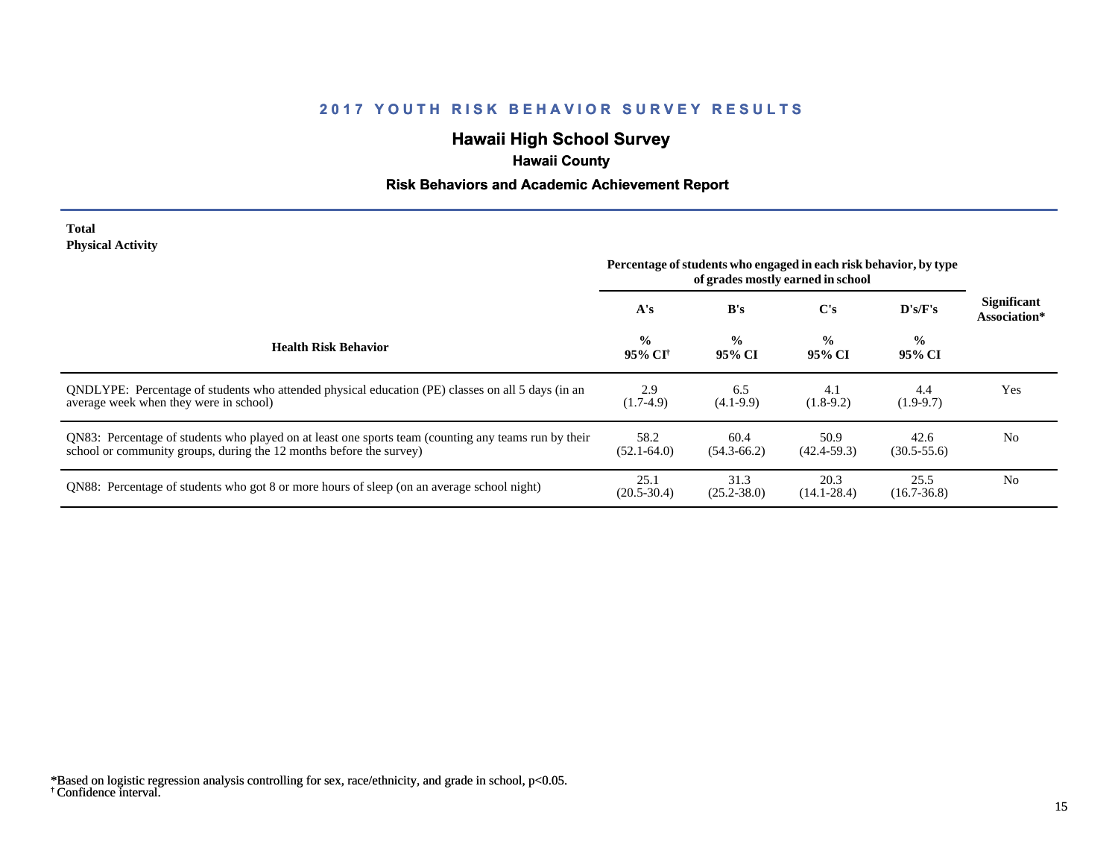# **Hawaii High School Survey**

# **Hawaii County**

### **Risk Behaviors and Academic Achievement Report**

#### **Total Physical Activity**

|                                                                                                                                                                             | Percentage of students who engaged in each risk behavior, by type<br>of grades mostly earned in school |                         |                         |                         |                                    |
|-----------------------------------------------------------------------------------------------------------------------------------------------------------------------------|--------------------------------------------------------------------------------------------------------|-------------------------|-------------------------|-------------------------|------------------------------------|
|                                                                                                                                                                             | A's                                                                                                    | B's                     | $\bf C's$               | $\bf{D's/F's}$          | <b>Significant</b><br>Association* |
| <b>Health Risk Behavior</b>                                                                                                                                                 | $\frac{0}{0}$<br>95% CI†                                                                               | $\frac{6}{6}$<br>95% CI | $\frac{0}{0}$<br>95% CI | $\frac{0}{0}$<br>95% CI |                                    |
| ONDLYPE: Percentage of students who attended physical education (PE) classes on all 5 days (in an<br>average week when they were in school)                                 | 2.9<br>$(1.7-4.9)$                                                                                     | 6.5<br>$(4.1-9.9)$      | 4.1<br>$(1.8-9.2)$      | 4.4<br>$(1.9-9.7)$      | Yes                                |
| QN83: Percentage of students who played on at least one sports team (counting any teams run by their<br>school or community groups, during the 12 months before the survey) | 58.2<br>$(52.1 - 64.0)$                                                                                | 60.4<br>$(54.3 - 66.2)$ | 50.9<br>$(42.4 - 59.3)$ | 42.6<br>$(30.5 - 55.6)$ | N <sub>0</sub>                     |
| QN88: Percentage of students who got 8 or more hours of sleep (on an average school night)                                                                                  | 25.1<br>$(20.5 - 30.4)$                                                                                | 31.3<br>$(25.2 - 38.0)$ | 20.3<br>$(14.1 - 28.4)$ | 25.5<br>$(16.7 - 36.8)$ | N <sub>0</sub>                     |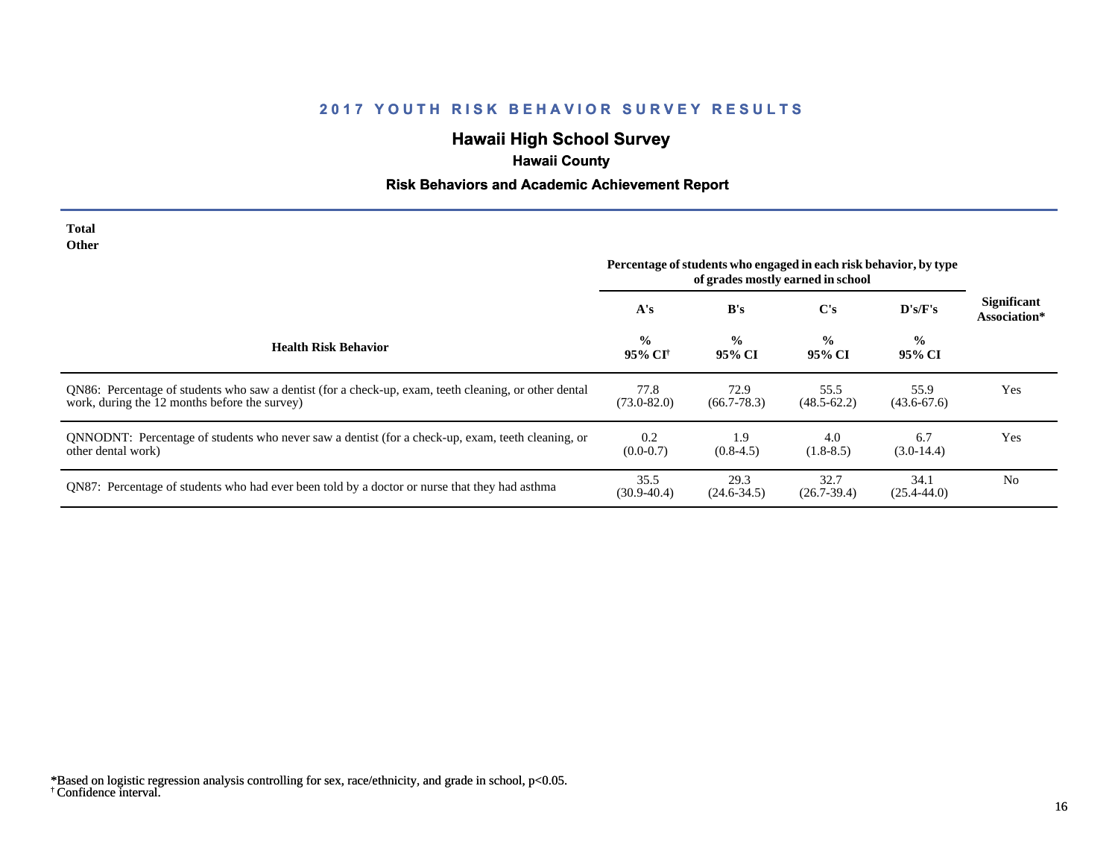# **Hawaii High School Survey**

# **Hawaii County**

# **Risk Behaviors and Academic Achievement Report**

| Total<br><b>Other</b>                                                                                                                                  | Percentage of students who engaged in each risk behavior, by type |                         |                         |                         |                                    |
|--------------------------------------------------------------------------------------------------------------------------------------------------------|-------------------------------------------------------------------|-------------------------|-------------------------|-------------------------|------------------------------------|
|                                                                                                                                                        | A's                                                               | B's                     | C's                     | D's/F's                 | <b>Significant</b><br>Association* |
| <b>Health Risk Behavior</b>                                                                                                                            | $\frac{6}{6}$<br>95% CI†                                          | $\frac{0}{0}$<br>95% CI | $\frac{0}{0}$<br>95% CI | $\frac{0}{0}$<br>95% CI |                                    |
| QN86: Percentage of students who saw a dentist (for a check-up, exam, teeth cleaning, or other dental<br>work, during the 12 months before the survey) | 77.8<br>$(73.0 - 82.0)$                                           | 72.9<br>$(66.7 - 78.3)$ | 55.5<br>$(48.5 - 62.2)$ | 55.9<br>$(43.6 - 67.6)$ | Yes                                |
| QNNODNT: Percentage of students who never saw a dentist (for a check-up, exam, teeth cleaning, or<br>other dental work)                                | 0.2<br>$(0.0-0.7)$                                                | 1.9<br>$(0.8-4.5)$      | 4.0<br>$(1.8-8.5)$      | 6.7<br>$(3.0-14.4)$     | Yes                                |
| QN87: Percentage of students who had ever been told by a doctor or nurse that they had asthma                                                          | 35.5<br>$(30.9 - 40.4)$                                           | 29.3<br>$(24.6 - 34.5)$ | 32.7<br>$(26.7 - 39.4)$ | 34.1<br>$(25.4 - 44.0)$ | N <sub>0</sub>                     |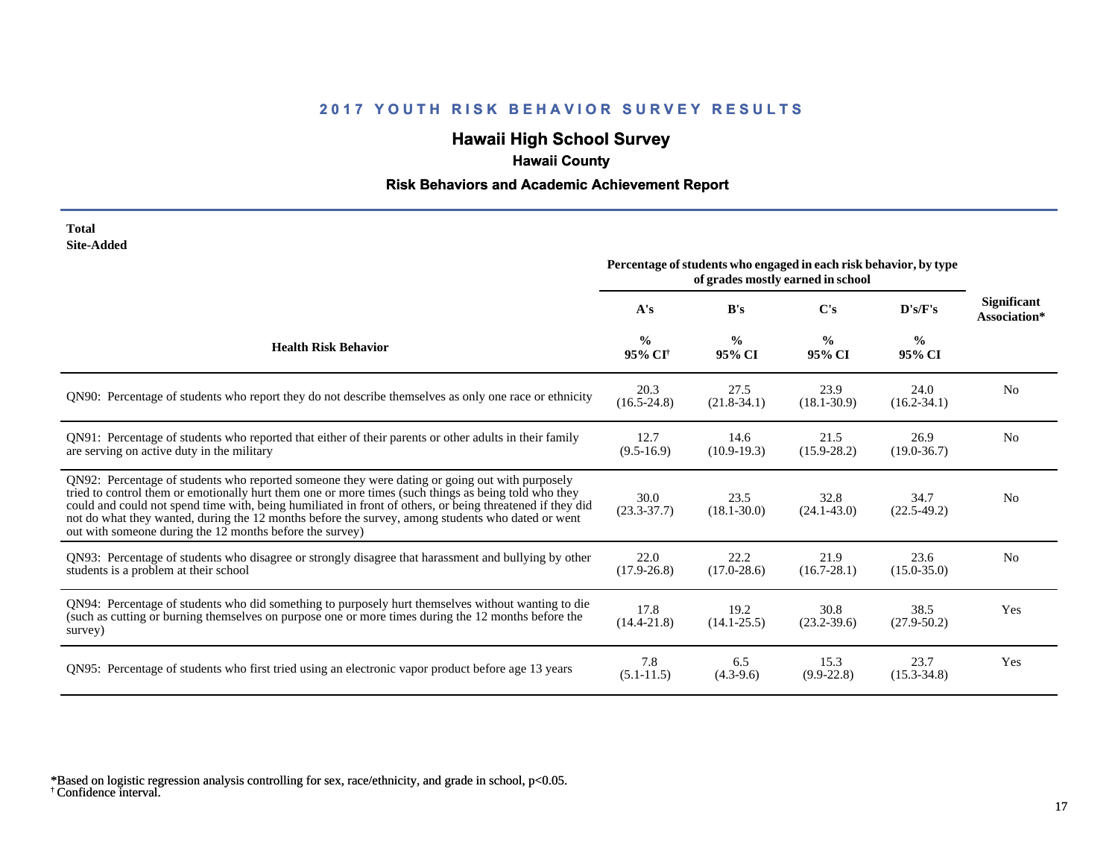# **Hawaii High School Survey**

# **Hawaii County**

# **Risk Behaviors and Academic Achievement Report**

| Total      |
|------------|
| Site-Added |

|                                                                                                                                                                                                                                                                                                                                                                                                                                                                                      | Percentage of students who engaged in each risk behavior, by type<br>of grades mostly earned in school |                         |                         |                         |                                    |
|--------------------------------------------------------------------------------------------------------------------------------------------------------------------------------------------------------------------------------------------------------------------------------------------------------------------------------------------------------------------------------------------------------------------------------------------------------------------------------------|--------------------------------------------------------------------------------------------------------|-------------------------|-------------------------|-------------------------|------------------------------------|
|                                                                                                                                                                                                                                                                                                                                                                                                                                                                                      | A's                                                                                                    | B's                     | C's                     | D's/F's                 | <b>Significant</b><br>Association* |
| <b>Health Risk Behavior</b>                                                                                                                                                                                                                                                                                                                                                                                                                                                          | $\frac{0}{0}$<br>95% CI <sup>+</sup>                                                                   | $\frac{0}{0}$<br>95% CI | $\frac{0}{0}$<br>95% CI | $\frac{6}{6}$<br>95% CI |                                    |
| QN90: Percentage of students who report they do not describe themselves as only one race or ethnicity                                                                                                                                                                                                                                                                                                                                                                                | 20.3<br>$(16.5 - 24.8)$                                                                                | 27.5<br>$(21.8-34.1)$   | 23.9<br>$(18.1 - 30.9)$ | 24.0<br>$(16.2 - 34.1)$ | N <sub>0</sub>                     |
| QN91: Percentage of students who reported that either of their parents or other adults in their family<br>are serving on active duty in the military                                                                                                                                                                                                                                                                                                                                 | 12.7<br>$(9.5-16.9)$                                                                                   | 14.6<br>$(10.9-19.3)$   | 21.5<br>$(15.9 - 28.2)$ | 26.9<br>$(19.0 - 36.7)$ | N <sub>0</sub>                     |
| QN92: Percentage of students who reported someone they were dating or going out with purposely<br>tried to control them or emotionally hurt them one or more times (such things as being told who they<br>could and could not spend time with, being humiliated in front of others, or being threatened if they did<br>not do what they wanted, during the 12 months before the survey, among students who dated or went<br>out with someone during the 12 months before the survey) | 30.0<br>$(23.3 - 37.7)$                                                                                | 23.5<br>$(18.1 - 30.0)$ | 32.8<br>$(24.1 - 43.0)$ | 34.7<br>$(22.5-49.2)$   | N <sub>0</sub>                     |
| QN93: Percentage of students who disagree or strongly disagree that harassment and bullying by other<br>students is a problem at their school                                                                                                                                                                                                                                                                                                                                        | 22.0<br>$(17.9 - 26.8)$                                                                                | 22.2<br>$(17.0 - 28.6)$ | 21.9<br>$(16.7 - 28.1)$ | 23.6<br>$(15.0 - 35.0)$ | N <sub>o</sub>                     |
| QN94: Percentage of students who did something to purposely hurt themselves without wanting to die<br>(such as cutting or burning themselves on purpose one or more times during the 12 months before the<br>survey)                                                                                                                                                                                                                                                                 | 17.8<br>$(14.4 - 21.8)$                                                                                | 19.2<br>$(14.1 - 25.5)$ | 30.8<br>$(23.2 - 39.6)$ | 38.5<br>$(27.9 - 50.2)$ | Yes                                |
| QN95: Percentage of students who first tried using an electronic vapor product before age 13 years                                                                                                                                                                                                                                                                                                                                                                                   | 7.8<br>$(5.1 - 11.5)$                                                                                  | 6.5<br>$(4.3-9.6)$      | 15.3<br>$(9.9-22.8)$    | 23.7<br>$(15.3 - 34.8)$ | Yes                                |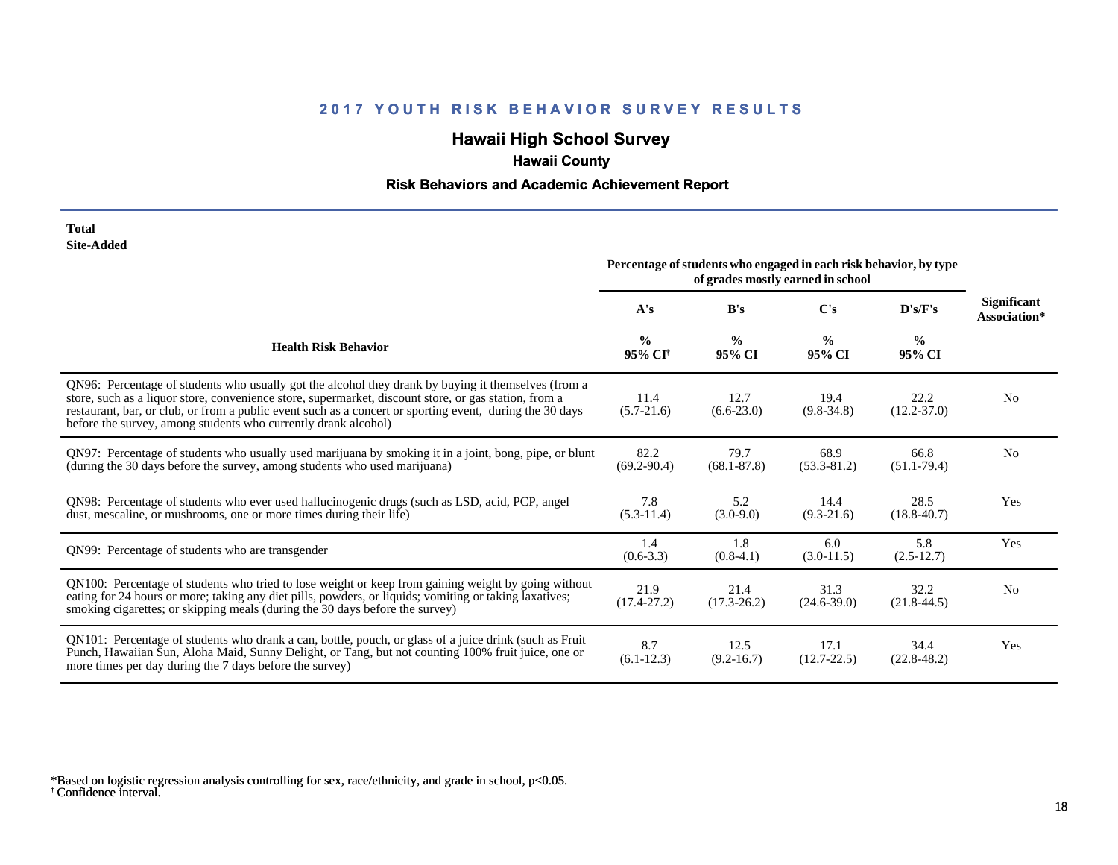# **Hawaii High School Survey**

# **Hawaii County**

### **Risk Behaviors and Academic Achievement Report**

#### **Total Site-Added**

|                                                                                                                                                                                                                                                                                                                                                                                            | Percentage of students who engaged in each risk behavior, by type<br>of grades mostly earned in school |                         |                         |                         |                                    |
|--------------------------------------------------------------------------------------------------------------------------------------------------------------------------------------------------------------------------------------------------------------------------------------------------------------------------------------------------------------------------------------------|--------------------------------------------------------------------------------------------------------|-------------------------|-------------------------|-------------------------|------------------------------------|
|                                                                                                                                                                                                                                                                                                                                                                                            | A's                                                                                                    | B's                     | $\bf C's$               | D's/F's                 | <b>Significant</b><br>Association* |
| <b>Health Risk Behavior</b>                                                                                                                                                                                                                                                                                                                                                                | $\frac{0}{0}$<br>95% CI <sup>†</sup>                                                                   | $\frac{0}{0}$<br>95% CI | $\frac{0}{0}$<br>95% CI | $\frac{0}{0}$<br>95% CI |                                    |
| QN96: Percentage of students who usually got the alcohol they drank by buying it themselves (from a<br>store, such as a liquor store, convenience store, supermarket, discount store, or gas station, from a<br>restaurant, bar, or club, or from a public event such as a concert or sporting event, during the 30 days<br>before the survey, among students who currently drank alcohol) | 11.4<br>$(5.7-21.6)$                                                                                   | 12.7<br>$(6.6-23.0)$    | 19.4<br>$(9.8-34.8)$    | 22.2<br>$(12.2 - 37.0)$ | N <sub>o</sub>                     |
| QN97: Percentage of students who usually used marijuana by smoking it in a joint, bong, pipe, or blunt<br>(during the 30 days before the survey, among students who used marijuana)                                                                                                                                                                                                        | 82.2<br>$(69.2 - 90.4)$                                                                                | 79.7<br>$(68.1 - 87.8)$ | 68.9<br>$(53.3 - 81.2)$ | 66.8<br>$(51.1 - 79.4)$ | N <sub>0</sub>                     |
| QN98: Percentage of students who ever used hallucinogenic drugs (such as LSD, acid, PCP, angel<br>dust, mescaline, or mushrooms, one or more times during their life)                                                                                                                                                                                                                      | 7.8<br>$(5.3-11.4)$                                                                                    | 5.2<br>$(3.0-9.0)$      | 14.4<br>$(9.3-21.6)$    | 28.5<br>$(18.8 - 40.7)$ | Yes                                |
| QN99: Percentage of students who are transgender                                                                                                                                                                                                                                                                                                                                           | 1.4<br>$(0.6-3.3)$                                                                                     | 1.8<br>$(0.8-4.1)$      | 6.0<br>$(3.0-11.5)$     | 5.8<br>$(2.5-12.7)$     | Yes                                |
| QN100: Percentage of students who tried to lose weight or keep from gaining weight by going without<br>eating for 24 hours or more; taking any diet pills, powders, or liquids; vomiting or taking laxatives;<br>smoking cigarettes; or skipping meals (during the 30 days before the survey)                                                                                              | 21.9<br>$(17.4 - 27.2)$                                                                                | 21.4<br>$(17.3 - 26.2)$ | 31.3<br>$(24.6 - 39.0)$ | 32.2<br>$(21.8 - 44.5)$ | N <sub>0</sub>                     |
| QN101: Percentage of students who drank a can, bottle, pouch, or glass of a juice drink (such as Fruit<br>Punch, Hawaiian Sun, Aloha Maid, Sunny Delight, or Tang, but not counting 100% fruit juice, one or<br>more times per day during the 7 days before the survey)                                                                                                                    | 8.7<br>$(6.1-12.3)$                                                                                    | 12.5<br>$(9.2 - 16.7)$  | 17.1<br>$(12.7 - 22.5)$ | 34.4<br>$(22.8 - 48.2)$ | Yes                                |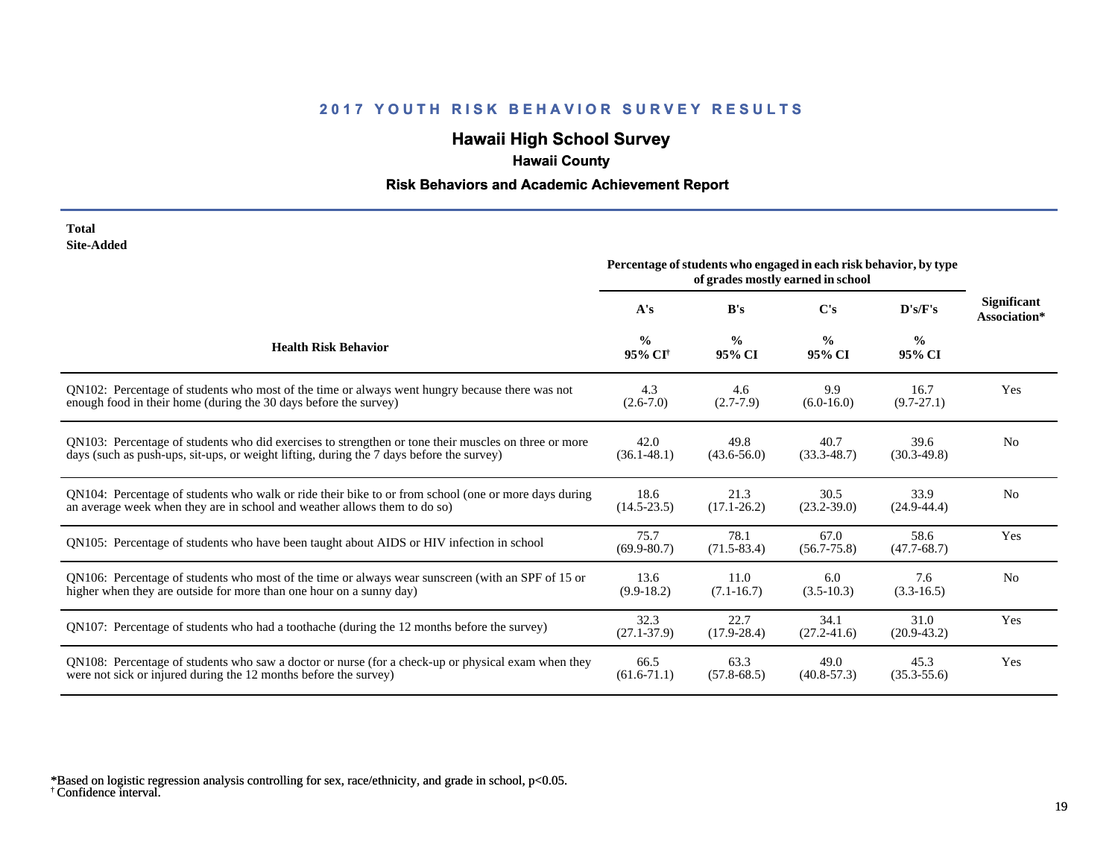# **Hawaii High School Survey**

# **Hawaii County**

### **Risk Behaviors and Academic Achievement Report**

#### **Total Site-Added**

|                                                                                                      | Percentage of students who engaged in each risk behavior, by type |                         |                         |                         |                                    |
|------------------------------------------------------------------------------------------------------|-------------------------------------------------------------------|-------------------------|-------------------------|-------------------------|------------------------------------|
|                                                                                                      | A's                                                               | B's                     | $\bf C's$               | D's/F's                 | <b>Significant</b><br>Association* |
| <b>Health Risk Behavior</b>                                                                          | $\frac{0}{0}$<br>95% CI <sup>+</sup>                              | $\frac{0}{0}$<br>95% CI | $\frac{0}{0}$<br>95% CI | $\frac{6}{9}$<br>95% CI |                                    |
| QN102: Percentage of students who most of the time or always went hungry because there was not       | 4.3                                                               | 4.6                     | 9.9                     | 16.7                    | Yes                                |
| enough food in their home (during the 30 days before the survey)                                     | $(2.6 - 7.0)$                                                     | $(2.7-7.9)$             | $(6.0-16.0)$            | $(9.7 - 27.1)$          |                                    |
| QN103: Percentage of students who did exercises to strengthen or tone their muscles on three or more | 42.0                                                              | 49.8                    | 40.7                    | 39.6                    | N <sub>0</sub>                     |
| days (such as push-ups, sit-ups, or weight lifting, during the 7 days before the survey)             | $(36.1 - 48.1)$                                                   | $(43.6 - 56.0)$         | $(33.3 - 48.7)$         | $(30.3-49.8)$           |                                    |
| QN104: Percentage of students who walk or ride their bike to or from school (one or more days during | 18.6                                                              | 21.3                    | 30.5                    | 33.9                    | N <sub>0</sub>                     |
| an average week when they are in school and weather allows them to do so)                            | $(14.5 - 23.5)$                                                   | $(17.1 - 26.2)$         | $(23.2 - 39.0)$         | $(24.9 - 44.4)$         |                                    |
| QN105: Percentage of students who have been taught about AIDS or HIV infection in school             | 75.7<br>$(69.9 - 80.7)$                                           | 78.1<br>$(71.5 - 83.4)$ | 67.0<br>$(56.7 - 75.8)$ | 58.6<br>$(47.7 - 68.7)$ | Yes                                |
| QN106: Percentage of students who most of the time or always wear sunscreen (with an SPF of 15 or    | 13.6                                                              | 11.0                    | 6.0                     | 7.6                     | N <sub>0</sub>                     |
| higher when they are outside for more than one hour on a sunny day)                                  | $(9.9-18.2)$                                                      | $(7.1 - 16.7)$          | $(3.5-10.3)$            | $(3.3-16.5)$            |                                    |
| QN107: Percentage of students who had a toothache (during the 12 months before the survey)           | 32.3<br>$(27.1 - 37.9)$                                           | 22.7<br>$(17.9 - 28.4)$ | 34.1<br>$(27.2 - 41.6)$ | 31.0<br>$(20.9 - 43.2)$ | Yes                                |
| QN108: Percentage of students who saw a doctor or nurse (for a check-up or physical exam when they   | 66.5                                                              | 63.3                    | 49.0                    | 45.3                    | Yes                                |
| were not sick or injured during the 12 months before the survey)                                     | $(61.6 - 71.1)$                                                   | $(57.8 - 68.5)$         | $(40.8 - 57.3)$         | $(35.3 - 55.6)$         |                                    |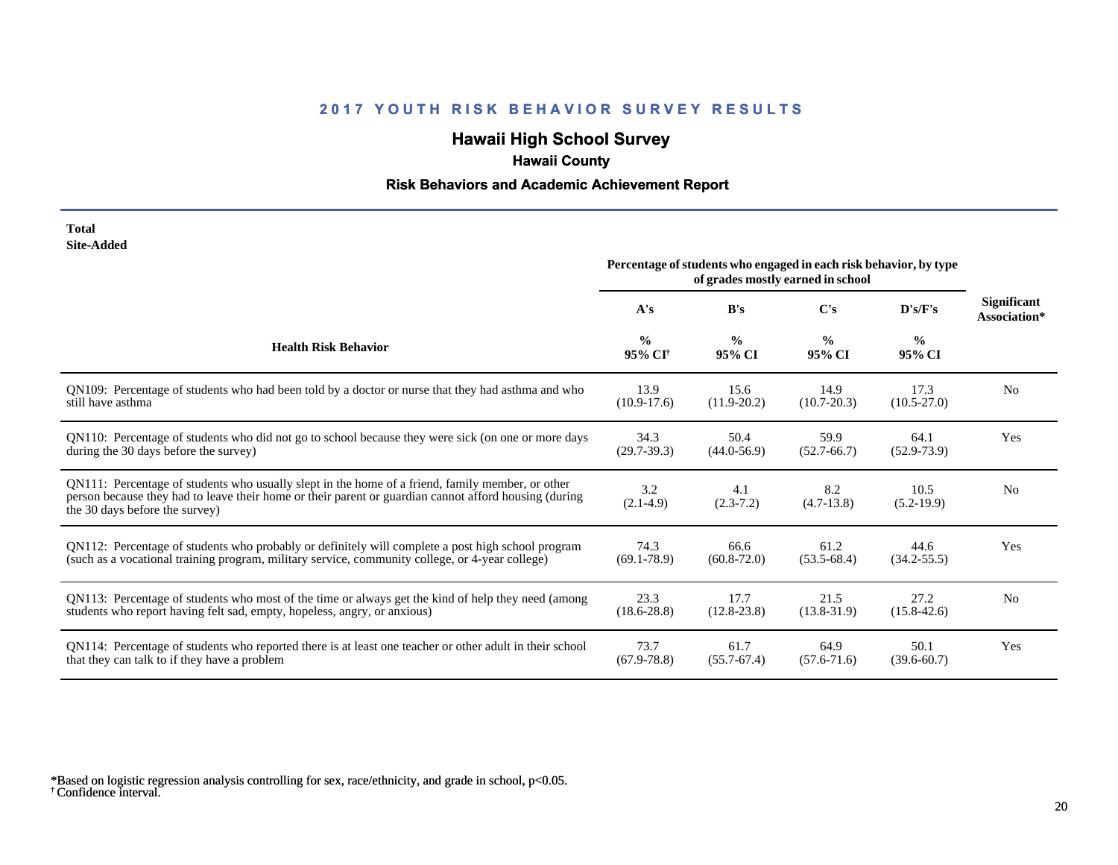# **Hawaii High School Survey**

# **Hawaii County**

### **Risk Behaviors and Academic Achievement Report**

| Total      |
|------------|
| Site-Added |

|                                                                                                                                                                                                                                             | Percentage of students who engaged in each risk behavior, by type<br>of grades mostly earned in school |                         |                         |                         |                                    |
|---------------------------------------------------------------------------------------------------------------------------------------------------------------------------------------------------------------------------------------------|--------------------------------------------------------------------------------------------------------|-------------------------|-------------------------|-------------------------|------------------------------------|
|                                                                                                                                                                                                                                             | A's                                                                                                    | B's                     | $\bf C's$               | D's/F's                 | <b>Significant</b><br>Association* |
| <b>Health Risk Behavior</b>                                                                                                                                                                                                                 | $\frac{0}{0}$<br>95% CI <sup>+</sup>                                                                   | $\frac{0}{0}$<br>95% CI | $\frac{0}{0}$<br>95% CI | $\frac{6}{6}$<br>95% CI |                                    |
| QN109: Percentage of students who had been told by a doctor or nurse that they had asthma and who                                                                                                                                           | 13.9                                                                                                   | 15.6                    | 14.9                    | 17.3                    | N <sub>0</sub>                     |
| still have asthma                                                                                                                                                                                                                           | $(10.9-17.6)$                                                                                          | $(11.9 - 20.2)$         | $(10.7 - 20.3)$         | $(10.5 - 27.0)$         |                                    |
| QN110: Percentage of students who did not go to school because they were sick (on one or more days                                                                                                                                          | 34.3                                                                                                   | 50.4                    | 59.9                    | 64.1                    | Yes                                |
| during the 30 days before the survey)                                                                                                                                                                                                       | $(29.7-39.3)$                                                                                          | $(44.0 - 56.9)$         | $(52.7-66.7)$           | $(52.9 - 73.9)$         |                                    |
| QN111: Percentage of students who usually slept in the home of a friend, family member, or other<br>person because they had to leave their home or their parent or guardian cannot afford housing (during<br>the 30 days before the survey) | 3.2<br>$(2.1-4.9)$                                                                                     | 4.1<br>$(2.3-7.2)$      | 8.2<br>$(4.7-13.8)$     | 10.5<br>$(5.2-19.9)$    | N <sub>0</sub>                     |
| QN112: Percentage of students who probably or definitely will complete a post high school program                                                                                                                                           | 74.3                                                                                                   | 66.6                    | 61.2                    | 44.6                    | Yes                                |
| (such as a vocational training program, military service, community college, or 4-year college)                                                                                                                                             | $(69.1 - 78.9)$                                                                                        | $(60.8 - 72.0)$         | $(53.5-68.4)$           | $(34.2 - 55.5)$         |                                    |
| QN113: Percentage of students who most of the time or always get the kind of help they need (among                                                                                                                                          | 23.3                                                                                                   | 17.7                    | 21.5                    | 27.2                    | N <sub>0</sub>                     |
| students who report having felt sad, empty, hopeless, angry, or anxious)                                                                                                                                                                    | $(18.6 - 28.8)$                                                                                        | $(12.8 - 23.8)$         | $(13.8 - 31.9)$         | $(15.8 - 42.6)$         |                                    |
| QN114: Percentage of students who reported there is at least one teacher or other adult in their school                                                                                                                                     | 73.7                                                                                                   | 61.7                    | 64.9                    | 50.1                    | Yes                                |
| that they can talk to if they have a problem                                                                                                                                                                                                | $(67.9 - 78.8)$                                                                                        | $(55.7 - 67.4)$         | $(57.6 - 71.6)$         | $(39.6 - 60.7)$         |                                    |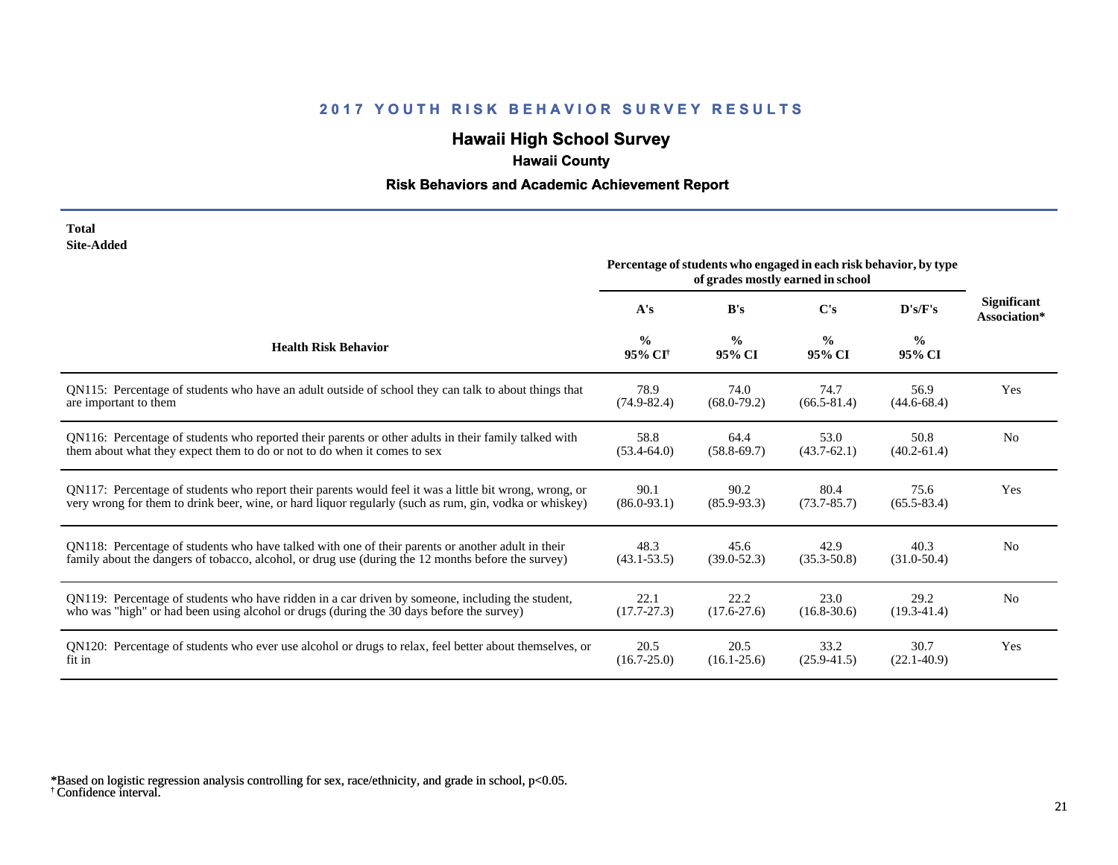# **Hawaii High School Survey**

# **Hawaii County**

### **Risk Behaviors and Academic Achievement Report**

#### **Total Site-Added**

|                                                                                                        | Percentage of students who engaged in each risk behavior, by type<br>of grades mostly earned in school |                         |                         |                         |                                    |
|--------------------------------------------------------------------------------------------------------|--------------------------------------------------------------------------------------------------------|-------------------------|-------------------------|-------------------------|------------------------------------|
|                                                                                                        | A's                                                                                                    | B's                     | C's                     | D's/F's                 | <b>Significant</b><br>Association* |
| <b>Health Risk Behavior</b>                                                                            | $\frac{0}{0}$<br>95% CI <sup>†</sup>                                                                   | $\frac{0}{0}$<br>95% CI | $\frac{0}{0}$<br>95% CI | $\frac{0}{0}$<br>95% CI |                                    |
| QN115: Percentage of students who have an adult outside of school they can talk to about things that   | 78.9                                                                                                   | 74.0                    | 74.7                    | 56.9                    | Yes                                |
| are important to them                                                                                  | $(74.9 - 82.4)$                                                                                        | $(68.0 - 79.2)$         | $(66.5 - 81.4)$         | $(44.6 - 68.4)$         |                                    |
| QN116: Percentage of students who reported their parents or other adults in their family talked with   | 58.8                                                                                                   | 64.4                    | 53.0                    | 50.8                    | N <sub>0</sub>                     |
| them about what they expect them to do or not to do when it comes to sex                               | $(53.4 - 64.0)$                                                                                        | $(58.8 - 69.7)$         | $(43.7-62.1)$           | $(40.2 - 61.4)$         |                                    |
| QN117: Percentage of students who report their parents would feel it was a little bit wrong, wrong, or | 90.1                                                                                                   | 90.2                    | 80.4                    | 75.6                    | Yes                                |
| very wrong for them to drink beer, wine, or hard liquor regularly (such as rum, gin, vodka or whiskey) | $(86.0 - 93.1)$                                                                                        | $(85.9 - 93.3)$         | $(73.7 - 85.7)$         | $(65.5 - 83.4)$         |                                    |
| QN118: Percentage of students who have talked with one of their parents or another adult in their      | 48.3                                                                                                   | 45.6                    | 42.9                    | 40.3                    | N <sub>0</sub>                     |
| family about the dangers of tobacco, alcohol, or drug use (during the 12 months before the survey)     | $(43.1 - 53.5)$                                                                                        | $(39.0 - 52.3)$         | $(35.3 - 50.8)$         | $(31.0 - 50.4)$         |                                    |
| QN119: Percentage of students who have ridden in a car driven by someone, including the student,       | 22.1                                                                                                   | 22.2                    | 23.0                    | 29.2                    | N <sub>0</sub>                     |
| who was "high" or had been using alcohol or drugs (during the 30 days before the survey)               | $(17.7 - 27.3)$                                                                                        | $(17.6 - 27.6)$         | $(16.8 - 30.6)$         | $(19.3 - 41.4)$         |                                    |
| QN120: Percentage of students who ever use alcohol or drugs to relax, feel better about themselves, or | 20.5                                                                                                   | 20.5                    | 33.2                    | 30.7                    | Yes                                |
| fit in                                                                                                 | $(16.7 - 25.0)$                                                                                        | $(16.1 - 25.6)$         | $(25.9 - 41.5)$         | $(22.1 - 40.9)$         |                                    |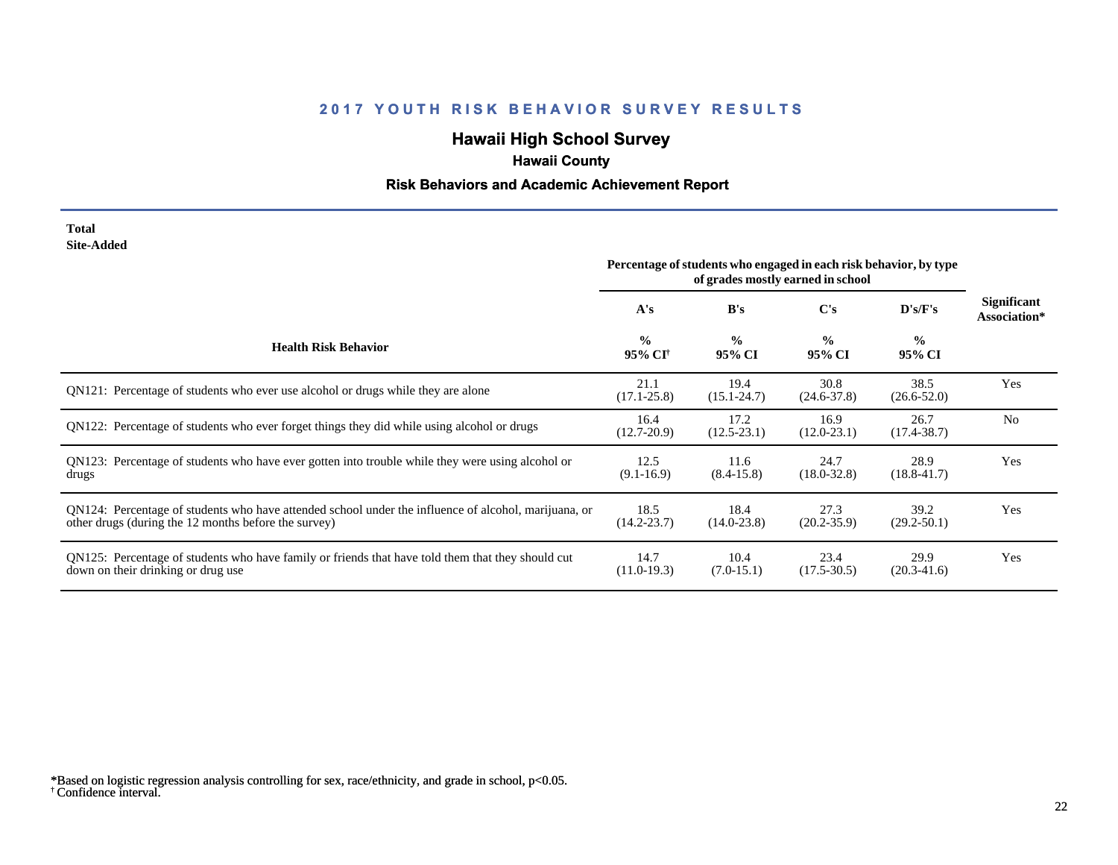# **Hawaii High School Survey**

# **Hawaii County**

### **Risk Behaviors and Academic Achievement Report**

#### **Total Site-Added**

|                                                                                                                                                              | Percentage of students who engaged in each risk behavior, by type<br>of grades mostly earned in school |                         |                         |                         |                                    |
|--------------------------------------------------------------------------------------------------------------------------------------------------------------|--------------------------------------------------------------------------------------------------------|-------------------------|-------------------------|-------------------------|------------------------------------|
|                                                                                                                                                              | A's                                                                                                    | B's                     | C's                     | D's/F's                 | <b>Significant</b><br>Association* |
| <b>Health Risk Behavior</b>                                                                                                                                  | $\frac{0}{0}$<br>95% CI <sup>†</sup>                                                                   | $\frac{0}{0}$<br>95% CI | $\frac{0}{0}$<br>95% CI | $\frac{0}{0}$<br>95% CI |                                    |
| QN121: Percentage of students who ever use alcohol or drugs while they are alone                                                                             | 21.1<br>$(17.1 - 25.8)$                                                                                | 19.4<br>$(15.1 - 24.7)$ | 30.8<br>$(24.6 - 37.8)$ | 38.5<br>$(26.6 - 52.0)$ | Yes                                |
| QN122: Percentage of students who ever forget things they did while using alcohol or drugs                                                                   | 16.4<br>$(12.7 - 20.9)$                                                                                | 17.2<br>$(12.5 - 23.1)$ | 16.9<br>$(12.0 - 23.1)$ | 26.7<br>$(17.4 - 38.7)$ | N <sub>0</sub>                     |
| QN123: Percentage of students who have ever gotten into trouble while they were using alcohol or<br>drugs                                                    | 12.5<br>$(9.1 - 16.9)$                                                                                 | 11.6<br>$(8.4 - 15.8)$  | 24.7<br>$(18.0 - 32.8)$ | 28.9<br>$(18.8 - 41.7)$ | Yes                                |
| QN124: Percentage of students who have attended school under the influence of alcohol, marijuana, or<br>other drugs (during the 12 months before the survey) | 18.5<br>$(14.2 - 23.7)$                                                                                | 18.4<br>$(14.0 - 23.8)$ | 27.3<br>$(20.2 - 35.9)$ | 39.2<br>$(29.2 - 50.1)$ | Yes                                |
| QN125: Percentage of students who have family or friends that have told them that they should cut<br>down on their drinking or drug use                      | 14.7<br>$(11.0-19.3)$                                                                                  | 10.4<br>$(7.0-15.1)$    | 23.4<br>$(17.5 - 30.5)$ | 29.9<br>$(20.3-41.6)$   | Yes                                |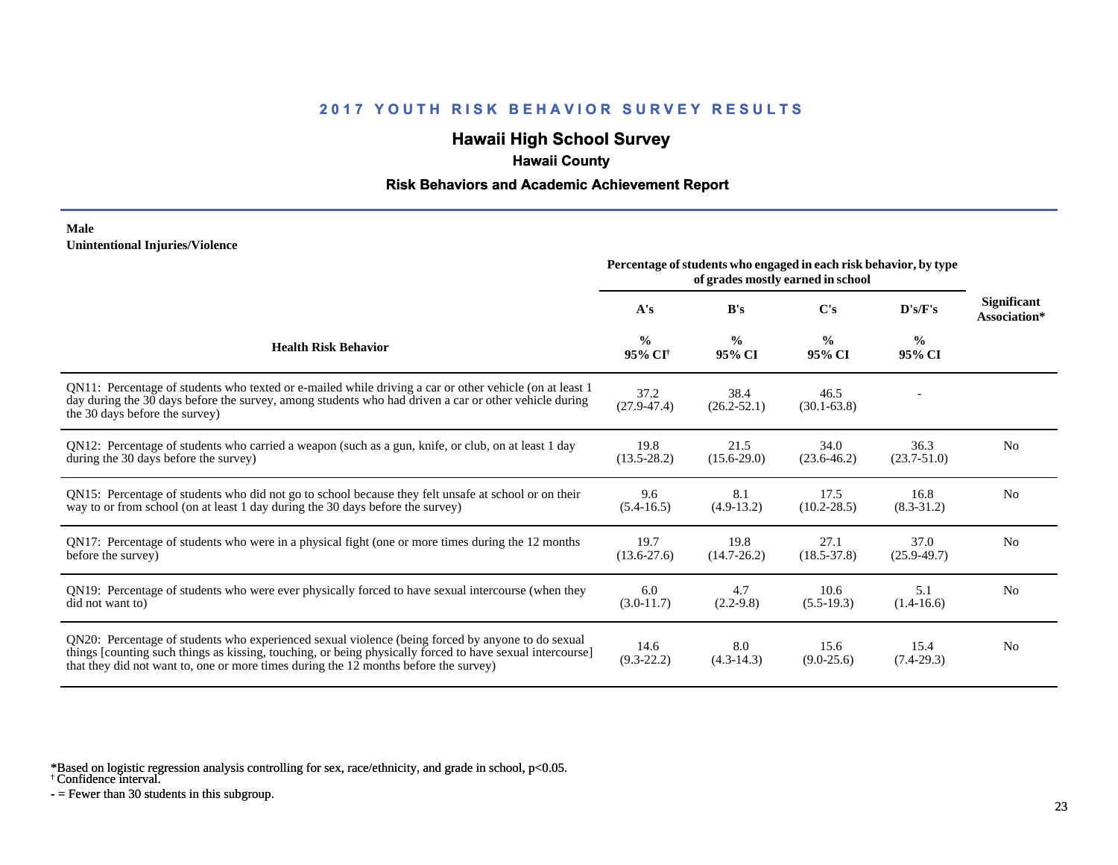# **Hawaii High School Survey**

## **Hawaii County**

#### **Risk Behaviors and Academic Achievement Report**

#### **Male Unintentional Injuries/Violence**

|                                                                                                                                                                                                                                                                                                        | Percentage of students who engaged in each risk behavior, by type |                         |                         |                         |                                    |
|--------------------------------------------------------------------------------------------------------------------------------------------------------------------------------------------------------------------------------------------------------------------------------------------------------|-------------------------------------------------------------------|-------------------------|-------------------------|-------------------------|------------------------------------|
|                                                                                                                                                                                                                                                                                                        | A's                                                               | B's                     | $\bf C's$               | D's/F's                 | <b>Significant</b><br>Association* |
| <b>Health Risk Behavior</b>                                                                                                                                                                                                                                                                            | $\frac{0}{0}$<br>95% CI <sup>†</sup>                              | $\frac{0}{0}$<br>95% CI | $\frac{6}{9}$<br>95% CI | $\frac{0}{0}$<br>95% CI |                                    |
| QN11: Percentage of students who texted or e-mailed while driving a car or other vehicle (on at least 1<br>day during the 30 days before the survey, among students who had driven a car or other vehicle during<br>the 30 days before the survey)                                                     | 37.2<br>$(27.9 - 47.4)$                                           | 38.4<br>$(26.2 - 52.1)$ | 46.5<br>$(30.1 - 63.8)$ |                         |                                    |
| QN12: Percentage of students who carried a weapon (such as a gun, knife, or club, on at least 1 day<br>during the 30 days before the survey)                                                                                                                                                           | 19.8<br>$(13.5 - 28.2)$                                           | 21.5<br>$(15.6 - 29.0)$ | 34.0<br>$(23.6 - 46.2)$ | 36.3<br>$(23.7 - 51.0)$ | N <sub>0</sub>                     |
| QN15: Percentage of students who did not go to school because they felt unsafe at school or on their<br>way to or from school (on at least 1 day during the 30 days before the survey)                                                                                                                 | 9.6<br>$(5.4-16.5)$                                               | 8.1<br>$(4.9-13.2)$     | 17.5<br>$(10.2 - 28.5)$ | 16.8<br>$(8.3-31.2)$    | N <sub>0</sub>                     |
| QN17: Percentage of students who were in a physical fight (one or more times during the 12 months<br>before the survey)                                                                                                                                                                                | 19.7<br>$(13.6 - 27.6)$                                           | 19.8<br>$(14.7 - 26.2)$ | 27.1<br>$(18.5 - 37.8)$ | 37.0<br>$(25.9 - 49.7)$ | N <sub>0</sub>                     |
| QN19: Percentage of students who were ever physically forced to have sexual intercourse (when they<br>did not want to)                                                                                                                                                                                 | 6.0<br>$(3.0-11.7)$                                               | 4.7<br>$(2.2-9.8)$      | 10.6<br>$(5.5-19.3)$    | 5.1<br>$(1.4-16.6)$     | N <sub>0</sub>                     |
| QN20: Percentage of students who experienced sexual violence (being forced by anyone to do sexual<br>things [counting such things as kissing, touching, or being physically forced to have sexual intercourse]<br>that they did not want to, one or more times during the 12 months before the survey) | 14.6<br>$(9.3-22.2)$                                              | 8.0<br>$(4.3-14.3)$     | 15.6<br>$(9.0-25.6)$    | 15.4<br>$(7.4-29.3)$    | N <sub>0</sub>                     |

\*Based on logistic regression analysis controlling for sex, race/ethnicity, and grade in school, p<0.05.

† Confidence interval.

 $-$  = Fewer than 30 students in this subgroup.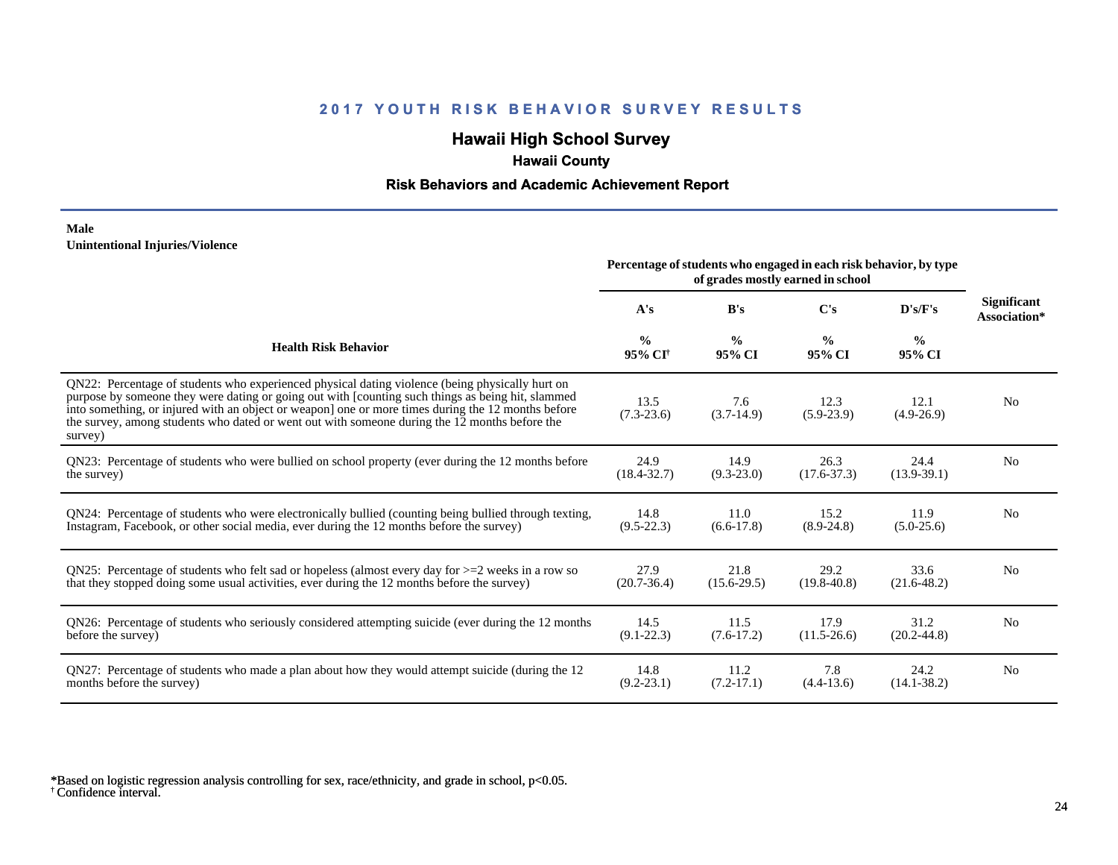# **Hawaii High School Survey**

## **Hawaii County**

### **Risk Behaviors and Academic Achievement Report**

#### **Male Unintentional Injuries/Violence**

|                                                                                                                                                                                                                                                                                                                                                                                                                        | Percentage of students who engaged in each risk behavior, by type<br>of grades mostly earned in school |                         |                         |                         |                                    |
|------------------------------------------------------------------------------------------------------------------------------------------------------------------------------------------------------------------------------------------------------------------------------------------------------------------------------------------------------------------------------------------------------------------------|--------------------------------------------------------------------------------------------------------|-------------------------|-------------------------|-------------------------|------------------------------------|
|                                                                                                                                                                                                                                                                                                                                                                                                                        | A's                                                                                                    | B's                     | C's                     | D's/F's                 | <b>Significant</b><br>Association* |
| <b>Health Risk Behavior</b>                                                                                                                                                                                                                                                                                                                                                                                            | $\frac{0}{0}$<br>95% CI <sup>+</sup>                                                                   | $\frac{0}{0}$<br>95% CI | $\frac{0}{0}$<br>95% CI | $\frac{6}{6}$<br>95% CI |                                    |
| QN22: Percentage of students who experienced physical dating violence (being physically hurt on<br>purpose by someone they were dating or going out with [counting such things as being hit, slammed<br>into something, or injured with an object or weapon] one or more times during the 12 months before<br>the survey, among students who dated or went out with someone during the 12 months before the<br>survey) | 13.5<br>$(7.3-23.6)$                                                                                   | 7.6<br>$(3.7-14.9)$     | 12.3<br>$(5.9-23.9)$    | 12.1<br>$(4.9-26.9)$    | N <sub>0</sub>                     |
| QN23: Percentage of students who were bullied on school property (ever during the 12 months before                                                                                                                                                                                                                                                                                                                     | 24.9                                                                                                   | 14.9                    | 26.3                    | 24.4                    | N <sub>0</sub>                     |
| the survey)                                                                                                                                                                                                                                                                                                                                                                                                            | $(18.4 - 32.7)$                                                                                        | $(9.3 - 23.0)$          | $(17.6 - 37.3)$         | $(13.9-39.1)$           |                                    |
| QN24: Percentage of students who were electronically bullied (counting being bullied through texting,                                                                                                                                                                                                                                                                                                                  | 14.8                                                                                                   | 11.0                    | 15.2                    | 11.9                    | No                                 |
| Instagram, Facebook, or other social media, ever during the 12 months before the survey)                                                                                                                                                                                                                                                                                                                               | $(9.5 - 22.3)$                                                                                         | $(6.6-17.8)$            | $(8.9-24.8)$            | $(5.0-25.6)$            |                                    |
| QN25: Percentage of students who felt sad or hopeless (almost every day for $>=$ 2 weeks in a row so                                                                                                                                                                                                                                                                                                                   | 27.9                                                                                                   | 21.8                    | 29.2                    | 33.6                    | N <sub>0</sub>                     |
| that they stopped doing some usual activities, ever during the 12 months before the survey)                                                                                                                                                                                                                                                                                                                            | $(20.7 - 36.4)$                                                                                        | $(15.6 - 29.5)$         | $(19.8 - 40.8)$         | $(21.6 - 48.2)$         |                                    |
| QN26: Percentage of students who seriously considered attempting suicide (ever during the 12 months                                                                                                                                                                                                                                                                                                                    | 14.5                                                                                                   | 11.5                    | 17.9                    | 31.2                    | N <sub>0</sub>                     |
| before the survey)                                                                                                                                                                                                                                                                                                                                                                                                     | $(9.1 - 22.3)$                                                                                         | $(7.6-17.2)$            | $(11.5 - 26.6)$         | $(20.2 - 44.8)$         |                                    |
| QN27: Percentage of students who made a plan about how they would attempt suicide (during the 12                                                                                                                                                                                                                                                                                                                       | 14.8                                                                                                   | 11.2                    | 7.8                     | 24.2                    | N <sub>0</sub>                     |
| months before the survey)                                                                                                                                                                                                                                                                                                                                                                                              | $(9.2 - 23.1)$                                                                                         | $(7.2-17.1)$            | $(4.4-13.6)$            | $(14.1 - 38.2)$         |                                    |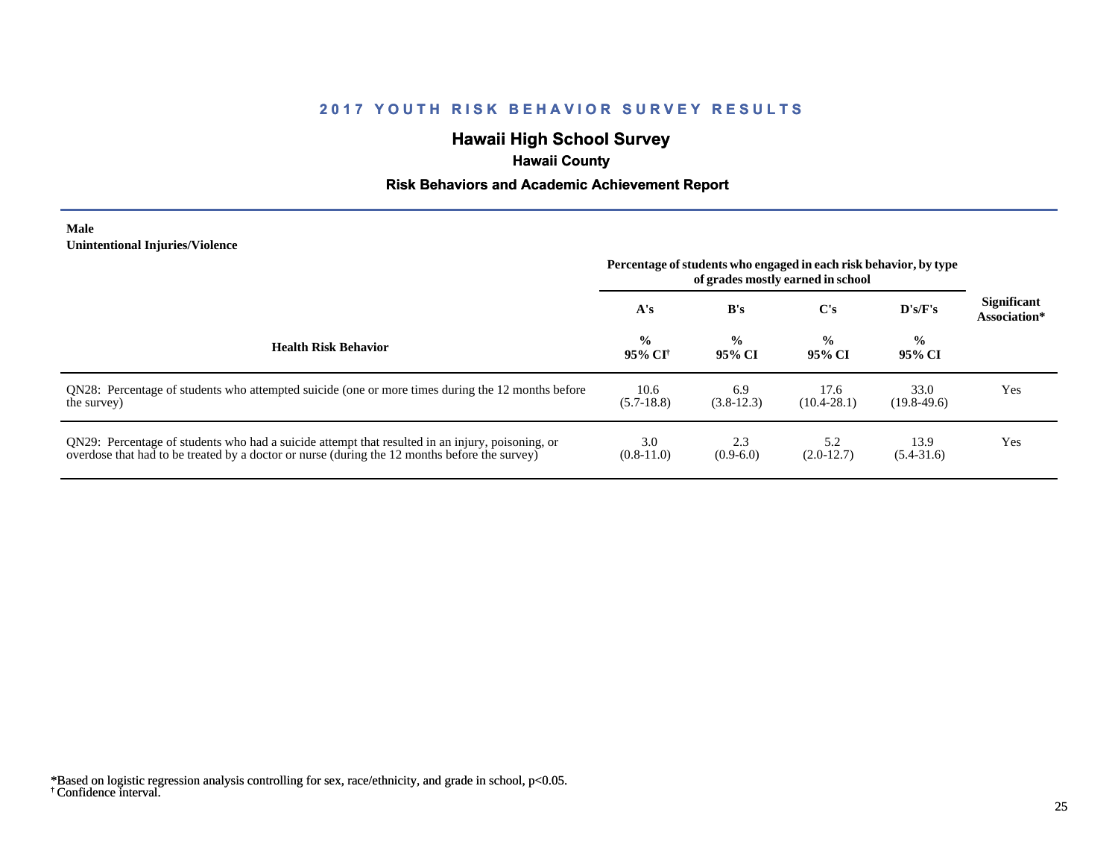# **Hawaii High School Survey**

# **Hawaii County**

### **Risk Behaviors and Academic Achievement Report**

#### **Male Unintentional Injuries/Violence**

|                                                                                                                                                                                                   | Percentage of students who engaged in each risk behavior, by type<br>of grades mostly earned in school |                         |                         |                          |                                    |
|---------------------------------------------------------------------------------------------------------------------------------------------------------------------------------------------------|--------------------------------------------------------------------------------------------------------|-------------------------|-------------------------|--------------------------|------------------------------------|
|                                                                                                                                                                                                   | A's                                                                                                    | B's                     | $\bf C's$               | $\bf{D}$ 's/ $\bf{F}$ 's | <b>Significant</b><br>Association* |
| <b>Health Risk Behavior</b>                                                                                                                                                                       | $\frac{0}{0}$<br>-95% CF                                                                               | $\frac{0}{0}$<br>95% CI | $\frac{0}{0}$<br>95% CI | $\frac{0}{0}$<br>95% CI  |                                    |
| QN28: Percentage of students who attempted suicide (one or more times during the 12 months before<br>the survey)                                                                                  | 10.6<br>$(5.7-18.8)$                                                                                   | 6.9<br>$(3.8-12.3)$     | 17.6<br>$(10.4 - 28.1)$ | 33.0<br>$(19.8 - 49.6)$  | Yes                                |
| QN29: Percentage of students who had a suicide attempt that resulted in an injury, poisoning, or<br>overdose that had to be treated by a doctor or nurse (during the 12 months before the survey) | 3.0<br>$(0.8-11.0)$                                                                                    | 2.3<br>$(0.9-6.0)$      | 5.2<br>$(2.0-12.7)$     | 13.9<br>$(5.4 - 31.6)$   | Yes                                |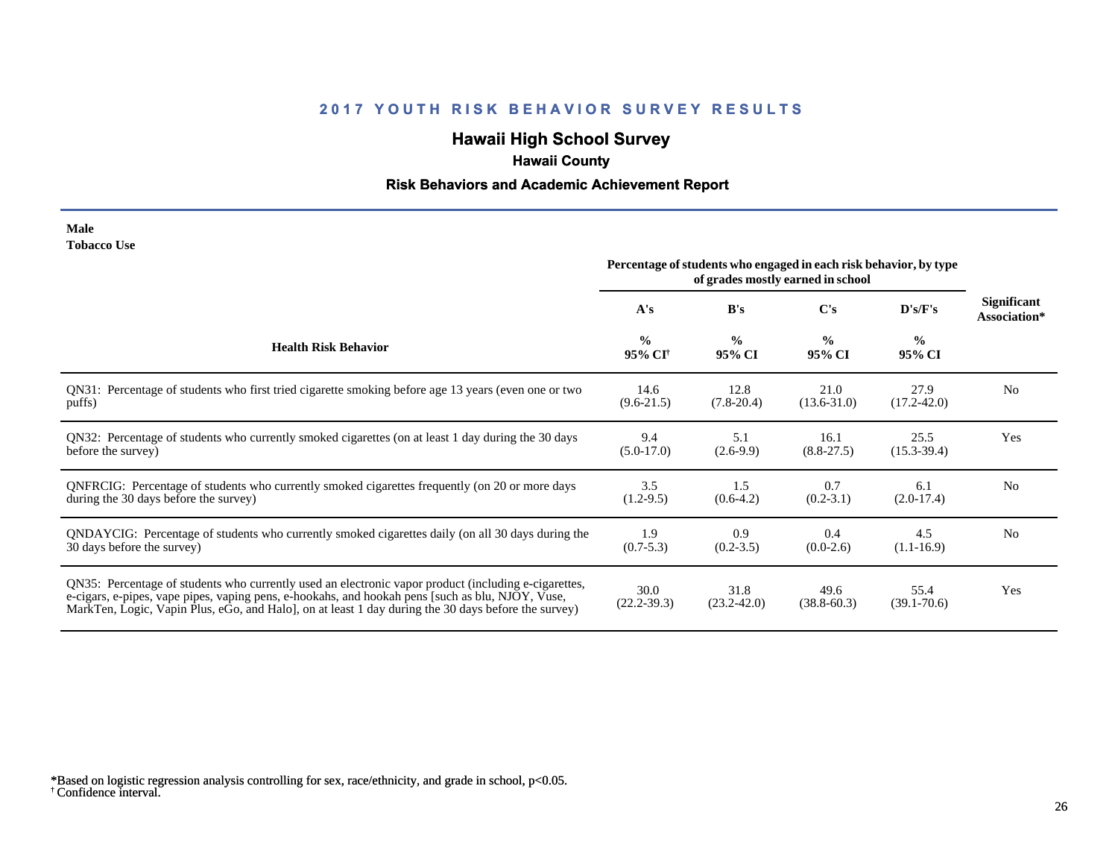# **Hawaii High School Survey**

# **Hawaii County**

# **Risk Behaviors and Academic Achievement Report**

| Male               |  |
|--------------------|--|
| <b>Tobacco Use</b> |  |

|                                                                                                                                                                                                                                                                                                                | Percentage of students who engaged in each risk behavior, by type<br>of grades mostly earned in school |                         |                         |                         |                                    |
|----------------------------------------------------------------------------------------------------------------------------------------------------------------------------------------------------------------------------------------------------------------------------------------------------------------|--------------------------------------------------------------------------------------------------------|-------------------------|-------------------------|-------------------------|------------------------------------|
|                                                                                                                                                                                                                                                                                                                | A's                                                                                                    | B's                     | C's                     | D's/F's                 | <b>Significant</b><br>Association* |
| <b>Health Risk Behavior</b>                                                                                                                                                                                                                                                                                    | $\frac{0}{0}$<br>95% CI <sup>†</sup>                                                                   | $\frac{0}{0}$<br>95% CI | $\frac{0}{0}$<br>95% CI | $\frac{0}{0}$<br>95% CI |                                    |
| QN31: Percentage of students who first tried cigarette smoking before age 13 years (even one or two                                                                                                                                                                                                            | 14.6                                                                                                   | 12.8                    | 21.0                    | 27.9                    | N <sub>0</sub>                     |
| puffs)                                                                                                                                                                                                                                                                                                         | $(9.6-21.5)$                                                                                           | $(7.8-20.4)$            | $(13.6 - 31.0)$         | $(17.2 - 42.0)$         |                                    |
| QN32: Percentage of students who currently smoked cigarettes (on at least 1 day during the 30 days                                                                                                                                                                                                             | 9.4                                                                                                    | 5.1                     | 16.1                    | 25.5                    | Yes                                |
| before the survey)                                                                                                                                                                                                                                                                                             | $(5.0-17.0)$                                                                                           | $(2.6-9.9)$             | $(8.8 - 27.5)$          | $(15.3 - 39.4)$         |                                    |
| ONFRCIG: Percentage of students who currently smoked cigarettes frequently (on 20 or more days                                                                                                                                                                                                                 | 3.5                                                                                                    | 1.5                     | 0.7                     | 6.1                     | N <sub>0</sub>                     |
| during the 30 days before the survey)                                                                                                                                                                                                                                                                          | $(1.2-9.5)$                                                                                            | $(0.6-4.2)$             | $(0.2 - 3.1)$           | $(2.0-17.4)$            |                                    |
| QNDAYCIG: Percentage of students who currently smoked cigarettes daily (on all 30 days during the                                                                                                                                                                                                              | 1.9                                                                                                    | 0.9                     | 0.4                     | 4.5                     | N <sub>0</sub>                     |
| 30 days before the survey)                                                                                                                                                                                                                                                                                     | $(0.7 - 5.3)$                                                                                          | $(0.2 - 3.5)$           | $(0.0-2.6)$             | $(1.1-16.9)$            |                                    |
| QN35: Percentage of students who currently used an electronic vapor product (including e-cigarettes,<br>e-cigars, e-pipes, vape pipes, vaping pens, e-hookahs, and hookah pens [such as blu, NJOY, Vuse,<br>MarkTen, Logic, Vapin Plus, eGo, and Halo, on at least 1 day during the 30 days before the survey) | 30.0<br>$(22.2 - 39.3)$                                                                                | 31.8<br>$(23.2 - 42.0)$ | 49.6<br>$(38.8 - 60.3)$ | 55.4<br>$(39.1 - 70.6)$ | Yes                                |

<sup>†</sup> Confidence interval. \*Based on logistic regression analysis controlling for sex, race/ethnicity, and grade in school, p<0.05.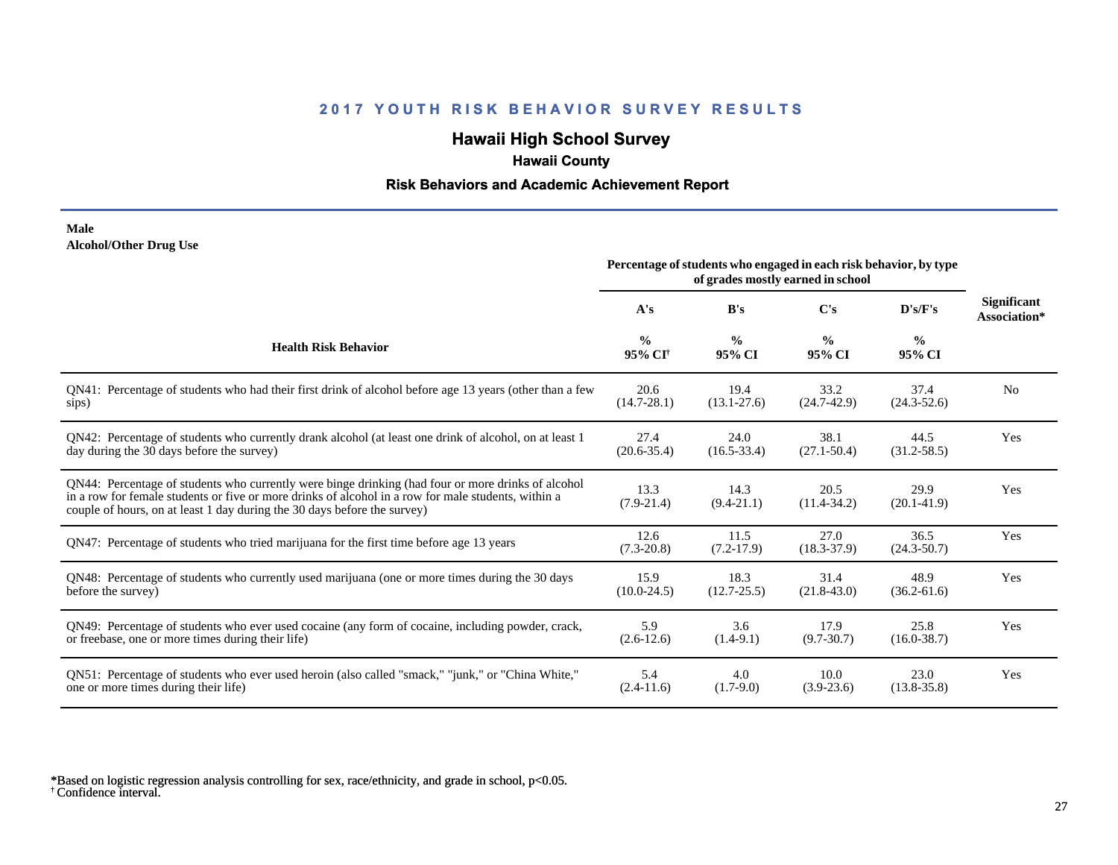# **Hawaii High School Survey**

## **Hawaii County**

### **Risk Behaviors and Academic Achievement Report**

#### **Male Alcohol/Other Drug Use**

|                                                                                                                                                                                                                                                                                       | Percentage of students who engaged in each risk behavior, by type<br>of grades mostly earned in school |                         |                         |                         |                                    |
|---------------------------------------------------------------------------------------------------------------------------------------------------------------------------------------------------------------------------------------------------------------------------------------|--------------------------------------------------------------------------------------------------------|-------------------------|-------------------------|-------------------------|------------------------------------|
|                                                                                                                                                                                                                                                                                       | A's                                                                                                    | B's                     | C's                     | D's/F's                 | <b>Significant</b><br>Association* |
| <b>Health Risk Behavior</b>                                                                                                                                                                                                                                                           | $\frac{0}{0}$<br>95% CI <sup>+</sup>                                                                   | $\frac{0}{0}$<br>95% CI | $\frac{0}{0}$<br>95% CI | $\frac{0}{0}$<br>95% CI |                                    |
| QN41: Percentage of students who had their first drink of alcohol before age 13 years (other than a few                                                                                                                                                                               | 20.6                                                                                                   | 19.4                    | 33.2                    | 37.4                    | N <sub>0</sub>                     |
| sips)                                                                                                                                                                                                                                                                                 | $(14.7 - 28.1)$                                                                                        | $(13.1 - 27.6)$         | $(24.7-42.9)$           | $(24.3 - 52.6)$         |                                    |
| QN42: Percentage of students who currently drank alcohol (at least one drink of alcohol, on at least 1                                                                                                                                                                                | 27.4                                                                                                   | 24.0                    | 38.1                    | 44.5                    | Yes                                |
| day during the 30 days before the survey)                                                                                                                                                                                                                                             | $(20.6 - 35.4)$                                                                                        | $(16.5 - 33.4)$         | $(27.1 - 50.4)$         | $(31.2 - 58.5)$         |                                    |
| QN44: Percentage of students who currently were binge drinking (had four or more drinks of alcohol<br>in a row for female students or five or more drinks of alcohol in a row for male students, within a<br>couple of hours, on at least 1 day during the 30 days before the survey) | 13.3<br>$(7.9-21.4)$                                                                                   | 14.3<br>$(9.4 - 21.1)$  | 20.5<br>$(11.4 - 34.2)$ | 29.9<br>$(20.1-41.9)$   | Yes                                |
| QN47: Percentage of students who tried marijuana for the first time before age 13 years                                                                                                                                                                                               | 12.6<br>$(7.3-20.8)$                                                                                   | 11.5<br>$(7.2-17.9)$    | 27.0<br>$(18.3 - 37.9)$ | 36.5<br>$(24.3 - 50.7)$ | Yes                                |
| QN48: Percentage of students who currently used marijuana (one or more times during the 30 days                                                                                                                                                                                       | 15.9                                                                                                   | 18.3                    | 31.4                    | 48.9                    | Yes                                |
| before the survey)                                                                                                                                                                                                                                                                    | $(10.0-24.5)$                                                                                          | $(12.7 - 25.5)$         | $(21.8-43.0)$           | $(36.2 - 61.6)$         |                                    |
| QN49: Percentage of students who ever used cocaine (any form of cocaine, including powder, crack,                                                                                                                                                                                     | 5.9                                                                                                    | 3.6                     | 17.9                    | 25.8                    | Yes                                |
| or freebase, one or more times during their life)                                                                                                                                                                                                                                     | $(2.6-12.6)$                                                                                           | $(1.4-9.1)$             | $(9.7 - 30.7)$          | $(16.0 - 38.7)$         |                                    |
| ON51: Percentage of students who ever used heroin (also called "smack," "junk," or "China White,"                                                                                                                                                                                     | 5.4                                                                                                    | 4.0                     | 10.0                    | 23.0                    | Yes                                |
| one or more times during their life)                                                                                                                                                                                                                                                  | $(2.4-11.6)$                                                                                           | $(1.7-9.0)$             | $(3.9-23.6)$            | $(13.8 - 35.8)$         |                                    |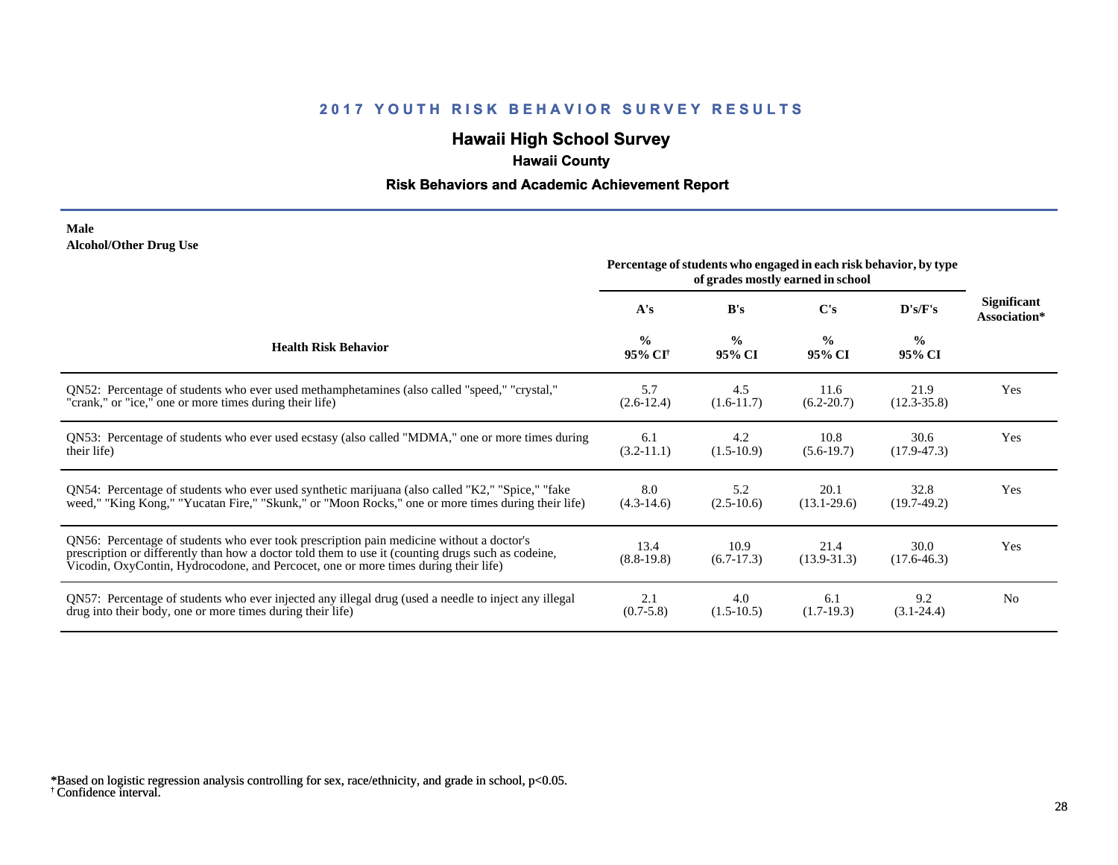# **Hawaii High School Survey**

## **Hawaii County**

### **Risk Behaviors and Academic Achievement Report**

#### **Male Alcohol/Other Drug Use**

|                                                                                                                                                                                                                                                                                       | Percentage of students who engaged in each risk behavior, by type<br>of grades mostly earned in school |                         |                         |                         |                                    |
|---------------------------------------------------------------------------------------------------------------------------------------------------------------------------------------------------------------------------------------------------------------------------------------|--------------------------------------------------------------------------------------------------------|-------------------------|-------------------------|-------------------------|------------------------------------|
|                                                                                                                                                                                                                                                                                       | A's                                                                                                    | B's                     | C's                     | D's/F's                 | <b>Significant</b><br>Association* |
| <b>Health Risk Behavior</b>                                                                                                                                                                                                                                                           | $\frac{0}{0}$<br>95% CI <sup>+</sup>                                                                   | $\frac{6}{6}$<br>95% CI | $\frac{0}{0}$<br>95% CI | $\frac{0}{0}$<br>95% CI |                                    |
| ON52: Percentage of students who ever used methamphetamines (also called "speed," "crystal,"                                                                                                                                                                                          | 5.7                                                                                                    | 4.5                     | 11.6                    | 21.9                    | Yes                                |
| "crank," or "ice," one or more times during their life)                                                                                                                                                                                                                               | $(2.6-12.4)$                                                                                           | $(1.6-11.7)$            | $(6.2 - 20.7)$          | $(12.3 - 35.8)$         |                                    |
| QN53: Percentage of students who ever used ecstasy (also called "MDMA," one or more times during                                                                                                                                                                                      | 6.1                                                                                                    | 4.2                     | 10.8                    | 30.6                    | Yes                                |
| their life)                                                                                                                                                                                                                                                                           | $(3.2-11.1)$                                                                                           | $(1.5-10.9)$            | $(5.6-19.7)$            | $(17.9 - 47.3)$         |                                    |
| QN54: Percentage of students who ever used synthetic marijuana (also called "K2," "Spice," "fake                                                                                                                                                                                      | 8.0                                                                                                    | 5.2                     | 20.1                    | 32.8                    | Yes                                |
| weed," "King Kong," "Yucatan Fire," "Skunk," or "Moon Rocks," one or more times during their life)                                                                                                                                                                                    | $(4.3-14.6)$                                                                                           | $(2.5-10.6)$            | $(13.1 - 29.6)$         | $(19.7-49.2)$           |                                    |
| QN56: Percentage of students who ever took prescription pain medicine without a doctor's<br>prescription or differently than how a doctor told them to use it (counting drugs such as codeine,<br>Vicodin, OxyContin, Hydrocodone, and Percocet, one or more times during their life) | 13.4<br>$(8.8-19.8)$                                                                                   | 10.9<br>$(6.7-17.3)$    | 21.4<br>$(13.9 - 31.3)$ | 30.0<br>$(17.6 - 46.3)$ | Yes                                |
| QN57: Percentage of students who ever injected any illegal drug (used a needle to inject any illegal                                                                                                                                                                                  | 2.1                                                                                                    | 4.0                     | 6.1                     | 9.2                     | N <sub>0</sub>                     |
| drug into their body, one or more times during their life)                                                                                                                                                                                                                            | $(0.7 - 5.8)$                                                                                          | $(1.5-10.5)$            | $(1.7-19.3)$            | $(3.1 - 24.4)$          |                                    |

<sup>†</sup> Confidence interval. \*Based on logistic regression analysis controlling for sex, race/ethnicity, and grade in school, p<0.05.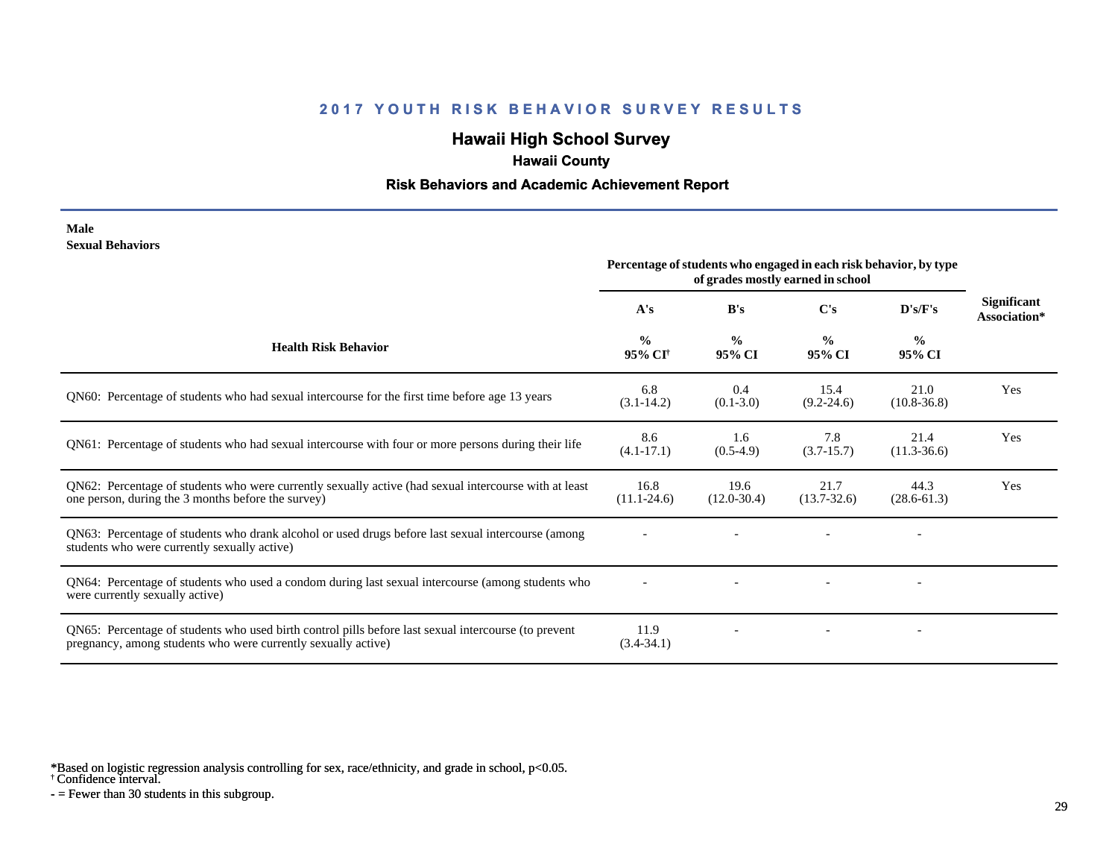# **Hawaii High School Survey**

## **Hawaii County**

#### **Risk Behaviors and Academic Achievement Report**

#### **Male Sexual Behaviors**

|                                                                                                                                                                       | Percentage of students who engaged in each risk behavior, by type<br>of grades mostly earned in school |                         |                         |                         |                                    |
|-----------------------------------------------------------------------------------------------------------------------------------------------------------------------|--------------------------------------------------------------------------------------------------------|-------------------------|-------------------------|-------------------------|------------------------------------|
|                                                                                                                                                                       | A's                                                                                                    | B's                     | C's                     | D's/F's                 | <b>Significant</b><br>Association* |
| <b>Health Risk Behavior</b>                                                                                                                                           | $\frac{0}{0}$<br>95% CI <sup>†</sup>                                                                   | $\frac{0}{0}$<br>95% CI | $\frac{0}{0}$<br>95% CI | $\frac{0}{0}$<br>95% CI |                                    |
| QN60: Percentage of students who had sexual intercourse for the first time before age 13 years                                                                        | 6.8<br>$(3.1-14.2)$                                                                                    | 0.4<br>$(0.1 - 3.0)$    | 15.4<br>$(9.2 - 24.6)$  | 21.0<br>$(10.8 - 36.8)$ | Yes                                |
| QN61: Percentage of students who had sexual intercourse with four or more persons during their life                                                                   | 8.6<br>$(4.1 - 17.1)$                                                                                  | 1.6<br>$(0.5-4.9)$      | 7.8<br>$(3.7-15.7)$     | 21.4<br>$(11.3-36.6)$   | Yes                                |
| QN62: Percentage of students who were currently sexually active (had sexual intercourse with at least<br>one person, during the 3 months before the survey)           | 16.8<br>$(11.1 - 24.6)$                                                                                | 19.6<br>$(12.0 - 30.4)$ | 21.7<br>$(13.7 - 32.6)$ | 44.3<br>$(28.6 - 61.3)$ | Yes                                |
| QN63: Percentage of students who drank alcohol or used drugs before last sexual intercourse (among<br>students who were currently sexually active)                    |                                                                                                        |                         |                         |                         |                                    |
| QN64: Percentage of students who used a condom during last sexual intercourse (among students who<br>were currently sexually active)                                  |                                                                                                        |                         |                         |                         |                                    |
| QN65: Percentage of students who used birth control pills before last sexual intercourse (to prevent<br>pregnancy, among students who were currently sexually active) | 11.9<br>$(3.4 - 34.1)$                                                                                 |                         |                         |                         |                                    |

\*Based on logistic regression analysis controlling for sex, race/ethnicity, and grade in school, p<0.05.

† Confidence interval.

 $-$  = Fewer than 30 students in this subgroup.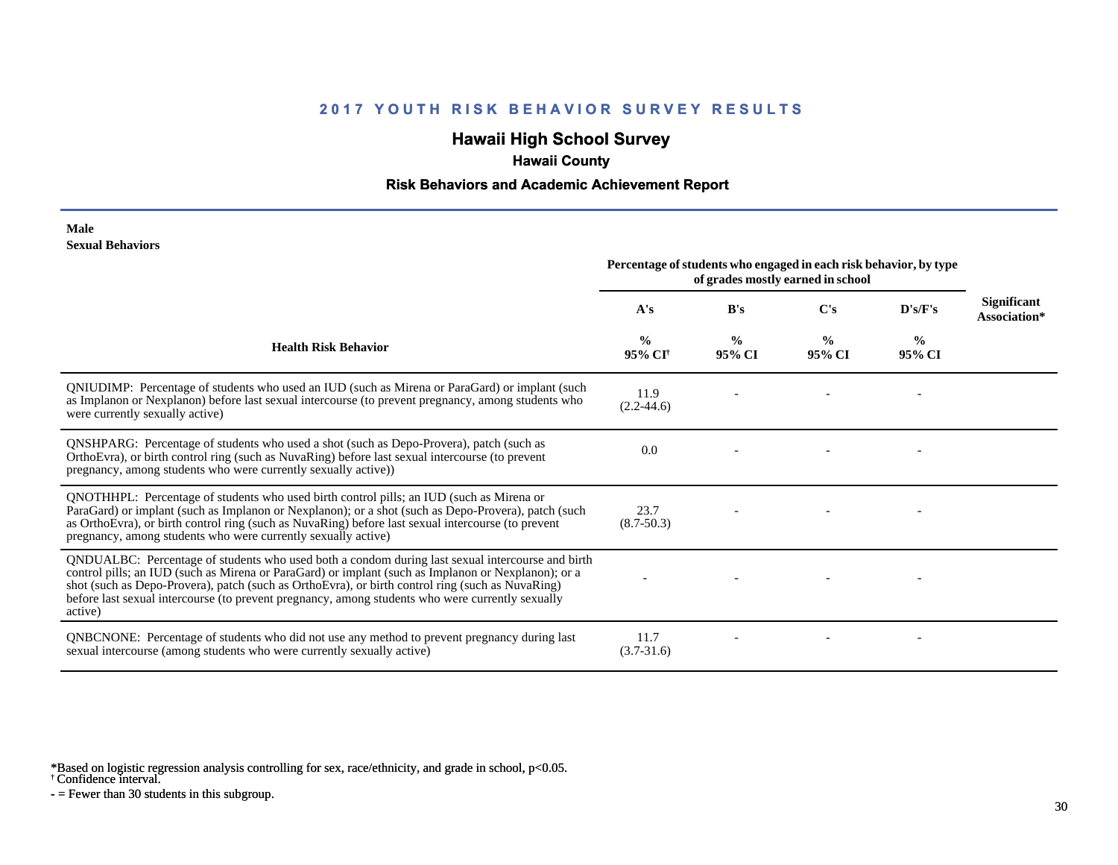# **Hawaii High School Survey**

# **Hawaii County**

#### **Risk Behaviors and Academic Achievement Report**

#### **Male Sexual Behaviors**

|                                                                                                                                                                                                                                                                                                                                                                                                                            | Percentage of students who engaged in each risk behavior, by type<br>of grades mostly earned in school |                         |                         |                         |                                    |  |  |  |  |
|----------------------------------------------------------------------------------------------------------------------------------------------------------------------------------------------------------------------------------------------------------------------------------------------------------------------------------------------------------------------------------------------------------------------------|--------------------------------------------------------------------------------------------------------|-------------------------|-------------------------|-------------------------|------------------------------------|--|--|--|--|
|                                                                                                                                                                                                                                                                                                                                                                                                                            | A's                                                                                                    | B's                     | C's                     | D's/F's                 | <b>Significant</b><br>Association* |  |  |  |  |
| <b>Health Risk Behavior</b>                                                                                                                                                                                                                                                                                                                                                                                                | $\frac{0}{0}$<br>95% CI <sup>+</sup>                                                                   | $\frac{0}{0}$<br>95% CI | $\frac{0}{0}$<br>95% CI | $\frac{0}{0}$<br>95% CI |                                    |  |  |  |  |
| QNIUDIMP: Percentage of students who used an IUD (such as Mirena or ParaGard) or implant (such<br>as Implanon or Nexplanon) before last sexual intercourse (to prevent pregnancy, among students who<br>were currently sexually active)                                                                                                                                                                                    | 11.9<br>$(2.2 - 44.6)$                                                                                 |                         |                         |                         |                                    |  |  |  |  |
| QNSHPARG: Percentage of students who used a shot (such as Depo-Provera), patch (such as<br>OrthoEvra), or birth control ring (such as NuvaRing) before last sexual intercourse (to prevent<br>pregnancy, among students who were currently sexually active))                                                                                                                                                               | 0.0                                                                                                    |                         |                         |                         |                                    |  |  |  |  |
| QNOTHHPL: Percentage of students who used birth control pills; an IUD (such as Mirena or<br>ParaGard) or implant (such as Implanon or Nexplanon); or a shot (such as Depo-Provera), patch (such<br>as OrthoEvra), or birth control ring (such as NuvaRing) before last sexual intercourse (to prevent<br>pregnancy, among students who were currently sexually active)                                                     | 23.7<br>$(8.7 - 50.3)$                                                                                 |                         |                         |                         |                                    |  |  |  |  |
| QNDUALBC: Percentage of students who used both a condom during last sexual intercourse and birth<br>control pills; an IUD (such as Mirena or ParaGard) or implant (such as Implanon or Nexplanon); or a<br>shot (such as Depo-Provera), patch (such as OrthoEvra), or birth control ring (such as NuvaRing)<br>before last sexual intercourse (to prevent pregnancy, among students who were currently sexually<br>active) |                                                                                                        |                         |                         |                         |                                    |  |  |  |  |
| QNBCNONE: Percentage of students who did not use any method to prevent pregnancy during last<br>sexual intercourse (among students who were currently sexually active)                                                                                                                                                                                                                                                     | 11.7<br>$(3.7 - 31.6)$                                                                                 |                         |                         |                         |                                    |  |  |  |  |

\*Based on logistic regression analysis controlling for sex, race/ethnicity, and grade in school, p<0.05.

† Confidence interval.

 $-$  = Fewer than 30 students in this subgroup.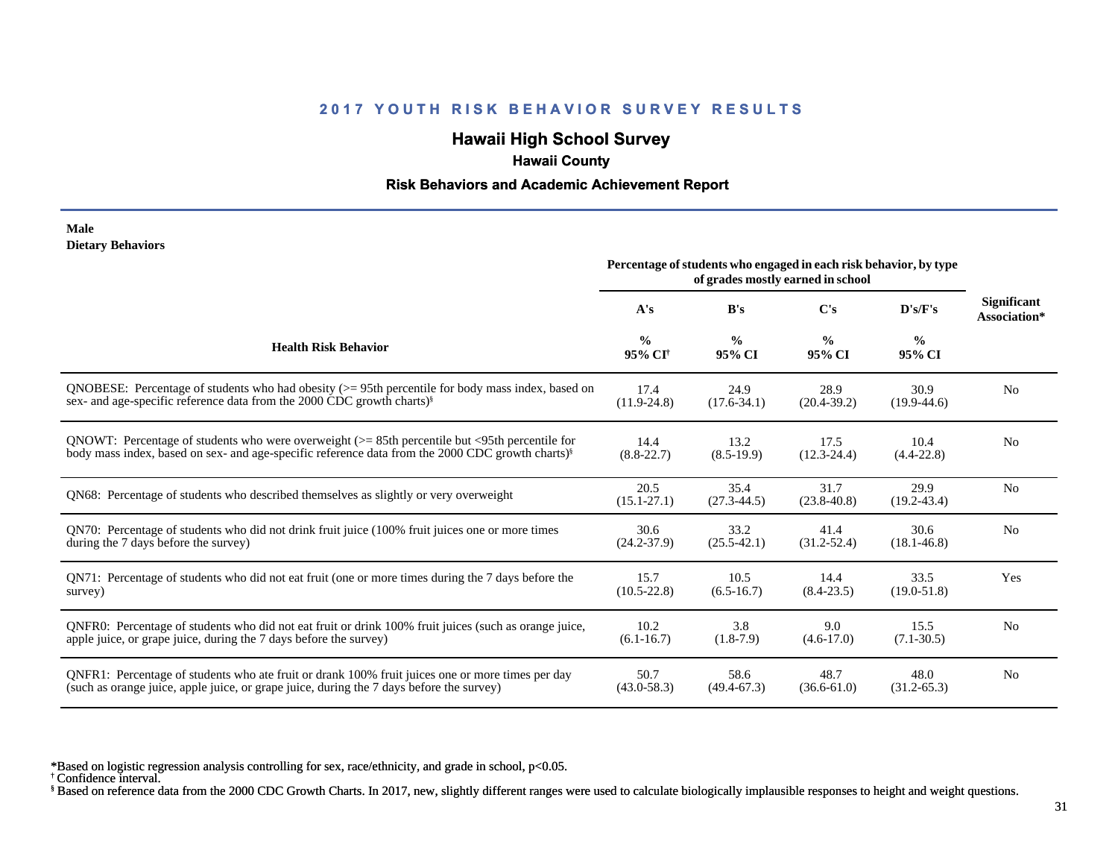# **Hawaii High School Survey**

## **Hawaii County**

#### **Risk Behaviors and Academic Achievement Report**

#### **Male Dietary Behaviors**

|                                                                                                              | Percentage of students who engaged in each risk behavior, by type<br>of grades mostly earned in school |                         |                         |                         |                                    |
|--------------------------------------------------------------------------------------------------------------|--------------------------------------------------------------------------------------------------------|-------------------------|-------------------------|-------------------------|------------------------------------|
|                                                                                                              | A's                                                                                                    | B's                     | $\bf C's$               | D's/F's                 | <b>Significant</b><br>Association* |
| <b>Health Risk Behavior</b>                                                                                  | $\frac{0}{0}$<br>95% CI <sup>†</sup>                                                                   | $\frac{0}{0}$<br>95% CI | $\frac{0}{0}$<br>95% CI | $\frac{6}{6}$<br>95% CI |                                    |
| ONOBESE: Percentage of students who had obesity $(>= 95$ th percentile for body mass index, based on         | 17.4                                                                                                   | 24.9                    | 28.9                    | 30.9                    | N <sub>o</sub>                     |
| sex- and age-specific reference data from the 2000 CDC growth charts) <sup>§</sup>                           | $(11.9 - 24.8)$                                                                                        | $(17.6 - 34.1)$         | $(20.4 - 39.2)$         | $(19.9-44.6)$           |                                    |
| QNOWT: Percentage of students who were overweight $(>= 85$ th percentile but $\leq$ 95th percentile for      | 14.4                                                                                                   | 13.2                    | 17.5                    | 10.4                    | N <sub>o</sub>                     |
| body mass index, based on sex- and age-specific reference data from the 2000 CDC growth charts) <sup>§</sup> | $(8.8 - 22.7)$                                                                                         | $(8.5-19.9)$            | $(12.3 - 24.4)$         | $(4.4 - 22.8)$          |                                    |
| QN68: Percentage of students who described themselves as slightly or very overweight                         | 20.5<br>$(15.1 - 27.1)$                                                                                | 35.4<br>$(27.3 - 44.5)$ | 31.7<br>$(23.8 - 40.8)$ | 29.9<br>$(19.2 - 43.4)$ | N <sub>o</sub>                     |
| QN70: Percentage of students who did not drink fruit juice (100% fruit juices one or more times              | 30.6                                                                                                   | 33.2                    | 41.4                    | 30.6                    | N <sub>o</sub>                     |
| during the 7 days before the survey)                                                                         | $(24.2 - 37.9)$                                                                                        | $(25.5 - 42.1)$         | $(31.2 - 52.4)$         | $(18.1 - 46.8)$         |                                    |
| QN71: Percentage of students who did not eat fruit (one or more times during the 7 days before the           | 15.7                                                                                                   | 10.5                    | 14.4                    | 33.5                    | Yes                                |
| survey)                                                                                                      | $(10.5 - 22.8)$                                                                                        | $(6.5-16.7)$            | $(8.4 - 23.5)$          | $(19.0 - 51.8)$         |                                    |
| ONFR0: Percentage of students who did not eat fruit or drink 100% fruit juices (such as orange juice,        | 10.2                                                                                                   | 3.8                     | 9.0                     | 15.5                    | N <sub>0</sub>                     |
| apple juice, or grape juice, during the 7 days before the survey)                                            | $(6.1 - 16.7)$                                                                                         | $(1.8-7.9)$             | $(4.6 - 17.0)$          | $(7.1 - 30.5)$          |                                    |
| QNFR1: Percentage of students who ate fruit or drank 100% fruit juices one or more times per day             | 50.7                                                                                                   | 58.6                    | 48.7                    | 48.0                    | N <sub>o</sub>                     |
| (such as orange juice, apple juice, or grape juice, during the 7 days before the survey)                     | $(43.0 - 58.3)$                                                                                        | $(49.4 - 67.3)$         | $(36.6 - 61.0)$         | $(31.2 - 65.3)$         |                                    |

\*Based on logistic regression analysis controlling for sex, race/ethnicity, and grade in school, p<0.05.

† Confidence interval.

§ Based on reference data from the 2000 CDC Growth Charts. In 2017, new, slightly different ranges were used to calculate biologically implausible responses to height and weight questions.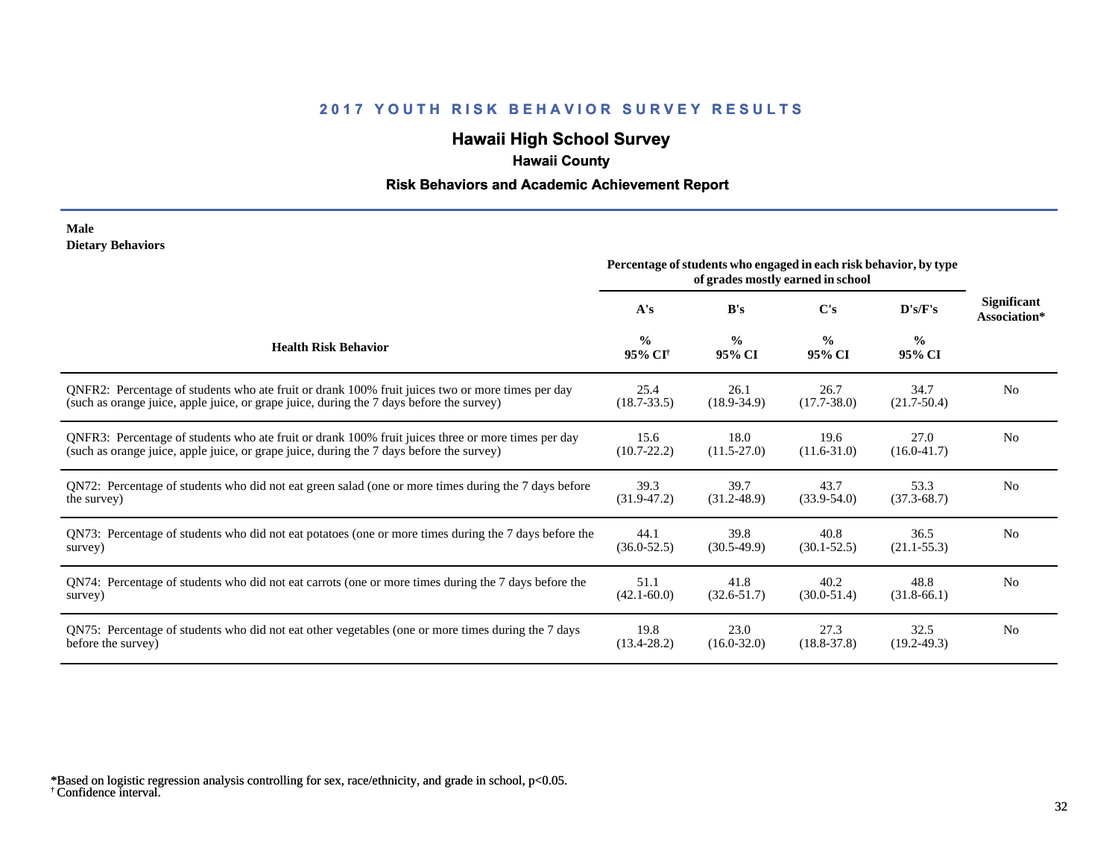# **Hawaii High School Survey**

## **Hawaii County**

### **Risk Behaviors and Academic Achievement Report**

#### **Male Dietary Behaviors**

|                                                                                                       | Percentage of students who engaged in each risk behavior, by type<br>of grades mostly earned in school |                         |                         |                         |                             |
|-------------------------------------------------------------------------------------------------------|--------------------------------------------------------------------------------------------------------|-------------------------|-------------------------|-------------------------|-----------------------------|
|                                                                                                       | A's                                                                                                    | B's                     | C's                     | D's/F's                 | Significant<br>Association* |
| <b>Health Risk Behavior</b>                                                                           | $\frac{0}{0}$<br>95% CI <sup>+</sup>                                                                   | $\frac{0}{0}$<br>95% CI | $\frac{0}{0}$<br>95% CI | $\frac{0}{0}$<br>95% CI |                             |
| ONFR2: Percentage of students who ate fruit or drank 100% fruit juices two or more times per day      | 25.4                                                                                                   | 26.1                    | 26.7                    | 34.7                    | N <sub>0</sub>              |
| (such as orange juice, apple juice, or grape juice, during the 7 days before the survey)              | $(18.7 - 33.5)$                                                                                        | $(18.9 - 34.9)$         | $(17.7 - 38.0)$         | $(21.7-50.4)$           |                             |
| QNFR3: Percentage of students who ate fruit or drank 100% fruit juices three or more times per day    | 15.6                                                                                                   | 18.0                    | 19.6                    | 27.0                    | N <sub>0</sub>              |
| (such as orange juice, apple juice, or grape juice, during the 7 days before the survey)              | $(10.7 - 22.2)$                                                                                        | $(11.5-27.0)$           | $(11.6 - 31.0)$         | $(16.0 - 41.7)$         |                             |
| QN72: Percentage of students who did not eat green salad (one or more times during the 7 days before  | 39.3                                                                                                   | 39.7                    | 43.7                    | 53.3                    | N <sub>0</sub>              |
| the survey)                                                                                           | $(31.9 - 47.2)$                                                                                        | $(31.2 - 48.9)$         | $(33.9 - 54.0)$         | $(37.3 - 68.7)$         |                             |
| QN73: Percentage of students who did not eat potatoes (one or more times during the 7 days before the | 44.1                                                                                                   | 39.8                    | 40.8                    | 36.5                    | N <sub>0</sub>              |
| survey)                                                                                               | $(36.0 - 52.5)$                                                                                        | $(30.5-49.9)$           | $(30.1 - 52.5)$         | $(21.1 - 55.3)$         |                             |
| QN74: Percentage of students who did not eat carrots (one or more times during the 7 days before the  | 51.1                                                                                                   | 41.8                    | 40.2                    | 48.8                    | N <sub>0</sub>              |
| survey)                                                                                               | $(42.1 - 60.0)$                                                                                        | $(32.6 - 51.7)$         | $(30.0 - 51.4)$         | $(31.8-66.1)$           |                             |
| QN75: Percentage of students who did not eat other vegetables (one or more times during the 7 days    | 19.8                                                                                                   | 23.0                    | 27.3                    | 32.5                    | N <sub>0</sub>              |
| before the survey)                                                                                    | $(13.4 - 28.2)$                                                                                        | $(16.0 - 32.0)$         | $(18.8 - 37.8)$         | $(19.2 - 49.3)$         |                             |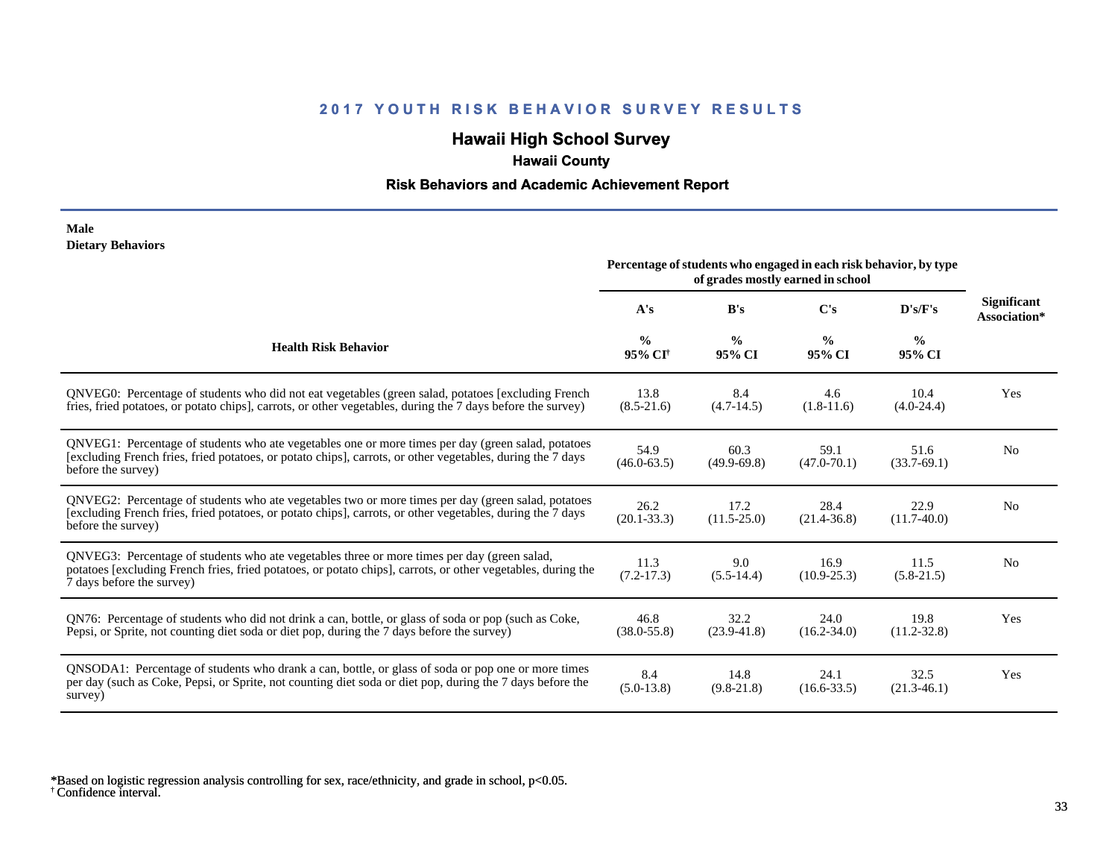# **Hawaii High School Survey**

## **Hawaii County**

### **Risk Behaviors and Academic Achievement Report**

#### **Male Dietary Behaviors**

|                                                                                                                                                                                                                                          | Percentage of students who engaged in each risk behavior, by type<br>of grades mostly earned in school |                         |                         |                         |                                    |
|------------------------------------------------------------------------------------------------------------------------------------------------------------------------------------------------------------------------------------------|--------------------------------------------------------------------------------------------------------|-------------------------|-------------------------|-------------------------|------------------------------------|
|                                                                                                                                                                                                                                          | A's                                                                                                    | B's                     | C's                     | D's/F's                 | <b>Significant</b><br>Association* |
| <b>Health Risk Behavior</b>                                                                                                                                                                                                              | $\frac{0}{0}$<br>95% CI <sup>†</sup>                                                                   | $\frac{0}{0}$<br>95% CI | $\frac{0}{0}$<br>95% CI | $\frac{6}{6}$<br>95% CI |                                    |
| QNVEG0: Percentage of students who did not eat vegetables (green salad, potatoes [excluding French<br>fries, fried potatoes, or potato chips], carrots, or other vegetables, during the 7 days before the survey)                        | 13.8<br>$(8.5 - 21.6)$                                                                                 | 8.4<br>$(4.7-14.5)$     | 4.6<br>$(1.8-11.6)$     | 10.4<br>$(4.0-24.4)$    | Yes                                |
| QNVEG1: Percentage of students who ate vegetables one or more times per day (green salad, potatoes<br>[excluding French fries, fried potatoes, or potato chips], carrots, or other vegetables, during the 7 days<br>before the survey)   | 54.9<br>$(46.0 - 63.5)$                                                                                | 60.3<br>$(49.9-69.8)$   | 59.1<br>$(47.0 - 70.1)$ | 51.6<br>$(33.7-69.1)$   | N <sub>0</sub>                     |
| QNVEG2: Percentage of students who ate vegetables two or more times per day (green salad, potatoes<br>[excluding French fries, fried potatoes, or potato chips], carrots, or other vegetables, during the 7 days<br>before the survey)   | 26.2<br>$(20.1 - 33.3)$                                                                                | 17.2<br>$(11.5 - 25.0)$ | 28.4<br>$(21.4 - 36.8)$ | 22.9<br>$(11.7-40.0)$   | N <sub>0</sub>                     |
| QNVEG3: Percentage of students who ate vegetables three or more times per day (green salad,<br>potatoes [excluding French fries, fried potatoes, or potato chips], carrots, or other vegetables, during the<br>7 days before the survey) | 11.3<br>$(7.2-17.3)$                                                                                   | 9.0<br>$(5.5-14.4)$     | 16.9<br>$(10.9 - 25.3)$ | 11.5<br>$(5.8-21.5)$    | N <sub>0</sub>                     |
| QN76: Percentage of students who did not drink a can, bottle, or glass of soda or pop (such as Coke,<br>Pepsi, or Sprite, not counting diet soda or diet pop, during the 7 days before the survey)                                       | 46.8<br>$(38.0 - 55.8)$                                                                                | 32.2<br>$(23.9 - 41.8)$ | 24.0<br>$(16.2 - 34.0)$ | 19.8<br>$(11.2 - 32.8)$ | Yes                                |
| QNSODA1: Percentage of students who drank a can, bottle, or glass of soda or pop one or more times<br>per day (such as Coke, Pepsi, or Sprite, not counting diet soda or diet pop, during the 7 days before the<br>survey)               | 8.4<br>$(5.0-13.8)$                                                                                    | 14.8<br>$(9.8-21.8)$    | 24.1<br>$(16.6 - 33.5)$ | 32.5<br>$(21.3-46.1)$   | Yes                                |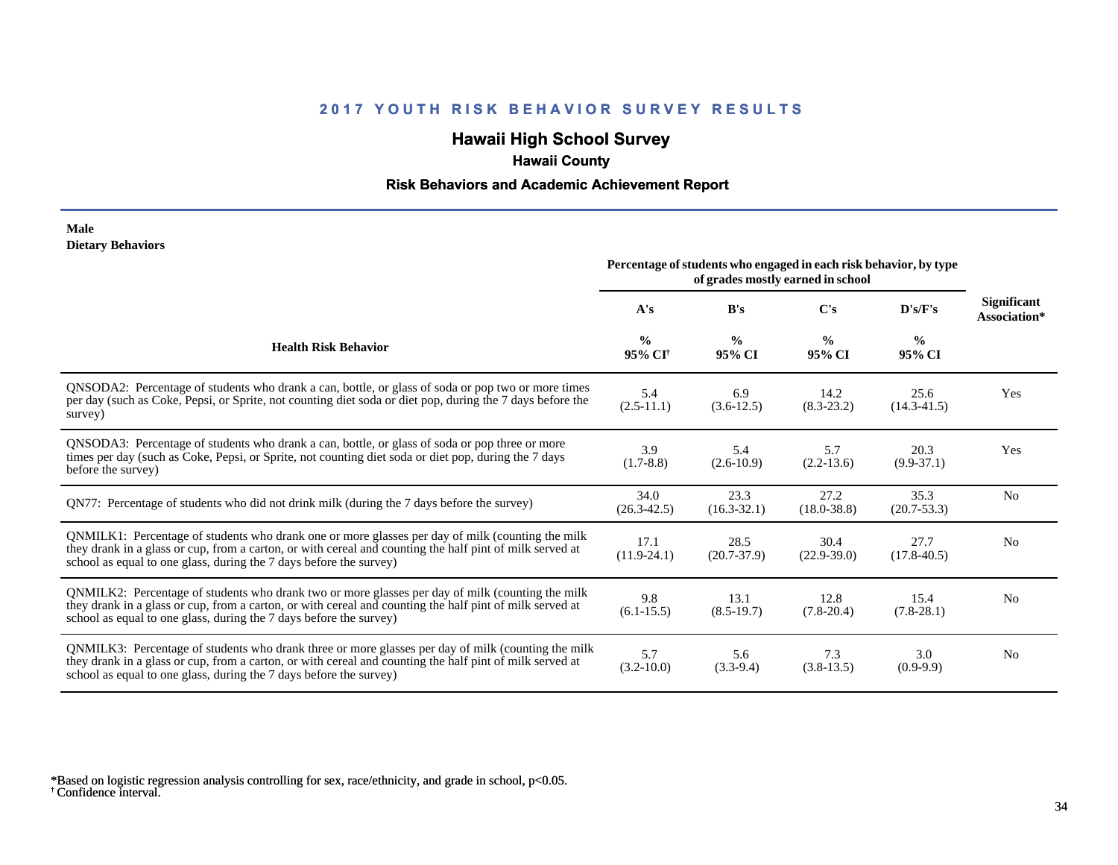# **Hawaii High School Survey**

## **Hawaii County**

### **Risk Behaviors and Academic Achievement Report**

#### **Male Dietary Behaviors**

|                                                                                                                                                                                                                                                                                      | Percentage of students who engaged in each risk behavior, by type<br>of grades mostly earned in school |                         |                         |                         |                                    |
|--------------------------------------------------------------------------------------------------------------------------------------------------------------------------------------------------------------------------------------------------------------------------------------|--------------------------------------------------------------------------------------------------------|-------------------------|-------------------------|-------------------------|------------------------------------|
|                                                                                                                                                                                                                                                                                      | A's                                                                                                    | B's                     | $\bf C's$               | D's/F's                 | <b>Significant</b><br>Association* |
| <b>Health Risk Behavior</b>                                                                                                                                                                                                                                                          | $\frac{0}{0}$<br>95% CI <sup>+</sup>                                                                   | $\frac{0}{0}$<br>95% CI | $\frac{0}{0}$<br>95% CI | $\frac{0}{0}$<br>95% CI |                                    |
| QNSODA2: Percentage of students who drank a can, bottle, or glass of soda or pop two or more times<br>per day (such as Coke, Pepsi, or Sprite, not counting diet soda or diet pop, during the 7 days before the<br>survey)                                                           | 5.4<br>$(2.5-11.1)$                                                                                    | 6.9<br>$(3.6-12.5)$     | 14.2<br>$(8.3 - 23.2)$  | 25.6<br>$(14.3 - 41.5)$ | Yes                                |
| ONSODA3: Percentage of students who drank a can, bottle, or glass of soda or pop three or more<br>times per day (such as Coke, Pepsi, or Sprite, not counting diet soda or diet pop, during the 7 days<br>before the survey)                                                         | 3.9<br>$(1.7-8.8)$                                                                                     | 5.4<br>$(2.6 - 10.9)$   | 5.7<br>$(2.2 - 13.6)$   | 20.3<br>$(9.9-37.1)$    | Yes                                |
| QN77: Percentage of students who did not drink milk (during the 7 days before the survey)                                                                                                                                                                                            | 34.0<br>$(26.3 - 42.5)$                                                                                | 23.3<br>$(16.3 - 32.1)$ | 27.2<br>$(18.0 - 38.8)$ | 35.3<br>$(20.7 - 53.3)$ | N <sub>0</sub>                     |
| QNMILK1: Percentage of students who drank one or more glasses per day of milk (counting the milk<br>they drank in a glass or cup, from a carton, or with cereal and counting the half pint of milk served at<br>school as equal to one glass, during the 7 days before the survey)   | 17.1<br>$(11.9-24.1)$                                                                                  | 28.5<br>$(20.7 - 37.9)$ | 30.4<br>$(22.9 - 39.0)$ | 27.7<br>$(17.8 - 40.5)$ | N <sub>0</sub>                     |
| QNMILK2: Percentage of students who drank two or more glasses per day of milk (counting the milk<br>they drank in a glass or cup, from a carton, or with cereal and counting the half pint of milk served at<br>school as equal to one glass, during the 7 days before the survey)   | 9.8<br>$(6.1 - 15.5)$                                                                                  | 13.1<br>$(8.5-19.7)$    | 12.8<br>$(7.8-20.4)$    | 15.4<br>$(7.8-28.1)$    | N <sub>0</sub>                     |
| QNMILK3: Percentage of students who drank three or more glasses per day of milk (counting the milk<br>they drank in a glass or cup, from a carton, or with cereal and counting the half pint of milk served at<br>school as equal to one glass, during the 7 days before the survey) | 5.7<br>$(3.2 - 10.0)$                                                                                  | 5.6<br>$(3.3-9.4)$      | 7.3<br>$(3.8-13.5)$     | 3.0<br>$(0.9-9.9)$      | N <sub>0</sub>                     |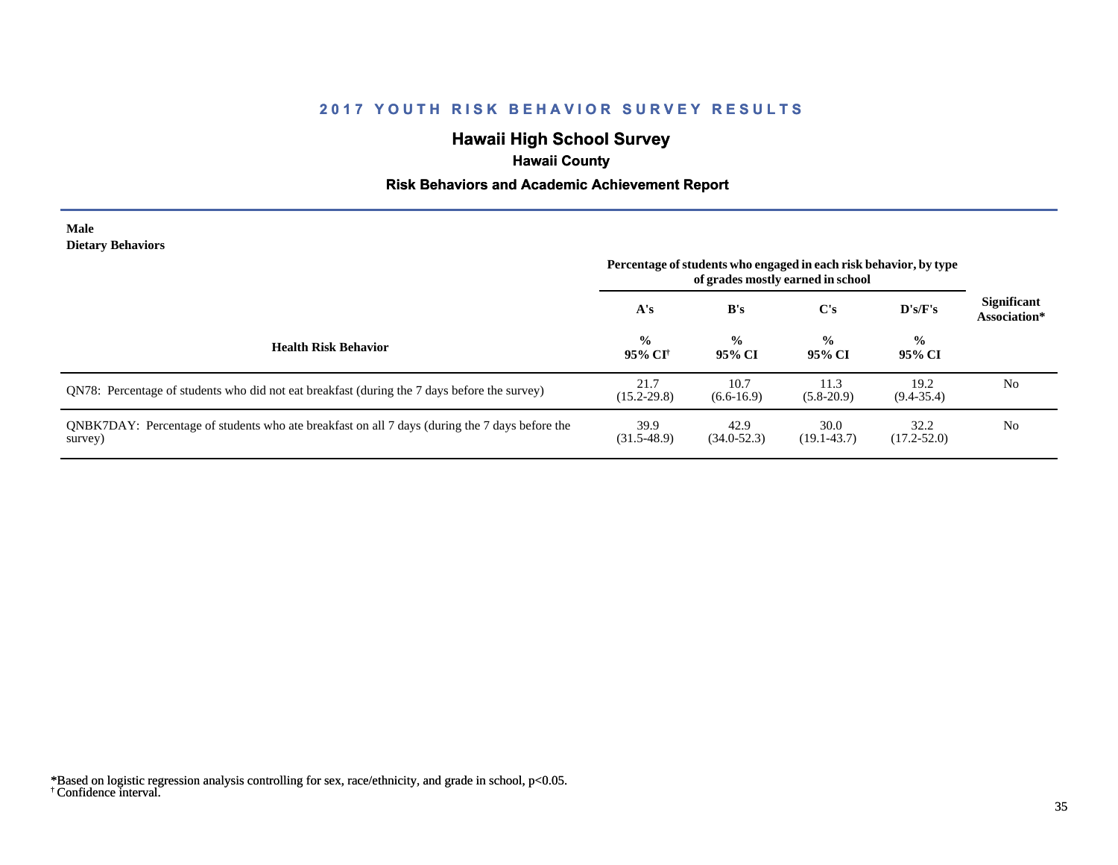# **Hawaii High School Survey**

## **Hawaii County**

### **Risk Behaviors and Academic Achievement Report**

#### **Male Dietary Behaviors**

|                                                                                                           | Percentage of students who engaged in each risk behavior, by type<br>of grades mostly earned in school |                         |                         |                         |                                    |
|-----------------------------------------------------------------------------------------------------------|--------------------------------------------------------------------------------------------------------|-------------------------|-------------------------|-------------------------|------------------------------------|
|                                                                                                           | A's                                                                                                    | B's                     | C's                     | $\bf{D's/F's}$          | <b>Significant</b><br>Association* |
| <b>Health Risk Behavior</b>                                                                               | $\frac{0}{0}$<br>95% CI†                                                                               | $\frac{0}{0}$<br>95% CI | $\frac{0}{0}$<br>95% CI | $\frac{0}{0}$<br>95% CI |                                    |
| QN78: Percentage of students who did not eat breakfast (during the 7 days before the survey)              | 21.7<br>$(15.2 - 29.8)$                                                                                | 10.7<br>$(6.6-16.9)$    | 11.3<br>$(5.8-20.9)$    | 19.2<br>$(9.4 - 35.4)$  | No                                 |
| QNBK7DAY: Percentage of students who ate breakfast on all 7 days (during the 7 days before the<br>survey) | 39.9<br>$(31.5-48.9)$                                                                                  | 42.9<br>$(34.0 - 52.3)$ | 30.0<br>$(19.1 - 43.7)$ | 32.2<br>$(17.2 - 52.0)$ | No                                 |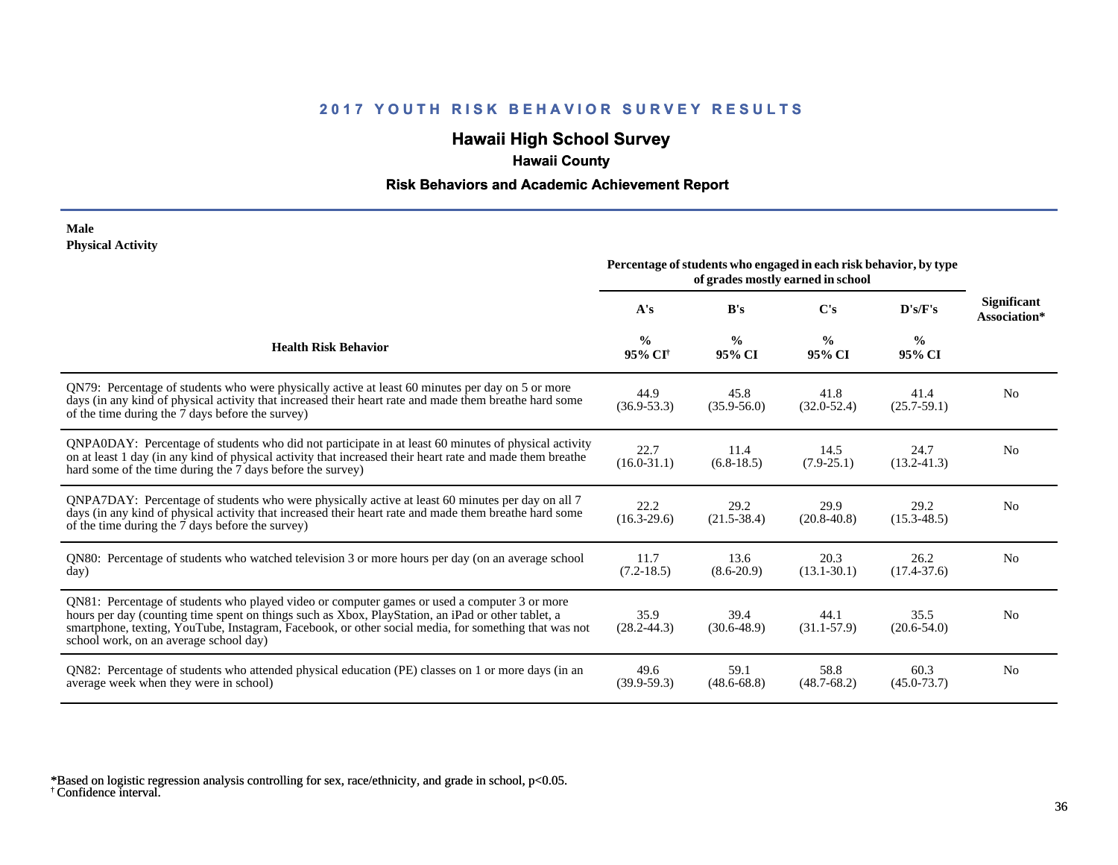# **Hawaii High School Survey**

# **Hawaii County**

### **Risk Behaviors and Academic Achievement Report**

#### **Male Physical Activity**

|                                                                                                                                                                                                                                                                                                                                                      | Percentage of students who engaged in each risk behavior, by type<br>of grades mostly earned in school |                         |                         |                         |                                    |
|------------------------------------------------------------------------------------------------------------------------------------------------------------------------------------------------------------------------------------------------------------------------------------------------------------------------------------------------------|--------------------------------------------------------------------------------------------------------|-------------------------|-------------------------|-------------------------|------------------------------------|
|                                                                                                                                                                                                                                                                                                                                                      | A's                                                                                                    | B's                     | C's                     | D's/F's                 | <b>Significant</b><br>Association* |
| <b>Health Risk Behavior</b>                                                                                                                                                                                                                                                                                                                          | $\frac{0}{0}$<br>95% CI <sup>+</sup>                                                                   | $\frac{0}{0}$<br>95% CI | $\frac{6}{9}$<br>95% CI | $\frac{0}{0}$<br>95% CI |                                    |
| QN79: Percentage of students who were physically active at least 60 minutes per day on 5 or more<br>days (in any kind of physical activity that increased their heart rate and made them breathe hard some<br>of the time during the 7 days before the survey)                                                                                       | 44.9<br>$(36.9 - 53.3)$                                                                                | 45.8<br>$(35.9 - 56.0)$ | 41.8<br>$(32.0 - 52.4)$ | 41.4<br>$(25.7 - 59.1)$ | N <sub>0</sub>                     |
| QNPA0DAY: Percentage of students who did not participate in at least 60 minutes of physical activity<br>on at least 1 day (in any kind of physical activity that increased their heart rate and made them breathe<br>hard some of the time during the 7 days before the survey)                                                                      | 22.7<br>$(16.0 - 31.1)$                                                                                | 11.4<br>$(6.8-18.5)$    | 14.5<br>$(7.9 - 25.1)$  | 24.7<br>$(13.2 - 41.3)$ | N <sub>0</sub>                     |
| ONPA7DAY: Percentage of students who were physically active at least 60 minutes per day on all 7<br>days (in any kind of physical activity that increased their heart rate and made them breathe hard some<br>of the time during the 7 days before the survey)                                                                                       | 22.2<br>$(16.3 - 29.6)$                                                                                | 29.2<br>$(21.5 - 38.4)$ | 29.9<br>$(20.8 - 40.8)$ | 29.2<br>$(15.3 - 48.5)$ | N <sub>0</sub>                     |
| QN80: Percentage of students who watched television 3 or more hours per day (on an average school<br>day)                                                                                                                                                                                                                                            | 11.7<br>$(7.2-18.5)$                                                                                   | 13.6<br>$(8.6-20.9)$    | 20.3<br>$(13.1 - 30.1)$ | 26.2<br>$(17.4 - 37.6)$ | N <sub>0</sub>                     |
| ON81: Percentage of students who played video or computer games or used a computer 3 or more<br>hours per day (counting time spent on things such as Xbox, PlayStation, an iPad or other tablet, a<br>smartphone, texting, YouTube, Instagram, Facebook, or other social media, for something that was not<br>school work, on an average school day) | 35.9<br>$(28.2 - 44.3)$                                                                                | 39.4<br>$(30.6 - 48.9)$ | 44.1<br>$(31.1 - 57.9)$ | 35.5<br>$(20.6 - 54.0)$ | N <sub>0</sub>                     |
| QN82: Percentage of students who attended physical education (PE) classes on 1 or more days (in an<br>average week when they were in school)                                                                                                                                                                                                         | 49.6<br>$(39.9 - 59.3)$                                                                                | 59.1<br>$(48.6 - 68.8)$ | 58.8<br>$(48.7 - 68.2)$ | 60.3<br>$(45.0 - 73.7)$ | N <sub>0</sub>                     |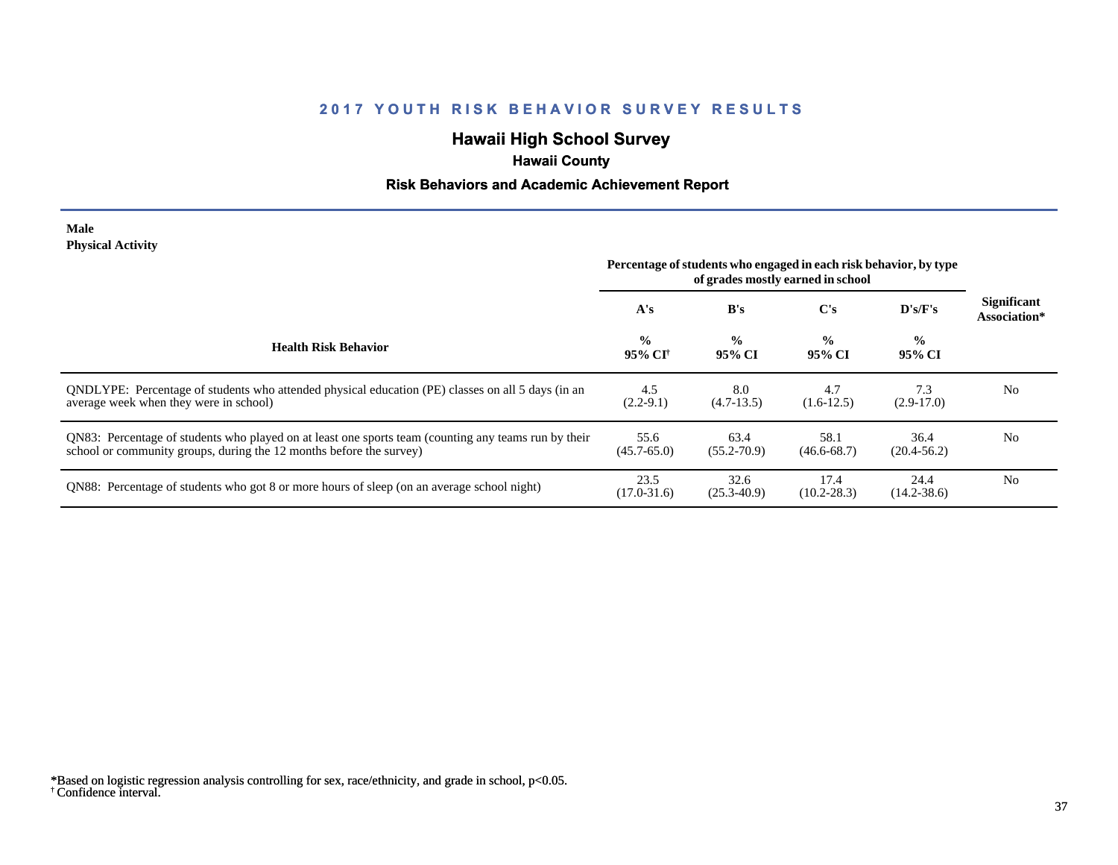# **Hawaii High School Survey**

# **Hawaii County**

## **Risk Behaviors and Academic Achievement Report**

#### **Male Physical Activity**

|                                                                                                                                                                             | Percentage of students who engaged in each risk behavior, by type<br>of grades mostly earned in school |                         |                         |                         |                                    |
|-----------------------------------------------------------------------------------------------------------------------------------------------------------------------------|--------------------------------------------------------------------------------------------------------|-------------------------|-------------------------|-------------------------|------------------------------------|
|                                                                                                                                                                             | A's                                                                                                    | B's                     | $\bf C's$               | D's/F's                 | <b>Significant</b><br>Association* |
| <b>Health Risk Behavior</b>                                                                                                                                                 | $\frac{0}{0}$<br>95% CI†                                                                               | $\frac{0}{0}$<br>95% CI | $\frac{0}{0}$<br>95% CI | $\frac{0}{0}$<br>95% CI |                                    |
| ONDLYPE: Percentage of students who attended physical education (PE) classes on all 5 days (in an<br>average week when they were in school)                                 | 4.5<br>$(2.2-9.1)$                                                                                     | 8.0<br>$(4.7-13.5)$     | 4.7<br>$(1.6-12.5)$     | 7.3<br>$(2.9-17.0)$     | N <sub>0</sub>                     |
| QN83: Percentage of students who played on at least one sports team (counting any teams run by their<br>school or community groups, during the 12 months before the survey) | 55.6<br>$(45.7 - 65.0)$                                                                                | 63.4<br>$(55.2 - 70.9)$ | 58.1<br>$(46.6 - 68.7)$ | 36.4<br>$(20.4 - 56.2)$ | N <sub>0</sub>                     |
| QN88: Percentage of students who got 8 or more hours of sleep (on an average school night)                                                                                  | 23.5<br>$(17.0 - 31.6)$                                                                                | 32.6<br>$(25.3 - 40.9)$ | 17.4<br>$(10.2 - 28.3)$ | 24.4<br>$(14.2 - 38.6)$ | N <sub>0</sub>                     |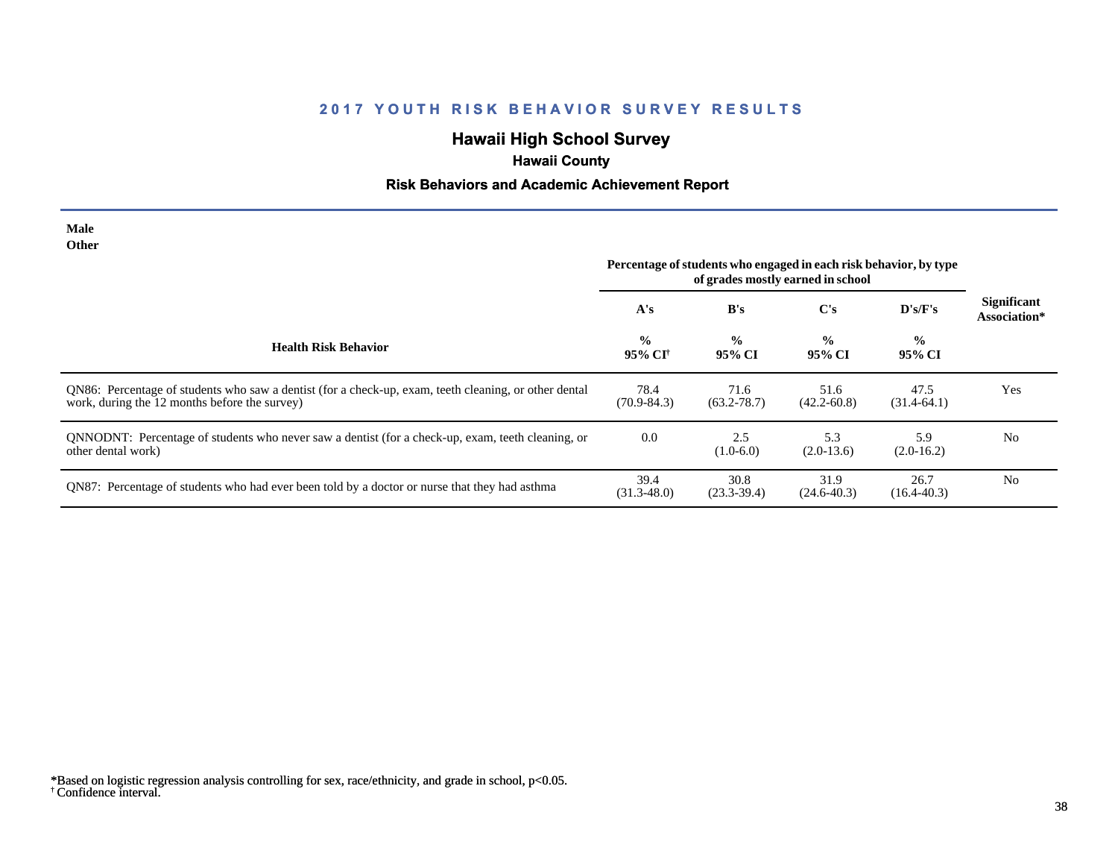# **Hawaii High School Survey**

# **Hawaii County**

## **Risk Behaviors and Academic Achievement Report**

| <b>Male</b><br>Other                                                                                                                                   |                                                                                                        |                         |                         |                         |                                    |
|--------------------------------------------------------------------------------------------------------------------------------------------------------|--------------------------------------------------------------------------------------------------------|-------------------------|-------------------------|-------------------------|------------------------------------|
|                                                                                                                                                        | Percentage of students who engaged in each risk behavior, by type<br>of grades mostly earned in school |                         |                         |                         |                                    |
|                                                                                                                                                        | A's                                                                                                    | B's                     | $\bf C's$               | D's/F's                 | <b>Significant</b><br>Association* |
| <b>Health Risk Behavior</b>                                                                                                                            | $\frac{0}{0}$<br>95% CI <sup>†</sup>                                                                   | $\frac{0}{0}$<br>95% CI | $\frac{0}{0}$<br>95% CI | $\frac{0}{0}$<br>95% CI |                                    |
| QN86: Percentage of students who saw a dentist (for a check-up, exam, teeth cleaning, or other dental<br>work, during the 12 months before the survey) | 78.4<br>$(70.9 - 84.3)$                                                                                | 71.6<br>$(63.2 - 78.7)$ | 51.6<br>$(42.2 - 60.8)$ | 47.5<br>$(31.4-64.1)$   | Yes                                |
| QNNODNT: Percentage of students who never saw a dentist (for a check-up, exam, teeth cleaning, or<br>other dental work)                                | 0.0                                                                                                    | 2.5<br>$(1.0-6.0)$      | 5.3<br>$(2.0-13.6)$     | 5.9<br>$(2.0-16.2)$     | N <sub>0</sub>                     |
| QN87: Percentage of students who had ever been told by a doctor or nurse that they had asthma                                                          | 39.4<br>$(31.3 - 48.0)$                                                                                | 30.8<br>$(23.3-39.4)$   | 31.9<br>$(24.6 - 40.3)$ | 26.7<br>$(16.4 - 40.3)$ | N <sub>0</sub>                     |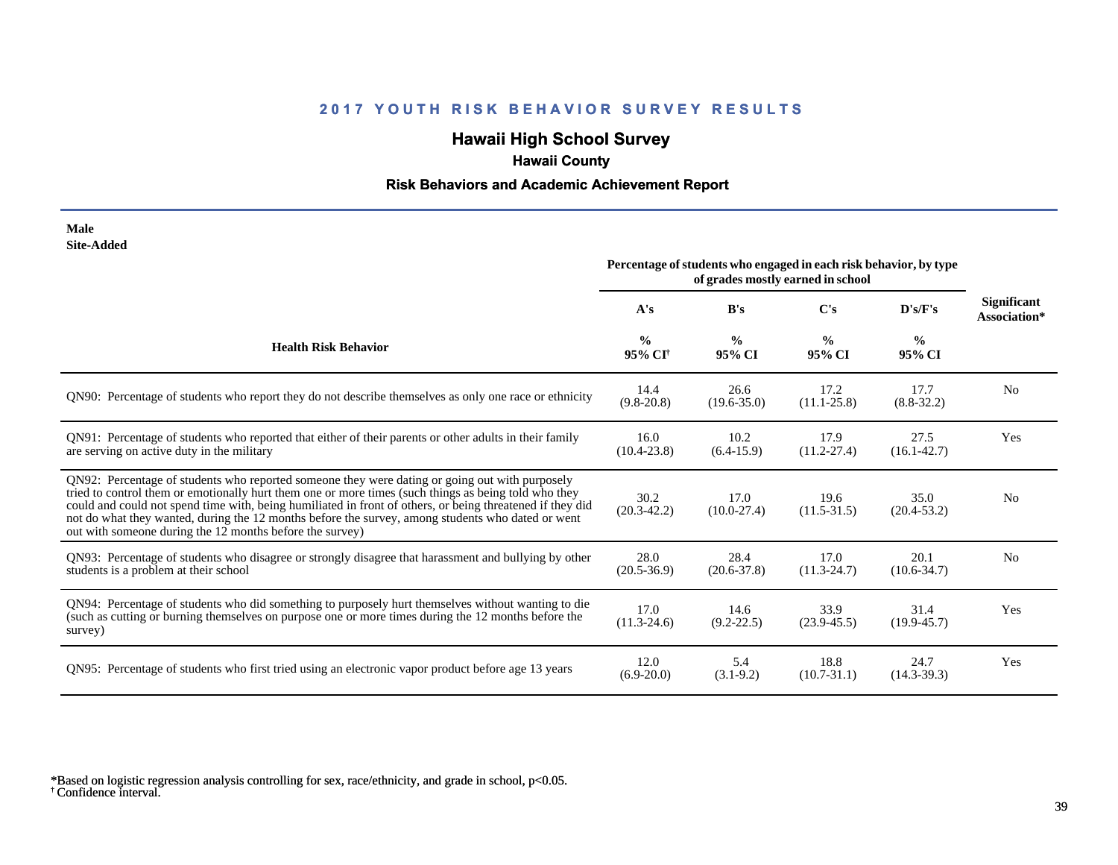# **Hawaii High School Survey**

# **Hawaii County**

## **Risk Behaviors and Academic Achievement Report**

| Male              |
|-------------------|
| <b>Site-Added</b> |

|                                                                                                                                                                                                                                                                                                                                                                                                                                                                                      | Percentage of students who engaged in each risk behavior, by type<br>of grades mostly earned in school |                         |                         |                         |                                    |  |
|--------------------------------------------------------------------------------------------------------------------------------------------------------------------------------------------------------------------------------------------------------------------------------------------------------------------------------------------------------------------------------------------------------------------------------------------------------------------------------------|--------------------------------------------------------------------------------------------------------|-------------------------|-------------------------|-------------------------|------------------------------------|--|
|                                                                                                                                                                                                                                                                                                                                                                                                                                                                                      | A's                                                                                                    | B's                     | C's                     | D's/F's                 | <b>Significant</b><br>Association* |  |
| <b>Health Risk Behavior</b>                                                                                                                                                                                                                                                                                                                                                                                                                                                          | $\frac{0}{0}$<br>95% CI <sup>+</sup>                                                                   | $\frac{0}{0}$<br>95% CI | $\frac{0}{0}$<br>95% CI | $\frac{6}{6}$<br>95% CI |                                    |  |
| QN90: Percentage of students who report they do not describe themselves as only one race or ethnicity                                                                                                                                                                                                                                                                                                                                                                                | 14.4<br>$(9.8-20.8)$                                                                                   | 26.6<br>$(19.6 - 35.0)$ | 17.2<br>$(11.1 - 25.8)$ | 17.7<br>$(8.8 - 32.2)$  | N <sub>0</sub>                     |  |
| QN91: Percentage of students who reported that either of their parents or other adults in their family<br>are serving on active duty in the military                                                                                                                                                                                                                                                                                                                                 | 16.0<br>$(10.4 - 23.8)$                                                                                | 10.2<br>$(6.4-15.9)$    | 17.9<br>$(11.2 - 27.4)$ | 27.5<br>$(16.1 - 42.7)$ | Yes                                |  |
| QN92: Percentage of students who reported someone they were dating or going out with purposely<br>tried to control them or emotionally hurt them one or more times (such things as being told who they<br>could and could not spend time with, being humiliated in front of others, or being threatened if they did<br>not do what they wanted, during the 12 months before the survey, among students who dated or went<br>out with someone during the 12 months before the survey) | 30.2<br>$(20.3 - 42.2)$                                                                                | 17.0<br>$(10.0-27.4)$   | 19.6<br>$(11.5-31.5)$   | 35.0<br>$(20.4 - 53.2)$ | N <sub>0</sub>                     |  |
| QN93: Percentage of students who disagree or strongly disagree that harassment and bullying by other<br>students is a problem at their school                                                                                                                                                                                                                                                                                                                                        | 28.0<br>$(20.5 - 36.9)$                                                                                | 28.4<br>$(20.6 - 37.8)$ | 17.0<br>$(11.3 - 24.7)$ | 20.1<br>$(10.6 - 34.7)$ | N <sub>o</sub>                     |  |
| QN94: Percentage of students who did something to purposely hurt themselves without wanting to die<br>(such as cutting or burning themselves on purpose one or more times during the 12 months before the<br>survey)                                                                                                                                                                                                                                                                 | 17.0<br>$(11.3-24.6)$                                                                                  | 14.6<br>$(9.2 - 22.5)$  | 33.9<br>$(23.9 - 45.5)$ | 31.4<br>$(19.9 - 45.7)$ | Yes                                |  |
| QN95: Percentage of students who first tried using an electronic vapor product before age 13 years                                                                                                                                                                                                                                                                                                                                                                                   | 12.0<br>$(6.9-20.0)$                                                                                   | 5.4<br>$(3.1-9.2)$      | 18.8<br>$(10.7 - 31.1)$ | 24.7<br>$(14.3 - 39.3)$ | Yes                                |  |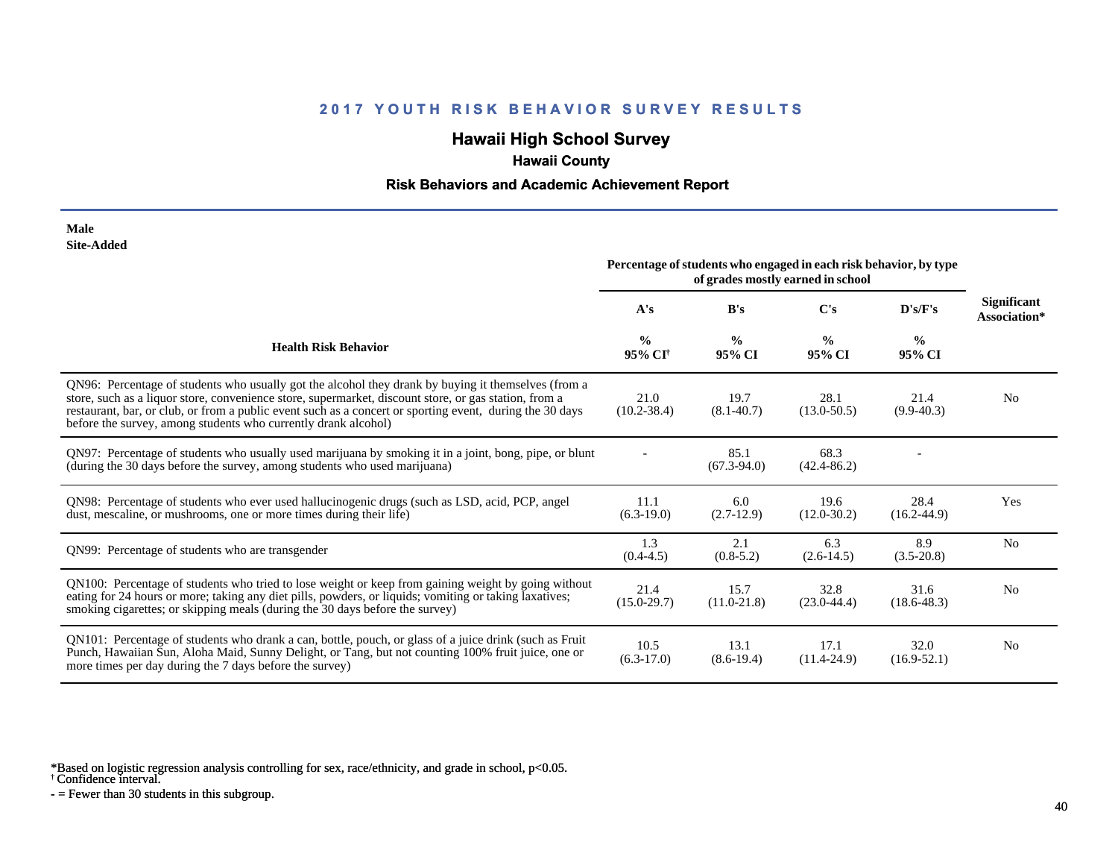## **Hawaii High School Survey**

## **Hawaii County**

### **Risk Behaviors and Academic Achievement Report**

#### **Male Site-Added**

|                                                                                                                                                                                                                                                                                                                                                                                            | Percentage of students who engaged in each risk behavior, by type<br>of grades mostly earned in school |                         |                         |                         |                                    |
|--------------------------------------------------------------------------------------------------------------------------------------------------------------------------------------------------------------------------------------------------------------------------------------------------------------------------------------------------------------------------------------------|--------------------------------------------------------------------------------------------------------|-------------------------|-------------------------|-------------------------|------------------------------------|
|                                                                                                                                                                                                                                                                                                                                                                                            | A's                                                                                                    | B's                     | $\bf C$ 's              | D's/F's                 | <b>Significant</b><br>Association* |
| <b>Health Risk Behavior</b>                                                                                                                                                                                                                                                                                                                                                                | $\frac{0}{0}$<br>95% CI <sup>†</sup>                                                                   | $\frac{0}{0}$<br>95% CI | $\frac{0}{0}$<br>95% CI | $\frac{0}{0}$<br>95% CI |                                    |
| QN96: Percentage of students who usually got the alcohol they drank by buying it themselves (from a<br>store, such as a liquor store, convenience store, supermarket, discount store, or gas station, from a<br>restaurant, bar, or club, or from a public event such as a concert or sporting event, during the 30 days<br>before the survey, among students who currently drank alcohol) | 21.0<br>$(10.2 - 38.4)$                                                                                | 19.7<br>$(8.1 - 40.7)$  | 28.1<br>$(13.0 - 50.5)$ | 21.4<br>$(9.9-40.3)$    | N <sub>0</sub>                     |
| QN97: Percentage of students who usually used marijuana by smoking it in a joint, bong, pipe, or blunt<br>(during the 30 days before the survey, among students who used marijuana)                                                                                                                                                                                                        |                                                                                                        | 85.1<br>$(67.3-94.0)$   | 68.3<br>$(42.4 - 86.2)$ |                         |                                    |
| QN98: Percentage of students who ever used hallucinogenic drugs (such as LSD, acid, PCP, angel<br>dust, mescaline, or mushrooms, one or more times during their life)                                                                                                                                                                                                                      | 11.1<br>$(6.3-19.0)$                                                                                   | 6.0<br>$(2.7-12.9)$     | 19.6<br>$(12.0 - 30.2)$ | 28.4<br>$(16.2 - 44.9)$ | Yes                                |
| QN99: Percentage of students who are transgender                                                                                                                                                                                                                                                                                                                                           | 1.3<br>$(0.4 - 4.5)$                                                                                   | 2.1<br>$(0.8-5.2)$      | 6.3<br>$(2.6-14.5)$     | 8.9<br>$(3.5-20.8)$     | N <sub>0</sub>                     |
| QN100: Percentage of students who tried to lose weight or keep from gaining weight by going without<br>eating for 24 hours or more; taking any diet pills, powders, or liquids; vomiting or taking laxatives;<br>smoking cigarettes; or skipping meals (during the 30 days before the survey)                                                                                              | 21.4<br>$(15.0 - 29.7)$                                                                                | 15.7<br>$(11.0 - 21.8)$ | 32.8<br>$(23.0-44.4)$   | 31.6<br>$(18.6 - 48.3)$ | N <sub>0</sub>                     |
| QN101: Percentage of students who drank a can, bottle, pouch, or glass of a juice drink (such as Fruit<br>Punch, Hawaiian Sun, Aloha Maid, Sunny Delight, or Tang, but not counting 100% fruit juice, one or<br>more times per day during the 7 days before the survey)                                                                                                                    | 10.5<br>$(6.3-17.0)$                                                                                   | 13.1<br>$(8.6-19.4)$    | 17.1<br>$(11.4 - 24.9)$ | 32.0<br>$(16.9 - 52.1)$ | N <sub>0</sub>                     |

\*Based on logistic regression analysis controlling for sex, race/ethnicity, and grade in school, p<0.05.

† Confidence interval.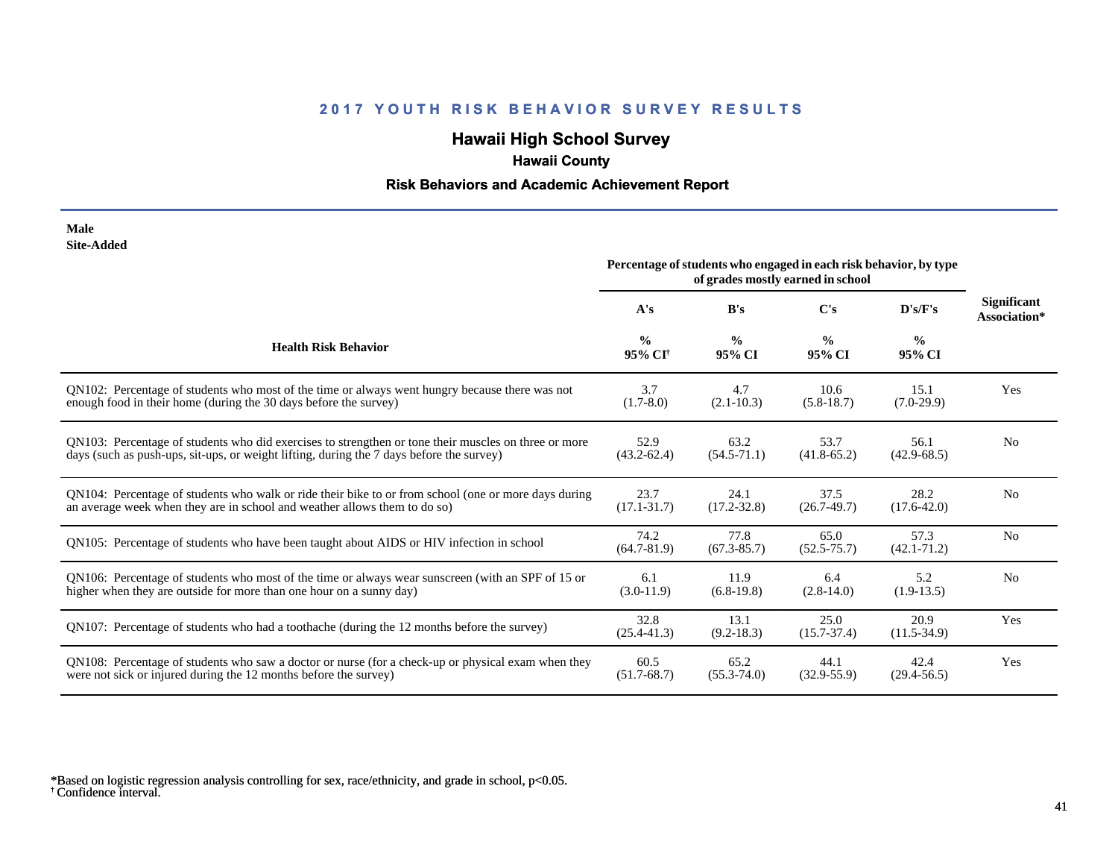# **Hawaii High School Survey**

# **Hawaii County**

## **Risk Behaviors and Academic Achievement Report**

#### **Male Site-Added**

|                                                                                                      | Percentage of students who engaged in each risk behavior, by type<br>of grades mostly earned in school |                         |                         |                         |                                    |
|------------------------------------------------------------------------------------------------------|--------------------------------------------------------------------------------------------------------|-------------------------|-------------------------|-------------------------|------------------------------------|
|                                                                                                      | A's                                                                                                    | B's                     | $\bf C's$               | D's/F's                 | <b>Significant</b><br>Association* |
| <b>Health Risk Behavior</b>                                                                          | $\frac{0}{0}$<br>95% CI <sup>+</sup>                                                                   | $\frac{0}{0}$<br>95% CI | $\frac{0}{0}$<br>95% CI | $\frac{0}{0}$<br>95% CI |                                    |
| QN102: Percentage of students who most of the time or always went hungry because there was not       | 3.7                                                                                                    | 4.7                     | 10.6                    | 15.1                    | Yes                                |
| enough food in their home (during the 30 days before the survey)                                     | $(1.7-8.0)$                                                                                            | $(2.1 - 10.3)$          | $(5.8-18.7)$            | $(7.0-29.9)$            |                                    |
| QN103: Percentage of students who did exercises to strengthen or tone their muscles on three or more | 52.9                                                                                                   | 63.2                    | 53.7                    | 56.1                    | N <sub>0</sub>                     |
| days (such as push-ups, sit-ups, or weight lifting, during the 7 days before the survey)             | $(43.2 - 62.4)$                                                                                        | $(54.5 - 71.1)$         | $(41.8 - 65.2)$         | $(42.9 - 68.5)$         |                                    |
| QN104: Percentage of students who walk or ride their bike to or from school (one or more days during | 23.7                                                                                                   | 24.1                    | 37.5                    | 28.2                    | N <sub>0</sub>                     |
| an average week when they are in school and weather allows them to do so)                            | $(17.1 - 31.7)$                                                                                        | $(17.2 - 32.8)$         | $(26.7-49.7)$           | $(17.6 - 42.0)$         |                                    |
| QN105: Percentage of students who have been taught about AIDS or HIV infection in school             | 74.2<br>$(64.7 - 81.9)$                                                                                | 77.8<br>$(67.3 - 85.7)$ | 65.0<br>$(52.5 - 75.7)$ | 57.3<br>$(42.1 - 71.2)$ | N <sub>o</sub>                     |
| QN106: Percentage of students who most of the time or always wear sunscreen (with an SPF of 15 or    | 6.1                                                                                                    | 11.9                    | 6.4                     | 5.2                     | N <sub>0</sub>                     |
| higher when they are outside for more than one hour on a sunny day)                                  | $(3.0-11.9)$                                                                                           | $(6.8-19.8)$            | $(2.8-14.0)$            | $(1.9-13.5)$            |                                    |
| QN107: Percentage of students who had a toothache (during the 12 months before the survey)           | 32.8<br>$(25.4 - 41.3)$                                                                                | 13.1<br>$(9.2 - 18.3)$  | 25.0<br>$(15.7 - 37.4)$ | 20.9<br>$(11.5-34.9)$   | Yes                                |
| QN108: Percentage of students who saw a doctor or nurse (for a check-up or physical exam when they   | 60.5                                                                                                   | 65.2                    | 44.1                    | 42.4                    | Yes                                |
| were not sick or injured during the 12 months before the survey)                                     | $(51.7 - 68.7)$                                                                                        | $(55.3 - 74.0)$         | $(32.9 - 55.9)$         | $(29.4 - 56.5)$         |                                    |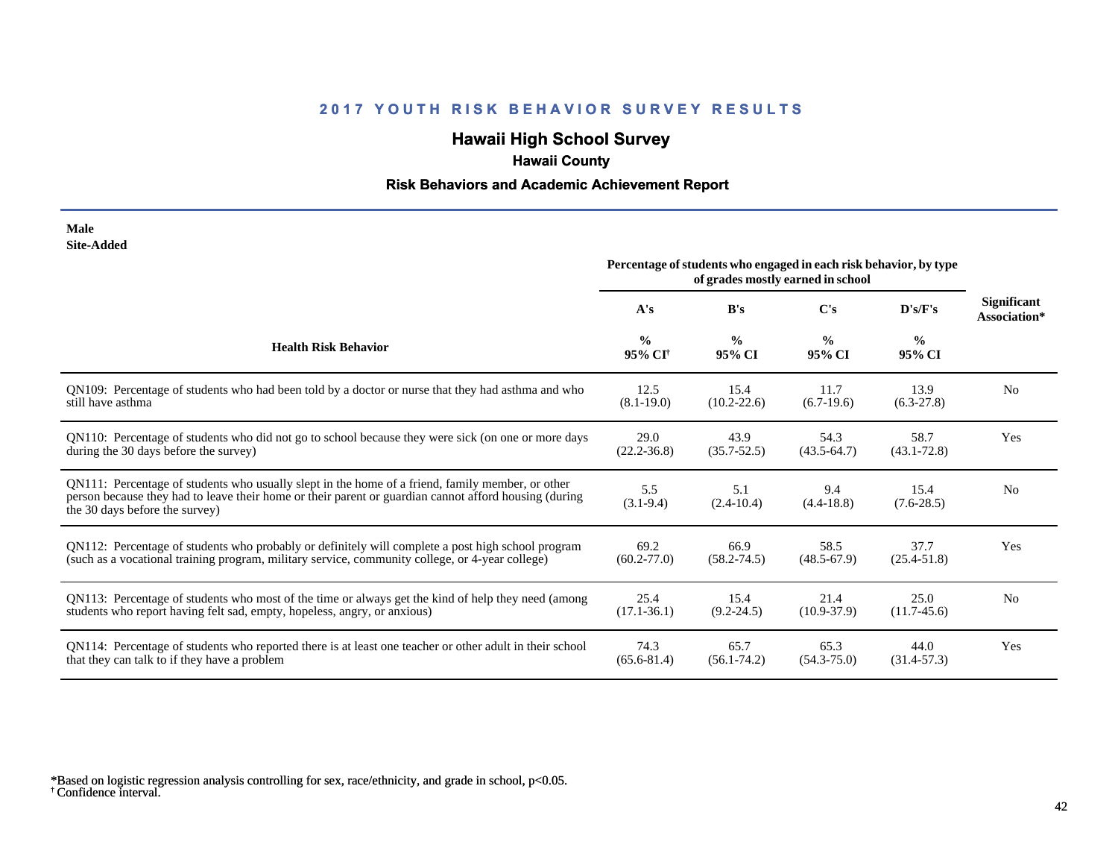# **Hawaii High School Survey**

# **Hawaii County**

## **Risk Behaviors and Academic Achievement Report**

| Male              |
|-------------------|
| <b>Site-Added</b> |

|                                                                                                                                                                                                                                             | Percentage of students who engaged in each risk behavior, by type<br>of grades mostly earned in school |                         |                         |                         |                                    |
|---------------------------------------------------------------------------------------------------------------------------------------------------------------------------------------------------------------------------------------------|--------------------------------------------------------------------------------------------------------|-------------------------|-------------------------|-------------------------|------------------------------------|
|                                                                                                                                                                                                                                             | A's                                                                                                    | B's                     | $\bf C$ 's              | D's/F's                 | <b>Significant</b><br>Association* |
| <b>Health Risk Behavior</b>                                                                                                                                                                                                                 | $\frac{0}{0}$<br>95% CI <sup>+</sup>                                                                   | $\frac{0}{0}$<br>95% CI | $\frac{0}{0}$<br>95% CI | $\frac{6}{6}$<br>95% CI |                                    |
| QN109: Percentage of students who had been told by a doctor or nurse that they had asthma and who                                                                                                                                           | 12.5                                                                                                   | 15.4                    | 11.7                    | 13.9                    | N <sub>0</sub>                     |
| still have asthma                                                                                                                                                                                                                           | $(8.1 - 19.0)$                                                                                         | $(10.2 - 22.6)$         | $(6.7-19.6)$            | $(6.3-27.8)$            |                                    |
| QN110: Percentage of students who did not go to school because they were sick (on one or more days                                                                                                                                          | 29.0                                                                                                   | 43.9                    | 54.3                    | 58.7                    | Yes                                |
| during the 30 days before the survey)                                                                                                                                                                                                       | $(22.2 - 36.8)$                                                                                        | $(35.7 - 52.5)$         | $(43.5-64.7)$           | $(43.1 - 72.8)$         |                                    |
| QN111: Percentage of students who usually slept in the home of a friend, family member, or other<br>person because they had to leave their home or their parent or guardian cannot afford housing (during<br>the 30 days before the survey) | 5.5<br>$(3.1-9.4)$                                                                                     | 5.1<br>$(2.4-10.4)$     | 9.4<br>$(4.4 - 18.8)$   | 15.4<br>$(7.6-28.5)$    | N <sub>0</sub>                     |
| QN112: Percentage of students who probably or definitely will complete a post high school program                                                                                                                                           | 69.2                                                                                                   | 66.9                    | 58.5                    | 37.7                    | Yes                                |
| (such as a vocational training program, military service, community college, or 4-year college)                                                                                                                                             | $(60.2 - 77.0)$                                                                                        | $(58.2 - 74.5)$         | $(48.5 - 67.9)$         | $(25.4 - 51.8)$         |                                    |
| QN113: Percentage of students who most of the time or always get the kind of help they need (among                                                                                                                                          | 25.4                                                                                                   | 15.4                    | 21.4                    | 25.0                    | N <sub>0</sub>                     |
| students who report having felt sad, empty, hopeless, angry, or anxious)                                                                                                                                                                    | $(17.1 - 36.1)$                                                                                        | $(9.2 - 24.5)$          | $(10.9 - 37.9)$         | $(11.7-45.6)$           |                                    |
| QN114: Percentage of students who reported there is at least one teacher or other adult in their school                                                                                                                                     | 74.3                                                                                                   | 65.7                    | 65.3                    | 44.0                    | Yes                                |
| that they can talk to if they have a problem                                                                                                                                                                                                | $(65.6 - 81.4)$                                                                                        | $(56.1 - 74.2)$         | $(54.3 - 75.0)$         | $(31.4 - 57.3)$         |                                    |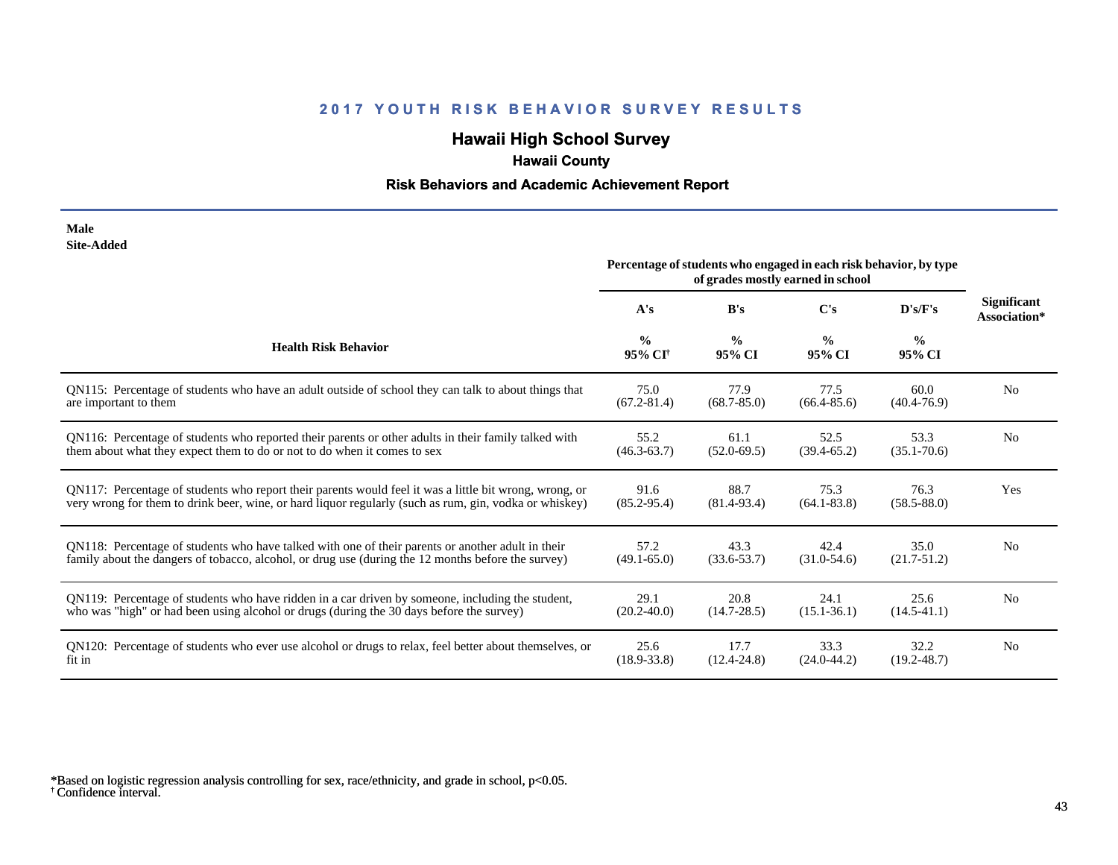# **Hawaii High School Survey**

# **Hawaii County**

## **Risk Behaviors and Academic Achievement Report**

| Male              |
|-------------------|
| <b>Site-Added</b> |

|                                                                                                        | Percentage of students who engaged in each risk behavior, by type<br>of grades mostly earned in school |                         |                         |                         |                                    |
|--------------------------------------------------------------------------------------------------------|--------------------------------------------------------------------------------------------------------|-------------------------|-------------------------|-------------------------|------------------------------------|
|                                                                                                        | A's                                                                                                    | B's                     | C's                     | D's/F's                 | <b>Significant</b><br>Association* |
| <b>Health Risk Behavior</b>                                                                            | $\frac{0}{0}$<br>95% CI <sup>†</sup>                                                                   | $\frac{0}{0}$<br>95% CI | $\frac{0}{0}$<br>95% CI | $\frac{0}{0}$<br>95% CI |                                    |
| QN115: Percentage of students who have an adult outside of school they can talk to about things that   | 75.0                                                                                                   | 77.9                    | 77.5                    | 60.0                    | N <sub>0</sub>                     |
| are important to them                                                                                  | $(67.2 - 81.4)$                                                                                        | $(68.7 - 85.0)$         | $(66.4 - 85.6)$         | $(40.4 - 76.9)$         |                                    |
| QN116: Percentage of students who reported their parents or other adults in their family talked with   | 55.2                                                                                                   | 61.1                    | 52.5                    | 53.3                    | N <sub>0</sub>                     |
| them about what they expect them to do or not to do when it comes to sex                               | $(46.3 - 63.7)$                                                                                        | $(52.0 - 69.5)$         | $(39.4 - 65.2)$         | $(35.1 - 70.6)$         |                                    |
| QN117: Percentage of students who report their parents would feel it was a little bit wrong, wrong, or | 91.6                                                                                                   | 88.7                    | 75.3                    | 76.3                    | Yes                                |
| very wrong for them to drink beer, wine, or hard liquor regularly (such as rum, gin, vodka or whiskey) | $(85.2 - 95.4)$                                                                                        | $(81.4 - 93.4)$         | $(64.1 - 83.8)$         | $(58.5 - 88.0)$         |                                    |
| QN118: Percentage of students who have talked with one of their parents or another adult in their      | 57.2                                                                                                   | 43.3                    | 42.4                    | 35.0                    | N <sub>0</sub>                     |
| family about the dangers of tobacco, alcohol, or drug use (during the 12 months before the survey)     | $(49.1 - 65.0)$                                                                                        | $(33.6 - 53.7)$         | $(31.0-54.6)$           | $(21.7 - 51.2)$         |                                    |
| QN119: Percentage of students who have ridden in a car driven by someone, including the student,       | 29.1                                                                                                   | 20.8                    | 24.1                    | 25.6                    | N <sub>0</sub>                     |
| who was "high" or had been using alcohol or drugs (during the 30 days before the survey)               | $(20.2 - 40.0)$                                                                                        | $(14.7 - 28.5)$         | $(15.1 - 36.1)$         | $(14.5 - 41.1)$         |                                    |
| QN120: Percentage of students who ever use alcohol or drugs to relax, feel better about themselves, or | 25.6                                                                                                   | 17.7                    | 33.3                    | 32.2                    | N <sub>0</sub>                     |
| fit in                                                                                                 | $(18.9 - 33.8)$                                                                                        | $(12.4 - 24.8)$         | $(24.0 - 44.2)$         | $(19.2 - 48.7)$         |                                    |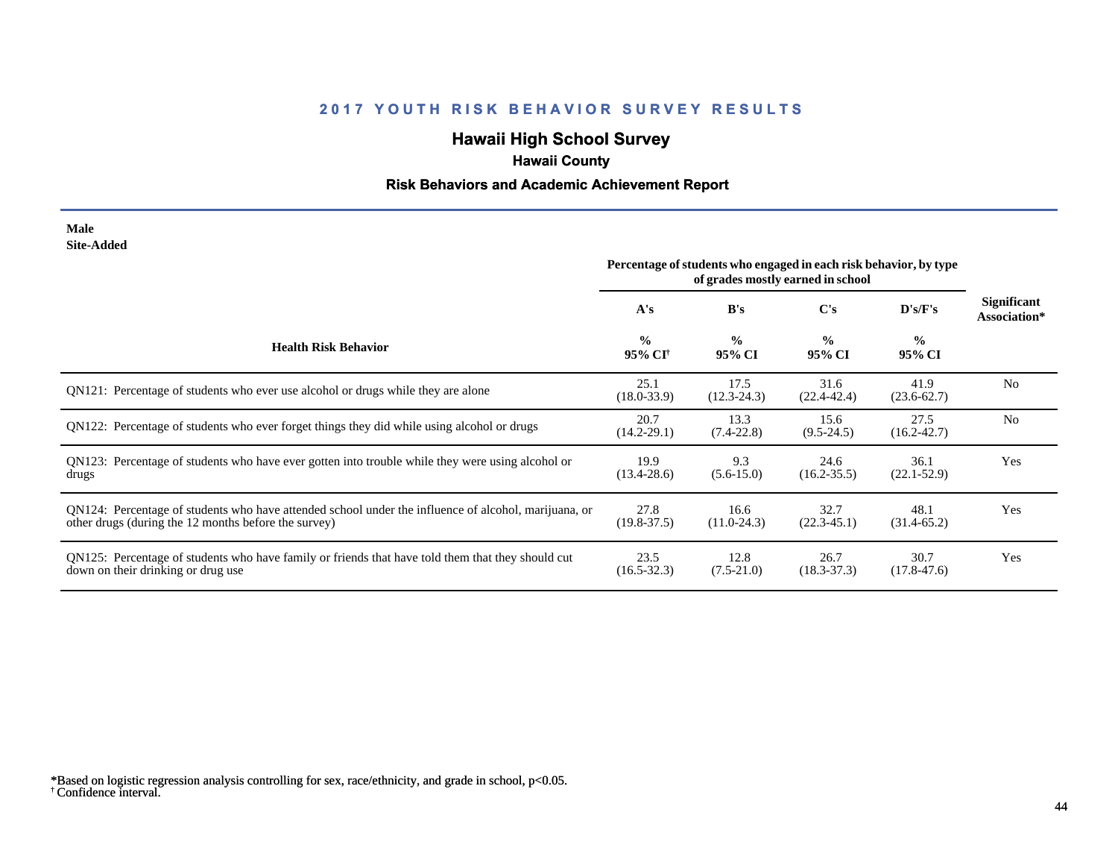# **Hawaii High School Survey**

# **Hawaii County**

## **Risk Behaviors and Academic Achievement Report**

#### **Male Site-Added**

|                                                                                                                                                              | Percentage of students who engaged in each risk behavior, by type<br>of grades mostly earned in school |                         |                         |                         |                             |
|--------------------------------------------------------------------------------------------------------------------------------------------------------------|--------------------------------------------------------------------------------------------------------|-------------------------|-------------------------|-------------------------|-----------------------------|
|                                                                                                                                                              | A's                                                                                                    | B's                     | C's                     | D's/F's                 | Significant<br>Association* |
| <b>Health Risk Behavior</b>                                                                                                                                  | $\frac{0}{0}$<br>95% CI <sup>†</sup>                                                                   | $\frac{0}{0}$<br>95% CI | $\frac{0}{0}$<br>95% CI | $\frac{0}{0}$<br>95% CI |                             |
| ON121: Percentage of students who ever use alcohol or drugs while they are alone                                                                             | 25.1<br>$(18.0 - 33.9)$                                                                                | 17.5<br>$(12.3 - 24.3)$ | 31.6<br>$(22.4 - 42.4)$ | 41.9<br>$(23.6 - 62.7)$ | N <sub>0</sub>              |
| QN122: Percentage of students who ever forget things they did while using alcohol or drugs                                                                   | 20.7<br>$(14.2 - 29.1)$                                                                                | 13.3<br>$(7.4 - 22.8)$  | 15.6<br>$(9.5 - 24.5)$  | 27.5<br>$(16.2 - 42.7)$ | N <sub>0</sub>              |
| QN123: Percentage of students who have ever gotten into trouble while they were using alcohol or<br>drugs                                                    | 19.9<br>$(13.4 - 28.6)$                                                                                | 9.3<br>$(5.6-15.0)$     | 24.6<br>$(16.2 - 35.5)$ | 36.1<br>$(22.1 - 52.9)$ | Yes                         |
| QN124: Percentage of students who have attended school under the influence of alcohol, marijuana, or<br>other drugs (during the 12 months before the survey) | 27.8<br>$(19.8 - 37.5)$                                                                                | 16.6<br>$(11.0-24.3)$   | 32.7<br>$(22.3 - 45.1)$ | 48.1<br>$(31.4-65.2)$   | Yes                         |
| QN125: Percentage of students who have family or friends that have told them that they should cut<br>down on their drinking or drug use                      | 23.5<br>$(16.5 - 32.3)$                                                                                | 12.8<br>$(7.5-21.0)$    | 26.7<br>$(18.3 - 37.3)$ | 30.7<br>$(17.8 - 47.6)$ | Yes                         |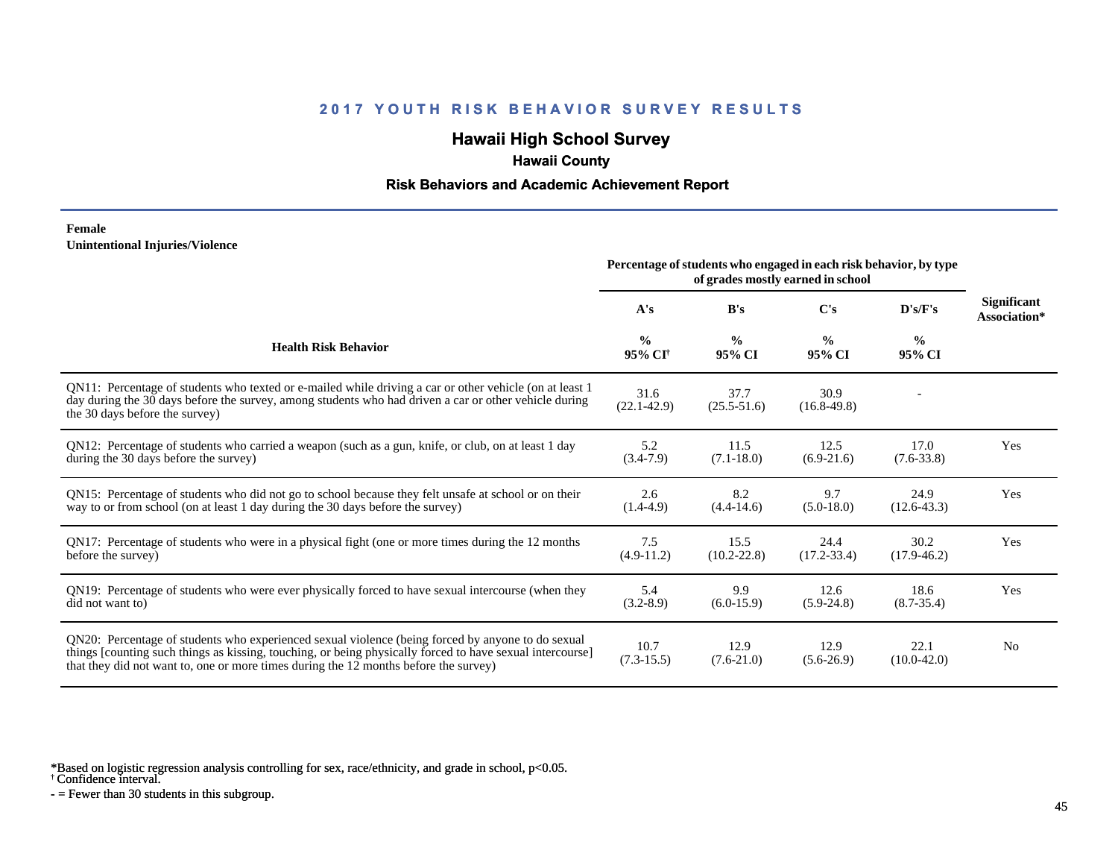## **Hawaii High School Survey**

## **Hawaii County**

### **Risk Behaviors and Academic Achievement Report**

#### **Female Unintentional Injuries/Violence**

|                                                                                                                                                                                                                                                                                                        | Percentage of students who engaged in each risk behavior, by type |                         |                         |                         |                                    |
|--------------------------------------------------------------------------------------------------------------------------------------------------------------------------------------------------------------------------------------------------------------------------------------------------------|-------------------------------------------------------------------|-------------------------|-------------------------|-------------------------|------------------------------------|
|                                                                                                                                                                                                                                                                                                        | A's                                                               | B's                     | C's                     | D's/F's                 | <b>Significant</b><br>Association* |
| <b>Health Risk Behavior</b>                                                                                                                                                                                                                                                                            | $\frac{0}{0}$<br>95% CI <sup>+</sup>                              | $\frac{0}{0}$<br>95% CI | $\frac{0}{0}$<br>95% CI | $\frac{0}{0}$<br>95% CI |                                    |
| QN11: Percentage of students who texted or e-mailed while driving a car or other vehicle (on at least 1)<br>day during the 30 days before the survey, among students who had driven a car or other vehicle during<br>the 30 days before the survey)                                                    | 31.6<br>$(22.1 - 42.9)$                                           | 37.7<br>$(25.5 - 51.6)$ | 30.9<br>$(16.8-49.8)$   |                         |                                    |
| QN12: Percentage of students who carried a weapon (such as a gun, knife, or club, on at least 1 day<br>during the 30 days before the survey)                                                                                                                                                           | 5.2<br>$(3.4-7.9)$                                                | 11.5<br>$(7.1 - 18.0)$  | 12.5<br>$(6.9-21.6)$    | 17.0<br>$(7.6 - 33.8)$  | Yes                                |
| QN15: Percentage of students who did not go to school because they felt unsafe at school or on their<br>way to or from school (on at least 1 day during the 30 days before the survey)                                                                                                                 | 2.6<br>$(1.4-4.9)$                                                | 8.2<br>$(4.4 - 14.6)$   | 9.7<br>$(5.0-18.0)$     | 24.9<br>$(12.6 - 43.3)$ | Yes                                |
| QN17: Percentage of students who were in a physical fight (one or more times during the 12 months<br>before the survey)                                                                                                                                                                                | 7.5<br>$(4.9-11.2)$                                               | 15.5<br>$(10.2 - 22.8)$ | 24.4<br>$(17.2 - 33.4)$ | 30.2<br>$(17.9 - 46.2)$ | Yes                                |
| QN19: Percentage of students who were ever physically forced to have sexual intercourse (when they<br>did not want to)                                                                                                                                                                                 | 5.4<br>$(3.2 - 8.9)$                                              | 9.9<br>$(6.0-15.9)$     | 12.6<br>$(5.9-24.8)$    | 18.6<br>$(8.7 - 35.4)$  | Yes                                |
| ON20: Percentage of students who experienced sexual violence (being forced by anyone to do sexual<br>things [counting such things as kissing, touching, or being physically forced to have sexual intercourse]<br>that they did not want to, one or more times during the 12 months before the survey) | 10.7<br>$(7.3-15.5)$                                              | 12.9<br>$(7.6-21.0)$    | 12.9<br>$(5.6-26.9)$    | 22.1<br>$(10.0-42.0)$   | N <sub>0</sub>                     |

\*Based on logistic regression analysis controlling for sex, race/ethnicity, and grade in school, p<0.05.

† Confidence interval.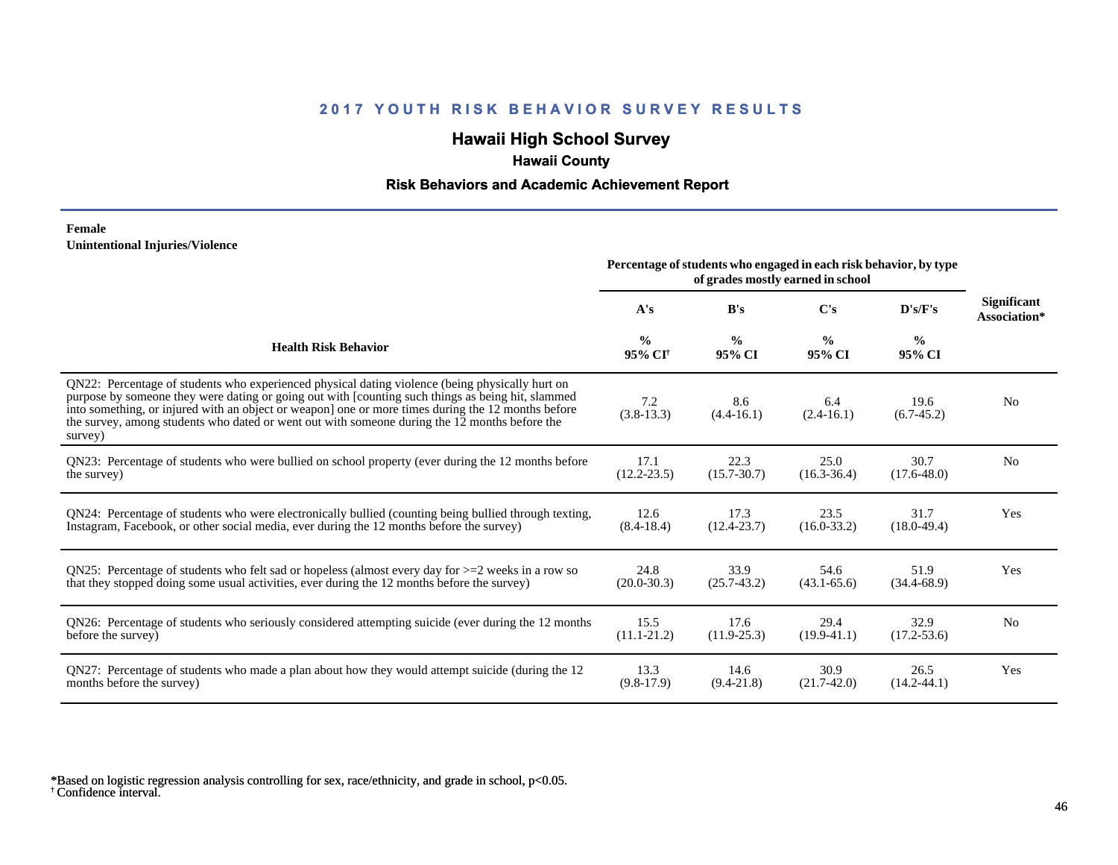## **Hawaii High School Survey**

## **Hawaii County**

## **Risk Behaviors and Academic Achievement Report**

#### **Female Unintentional Injuries/Violence**

|                                                                                                                                                                                                                                                                                                                                                                                                                        | Percentage of students who engaged in each risk behavior, by type<br>of grades mostly earned in school |                         |                         |                         |                                    |
|------------------------------------------------------------------------------------------------------------------------------------------------------------------------------------------------------------------------------------------------------------------------------------------------------------------------------------------------------------------------------------------------------------------------|--------------------------------------------------------------------------------------------------------|-------------------------|-------------------------|-------------------------|------------------------------------|
|                                                                                                                                                                                                                                                                                                                                                                                                                        | A's                                                                                                    | B's                     | C's                     | D's/F's                 | <b>Significant</b><br>Association* |
| <b>Health Risk Behavior</b>                                                                                                                                                                                                                                                                                                                                                                                            | $\frac{0}{0}$<br>95% CI <sup>+</sup>                                                                   | $\frac{0}{0}$<br>95% CI | $\frac{0}{0}$<br>95% CI | $\frac{6}{6}$<br>95% CI |                                    |
| QN22: Percentage of students who experienced physical dating violence (being physically hurt on<br>purpose by someone they were dating or going out with [counting such things as being hit, slammed<br>into something, or injured with an object or weapon] one or more times during the 12 months before<br>the survey, among students who dated or went out with someone during the 12 months before the<br>survey) | 7.2<br>$(3.8-13.3)$                                                                                    | 8.6<br>$(4.4 - 16.1)$   | 6.4<br>$(2.4-16.1)$     | 19.6<br>$(6.7-45.2)$    | N <sub>0</sub>                     |
| QN23: Percentage of students who were bullied on school property (ever during the 12 months before                                                                                                                                                                                                                                                                                                                     | 17.1                                                                                                   | 22.3                    | 25.0                    | 30.7                    | N <sub>0</sub>                     |
| the survey)                                                                                                                                                                                                                                                                                                                                                                                                            | $(12.2 - 23.5)$                                                                                        | $(15.7 - 30.7)$         | $(16.3 - 36.4)$         | $(17.6 - 48.0)$         |                                    |
| QN24: Percentage of students who were electronically bullied (counting being bullied through texting,                                                                                                                                                                                                                                                                                                                  | 12.6                                                                                                   | 17.3                    | 23.5                    | 31.7                    | Yes                                |
| Instagram, Facebook, or other social media, ever during the 12 months before the survey)                                                                                                                                                                                                                                                                                                                               | $(8.4 - 18.4)$                                                                                         | $(12.4 - 23.7)$         | $(16.0 - 33.2)$         | $(18.0-49.4)$           |                                    |
| QN25: Percentage of students who felt sad or hopeless (almost every day for $>=$ 2 weeks in a row so                                                                                                                                                                                                                                                                                                                   | 24.8                                                                                                   | 33.9                    | 54.6                    | 51.9                    | Yes                                |
| that they stopped doing some usual activities, ever during the 12 months before the survey)                                                                                                                                                                                                                                                                                                                            | $(20.0 - 30.3)$                                                                                        | $(25.7-43.2)$           | $(43.1 - 65.6)$         | $(34.4 - 68.9)$         |                                    |
| QN26: Percentage of students who seriously considered attempting suicide (ever during the 12 months                                                                                                                                                                                                                                                                                                                    | 15.5                                                                                                   | 17.6                    | 29.4                    | 32.9                    | N <sub>0</sub>                     |
| before the survey)                                                                                                                                                                                                                                                                                                                                                                                                     | $(11.1 - 21.2)$                                                                                        | $(11.9 - 25.3)$         | $(19.9-41.1)$           | $(17.2 - 53.6)$         |                                    |
| QN27: Percentage of students who made a plan about how they would attempt suicide (during the 12                                                                                                                                                                                                                                                                                                                       | 13.3                                                                                                   | 14.6                    | 30.9                    | 26.5                    | Yes                                |
| months before the survey)                                                                                                                                                                                                                                                                                                                                                                                              | $(9.8-17.9)$                                                                                           | $(9.4 - 21.8)$          | $(21.7-42.0)$           | $(14.2 - 44.1)$         |                                    |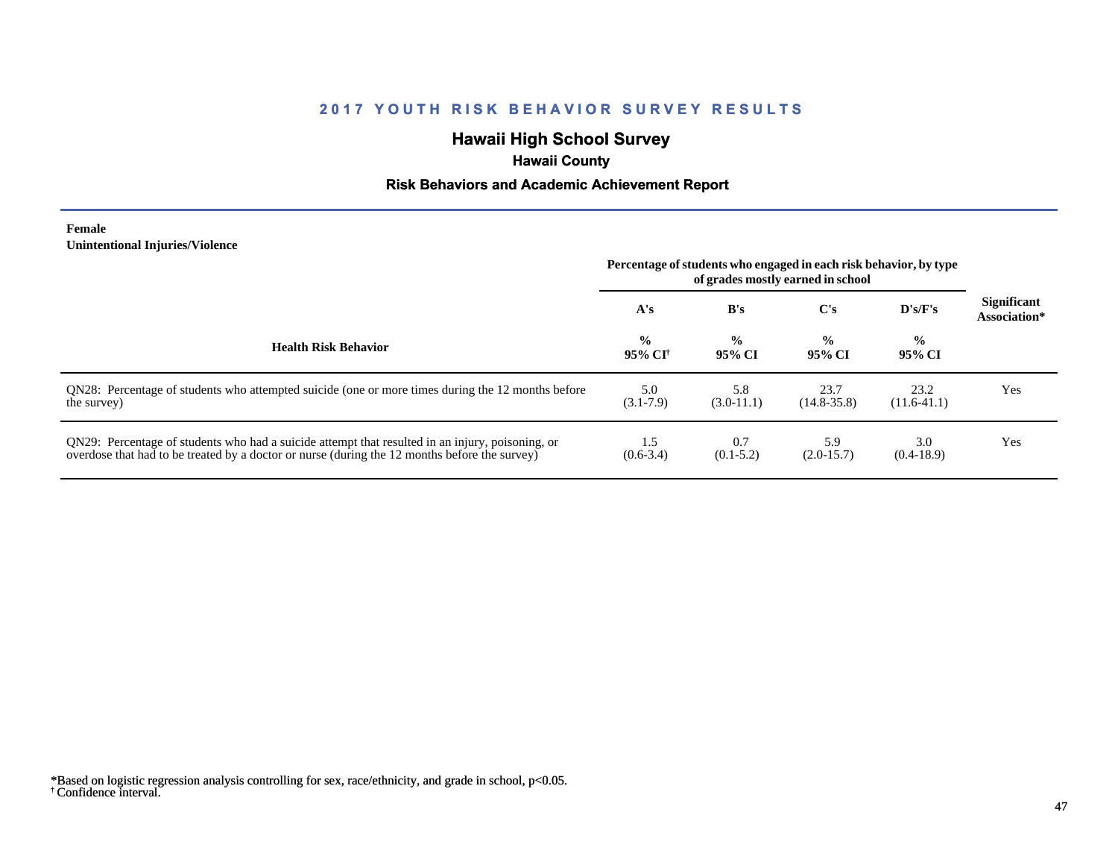## **Hawaii High School Survey**

# **Hawaii County**

## **Risk Behaviors and Academic Achievement Report**

#### **Female Unintentional Injuries/Violence**

|                                                                                                                                                                                                   | Percentage of students who engaged in each risk behavior, by type<br>of grades mostly earned in school |                         |                         |                          |                                    |
|---------------------------------------------------------------------------------------------------------------------------------------------------------------------------------------------------|--------------------------------------------------------------------------------------------------------|-------------------------|-------------------------|--------------------------|------------------------------------|
|                                                                                                                                                                                                   | A's                                                                                                    | B's                     | $\bf C's$               | $\bf{D}$ 's/ $\bf{F}$ 's | <b>Significant</b><br>Association* |
| <b>Health Risk Behavior</b>                                                                                                                                                                       | $\frac{0}{0}$<br>-95% CF                                                                               | $\frac{0}{0}$<br>95% CI | $\frac{0}{0}$<br>95% CI | $\frac{0}{0}$<br>95% CI  |                                    |
| QN28: Percentage of students who attempted suicide (one or more times during the 12 months before<br>the survey)                                                                                  | 5.0<br>$(3.1 - 7.9)$                                                                                   | 5.8<br>$(3.0-11.1)$     | 23.7<br>$(14.8 - 35.8)$ | 23.2<br>$(11.6-41.1)$    | Yes                                |
| QN29: Percentage of students who had a suicide attempt that resulted in an injury, poisoning, or<br>overdose that had to be treated by a doctor or nurse (during the 12 months before the survey) | 1.5<br>$(0.6-3.4)$                                                                                     | 0.7<br>$(0.1-5.2)$      | 5.9<br>$(2.0-15.7)$     | 3.0<br>$(0.4-18.9)$      | Yes                                |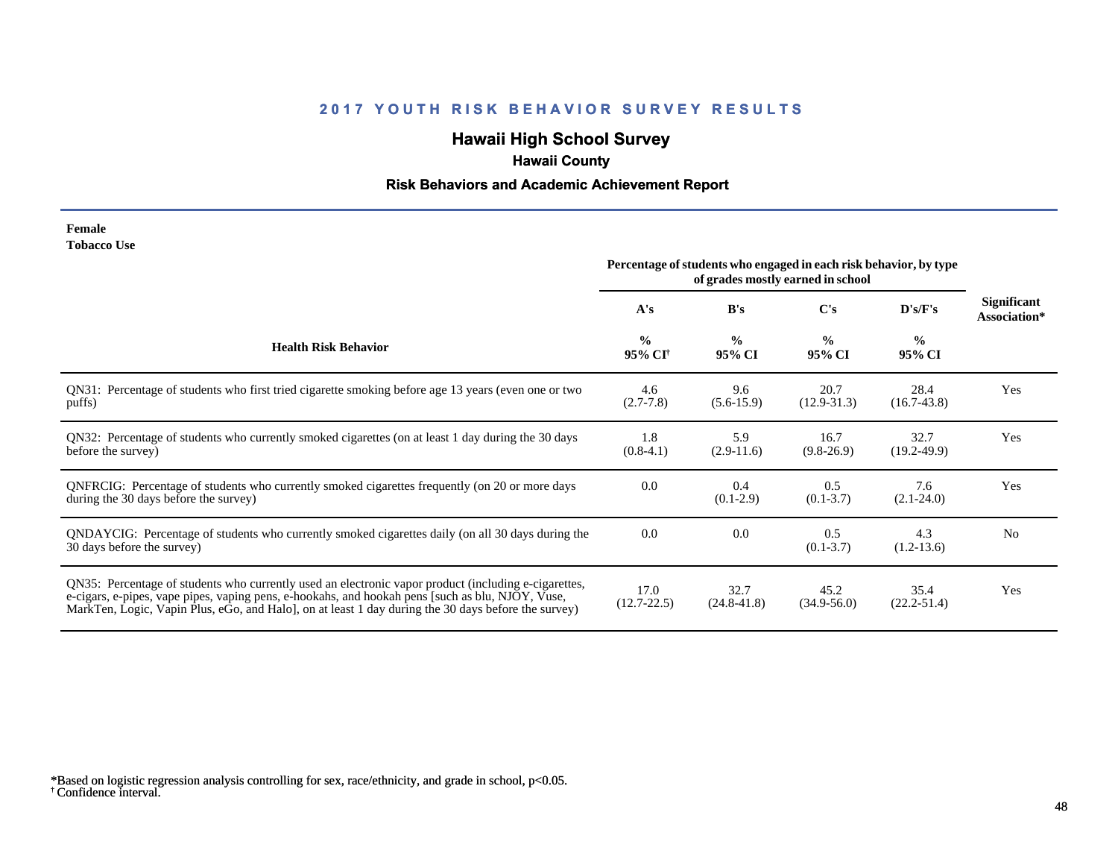# **Hawaii High School Survey**

# **Hawaii County**

## **Risk Behaviors and Academic Achievement Report**

| Female             |  |
|--------------------|--|
| <b>Tobacco Use</b> |  |

|                                                                                                                                                                                                                                                                                                                | Percentage of students who engaged in each risk behavior, by type<br>of grades mostly earned in school |                         |                         |                         |                                    |
|----------------------------------------------------------------------------------------------------------------------------------------------------------------------------------------------------------------------------------------------------------------------------------------------------------------|--------------------------------------------------------------------------------------------------------|-------------------------|-------------------------|-------------------------|------------------------------------|
|                                                                                                                                                                                                                                                                                                                | A's                                                                                                    | B's                     | C's                     | D's/F's                 | <b>Significant</b><br>Association* |
| <b>Health Risk Behavior</b>                                                                                                                                                                                                                                                                                    | $\frac{0}{0}$<br>95% CI <sup>+</sup>                                                                   | $\frac{6}{6}$<br>95% CI | $\frac{0}{0}$<br>95% CI | $\frac{0}{0}$<br>95% CI |                                    |
| QN31: Percentage of students who first tried cigarette smoking before age 13 years (even one or two<br>puffs)                                                                                                                                                                                                  | 4.6<br>$(2.7 - 7.8)$                                                                                   | 9.6<br>$(5.6-15.9)$     | 20.7<br>$(12.9 - 31.3)$ | 28.4<br>$(16.7-43.8)$   | Yes                                |
| QN32: Percentage of students who currently smoked cigarettes (on at least 1 day during the 30 days<br>before the survey)                                                                                                                                                                                       | 1.8<br>$(0.8-4.1)$                                                                                     | 5.9<br>$(2.9-11.6)$     | 16.7<br>$(9.8-26.9)$    | 32.7<br>$(19.2 - 49.9)$ | Yes                                |
| QNFRCIG: Percentage of students who currently smoked cigarettes frequently (on 20 or more days<br>during the 30 days before the survey)                                                                                                                                                                        | 0.0                                                                                                    | 0.4<br>$(0.1-2.9)$      | 0.5<br>$(0.1 - 3.7)$    | 7.6<br>$(2.1 - 24.0)$   | Yes                                |
| QNDAYCIG: Percentage of students who currently smoked cigarettes daily (on all 30 days during the<br>30 days before the survey)                                                                                                                                                                                | 0.0                                                                                                    | 0.0                     | 0.5<br>$(0.1 - 3.7)$    | 4.3<br>$(1.2-13.6)$     | N <sub>0</sub>                     |
| QN35: Percentage of students who currently used an electronic vapor product (including e-cigarettes,<br>e-cigars, e-pipes, vape pipes, vaping pens, e-hookahs, and hookah pens [such as blu, NJOY, Vuse,<br>MarkTen, Logic, Vapin Plus, eGo, and Halo, on at least 1 day during the 30 days before the survey) | 17.0<br>$(12.7 - 22.5)$                                                                                | 32.7<br>$(24.8 - 41.8)$ | 45.2<br>$(34.9 - 56.0)$ | 35.4<br>$(22.2 - 51.4)$ | Yes                                |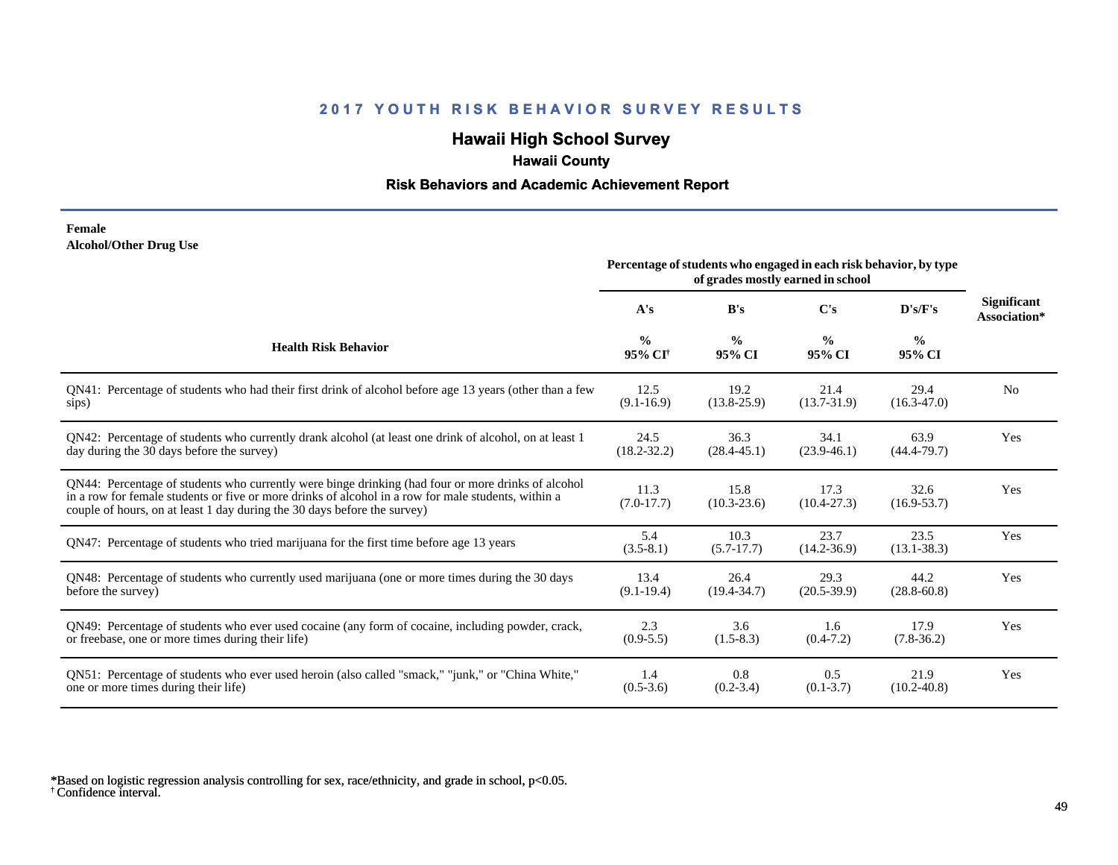## **Hawaii High School Survey**

## **Hawaii County**

## **Risk Behaviors and Academic Achievement Report**

#### **Female Alcohol/Other Drug Use**

|                                                                                                                                                                                                                                                                                       | Percentage of students who engaged in each risk behavior, by type<br>of grades mostly earned in school |                         |                         |                         |                                    |
|---------------------------------------------------------------------------------------------------------------------------------------------------------------------------------------------------------------------------------------------------------------------------------------|--------------------------------------------------------------------------------------------------------|-------------------------|-------------------------|-------------------------|------------------------------------|
|                                                                                                                                                                                                                                                                                       | A's                                                                                                    | B's                     | C's                     | D's/F's                 | <b>Significant</b><br>Association* |
| <b>Health Risk Behavior</b>                                                                                                                                                                                                                                                           | $\frac{0}{0}$<br>95% CI <sup>+</sup>                                                                   | $\frac{0}{0}$<br>95% CI | $\frac{0}{0}$<br>95% CI | $\frac{0}{0}$<br>95% CI |                                    |
| QN41: Percentage of students who had their first drink of alcohol before age 13 years (other than a few                                                                                                                                                                               | 12.5                                                                                                   | 19.2                    | 21.4                    | 29.4                    | N <sub>0</sub>                     |
| sips)                                                                                                                                                                                                                                                                                 | $(9.1 - 16.9)$                                                                                         | $(13.8 - 25.9)$         | $(13.7 - 31.9)$         | $(16.3 - 47.0)$         |                                    |
| QN42: Percentage of students who currently drank alcohol (at least one drink of alcohol, on at least 1                                                                                                                                                                                | 24.5                                                                                                   | 36.3                    | 34.1                    | 63.9                    | Yes                                |
| day during the 30 days before the survey)                                                                                                                                                                                                                                             | $(18.2 - 32.2)$                                                                                        | $(28.4 - 45.1)$         | $(23.9-46.1)$           | $(44.4 - 79.7)$         |                                    |
| QN44: Percentage of students who currently were binge drinking (had four or more drinks of alcohol<br>in a row for female students or five or more drinks of alcohol in a row for male students, within a<br>couple of hours, on at least 1 day during the 30 days before the survey) | 11.3<br>$(7.0-17.7)$                                                                                   | 15.8<br>$(10.3 - 23.6)$ | 17.3<br>$(10.4 - 27.3)$ | 32.6<br>$(16.9 - 53.7)$ | Yes                                |
| QN47: Percentage of students who tried marijuana for the first time before age 13 years                                                                                                                                                                                               | 5.4<br>$(3.5-8.1)$                                                                                     | 10.3<br>$(5.7-17.7)$    | 23.7<br>$(14.2 - 36.9)$ | 23.5<br>$(13.1 - 38.3)$ | Yes                                |
| QN48: Percentage of students who currently used marijuana (one or more times during the 30 days                                                                                                                                                                                       | 13.4                                                                                                   | 26.4                    | 29.3                    | 44.2                    | Yes                                |
| before the survey)                                                                                                                                                                                                                                                                    | $(9.1-19.4)$                                                                                           | $(19.4 - 34.7)$         | $(20.5-39.9)$           | $(28.8 - 60.8)$         |                                    |
| QN49: Percentage of students who ever used cocaine (any form of cocaine, including powder, crack,                                                                                                                                                                                     | 2.3                                                                                                    | 3.6                     | 1.6                     | 17.9                    | Yes                                |
| or freebase, one or more times during their life)                                                                                                                                                                                                                                     | $(0.9-5.5)$                                                                                            | $(1.5-8.3)$             | $(0.4 - 7.2)$           | $(7.8-36.2)$            |                                    |
| ON51: Percentage of students who ever used heroin (also called "smack," "junk," or "China White,"                                                                                                                                                                                     | 1.4                                                                                                    | 0.8                     | 0.5                     | 21.9                    | Yes                                |
| one or more times during their life)                                                                                                                                                                                                                                                  | $(0.5 - 3.6)$                                                                                          | $(0.2 - 3.4)$           | $(0.1 - 3.7)$           | $(10.2 - 40.8)$         |                                    |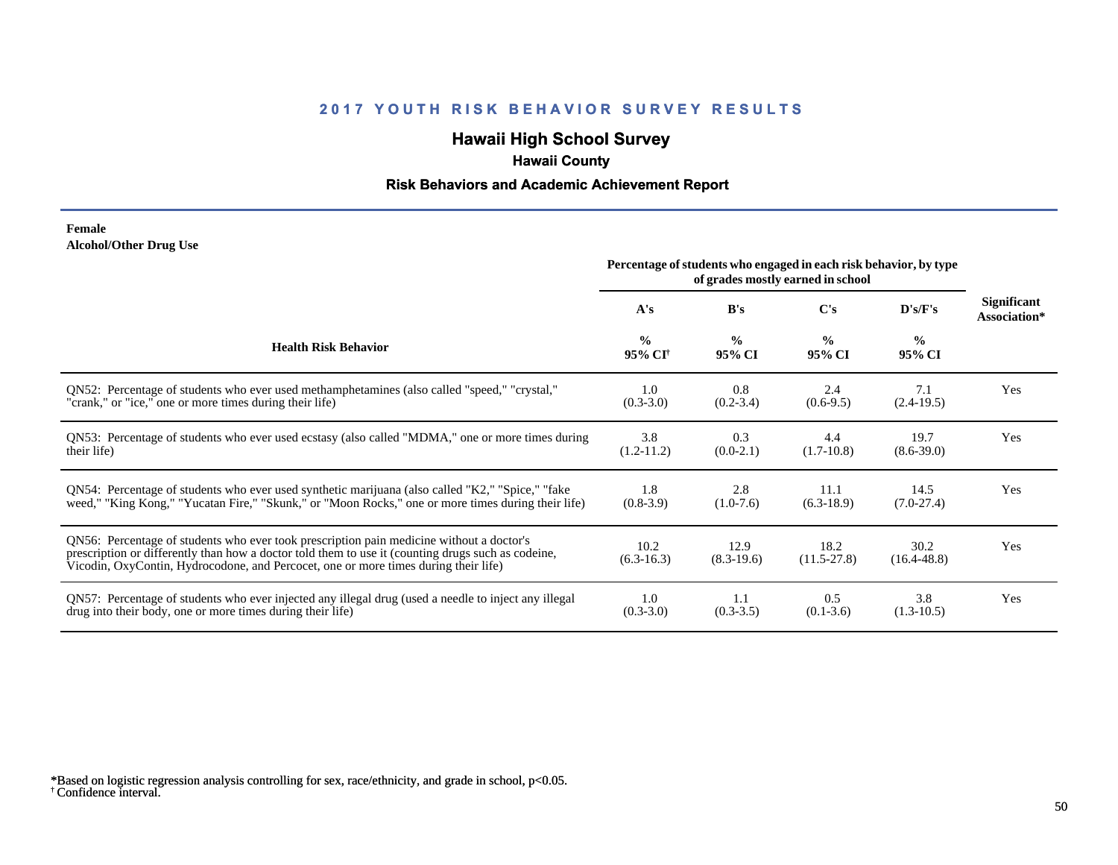## **Hawaii High School Survey**

## **Hawaii County**

## **Risk Behaviors and Academic Achievement Report**

#### **Female Alcohol/Other Drug Use**

|                                                                                                                                                                                                                                                                                       | Percentage of students who engaged in each risk behavior, by type<br>of grades mostly earned in school |                         |                         |                         |                                    |
|---------------------------------------------------------------------------------------------------------------------------------------------------------------------------------------------------------------------------------------------------------------------------------------|--------------------------------------------------------------------------------------------------------|-------------------------|-------------------------|-------------------------|------------------------------------|
|                                                                                                                                                                                                                                                                                       | A's                                                                                                    | B's                     | C's                     | D's/F's                 | <b>Significant</b><br>Association* |
| <b>Health Risk Behavior</b>                                                                                                                                                                                                                                                           | $\frac{0}{0}$<br>95% CI <sup>+</sup>                                                                   | $\frac{0}{0}$<br>95% CI | $\frac{0}{0}$<br>95% CI | $\frac{0}{0}$<br>95% CI |                                    |
| ON52: Percentage of students who ever used methamphetamines (also called "speed," "crystal,"                                                                                                                                                                                          | 1.0                                                                                                    | 0.8                     | 2.4                     | 7.1                     | Yes                                |
| "crank," or "ice," one or more times during their life)                                                                                                                                                                                                                               | $(0.3-3.0)$                                                                                            | $(0.2 - 3.4)$           | $(0.6-9.5)$             | $(2.4-19.5)$            |                                    |
| QN53: Percentage of students who ever used ecstasy (also called "MDMA," one or more times during                                                                                                                                                                                      | 3.8                                                                                                    | 0.3                     | 4.4                     | 19.7                    | Yes                                |
| their life)                                                                                                                                                                                                                                                                           | $(1.2-11.2)$                                                                                           | $(0.0-2.1)$             | $(1.7-10.8)$            | $(8.6 - 39.0)$          |                                    |
| ON54: Percentage of students who ever used synthetic marijuana (also called "K2," "Spice," "fake                                                                                                                                                                                      | 1.8                                                                                                    | 2.8                     | 11.1                    | 14.5                    | Yes                                |
| weed," "King Kong," "Yucatan Fire," "Skunk," or "Moon Rocks," one or more times during their life)                                                                                                                                                                                    | $(0.8-3.9)$                                                                                            | $(1.0-7.6)$             | $(6.3-18.9)$            | $(7.0-27.4)$            |                                    |
| QN56: Percentage of students who ever took prescription pain medicine without a doctor's<br>prescription or differently than how a doctor told them to use it (counting drugs such as codeine,<br>Vicodin, OxyContin, Hydrocodone, and Percocet, one or more times during their life) | 10.2<br>$(6.3-16.3)$                                                                                   | 12.9<br>$(8.3-19.6)$    | 18.2<br>$(11.5 - 27.8)$ | 30.2<br>$(16.4 - 48.8)$ | Yes                                |
| QN57: Percentage of students who ever injected any illegal drug (used a needle to inject any illegal                                                                                                                                                                                  | 1.0                                                                                                    | 1.1                     | 0.5                     | 3.8                     | Yes                                |
| drug into their body, one or more times during their life)                                                                                                                                                                                                                            | $(0.3 - 3.0)$                                                                                          | $(0.3-3.5)$             | $(0.1 - 3.6)$           | $(1.3-10.5)$            |                                    |

<sup>†</sup> Confidence interval. \*Based on logistic regression analysis controlling for sex, race/ethnicity, and grade in school, p<0.05.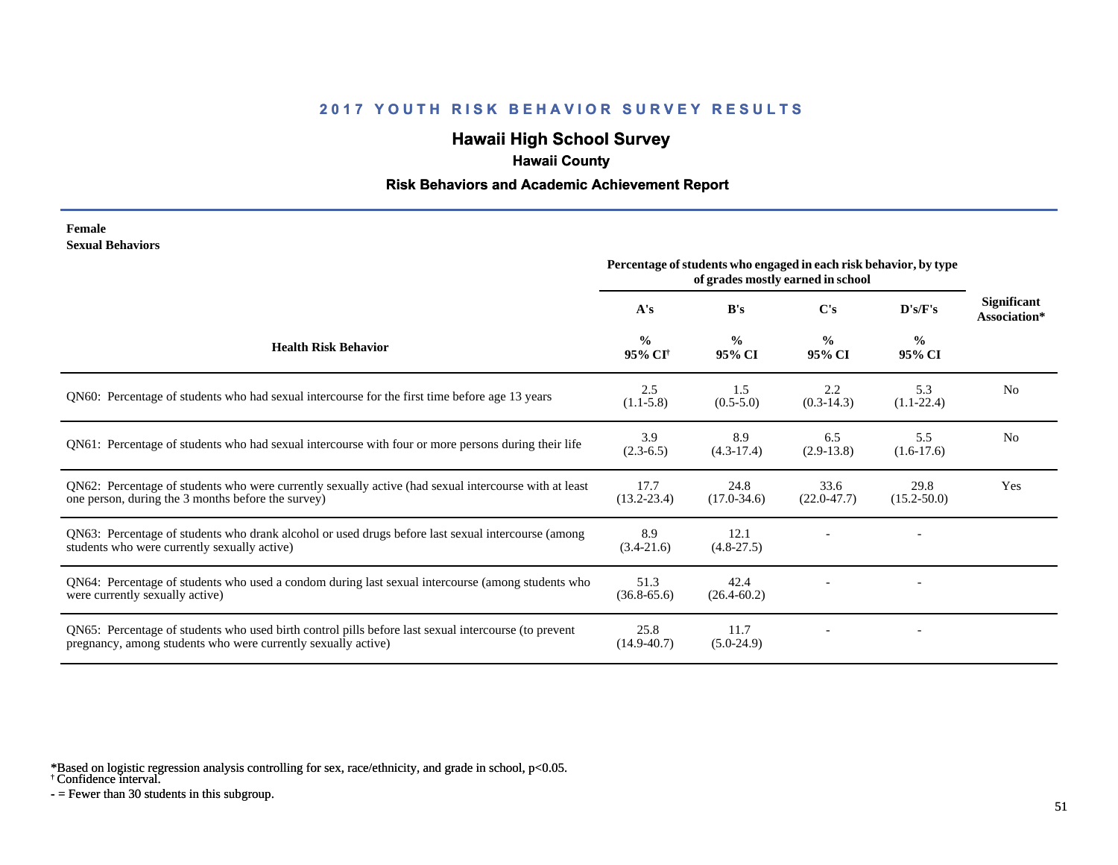# **Hawaii High School Survey**

## **Hawaii County**

### **Risk Behaviors and Academic Achievement Report**

#### **Female Sexual Behaviors**

|                                                                                                                                                                       | Percentage of students who engaged in each risk behavior, by type<br>of grades mostly earned in school |                         |                         |                         |                                    |
|-----------------------------------------------------------------------------------------------------------------------------------------------------------------------|--------------------------------------------------------------------------------------------------------|-------------------------|-------------------------|-------------------------|------------------------------------|
|                                                                                                                                                                       | A's                                                                                                    | B's                     | C's                     | D's/F's                 | <b>Significant</b><br>Association* |
| <b>Health Risk Behavior</b>                                                                                                                                           | $\frac{0}{0}$<br>95% CI <sup>+</sup>                                                                   | $\frac{0}{0}$<br>95% CI | $\frac{0}{0}$<br>95% CI | $\frac{0}{0}$<br>95% CI |                                    |
| QN60: Percentage of students who had sexual intercourse for the first time before age 13 years                                                                        | 2.5<br>$(1.1-5.8)$                                                                                     | 1.5<br>$(0.5-5.0)$      | 2.2<br>$(0.3-14.3)$     | 5.3<br>$(1.1-22.4)$     | N <sub>o</sub>                     |
| QN61: Percentage of students who had sexual intercourse with four or more persons during their life                                                                   | 3.9<br>$(2.3-6.5)$                                                                                     | 8.9<br>$(4.3-17.4)$     | 6.5<br>$(2.9-13.8)$     | 5.5<br>$(1.6-17.6)$     | N <sub>o</sub>                     |
| QN62: Percentage of students who were currently sexually active (had sexual intercourse with at least<br>one person, during the 3 months before the survey)           | 17.7<br>$(13.2 - 23.4)$                                                                                | 24.8<br>$(17.0 - 34.6)$ | 33.6<br>$(22.0 - 47.7)$ | 29.8<br>$(15.2 - 50.0)$ | Yes                                |
| QN63: Percentage of students who drank alcohol or used drugs before last sexual intercourse (among<br>students who were currently sexually active)                    | 8.9<br>$(3.4-21.6)$                                                                                    | 12.1<br>$(4.8-27.5)$    |                         |                         |                                    |
| QN64: Percentage of students who used a condom during last sexual intercourse (among students who<br>were currently sexually active)                                  | 51.3<br>$(36.8 - 65.6)$                                                                                | 42.4<br>$(26.4 - 60.2)$ |                         |                         |                                    |
| QN65: Percentage of students who used birth control pills before last sexual intercourse (to prevent<br>pregnancy, among students who were currently sexually active) | 25.8<br>$(14.9 - 40.7)$                                                                                | 11.7<br>$(5.0-24.9)$    |                         |                         |                                    |

\*Based on logistic regression analysis controlling for sex, race/ethnicity, and grade in school, p<0.05.

† Confidence interval.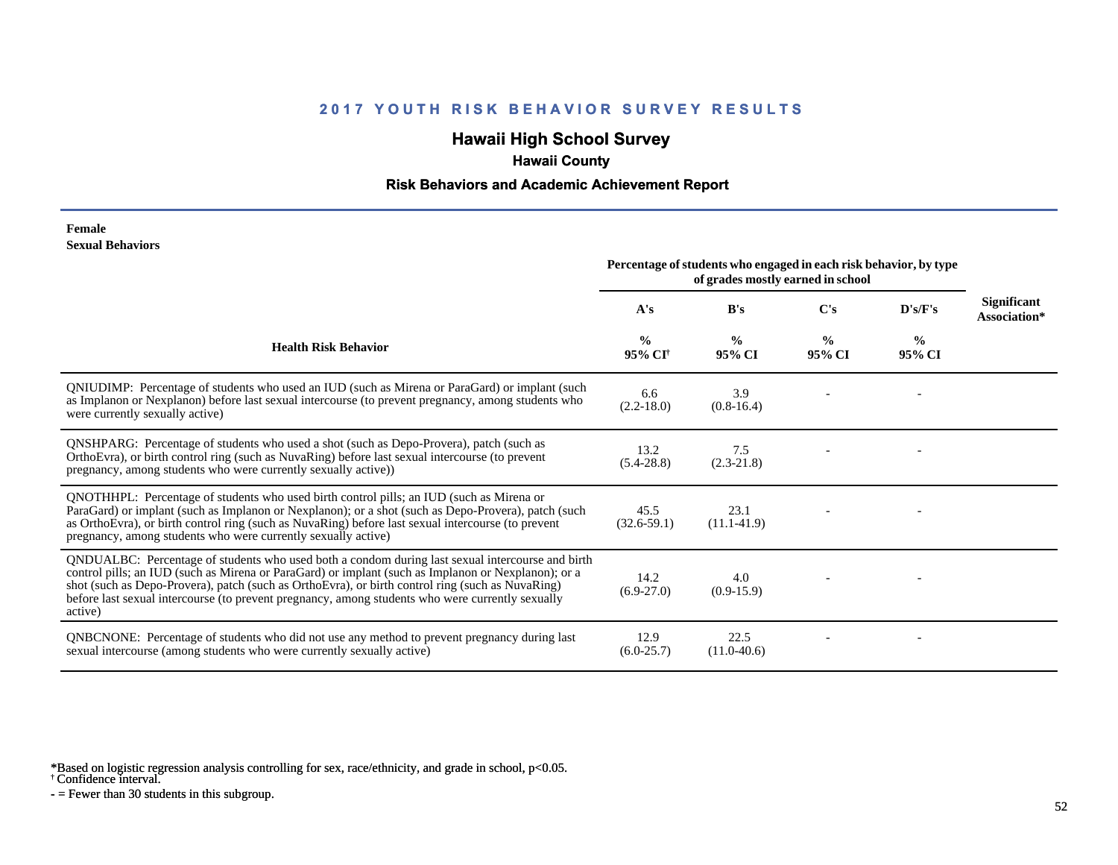## **Hawaii High School Survey**

## **Hawaii County**

### **Risk Behaviors and Academic Achievement Report**

#### **Female Sexual Behaviors**

|                                                                                                                                                                                                                                                                                                                                                                                                                            | Percentage of students who engaged in each risk behavior, by type<br>of grades mostly earned in school |                         |                         |                         |                             |
|----------------------------------------------------------------------------------------------------------------------------------------------------------------------------------------------------------------------------------------------------------------------------------------------------------------------------------------------------------------------------------------------------------------------------|--------------------------------------------------------------------------------------------------------|-------------------------|-------------------------|-------------------------|-----------------------------|
|                                                                                                                                                                                                                                                                                                                                                                                                                            | A's                                                                                                    | B's                     | C's                     | D's/F's                 | Significant<br>Association* |
| <b>Health Risk Behavior</b>                                                                                                                                                                                                                                                                                                                                                                                                | $\frac{0}{0}$<br>95% CI <sup>+</sup>                                                                   | $\frac{0}{0}$<br>95% CI | $\frac{0}{0}$<br>95% CI | $\frac{6}{9}$<br>95% CI |                             |
| QNIUDIMP: Percentage of students who used an IUD (such as Mirena or ParaGard) or implant (such<br>as Implanon or Nexplanon) before last sexual intercourse (to prevent pregnancy, among students who<br>were currently sexually active)                                                                                                                                                                                    | 6.6<br>$(2.2 - 18.0)$                                                                                  | 3.9<br>$(0.8-16.4)$     |                         |                         |                             |
| <b>QNSHPARG:</b> Percentage of students who used a shot (such as Depo-Provera), patch (such as<br>OrthoEvra), or birth control ring (such as NuvaRing) before last sexual intercourse (to prevent<br>pregnancy, among students who were currently sexually active))                                                                                                                                                        | 13.2<br>$(5.4 - 28.8)$                                                                                 | 7.5<br>$(2.3-21.8)$     |                         |                         |                             |
| QNOTHHPL: Percentage of students who used birth control pills; an IUD (such as Mirena or<br>ParaGard) or implant (such as Implanon or Nexplanon); or a shot (such as Depo-Provera), patch (such<br>as OrthoEvra), or birth control ring (such as NuvaRing) before last sexual intercourse (to prevent<br>pregnancy, among students who were currently sexually active)                                                     | 45.5<br>$(32.6-59.1)$                                                                                  | 23.1<br>$(11.1-41.9)$   |                         |                         |                             |
| QNDUALBC: Percentage of students who used both a condom during last sexual intercourse and birth<br>control pills; an IUD (such as Mirena or ParaGard) or implant (such as Implanon or Nexplanon); or a<br>shot (such as Depo-Provera), patch (such as OrthoEvra), or birth control ring (such as NuvaRing)<br>before last sexual intercourse (to prevent pregnancy, among students who were currently sexually<br>active) | 14.2<br>$(6.9-27.0)$                                                                                   | 4.0<br>$(0.9-15.9)$     |                         |                         |                             |
| QNBCNONE: Percentage of students who did not use any method to prevent pregnancy during last<br>sexual intercourse (among students who were currently sexually active)                                                                                                                                                                                                                                                     | 12.9<br>$(6.0-25.7)$                                                                                   | 22.5<br>$(11.0-40.6)$   |                         |                         |                             |

\*Based on logistic regression analysis controlling for sex, race/ethnicity, and grade in school, p<0.05.

† Confidence interval.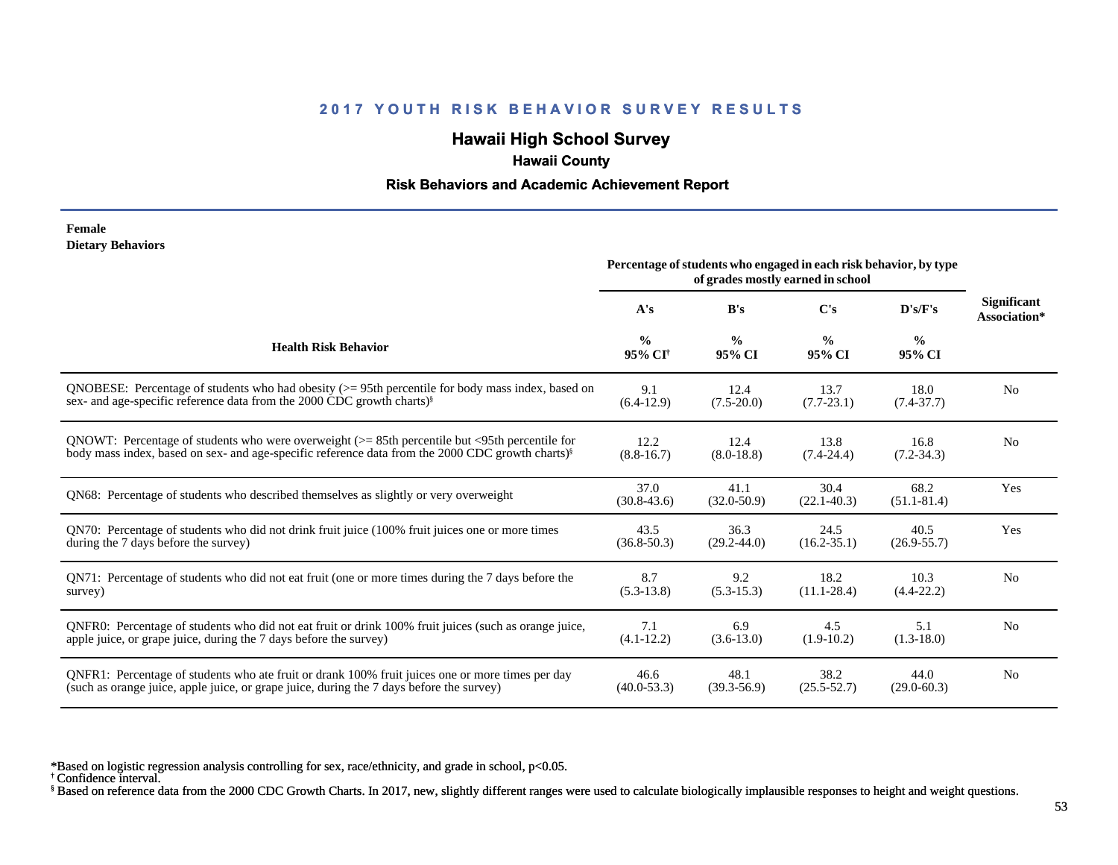## **Hawaii High School Survey**

## **Hawaii County**

### **Risk Behaviors and Academic Achievement Report**

#### **Female Dietary Behaviors**

|                                                                                                              | Percentage of students who engaged in each risk behavior, by type |                         |                         |                         |                                    |
|--------------------------------------------------------------------------------------------------------------|-------------------------------------------------------------------|-------------------------|-------------------------|-------------------------|------------------------------------|
|                                                                                                              | A's                                                               | B's                     | $\bf C's$               | D's/F's                 | <b>Significant</b><br>Association* |
| <b>Health Risk Behavior</b>                                                                                  | $\frac{0}{0}$<br>95% CI <sup>†</sup>                              | $\frac{0}{0}$<br>95% CI | $\frac{0}{0}$<br>95% CI | $\frac{6}{6}$<br>95% CI |                                    |
| ONOBESE: Percentage of students who had obesity $(>= 95$ th percentile for body mass index, based on         | 9.1                                                               | 12.4                    | 13.7                    | 18.0                    | N <sub>o</sub>                     |
| sex- and age-specific reference data from the 2000 CDC growth charts) <sup>§</sup>                           | $(6.4-12.9)$                                                      | $(7.5 - 20.0)$          | $(7.7-23.1)$            | $(7.4 - 37.7)$          |                                    |
| QNOWT: Percentage of students who were overweight $(>= 85$ th percentile but $\leq$ 95th percentile for      | 12.2                                                              | 12.4                    | 13.8                    | 16.8                    | N <sub>o</sub>                     |
| body mass index, based on sex- and age-specific reference data from the 2000 CDC growth charts) <sup>§</sup> | $(8.8 - 16.7)$                                                    | $(8.0-18.8)$            | $(7.4 - 24.4)$          | $(7.2 - 34.3)$          |                                    |
| QN68: Percentage of students who described themselves as slightly or very overweight                         | 37.0<br>$(30.8 - 43.6)$                                           | 41.1<br>$(32.0 - 50.9)$ | 30.4<br>$(22.1 - 40.3)$ | 68.2<br>$(51.1 - 81.4)$ | Yes                                |
| QN70: Percentage of students who did not drink fruit juice (100% fruit juices one or more times              | 43.5                                                              | 36.3                    | 24.5                    | 40.5                    | Yes                                |
| during the 7 days before the survey)                                                                         | $(36.8 - 50.3)$                                                   | $(29.2 - 44.0)$         | $(16.2 - 35.1)$         | $(26.9 - 55.7)$         |                                    |
| QN71: Percentage of students who did not eat fruit (one or more times during the 7 days before the           | 8.7                                                               | 9.2                     | 18.2                    | 10.3                    | N <sub>0</sub>                     |
| survey)                                                                                                      | $(5.3-13.8)$                                                      | $(5.3 - 15.3)$          | $(11.1 - 28.4)$         | $(4.4 - 22.2)$          |                                    |
| ONFR0: Percentage of students who did not eat fruit or drink 100% fruit juices (such as orange juice,        | 7.1                                                               | 6.9                     | 4.5                     | 5.1                     | N <sub>0</sub>                     |
| apple juice, or grape juice, during the 7 days before the survey)                                            | $(4.1 - 12.2)$                                                    | $(3.6-13.0)$            | $(1.9-10.2)$            | $(1.3-18.0)$            |                                    |
| QNFR1: Percentage of students who ate fruit or drank 100% fruit juices one or more times per day             | 46.6                                                              | 48.1                    | 38.2                    | 44.0                    | N <sub>o</sub>                     |
| (such as orange juice, apple juice, or grape juice, during the 7 days before the survey)                     | $(40.0 - 53.3)$                                                   | $(39.3 - 56.9)$         | $(25.5 - 52.7)$         | $(29.0 - 60.3)$         |                                    |

\*Based on logistic regression analysis controlling for sex, race/ethnicity, and grade in school, p<0.05.

† Confidence interval.

§ Based on reference data from the 2000 CDC Growth Charts. In 2017, new, slightly different ranges were used to calculate biologically implausible responses to height and weight questions.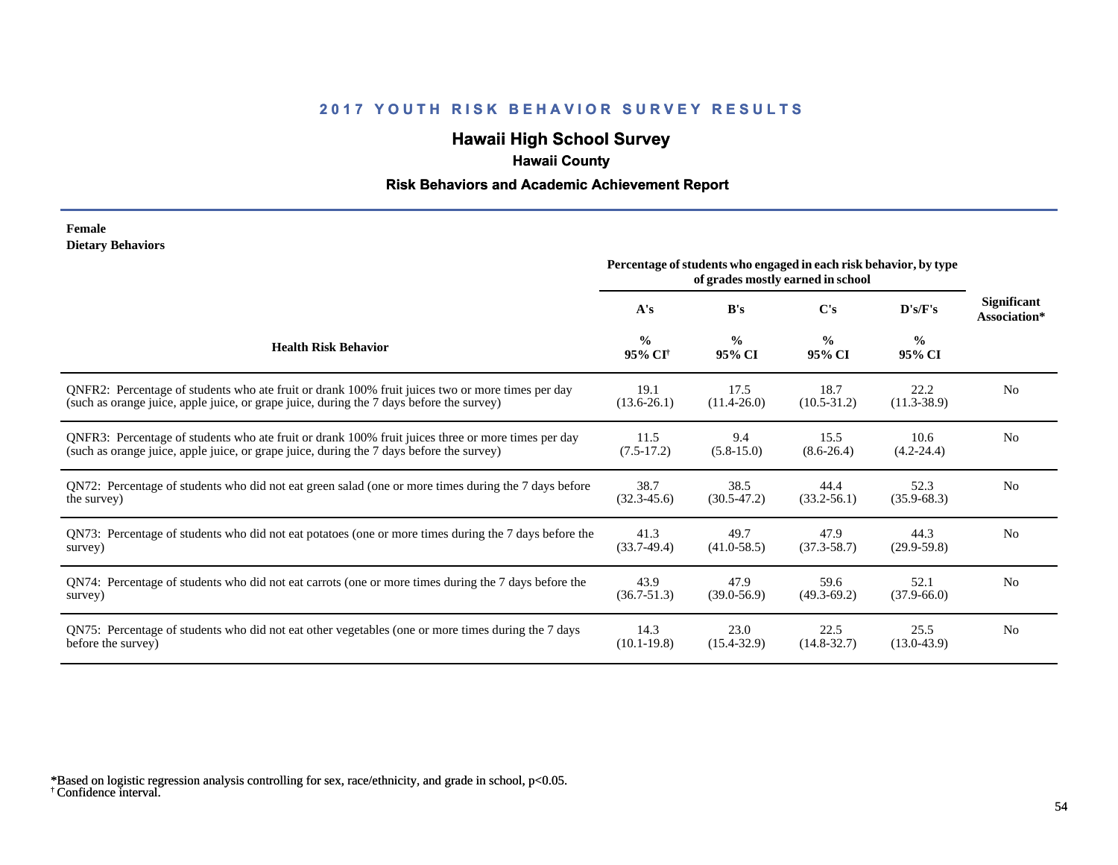# **Hawaii High School Survey**

## **Hawaii County**

## **Risk Behaviors and Academic Achievement Report**

#### **Female Dietary Behaviors**

|                                                                                                       | Percentage of students who engaged in each risk behavior, by type<br>of grades mostly earned in school |                         |                         |                         |                             |
|-------------------------------------------------------------------------------------------------------|--------------------------------------------------------------------------------------------------------|-------------------------|-------------------------|-------------------------|-----------------------------|
|                                                                                                       | A's                                                                                                    | B's                     | C's                     | D's/F's                 | Significant<br>Association* |
| <b>Health Risk Behavior</b>                                                                           | $\frac{0}{0}$<br>95% CI <sup>+</sup>                                                                   | $\frac{0}{0}$<br>95% CI | $\frac{0}{0}$<br>95% CI | $\frac{0}{0}$<br>95% CI |                             |
| ONFR2: Percentage of students who ate fruit or drank 100% fruit juices two or more times per day      | 19.1                                                                                                   | 17.5                    | 18.7                    | 22.2                    | N <sub>0</sub>              |
| (such as orange juice, apple juice, or grape juice, during the 7 days before the survey)              | $(13.6-26.1)$                                                                                          | $(11.4 - 26.0)$         | $(10.5 - 31.2)$         | $(11.3 - 38.9)$         |                             |
| QNFR3: Percentage of students who ate fruit or drank 100% fruit juices three or more times per day    | 11.5                                                                                                   | 9.4                     | 15.5                    | 10.6                    | N <sub>0</sub>              |
| (such as orange juice, apple juice, or grape juice, during the 7 days before the survey)              | $(7.5-17.2)$                                                                                           | $(5.8-15.0)$            | $(8.6 - 26.4)$          | $(4.2 - 24.4)$          |                             |
| QN72: Percentage of students who did not eat green salad (one or more times during the 7 days before  | 38.7                                                                                                   | 38.5                    | 44.4                    | 52.3                    | N <sub>0</sub>              |
| the survey)                                                                                           | $(32.3 - 45.6)$                                                                                        | $(30.5 - 47.2)$         | $(33.2 - 56.1)$         | $(35.9 - 68.3)$         |                             |
| QN73: Percentage of students who did not eat potatoes (one or more times during the 7 days before the | 41.3                                                                                                   | 49.7                    | 47.9                    | 44.3                    | N <sub>0</sub>              |
| survey)                                                                                               | $(33.7-49.4)$                                                                                          | $(41.0 - 58.5)$         | $(37.3 - 58.7)$         | $(29.9-59.8)$           |                             |
| QN74: Percentage of students who did not eat carrots (one or more times during the 7 days before the  | 43.9                                                                                                   | 47.9                    | 59.6                    | 52.1                    | N <sub>0</sub>              |
| survey)                                                                                               | $(36.7 - 51.3)$                                                                                        | $(39.0 - 56.9)$         | $(49.3 - 69.2)$         | $(37.9 - 66.0)$         |                             |
| QN75: Percentage of students who did not eat other vegetables (one or more times during the 7 days    | 14.3                                                                                                   | 23.0                    | 22.5                    | 25.5                    | N <sub>0</sub>              |
| before the survey)                                                                                    | $(10.1 - 19.8)$                                                                                        | $(15.4 - 32.9)$         | $(14.8 - 32.7)$         | $(13.0-43.9)$           |                             |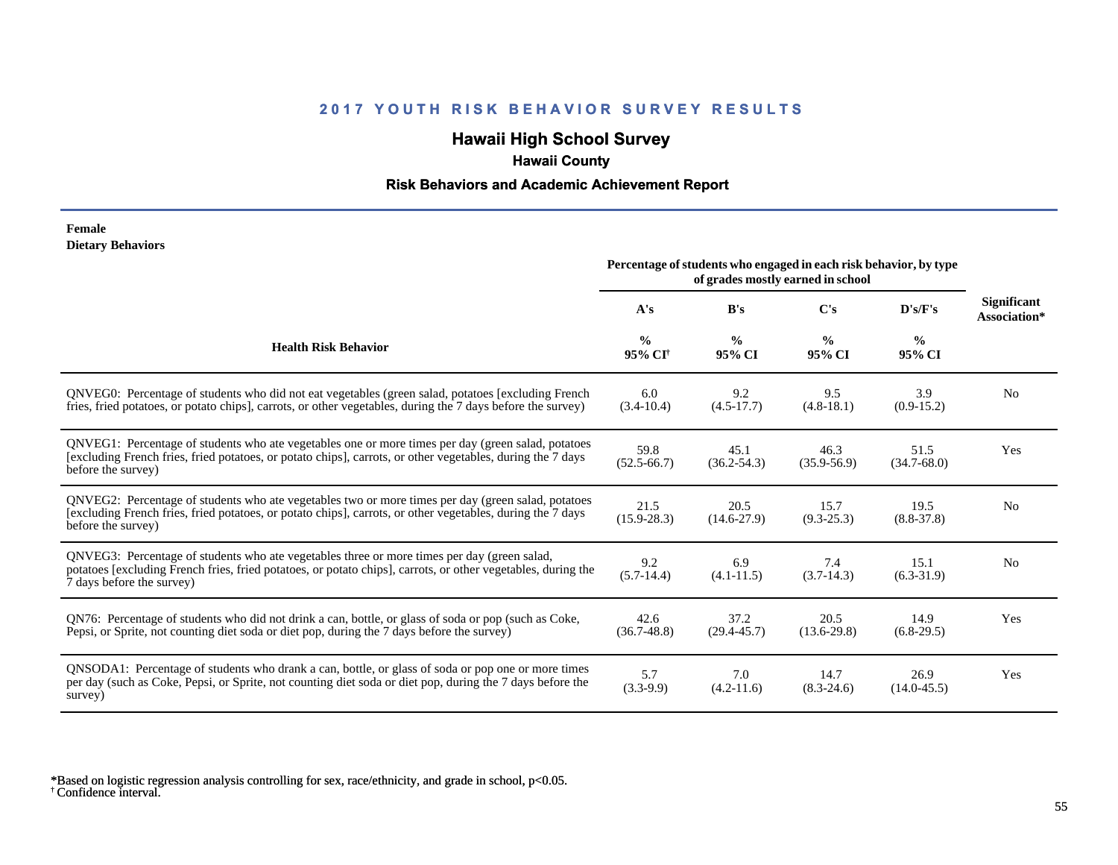## **Hawaii High School Survey**

## **Hawaii County**

## **Risk Behaviors and Academic Achievement Report**

#### **Female Dietary Behaviors**

|                                                                                                                                                                                                                                          | Percentage of students who engaged in each risk behavior, by type |                         |                         |                         |                                    |
|------------------------------------------------------------------------------------------------------------------------------------------------------------------------------------------------------------------------------------------|-------------------------------------------------------------------|-------------------------|-------------------------|-------------------------|------------------------------------|
|                                                                                                                                                                                                                                          | A's                                                               | B's                     | C's                     | D's/F's                 | <b>Significant</b><br>Association* |
| <b>Health Risk Behavior</b>                                                                                                                                                                                                              | $\frac{0}{0}$<br>95% CI <sup>†</sup>                              | $\frac{0}{0}$<br>95% CI | $\frac{6}{9}$<br>95% CI | $\frac{0}{0}$<br>95% CI |                                    |
| ONVEG0: Percentage of students who did not eat vegetables (green salad, potatoes [excluding French<br>fries, fried potatoes, or potato chips], carrots, or other vegetables, during the 7 days before the survey)                        | 6.0<br>$(3.4-10.4)$                                               | 9.2<br>$(4.5-17.7)$     | 9.5<br>$(4.8-18.1)$     | 3.9<br>$(0.9-15.2)$     | N <sub>0</sub>                     |
| QNVEG1: Percentage of students who ate vegetables one or more times per day (green salad, potatoes<br>[excluding French fries, fried potatoes, or potato chips], carrots, or other vegetables, during the 7 days<br>before the survey)   | 59.8<br>$(52.5 - 66.7)$                                           | 45.1<br>$(36.2 - 54.3)$ | 46.3<br>$(35.9 - 56.9)$ | 51.5<br>$(34.7 - 68.0)$ | Yes                                |
| QNVEG2: Percentage of students who ate vegetables two or more times per day (green salad, potatoes<br>[excluding French fries, fried potatoes, or potato chips], carrots, or other vegetables, during the 7 days<br>before the survey)   | 21.5<br>$(15.9 - 28.3)$                                           | 20.5<br>$(14.6 - 27.9)$ | 15.7<br>$(9.3 - 25.3)$  | 19.5<br>$(8.8 - 37.8)$  | N <sub>0</sub>                     |
| QNVEG3: Percentage of students who ate vegetables three or more times per day (green salad,<br>potatoes [excluding French fries, fried potatoes, or potato chips], carrots, or other vegetables, during the<br>7 days before the survey) | 9.2<br>$(5.7-14.4)$                                               | 6.9<br>$(4.1 - 11.5)$   | 7.4<br>$(3.7-14.3)$     | 15.1<br>$(6.3-31.9)$    | N <sub>0</sub>                     |
| QN76: Percentage of students who did not drink a can, bottle, or glass of soda or pop (such as Coke,<br>Pepsi, or Sprite, not counting diet soda or diet pop, during the 7 days before the survey)                                       | 42.6<br>$(36.7 - 48.8)$                                           | 37.2<br>$(29.4 - 45.7)$ | 20.5<br>$(13.6 - 29.8)$ | 14.9<br>$(6.8-29.5)$    | Yes                                |
| QNSODA1: Percentage of students who drank a can, bottle, or glass of soda or pop one or more times<br>per day (such as Coke, Pepsi, or Sprite, not counting diet soda or diet pop, during the 7 days before the<br>survey)               | 5.7<br>$(3.3-9.9)$                                                | 7.0<br>$(4.2 - 11.6)$   | 14.7<br>$(8.3 - 24.6)$  | 26.9<br>$(14.0 - 45.5)$ | Yes                                |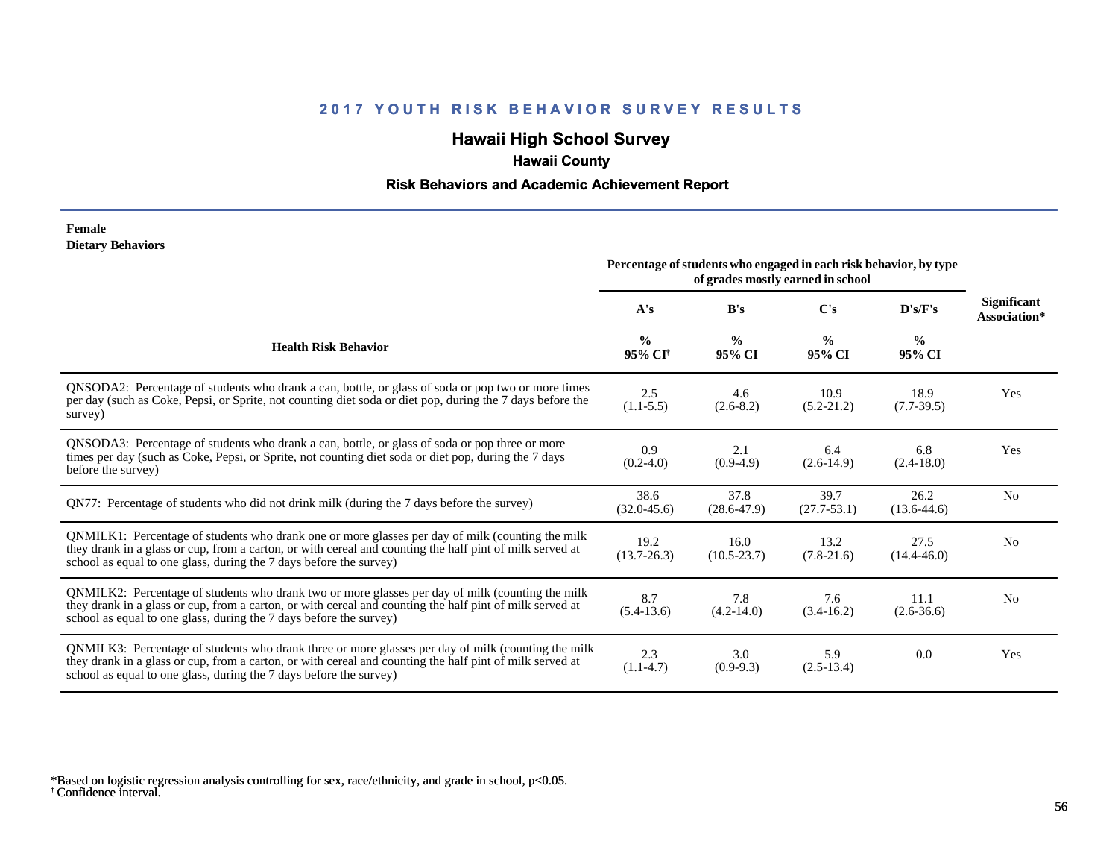## **Hawaii High School Survey**

## **Hawaii County**

## **Risk Behaviors and Academic Achievement Report**

#### **Female Dietary Behaviors**

|                                                                                                                                                                                                                                                                                      | Percentage of students who engaged in each risk behavior, by type<br>of grades mostly earned in school |                         |                         |                         |                                    |
|--------------------------------------------------------------------------------------------------------------------------------------------------------------------------------------------------------------------------------------------------------------------------------------|--------------------------------------------------------------------------------------------------------|-------------------------|-------------------------|-------------------------|------------------------------------|
|                                                                                                                                                                                                                                                                                      | A's                                                                                                    | B's                     | $\bf C's$               | D's/F's                 | <b>Significant</b><br>Association* |
| <b>Health Risk Behavior</b>                                                                                                                                                                                                                                                          | $\frac{0}{0}$<br>95% CI <sup>+</sup>                                                                   | $\frac{0}{0}$<br>95% CI | $\frac{0}{0}$<br>95% CI | $\frac{0}{0}$<br>95% CI |                                    |
| QNSODA2: Percentage of students who drank a can, bottle, or glass of soda or pop two or more times<br>per day (such as Coke, Pepsi, or Sprite, not counting diet soda or diet pop, during the 7 days before the<br>survey)                                                           | 2.5<br>$(1.1-5.5)$                                                                                     | 4.6<br>$(2.6-8.2)$      | 10.9<br>$(5.2 - 21.2)$  | 18.9<br>$(7.7-39.5)$    | Yes                                |
| ONSODA3: Percentage of students who drank a can, bottle, or glass of soda or pop three or more<br>times per day (such as Coke, Pepsi, or Sprite, not counting diet soda or diet pop, during the 7 days<br>before the survey)                                                         | 0.9<br>$(0.2-4.0)$                                                                                     | 2.1<br>$(0.9-4.9)$      | 6.4<br>$(2.6-14.9)$     | 6.8<br>$(2.4-18.0)$     | Yes                                |
| QN77: Percentage of students who did not drink milk (during the 7 days before the survey)                                                                                                                                                                                            | 38.6<br>$(32.0 - 45.6)$                                                                                | 37.8<br>$(28.6 - 47.9)$ | 39.7<br>$(27.7 - 53.1)$ | 26.2<br>$(13.6-44.6)$   | N <sub>0</sub>                     |
| QNMILK1: Percentage of students who drank one or more glasses per day of milk (counting the milk<br>they drank in a glass or cup, from a carton, or with cereal and counting the half pint of milk served at<br>school as equal to one glass, during the 7 days before the survey)   | 19.2<br>$(13.7 - 26.3)$                                                                                | 16.0<br>$(10.5 - 23.7)$ | 13.2<br>$(7.8-21.6)$    | 27.5<br>$(14.4 - 46.0)$ | N <sub>0</sub>                     |
| QNMILK2: Percentage of students who drank two or more glasses per day of milk (counting the milk<br>they drank in a glass or cup, from a carton, or with cereal and counting the half pint of milk served at<br>school as equal to one glass, during the 7 days before the survey)   | 8.7<br>$(5.4-13.6)$                                                                                    | 7.8<br>$(4.2 - 14.0)$   | 7.6<br>$(3.4-16.2)$     | 11.1<br>$(2.6 - 36.6)$  | N <sub>0</sub>                     |
| QNMILK3: Percentage of students who drank three or more glasses per day of milk (counting the milk<br>they drank in a glass or cup, from a carton, or with cereal and counting the half pint of milk served at<br>school as equal to one glass, during the 7 days before the survey) | 2.3<br>$(1.1-4.7)$                                                                                     | 3.0<br>$(0.9-9.3)$      | 5.9<br>$(2.5-13.4)$     | 0.0                     | Yes                                |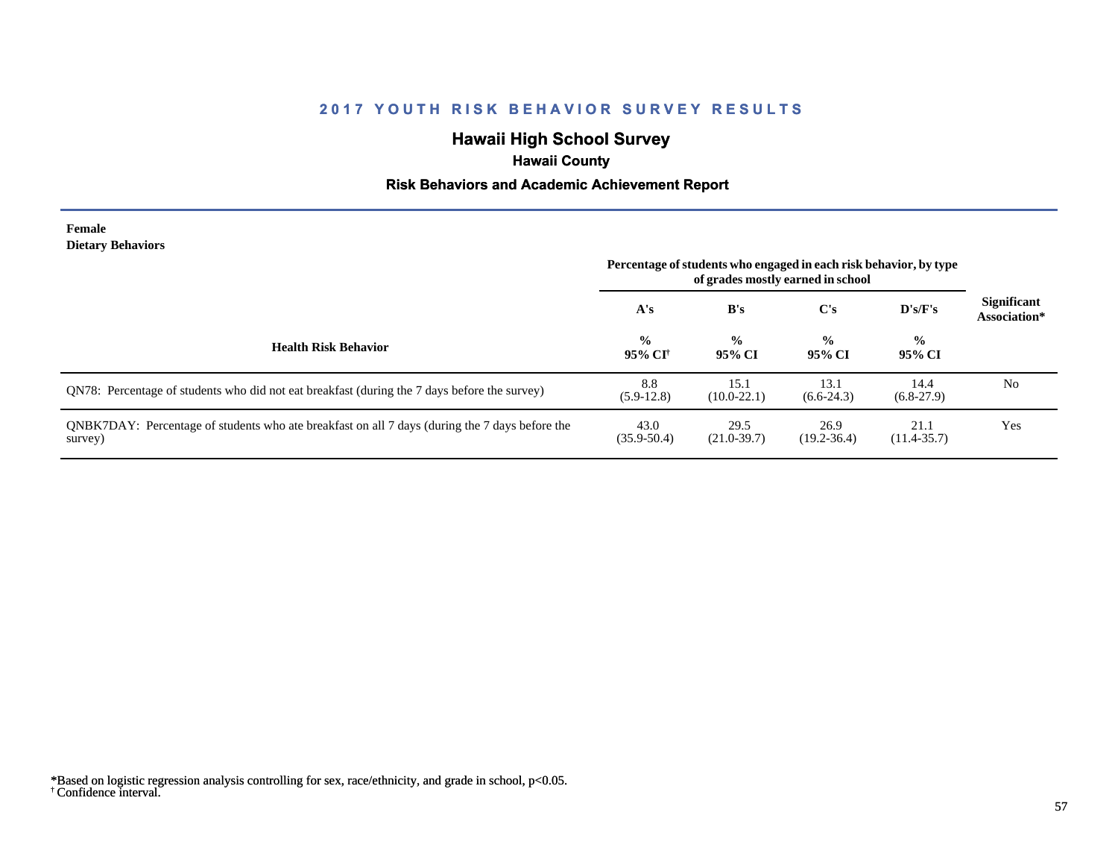## **Hawaii High School Survey**

## **Hawaii County**

## **Risk Behaviors and Academic Achievement Report**

#### **Female Dietary Behaviors**

|                                                                                                           | Percentage of students who engaged in each risk behavior, by type<br>of grades mostly earned in school |                         |                         |                         |                                    |
|-----------------------------------------------------------------------------------------------------------|--------------------------------------------------------------------------------------------------------|-------------------------|-------------------------|-------------------------|------------------------------------|
|                                                                                                           | A's                                                                                                    | B's                     | C's                     | D's/F's                 | <b>Significant</b><br>Association* |
| <b>Health Risk Behavior</b>                                                                               | $\frac{0}{0}$<br>95% CI†                                                                               | $\frac{0}{0}$<br>95% CI | $\frac{0}{0}$<br>95% CI | $\frac{6}{9}$<br>95% CI |                                    |
| QN78: Percentage of students who did not eat breakfast (during the 7 days before the survey)              | 8.8<br>$(5.9-12.8)$                                                                                    | 15.1<br>$(10.0-22.1)$   | 13.1<br>$(6.6-24.3)$    | 14.4<br>$(6.8-27.9)$    | No                                 |
| QNBK7DAY: Percentage of students who ate breakfast on all 7 days (during the 7 days before the<br>survey) | 43.0<br>$(35.9 - 50.4)$                                                                                | 29.5<br>$(21.0 - 39.7)$ | 26.9<br>$(19.2 - 36.4)$ | 21.1<br>$(11.4 - 35.7)$ | Yes                                |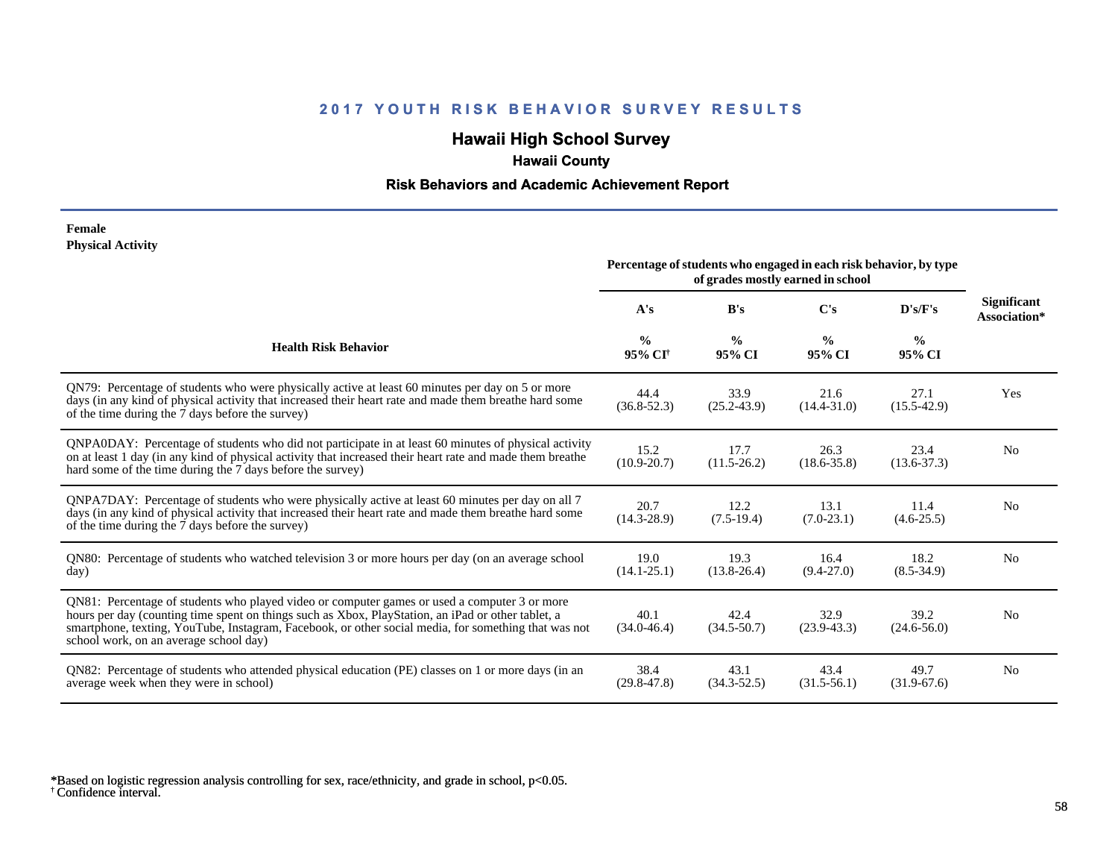# **Hawaii High School Survey**

# **Hawaii County**

## **Risk Behaviors and Academic Achievement Report**

#### **Female Physical Activity**

|                                                                                                                                                                                                                                                                                                                                                      | Percentage of students who engaged in each risk behavior, by type<br>of grades mostly earned in school |                         |                         |                         |                                    |
|------------------------------------------------------------------------------------------------------------------------------------------------------------------------------------------------------------------------------------------------------------------------------------------------------------------------------------------------------|--------------------------------------------------------------------------------------------------------|-------------------------|-------------------------|-------------------------|------------------------------------|
|                                                                                                                                                                                                                                                                                                                                                      | A's                                                                                                    | B's                     | C's                     | D's/F's                 | <b>Significant</b><br>Association* |
| <b>Health Risk Behavior</b>                                                                                                                                                                                                                                                                                                                          | $\frac{0}{0}$<br>95% CI <sup>+</sup>                                                                   | $\frac{0}{0}$<br>95% CI | $\frac{0}{0}$<br>95% CI | $\frac{0}{0}$<br>95% CI |                                    |
| QN79: Percentage of students who were physically active at least 60 minutes per day on 5 or more<br>days (in any kind of physical activity that increased their heart rate and made them breathe hard some<br>of the time during the 7 days before the survey)                                                                                       | 44.4<br>$(36.8 - 52.3)$                                                                                | 33.9<br>$(25.2 - 43.9)$ | 21.6<br>$(14.4 - 31.0)$ | 27.1<br>$(15.5-42.9)$   | Yes                                |
| QNPA0DAY: Percentage of students who did not participate in at least 60 minutes of physical activity<br>on at least 1 day (in any kind of physical activity that increased their heart rate and made them breather<br>hard some of the time during the 7 days before the survey)                                                                     | 15.2<br>$(10.9 - 20.7)$                                                                                | 17.7<br>$(11.5 - 26.2)$ | 26.3<br>$(18.6 - 35.8)$ | 23.4<br>$(13.6 - 37.3)$ | N <sub>0</sub>                     |
| ONPA7DAY: Percentage of students who were physically active at least 60 minutes per day on all 7<br>days (in any kind of physical activity that increased their heart rate and made them breathe hard some<br>of the time during the 7 days before the survey)                                                                                       | 20.7<br>$(14.3 - 28.9)$                                                                                | 12.2<br>$(7.5-19.4)$    | 13.1<br>$(7.0-23.1)$    | 11.4<br>$(4.6 - 25.5)$  | N <sub>0</sub>                     |
| QN80: Percentage of students who watched television 3 or more hours per day (on an average school<br>day)                                                                                                                                                                                                                                            | 19.0<br>$(14.1 - 25.1)$                                                                                | 19.3<br>$(13.8 - 26.4)$ | 16.4<br>$(9.4 - 27.0)$  | 18.2<br>$(8.5 - 34.9)$  | N <sub>0</sub>                     |
| QN81: Percentage of students who played video or computer games or used a computer 3 or more<br>hours per day (counting time spent on things such as Xbox, PlayStation, an iPad or other tablet, a<br>smartphone, texting, YouTube, Instagram, Facebook, or other social media, for something that was not<br>school work, on an average school day) | 40.1<br>$(34.0 - 46.4)$                                                                                | 42.4<br>$(34.5 - 50.7)$ | 32.9<br>$(23.9 - 43.3)$ | 39.2<br>$(24.6 - 56.0)$ | N <sub>0</sub>                     |
| QN82: Percentage of students who attended physical education (PE) classes on 1 or more days (in an<br>average week when they were in school)                                                                                                                                                                                                         | 38.4<br>$(29.8 - 47.8)$                                                                                | 43.1<br>$(34.3 - 52.5)$ | 43.4<br>$(31.5-56.1)$   | 49.7<br>$(31.9-67.6)$   | N <sub>0</sub>                     |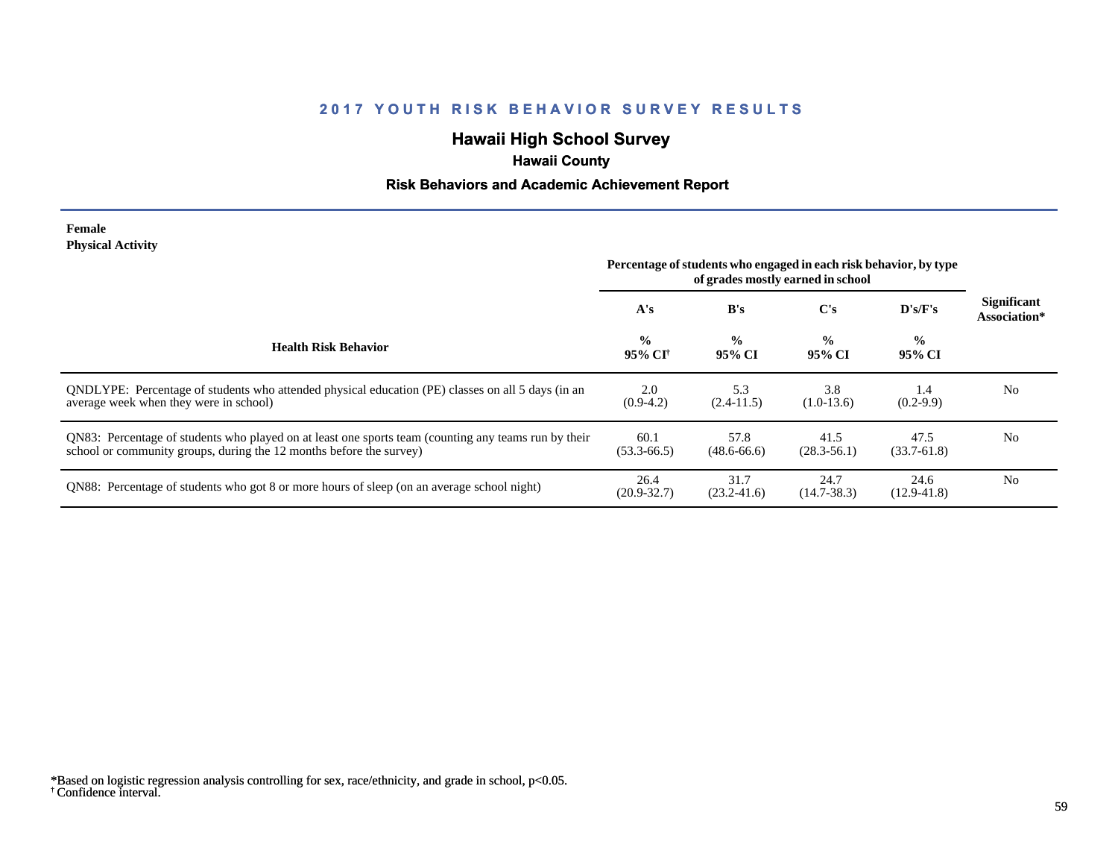## **Hawaii High School Survey**

# **Hawaii County**

## **Risk Behaviors and Academic Achievement Report**

#### **Female Physical Activity**

|                                                                                                                                                                             | Percentage of students who engaged in each risk behavior, by type<br>of grades mostly earned in school |                         |                         |                         |                                    |
|-----------------------------------------------------------------------------------------------------------------------------------------------------------------------------|--------------------------------------------------------------------------------------------------------|-------------------------|-------------------------|-------------------------|------------------------------------|
|                                                                                                                                                                             | A's                                                                                                    | B's                     | $\bf C's$               | $\bf{D's/F's}$          | <b>Significant</b><br>Association* |
| <b>Health Risk Behavior</b>                                                                                                                                                 | $\frac{0}{0}$<br>95% CI†                                                                               | $\frac{0}{0}$<br>95% CI | $\frac{0}{0}$<br>95% CI | $\frac{0}{0}$<br>95% CI |                                    |
| ONDLYPE: Percentage of students who attended physical education (PE) classes on all 5 days (in an<br>average week when they were in school)                                 | 2.0<br>$(0.9-4.2)$                                                                                     | 5.3<br>$(2.4-11.5)$     | 3.8<br>$(1.0-13.6)$     | 1.4<br>$(0.2-9.9)$      | N <sub>0</sub>                     |
| QN83: Percentage of students who played on at least one sports team (counting any teams run by their<br>school or community groups, during the 12 months before the survey) | 60.1<br>$(53.3 - 66.5)$                                                                                | 57.8<br>$(48.6 - 66.6)$ | 41.5<br>$(28.3 - 56.1)$ | 47.5<br>$(33.7 - 61.8)$ | N <sub>0</sub>                     |
| QN88: Percentage of students who got 8 or more hours of sleep (on an average school night)                                                                                  | 26.4<br>$(20.9 - 32.7)$                                                                                | 31.7<br>$(23.2 - 41.6)$ | 24.7<br>$(14.7 - 38.3)$ | 24.6<br>$(12.9 - 41.8)$ | N <sub>0</sub>                     |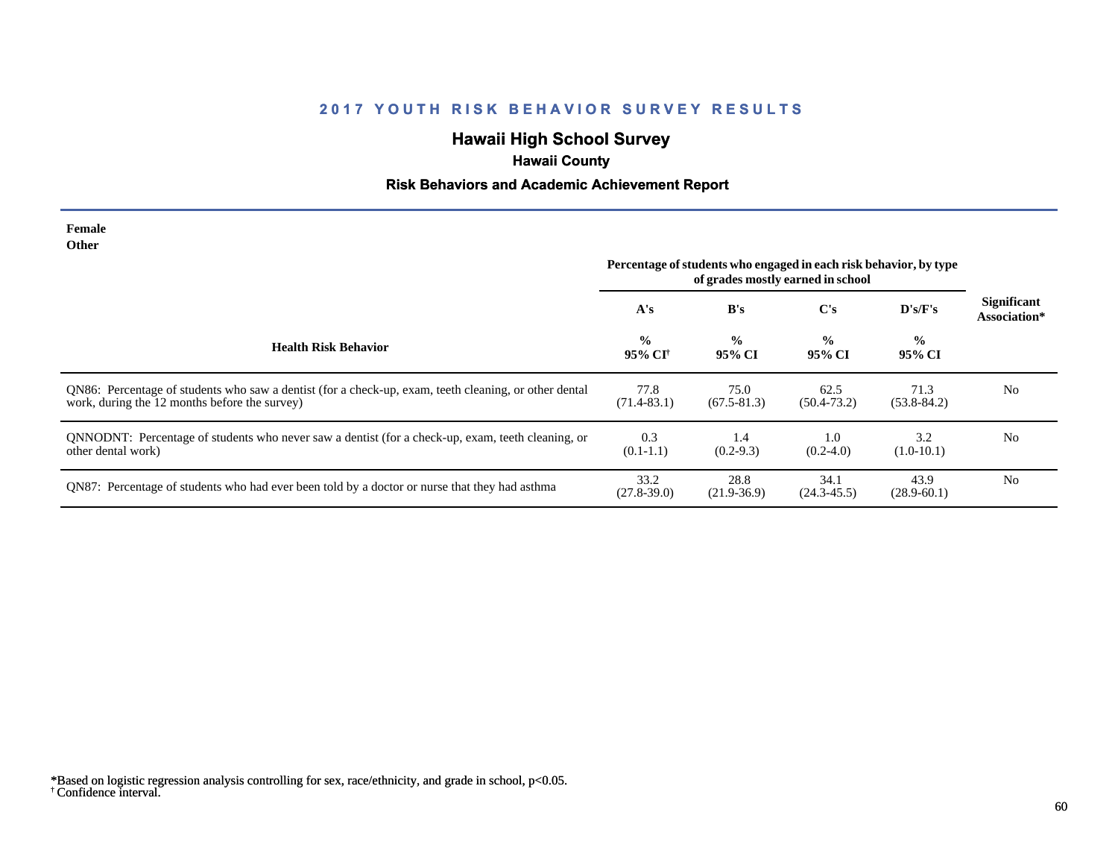# **Hawaii High School Survey**

# **Hawaii County**

## **Risk Behaviors and Academic Achievement Report**

| Female<br>Other                                                                                                                                        | Percentage of students who engaged in each risk behavior, by type |                         |                         |                         |                                    |
|--------------------------------------------------------------------------------------------------------------------------------------------------------|-------------------------------------------------------------------|-------------------------|-------------------------|-------------------------|------------------------------------|
|                                                                                                                                                        | A's                                                               | B's                     | $\bf C's$               | D's/F's                 | <b>Significant</b><br>Association* |
| <b>Health Risk Behavior</b>                                                                                                                            | $\frac{0}{0}$<br>95% CI <sup>+</sup>                              | $\frac{0}{0}$<br>95% CI | $\frac{0}{0}$<br>95% CI | $\frac{6}{6}$<br>95% CI |                                    |
| QN86: Percentage of students who saw a dentist (for a check-up, exam, teeth cleaning, or other dental<br>work, during the 12 months before the survey) | 77.8<br>$(71.4 - 83.1)$                                           | 75.0<br>$(67.5 - 81.3)$ | 62.5<br>$(50.4 - 73.2)$ | 71.3<br>$(53.8 - 84.2)$ | N <sub>0</sub>                     |
| QNNODNT: Percentage of students who never saw a dentist (for a check-up, exam, teeth cleaning, or<br>other dental work)                                | 0.3<br>$(0.1-1.1)$                                                | 1.4<br>$(0.2 - 9.3)$    | 1.0<br>$(0.2-4.0)$      | 3.2<br>$(1.0-10.1)$     | N <sub>0</sub>                     |
| QN87: Percentage of students who had ever been told by a doctor or nurse that they had asthma                                                          | 33.2<br>$(27.8 - 39.0)$                                           | 28.8<br>$(21.9-36.9)$   | 34.1<br>$(24.3 - 45.5)$ | 43.9<br>$(28.9 - 60.1)$ | N <sub>0</sub>                     |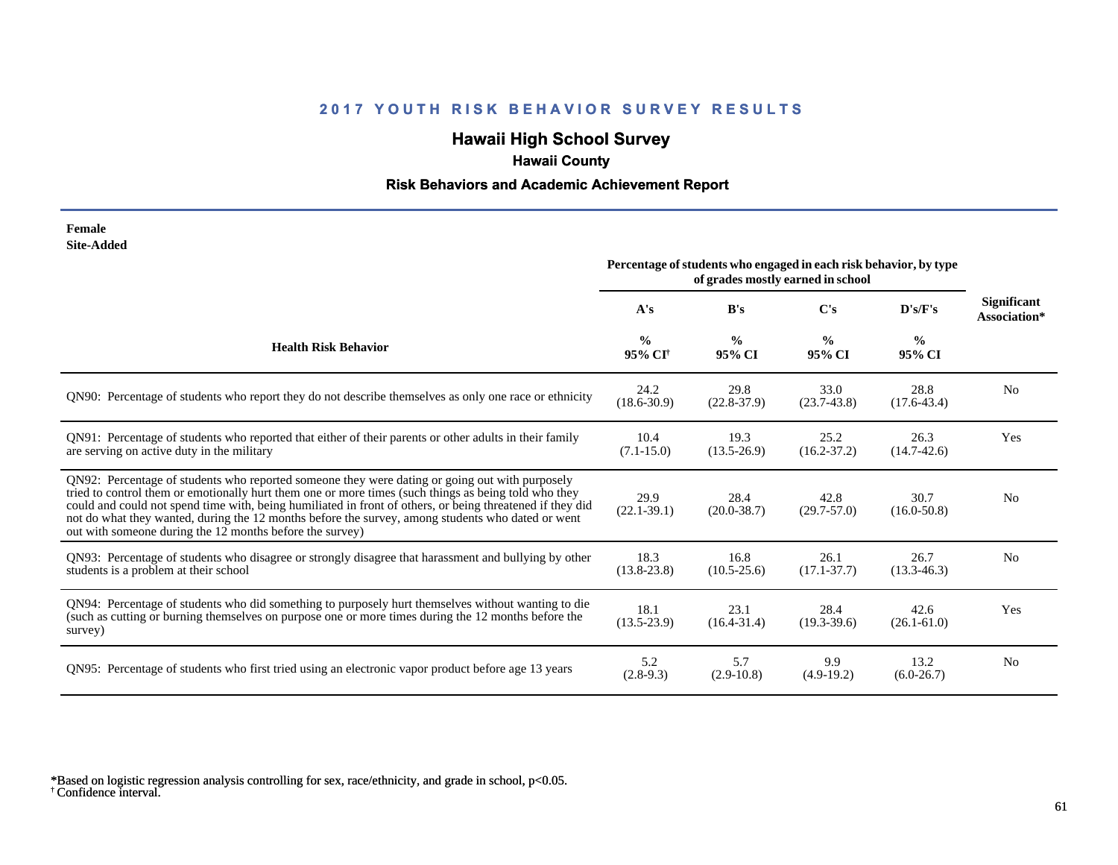# **Hawaii High School Survey**

# **Hawaii County**

## **Risk Behaviors and Academic Achievement Report**

| Female     |
|------------|
| Site-Added |

|                                                                                                                                                                                                                                                                                                                                                                                                                                                                                      | Percentage of students who engaged in each risk behavior, by type<br>of grades mostly earned in school |                         |                         |                         |                                    |
|--------------------------------------------------------------------------------------------------------------------------------------------------------------------------------------------------------------------------------------------------------------------------------------------------------------------------------------------------------------------------------------------------------------------------------------------------------------------------------------|--------------------------------------------------------------------------------------------------------|-------------------------|-------------------------|-------------------------|------------------------------------|
|                                                                                                                                                                                                                                                                                                                                                                                                                                                                                      | A's                                                                                                    | B's                     | $\bf C's$               | D's/F's                 | <b>Significant</b><br>Association* |
| <b>Health Risk Behavior</b>                                                                                                                                                                                                                                                                                                                                                                                                                                                          | $\frac{0}{0}$<br>95% CI <sup>+</sup>                                                                   | $\frac{0}{0}$<br>95% CI | $\frac{0}{0}$<br>95% CI | $\frac{0}{0}$<br>95% CI |                                    |
| QN90: Percentage of students who report they do not describe themselves as only one race or ethnicity                                                                                                                                                                                                                                                                                                                                                                                | 24.2<br>$(18.6 - 30.9)$                                                                                | 29.8<br>$(22.8-37.9)$   | 33.0<br>$(23.7-43.8)$   | 28.8<br>$(17.6 - 43.4)$ | N <sub>0</sub>                     |
| QN91: Percentage of students who reported that either of their parents or other adults in their family<br>are serving on active duty in the military                                                                                                                                                                                                                                                                                                                                 | 10.4<br>$(7.1 - 15.0)$                                                                                 | 19.3<br>$(13.5 - 26.9)$ | 25.2<br>$(16.2 - 37.2)$ | 26.3<br>$(14.7-42.6)$   | Yes                                |
| QN92: Percentage of students who reported someone they were dating or going out with purposely<br>tried to control them or emotionally hurt them one or more times (such things as being told who they<br>could and could not spend time with, being humiliated in front of others, or being threatened if they did<br>not do what they wanted, during the 12 months before the survey, among students who dated or went<br>out with someone during the 12 months before the survey) | 29.9<br>$(22.1 - 39.1)$                                                                                | 28.4<br>$(20.0 - 38.7)$ | 42.8<br>$(29.7 - 57.0)$ | 30.7<br>$(16.0 - 50.8)$ | N <sub>0</sub>                     |
| QN93: Percentage of students who disagree or strongly disagree that harassment and bullying by other<br>students is a problem at their school                                                                                                                                                                                                                                                                                                                                        | 18.3<br>$(13.8 - 23.8)$                                                                                | 16.8<br>$(10.5 - 25.6)$ | 26.1<br>$(17.1 - 37.7)$ | 26.7<br>$(13.3 - 46.3)$ | N <sub>0</sub>                     |
| QN94: Percentage of students who did something to purposely hurt themselves without wanting to die<br>(such as cutting or burning themselves on purpose one or more times during the 12 months before the<br>survey)                                                                                                                                                                                                                                                                 | 18.1<br>$(13.5 - 23.9)$                                                                                | 23.1<br>$(16.4 - 31.4)$ | 28.4<br>$(19.3 - 39.6)$ | 42.6<br>$(26.1 - 61.0)$ | Yes                                |
| QN95: Percentage of students who first tried using an electronic vapor product before age 13 years                                                                                                                                                                                                                                                                                                                                                                                   | 5.2<br>$(2.8-9.3)$                                                                                     | 5.7<br>$(2.9-10.8)$     | 9.9<br>$(4.9-19.2)$     | 13.2<br>$(6.0-26.7)$    | N <sub>0</sub>                     |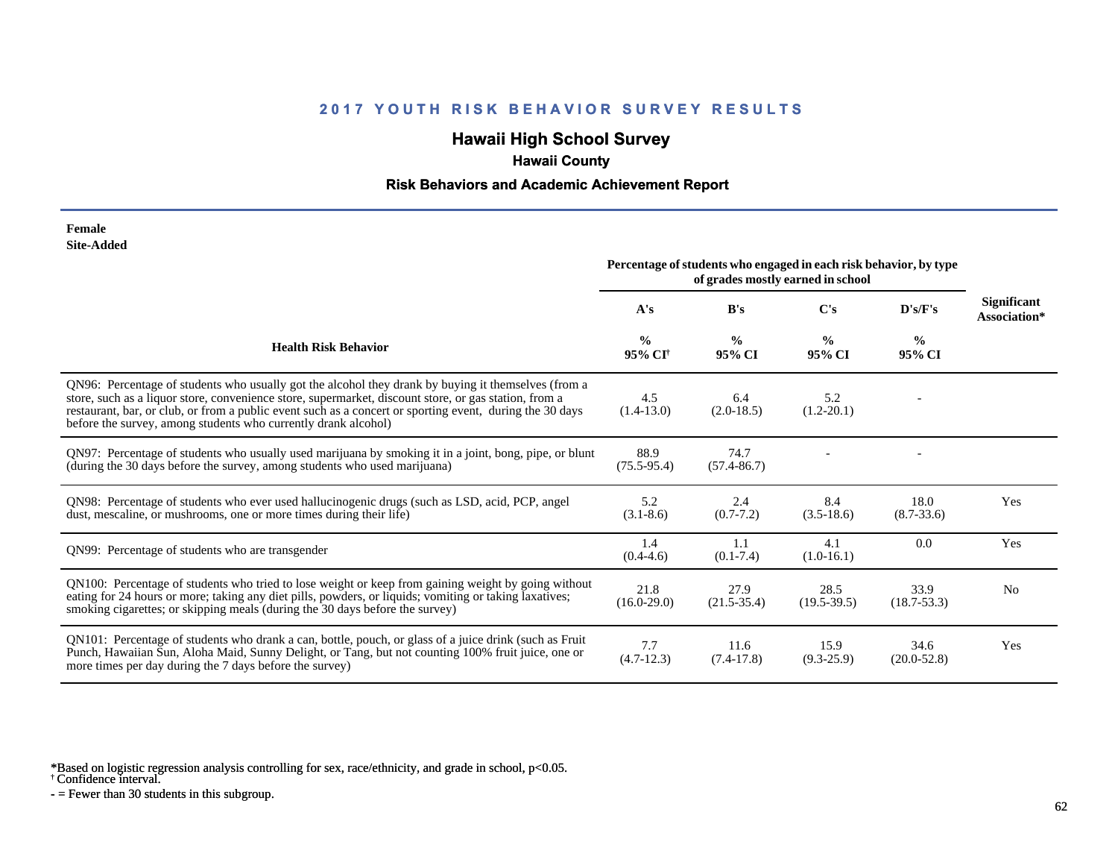## **Hawaii High School Survey**

## **Hawaii County**

### **Risk Behaviors and Academic Achievement Report**

#### **Female Site-Added**

|                                                                                                                                                                                                                                                                                                                                                                                            | Percentage of students who engaged in each risk behavior, by type<br>of grades mostly earned in school |                         |                         |                         |                                    |
|--------------------------------------------------------------------------------------------------------------------------------------------------------------------------------------------------------------------------------------------------------------------------------------------------------------------------------------------------------------------------------------------|--------------------------------------------------------------------------------------------------------|-------------------------|-------------------------|-------------------------|------------------------------------|
|                                                                                                                                                                                                                                                                                                                                                                                            | A's                                                                                                    | B's                     | C's                     | D's/F's                 | <b>Significant</b><br>Association* |
| <b>Health Risk Behavior</b>                                                                                                                                                                                                                                                                                                                                                                | $\frac{0}{0}$<br>95% CI <sup>†</sup>                                                                   | $\frac{0}{0}$<br>95% CI | $\frac{0}{0}$<br>95% CI | $\frac{0}{0}$<br>95% CI |                                    |
| QN96: Percentage of students who usually got the alcohol they drank by buying it themselves (from a<br>store, such as a liquor store, convenience store, supermarket, discount store, or gas station, from a<br>restaurant, bar, or club, or from a public event such as a concert or sporting event, during the 30 days<br>before the survey, among students who currently drank alcohol) | 4.5<br>$(1.4-13.0)$                                                                                    | 6.4<br>$(2.0-18.5)$     | 5.2<br>$(1.2 - 20.1)$   |                         |                                    |
| QN97: Percentage of students who usually used marijuana by smoking it in a joint, bong, pipe, or blunt<br>(during the 30 days before the survey, among students who used marijuana)                                                                                                                                                                                                        | 88.9<br>$(75.5 - 95.4)$                                                                                | 74.7<br>$(57.4 - 86.7)$ |                         |                         |                                    |
| QN98: Percentage of students who ever used hallucinogenic drugs (such as LSD, acid, PCP, angel<br>dust, mescaline, or mushrooms, one or more times during their life)                                                                                                                                                                                                                      | 5.2<br>$(3.1 - 8.6)$                                                                                   | 2.4<br>$(0.7 - 7.2)$    | 8.4<br>$(3.5-18.6)$     | 18.0<br>$(8.7 - 33.6)$  | Yes                                |
| QN99: Percentage of students who are transgender                                                                                                                                                                                                                                                                                                                                           | 1.4<br>$(0.4-4.6)$                                                                                     | 1.1<br>$(0.1 - 7.4)$    | 4.1<br>$(1.0-16.1)$     | 0.0                     | Yes                                |
| QN100: Percentage of students who tried to lose weight or keep from gaining weight by going without<br>eating for 24 hours or more; taking any diet pills, powders, or liquids; vomiting or taking laxatives;<br>smoking cigarettes; or skipping meals (during the 30 days before the survey)                                                                                              | 21.8<br>$(16.0-29.0)$                                                                                  | 27.9<br>$(21.5-35.4)$   | 28.5<br>$(19.5 - 39.5)$ | 33.9<br>$(18.7 - 53.3)$ | No                                 |
| QN101: Percentage of students who drank a can, bottle, pouch, or glass of a juice drink (such as Fruit<br>Punch, Hawaiian Sun, Aloha Maid, Sunny Delight, or Tang, but not counting 100% fruit juice, one or<br>more times per day during the 7 days before the survey)                                                                                                                    | 7.7<br>$(4.7-12.3)$                                                                                    | 11.6<br>$(7.4-17.8)$    | 15.9<br>$(9.3-25.9)$    | 34.6<br>$(20.0 - 52.8)$ | Yes                                |

\*Based on logistic regression analysis controlling for sex, race/ethnicity, and grade in school, p<0.05.

† Confidence interval.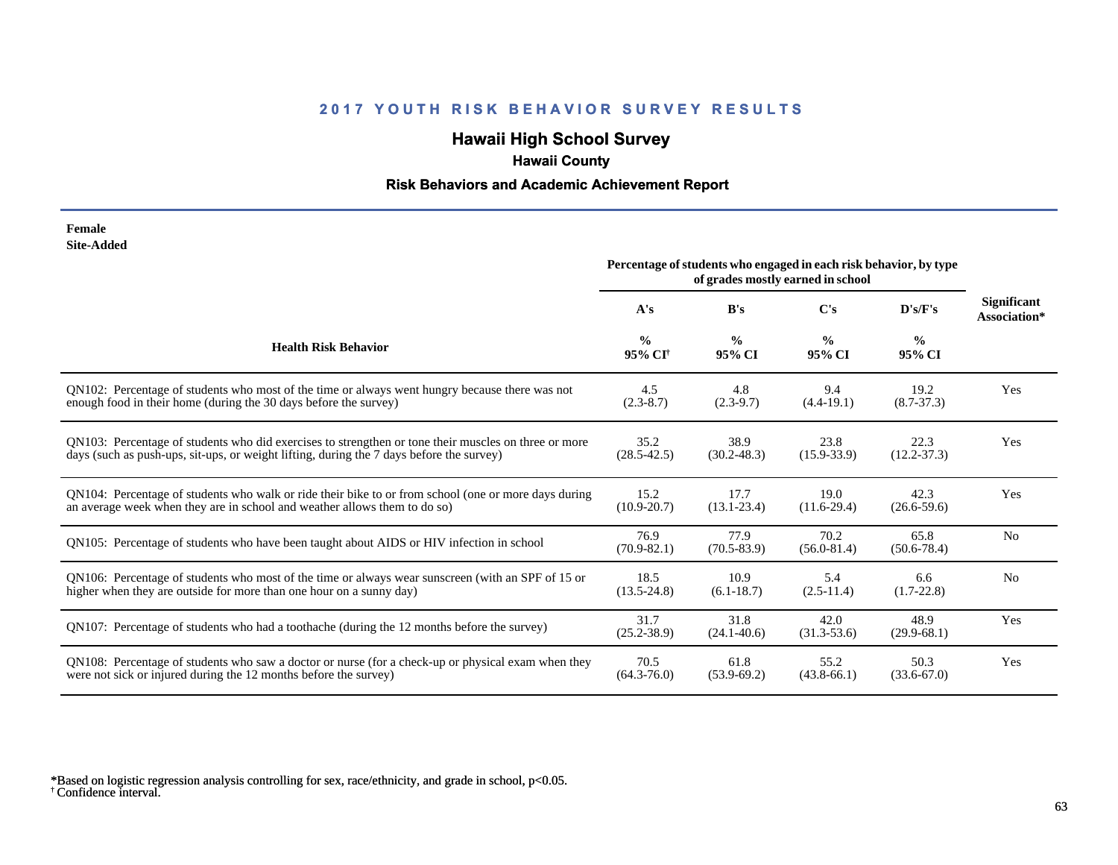# **Hawaii High School Survey**

# **Hawaii County**

## **Risk Behaviors and Academic Achievement Report**

#### **Female Site-Added**

|                                                                                                      | Percentage of students who engaged in each risk behavior, by type<br>of grades mostly earned in school |                         |                         |                         |                                    |
|------------------------------------------------------------------------------------------------------|--------------------------------------------------------------------------------------------------------|-------------------------|-------------------------|-------------------------|------------------------------------|
|                                                                                                      | A's                                                                                                    | B's                     | $\bf C's$               | D's/F's                 | <b>Significant</b><br>Association* |
| <b>Health Risk Behavior</b>                                                                          | $\frac{0}{0}$<br>95% CI <sup>+</sup>                                                                   | $\frac{0}{0}$<br>95% CI | $\frac{6}{9}$<br>95% CI | $\frac{0}{0}$<br>95% CI |                                    |
| QN102: Percentage of students who most of the time or always went hungry because there was not       | 4.5                                                                                                    | 4.8                     | 9.4                     | 19.2                    | Yes                                |
| enough food in their home (during the 30 days before the survey)                                     | $(2.3-8.7)$                                                                                            | $(2.3-9.7)$             | $(4.4-19.1)$            | $(8.7 - 37.3)$          |                                    |
| ON103: Percentage of students who did exercises to strengthen or tone their muscles on three or more | 35.2                                                                                                   | 38.9                    | 23.8                    | 22.3                    | Yes                                |
| days (such as push-ups, sit-ups, or weight lifting, during the 7 days before the survey)             | $(28.5 - 42.5)$                                                                                        | $(30.2 - 48.3)$         | $(15.9 - 33.9)$         | $(12.2 - 37.3)$         |                                    |
| QN104: Percentage of students who walk or ride their bike to or from school (one or more days during | 15.2                                                                                                   | 17.7                    | 19.0                    | 42.3                    | Yes                                |
| an average week when they are in school and weather allows them to do so)                            | $(10.9 - 20.7)$                                                                                        | $(13.1 - 23.4)$         | $(11.6-29.4)$           | $(26.6 - 59.6)$         |                                    |
| QN105: Percentage of students who have been taught about AIDS or HIV infection in school             | 76.9<br>$(70.9 - 82.1)$                                                                                | 77.9<br>$(70.5 - 83.9)$ | 70.2<br>$(56.0 - 81.4)$ | 65.8<br>$(50.6 - 78.4)$ | N <sub>0</sub>                     |
| QN106: Percentage of students who most of the time or always wear sunscreen (with an SPF of 15 or    | 18.5                                                                                                   | 10.9                    | 5.4                     | 6.6                     | N <sub>0</sub>                     |
| higher when they are outside for more than one hour on a sunny day)                                  | $(13.5 - 24.8)$                                                                                        | $(6.1 - 18.7)$          | $(2.5-11.4)$            | $(1.7-22.8)$            |                                    |
| QN107: Percentage of students who had a toothache (during the 12 months before the survey)           | 31.7<br>$(25.2 - 38.9)$                                                                                | 31.8<br>$(24.1 - 40.6)$ | 42.0<br>$(31.3 - 53.6)$ | 48.9<br>$(29.9-68.1)$   | Yes                                |
| QN108: Percentage of students who saw a doctor or nurse (for a check-up or physical exam when they   | 70.5                                                                                                   | 61.8                    | 55.2                    | 50.3                    | Yes                                |
| were not sick or injured during the 12 months before the survey)                                     | $(64.3 - 76.0)$                                                                                        | $(53.9-69.2)$           | $(43.8 - 66.1)$         | $(33.6 - 67.0)$         |                                    |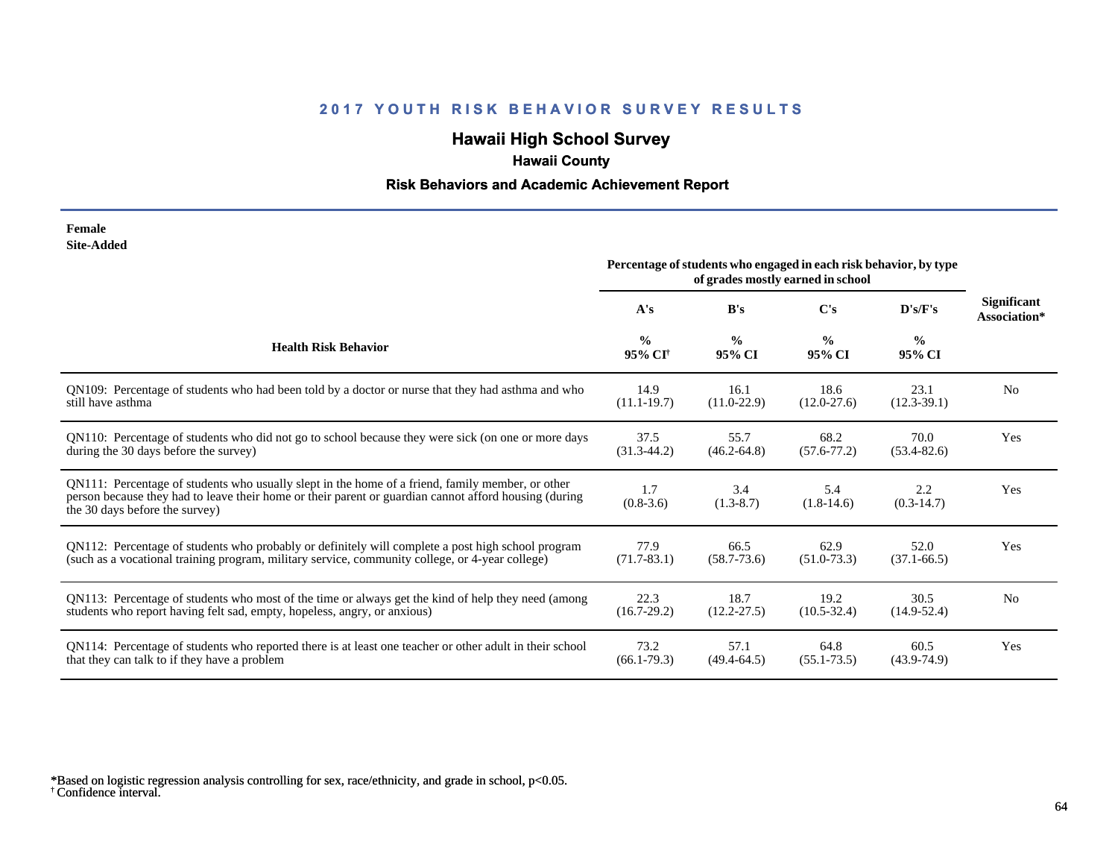# **Hawaii High School Survey**

# **Hawaii County**

## **Risk Behaviors and Academic Achievement Report**

| Female            |
|-------------------|
| <b>Site-Added</b> |

|                                                                                                                                                                                                                                             | Percentage of students who engaged in each risk behavior, by type<br>of grades mostly earned in school |                         |                         |                         |                                    |
|---------------------------------------------------------------------------------------------------------------------------------------------------------------------------------------------------------------------------------------------|--------------------------------------------------------------------------------------------------------|-------------------------|-------------------------|-------------------------|------------------------------------|
|                                                                                                                                                                                                                                             | A's                                                                                                    | B's                     | $\bf C's$               | D's/F's                 | <b>Significant</b><br>Association* |
| <b>Health Risk Behavior</b>                                                                                                                                                                                                                 | $\frac{0}{0}$<br>95% CI†                                                                               | $\frac{0}{0}$<br>95% CI | $\frac{0}{0}$<br>95% CI | $\frac{6}{6}$<br>95% CI |                                    |
| QN109: Percentage of students who had been told by a doctor or nurse that they had asthma and who                                                                                                                                           | 14.9                                                                                                   | 16.1                    | 18.6                    | 23.1                    | N <sub>0</sub>                     |
| still have asthma                                                                                                                                                                                                                           | $(11.1 - 19.7)$                                                                                        | $(11.0 - 22.9)$         | $(12.0 - 27.6)$         | $(12.3-39.1)$           |                                    |
| QN110: Percentage of students who did not go to school because they were sick (on one or more days                                                                                                                                          | 37.5                                                                                                   | 55.7                    | 68.2                    | 70.0                    | Yes                                |
| during the 30 days before the survey)                                                                                                                                                                                                       | $(31.3-44.2)$                                                                                          | $(46.2 - 64.8)$         | $(57.6 - 77.2)$         | $(53.4 - 82.6)$         |                                    |
| QN111: Percentage of students who usually slept in the home of a friend, family member, or other<br>person because they had to leave their home or their parent or guardian cannot afford housing (during<br>the 30 days before the survey) | 1.7<br>$(0.8-3.6)$                                                                                     | 3.4<br>$(1.3-8.7)$      | 5.4<br>$(1.8-14.6)$     | 2.2<br>$(0.3-14.7)$     | Yes                                |
| QN112: Percentage of students who probably or definitely will complete a post high school program                                                                                                                                           | 77.9                                                                                                   | 66.5                    | 62.9                    | 52.0                    | Yes                                |
| (such as a vocational training program, military service, community college, or 4-year college)                                                                                                                                             | $(71.7 - 83.1)$                                                                                        | $(58.7 - 73.6)$         | $(51.0 - 73.3)$         | $(37.1 - 66.5)$         |                                    |
| QN113: Percentage of students who most of the time or always get the kind of help they need (among                                                                                                                                          | 22.3                                                                                                   | 18.7                    | 19.2                    | 30.5                    | N <sub>0</sub>                     |
| students who report having felt sad, empty, hopeless, angry, or anxious)                                                                                                                                                                    | $(16.7-29.2)$                                                                                          | $(12.2 - 27.5)$         | $(10.5 - 32.4)$         | $(14.9 - 52.4)$         |                                    |
| QN114: Percentage of students who reported there is at least one teacher or other adult in their school                                                                                                                                     | 73.2                                                                                                   | 57.1                    | 64.8                    | 60.5                    | Yes                                |
| that they can talk to if they have a problem                                                                                                                                                                                                | $(66.1 - 79.3)$                                                                                        | $(49.4 - 64.5)$         | $(55.1 - 73.5)$         | $(43.9 - 74.9)$         |                                    |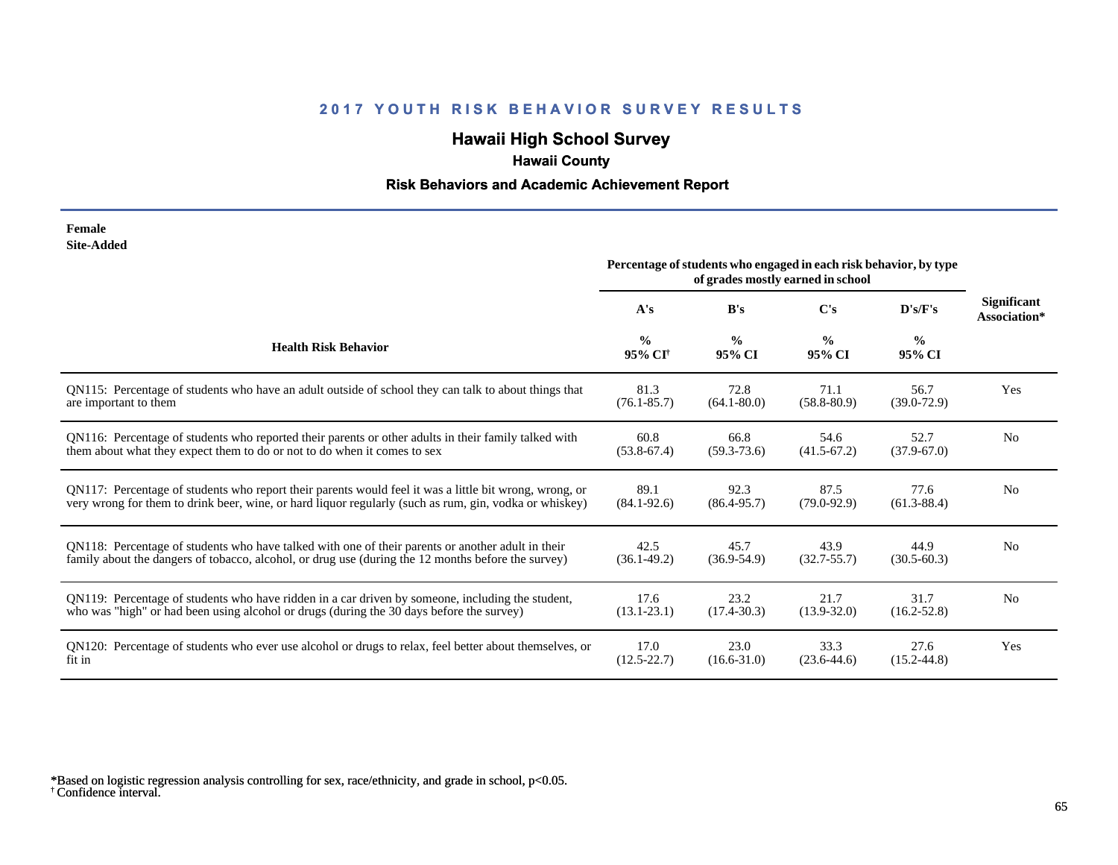# **Hawaii High School Survey**

# **Hawaii County**

## **Risk Behaviors and Academic Achievement Report**

#### **Female Site-Added**

|                                                                                                        | Percentage of students who engaged in each risk behavior, by type<br>of grades mostly earned in school |                         |                         |                         |                                    |
|--------------------------------------------------------------------------------------------------------|--------------------------------------------------------------------------------------------------------|-------------------------|-------------------------|-------------------------|------------------------------------|
|                                                                                                        | A's                                                                                                    | B's                     | $\bf C's$               | D's/F's                 | <b>Significant</b><br>Association* |
| <b>Health Risk Behavior</b>                                                                            | $\frac{0}{0}$<br>95% CI <sup>+</sup>                                                                   | $\frac{0}{0}$<br>95% CI | $\frac{0}{0}$<br>95% CI | $\frac{0}{0}$<br>95% CI |                                    |
| QN115: Percentage of students who have an adult outside of school they can talk to about things that   | 81.3                                                                                                   | 72.8                    | 71.1                    | 56.7                    | Yes                                |
| are important to them                                                                                  | $(76.1 - 85.7)$                                                                                        | $(64.1 - 80.0)$         | $(58.8 - 80.9)$         | $(39.0 - 72.9)$         |                                    |
| QN116: Percentage of students who reported their parents or other adults in their family talked with   | 60.8                                                                                                   | 66.8                    | 54.6                    | 52.7                    | N <sub>0</sub>                     |
| them about what they expect them to do or not to do when it comes to sex                               | $(53.8-67.4)$                                                                                          | $(59.3 - 73.6)$         | $(41.5 - 67.2)$         | $(37.9 - 67.0)$         |                                    |
| QN117: Percentage of students who report their parents would feel it was a little bit wrong, wrong, or | 89.1                                                                                                   | 92.3                    | 87.5                    | 77.6                    | N <sub>0</sub>                     |
| very wrong for them to drink beer, wine, or hard liquor regularly (such as rum, gin, vodka or whiskey) | $(84.1 - 92.6)$                                                                                        | $(86.4 - 95.7)$         | $(79.0 - 92.9)$         | $(61.3 - 88.4)$         |                                    |
| QN118: Percentage of students who have talked with one of their parents or another adult in their      | 42.5                                                                                                   | 45.7                    | 43.9                    | 44.9                    | N <sub>0</sub>                     |
| family about the dangers of tobacco, alcohol, or drug use (during the 12 months before the survey)     | $(36.1 - 49.2)$                                                                                        | $(36.9 - 54.9)$         | $(32.7 - 55.7)$         | $(30.5 - 60.3)$         |                                    |
| QN119: Percentage of students who have ridden in a car driven by someone, including the student,       | 17.6                                                                                                   | 23.2                    | 21.7                    | 31.7                    | N <sub>0</sub>                     |
| who was "high" or had been using alcohol or drugs (during the 30 days before the survey)               | $(13.1 - 23.1)$                                                                                        | $(17.4 - 30.3)$         | $(13.9 - 32.0)$         | $(16.2 - 52.8)$         |                                    |
| QN120: Percentage of students who ever use alcohol or drugs to relax, feel better about themselves, or | 17.0                                                                                                   | 23.0                    | 33.3                    | 27.6                    | Yes                                |
| fit in                                                                                                 | $(12.5 - 22.7)$                                                                                        | $(16.6 - 31.0)$         | $(23.6 - 44.6)$         | $(15.2 - 44.8)$         |                                    |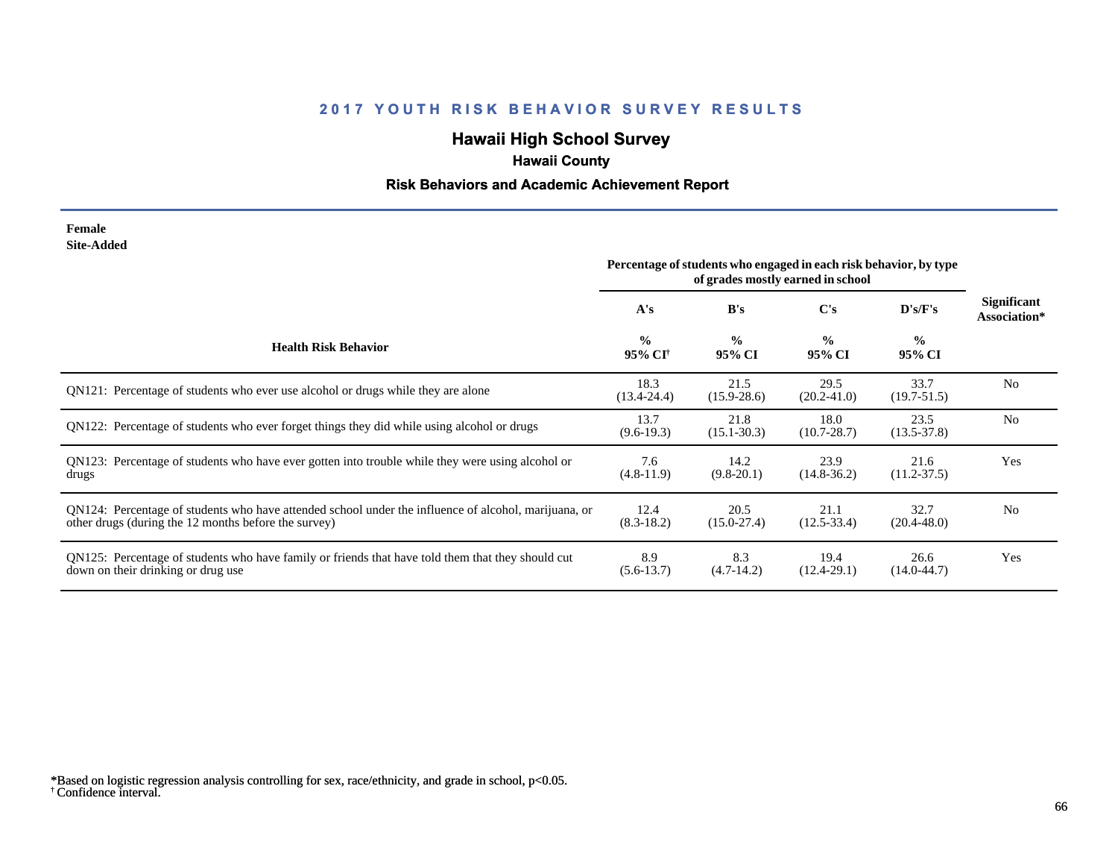# **Hawaii High School Survey**

# **Hawaii County**

## **Risk Behaviors and Academic Achievement Report**

#### **Female Site-Added**

|                                                                                                                                                              | Percentage of students who engaged in each risk behavior, by type<br>of grades mostly earned in school |                         |                         |                         |                             |
|--------------------------------------------------------------------------------------------------------------------------------------------------------------|--------------------------------------------------------------------------------------------------------|-------------------------|-------------------------|-------------------------|-----------------------------|
|                                                                                                                                                              | A's                                                                                                    | B's                     | C's                     | D's/F's                 | Significant<br>Association* |
| <b>Health Risk Behavior</b>                                                                                                                                  | $\frac{0}{0}$<br>95% CI†                                                                               | $\frac{0}{0}$<br>95% CI | $\frac{0}{0}$<br>95% CI | $\frac{6}{6}$<br>95% CI |                             |
| QN121: Percentage of students who ever use alcohol or drugs while they are alone                                                                             | 18.3<br>$(13.4 - 24.4)$                                                                                | 21.5<br>$(15.9 - 28.6)$ | 29.5<br>$(20.2 - 41.0)$ | 33.7<br>$(19.7 - 51.5)$ | N <sub>0</sub>              |
| QN122: Percentage of students who ever forget things they did while using alcohol or drugs                                                                   | 13.7<br>$(9.6-19.3)$                                                                                   | 21.8<br>$(15.1 - 30.3)$ | 18.0<br>$(10.7 - 28.7)$ | 23.5<br>$(13.5 - 37.8)$ | N <sub>o</sub>              |
| QN123: Percentage of students who have ever gotten into trouble while they were using alcohol or<br>drugs                                                    | 7.6<br>$(4.8-11.9)$                                                                                    | 14.2<br>$(9.8-20.1)$    | 23.9<br>$(14.8 - 36.2)$ | 21.6<br>$(11.2 - 37.5)$ | Yes                         |
| QN124: Percentage of students who have attended school under the influence of alcohol, marijuana, or<br>other drugs (during the 12 months before the survey) | 12.4<br>$(8.3-18.2)$                                                                                   | 20.5<br>$(15.0 - 27.4)$ | 21.1<br>$(12.5 - 33.4)$ | 32.7<br>$(20.4 - 48.0)$ | N <sub>0</sub>              |
| QN125: Percentage of students who have family or friends that have told them that they should cut<br>down on their drinking or drug use                      | 8.9<br>$(5.6-13.7)$                                                                                    | 8.3<br>$(4.7-14.2)$     | 19.4<br>$(12.4 - 29.1)$ | 26.6<br>$(14.0 - 44.7)$ | Yes                         |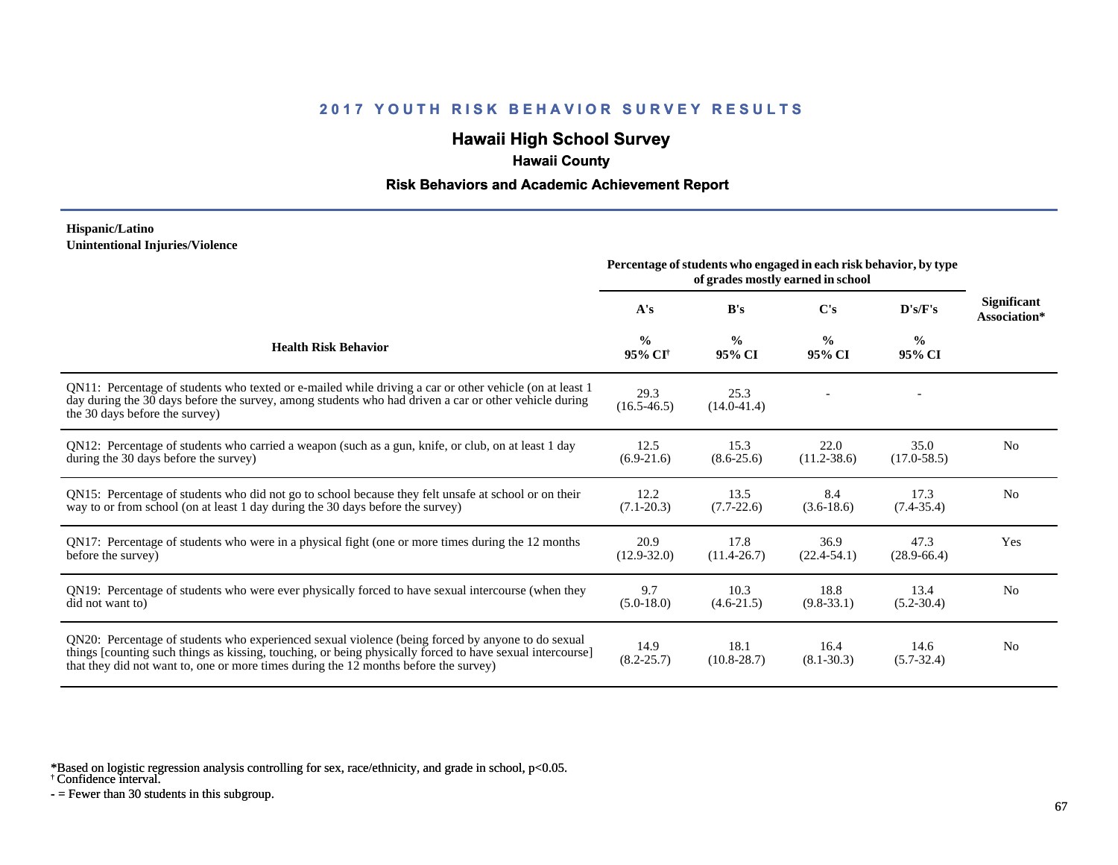## **Hawaii High School Survey**

## **Hawaii County**

### **Risk Behaviors and Academic Achievement Report**

#### **Hispanic/Latino Unintentional Injuries/Violence**

|                                                                                                                                                                                                                                                                                                        | Percentage of students who engaged in each risk behavior, by type |                         |                         |                         |                                    |
|--------------------------------------------------------------------------------------------------------------------------------------------------------------------------------------------------------------------------------------------------------------------------------------------------------|-------------------------------------------------------------------|-------------------------|-------------------------|-------------------------|------------------------------------|
|                                                                                                                                                                                                                                                                                                        | A's                                                               | B's                     | $\bf C's$               | D's/F's                 | <b>Significant</b><br>Association* |
| <b>Health Risk Behavior</b>                                                                                                                                                                                                                                                                            | $\frac{0}{0}$<br>95% CI <sup>+</sup>                              | $\frac{0}{0}$<br>95% CI | $\frac{0}{0}$<br>95% CI | $\frac{0}{0}$<br>95% CI |                                    |
| QN11: Percentage of students who texted or e-mailed while driving a car or other vehicle (on at least 1)<br>day during the 30 days before the survey, among students who had driven a car or other vehicle during<br>the 30 days before the survey)                                                    | 29.3<br>$(16.5 - 46.5)$                                           | 25.3<br>$(14.0 - 41.4)$ |                         |                         |                                    |
| QN12: Percentage of students who carried a weapon (such as a gun, knife, or club, on at least 1 day<br>during the 30 days before the survey)                                                                                                                                                           | 12.5<br>$(6.9-21.6)$                                              | 15.3<br>$(8.6 - 25.6)$  | 22.0<br>$(11.2 - 38.6)$ | 35.0<br>$(17.0 - 58.5)$ | N <sub>0</sub>                     |
| QN15: Percentage of students who did not go to school because they felt unsafe at school or on their<br>way to or from school (on at least 1 day during the 30 days before the survey)                                                                                                                 | 12.2<br>$(7.1 - 20.3)$                                            | 13.5<br>$(7.7-22.6)$    | 8.4<br>$(3.6-18.6)$     | 17.3<br>$(7.4 - 35.4)$  | N <sub>0</sub>                     |
| QN17: Percentage of students who were in a physical fight (one or more times during the 12 months<br>before the survey)                                                                                                                                                                                | 20.9<br>$(12.9 - 32.0)$                                           | 17.8<br>$(11.4 - 26.7)$ | 36.9<br>$(22.4 - 54.1)$ | 47.3<br>$(28.9 - 66.4)$ | Yes                                |
| QN19: Percentage of students who were ever physically forced to have sexual intercourse (when they<br>did not want to)                                                                                                                                                                                 | 9.7<br>$(5.0-18.0)$                                               | 10.3<br>$(4.6-21.5)$    | 18.8<br>$(9.8-33.1)$    | 13.4<br>$(5.2 - 30.4)$  | No                                 |
| QN20: Percentage of students who experienced sexual violence (being forced by anyone to do sexual<br>things [counting such things as kissing, touching, or being physically forced to have sexual intercourse]<br>that they did not want to, one or more times during the 12 months before the survey) | 14.9<br>$(8.2 - 25.7)$                                            | 18.1<br>$(10.8 - 28.7)$ | 16.4<br>$(8.1 - 30.3)$  | 14.6<br>$(5.7 - 32.4)$  | N <sub>0</sub>                     |

\*Based on logistic regression analysis controlling for sex, race/ethnicity, and grade in school, p<0.05.

† Confidence interval.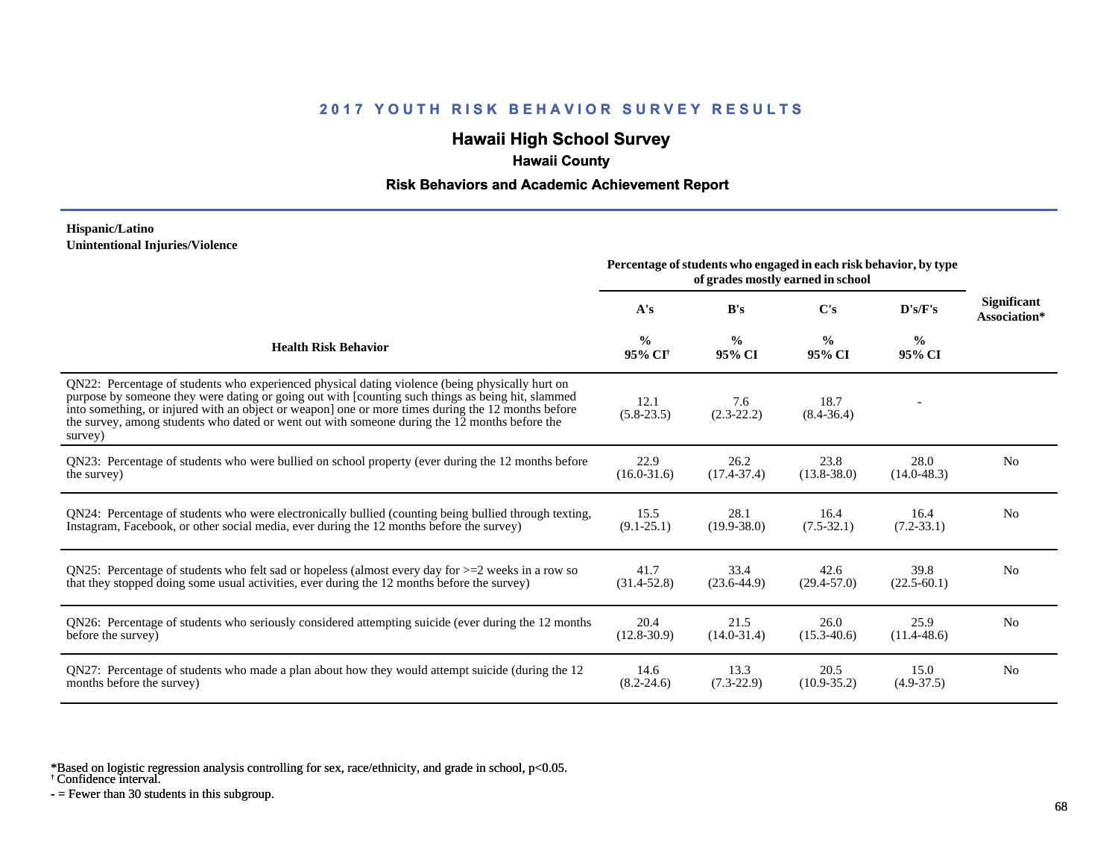## **Hawaii High School Survey**

## **Hawaii County**

### **Risk Behaviors and Academic Achievement Report**

#### **Hispanic/Latino Unintentional Injuries/Violence**

|                                                                                                                                                                                                                                                                                                                                                                                                                        | Percentage of students who engaged in each risk behavior, by type |                         |                         |                         |                             |
|------------------------------------------------------------------------------------------------------------------------------------------------------------------------------------------------------------------------------------------------------------------------------------------------------------------------------------------------------------------------------------------------------------------------|-------------------------------------------------------------------|-------------------------|-------------------------|-------------------------|-----------------------------|
|                                                                                                                                                                                                                                                                                                                                                                                                                        | A's                                                               | B's                     | C's                     | D's/F's                 | Significant<br>Association* |
| <b>Health Risk Behavior</b>                                                                                                                                                                                                                                                                                                                                                                                            | $\frac{0}{0}$<br>95% CI <sup>+</sup>                              | $\frac{0}{0}$<br>95% CI | $\frac{0}{0}$<br>95% CI | $\frac{0}{0}$<br>95% CI |                             |
| QN22: Percentage of students who experienced physical dating violence (being physically hurt on<br>purpose by someone they were dating or going out with [counting such things as being hit, slammed<br>into something, or injured with an object or weapon] one or more times during the 12 months before<br>the survey, among students who dated or went out with someone during the 12 months before the<br>survey) | 12.1<br>$(5.8-23.5)$                                              | 7.6<br>$(2.3-22.2)$     | 18.7<br>$(8.4 - 36.4)$  |                         |                             |
| QN23: Percentage of students who were bullied on school property (ever during the 12 months before                                                                                                                                                                                                                                                                                                                     | 22.9                                                              | 26.2                    | 23.8                    | 28.0                    | N <sub>0</sub>              |
| the survey)                                                                                                                                                                                                                                                                                                                                                                                                            | $(16.0 - 31.6)$                                                   | $(17.4 - 37.4)$         | $(13.8 - 38.0)$         | $(14.0 - 48.3)$         |                             |
| QN24: Percentage of students who were electronically bullied (counting being bullied through texting,                                                                                                                                                                                                                                                                                                                  | 15.5                                                              | 28.1                    | 16.4                    | 16.4                    | N <sub>0</sub>              |
| Instagram, Facebook, or other social media, ever during the 12 months before the survey)                                                                                                                                                                                                                                                                                                                               | $(9.1 - 25.1)$                                                    | $(19.9 - 38.0)$         | $(7.5-32.1)$            | $(7.2 - 33.1)$          |                             |
| ON25: Percentage of students who felt sad or hopeless (almost every day for $>=$ 2 weeks in a row so                                                                                                                                                                                                                                                                                                                   | 41.7                                                              | 33.4                    | 42.6                    | 39.8                    | No                          |
| that they stopped doing some usual activities, ever during the 12 months before the survey)                                                                                                                                                                                                                                                                                                                            | $(31.4 - 52.8)$                                                   | $(23.6-44.9)$           | $(29.4 - 57.0)$         | $(22.5 - 60.1)$         |                             |
| QN26: Percentage of students who seriously considered attempting suicide (ever during the 12 months                                                                                                                                                                                                                                                                                                                    | 20.4                                                              | 21.5                    | 26.0                    | 25.9                    | No                          |
| before the survey)                                                                                                                                                                                                                                                                                                                                                                                                     | $(12.8 - 30.9)$                                                   | $(14.0 - 31.4)$         | $(15.3 - 40.6)$         | $(11.4 - 48.6)$         |                             |
| QN27: Percentage of students who made a plan about how they would attempt suicide (during the 12                                                                                                                                                                                                                                                                                                                       | 14.6                                                              | 13.3                    | 20.5                    | 15.0                    | N <sub>0</sub>              |
| months before the survey)                                                                                                                                                                                                                                                                                                                                                                                              | $(8.2 - 24.6)$                                                    | $(7.3-22.9)$            | $(10.9 - 35.2)$         | $(4.9-37.5)$            |                             |

\*Based on logistic regression analysis controlling for sex, race/ethnicity, and grade in school, p<0.05.

† Confidence interval.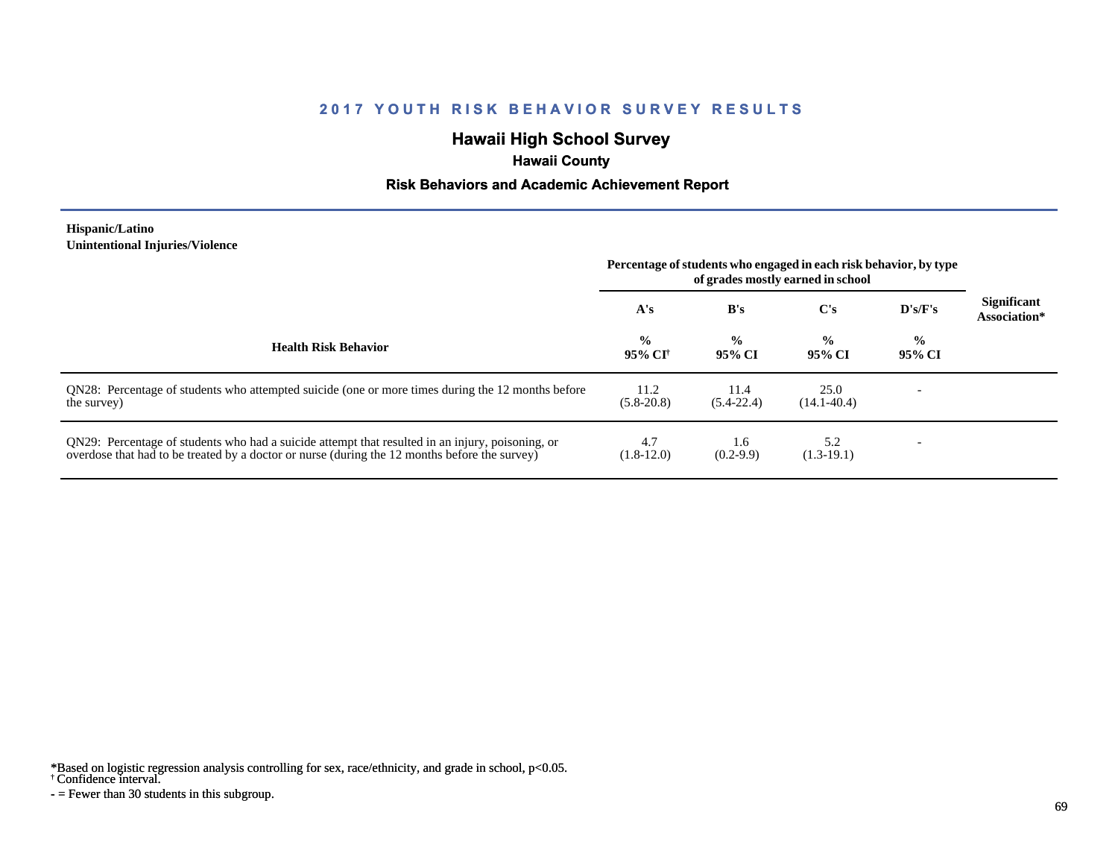# **Hawaii High School Survey**

## **Hawaii County**

### **Risk Behaviors and Academic Achievement Report**

#### **Hispanic/Latino Unintentional Injuries/Violence**

|                                                                                                                                                                                                   | Percentage of students who engaged in each risk behavior, by type<br>of grades mostly earned in school |                         |                         |                          |                                    |
|---------------------------------------------------------------------------------------------------------------------------------------------------------------------------------------------------|--------------------------------------------------------------------------------------------------------|-------------------------|-------------------------|--------------------------|------------------------------------|
|                                                                                                                                                                                                   | A's                                                                                                    | B's                     | $\bf C's$               | D's/F's                  | <b>Significant</b><br>Association* |
| <b>Health Risk Behavior</b>                                                                                                                                                                       | $\frac{0}{0}$<br>95% CI†                                                                               | $\frac{0}{0}$<br>95% CI | $\frac{0}{0}$<br>95% CI | $\frac{0}{0}$<br>95% CI  |                                    |
| ON28: Percentage of students who attempted suicide (one or more times during the 12 months before<br>the survey)                                                                                  | 11.2<br>$(5.8-20.8)$                                                                                   | 11.4<br>$(5.4-22.4)$    | 25.0<br>$(14.1 - 40.4)$ |                          |                                    |
| QN29: Percentage of students who had a suicide attempt that resulted in an injury, poisoning, or<br>overdose that had to be treated by a doctor or nurse (during the 12 months before the survey) | 4.7<br>$(1.8-12.0)$                                                                                    | 1.6<br>$(0.2-9.9)$      | 5.2<br>$(1.3-19.1)$     | $\overline{\phantom{0}}$ |                                    |

\*Based on logistic regression analysis controlling for sex, race/ethnicity, and grade in school, p<0.05.

#### † Confidence interval.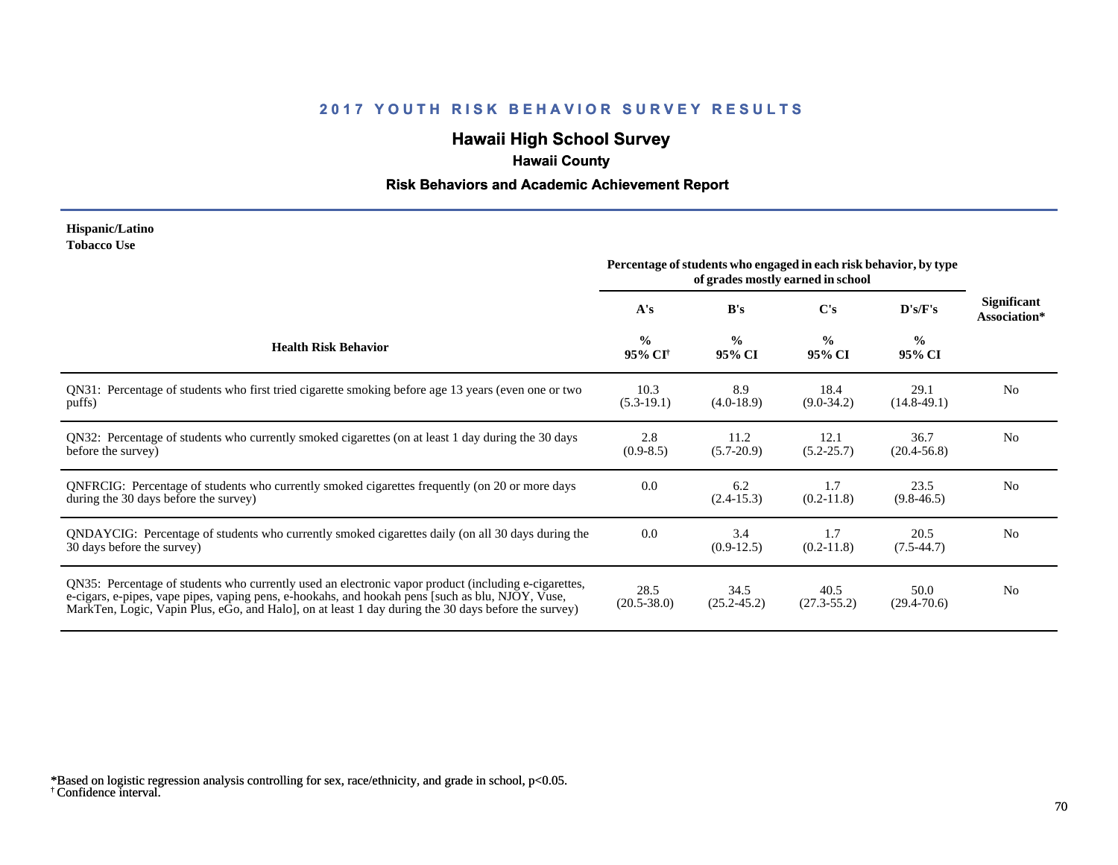# **Hawaii High School Survey**

# **Hawaii County**

## **Risk Behaviors and Academic Achievement Report**

#### **Hispanic/Latino Tobacco Use**

|                                                                                                                                                                                                                                                                                                                | Percentage of students who engaged in each risk behavior, by type |                         |                         |                         |                             |
|----------------------------------------------------------------------------------------------------------------------------------------------------------------------------------------------------------------------------------------------------------------------------------------------------------------|-------------------------------------------------------------------|-------------------------|-------------------------|-------------------------|-----------------------------|
|                                                                                                                                                                                                                                                                                                                | A's                                                               | B's                     | C's                     | D's/F's                 | Significant<br>Association* |
| <b>Health Risk Behavior</b>                                                                                                                                                                                                                                                                                    | $\frac{0}{0}$<br>95% CI <sup>†</sup>                              | $\frac{0}{0}$<br>95% CI | $\frac{0}{0}$<br>95% CI | $\frac{0}{0}$<br>95% CI |                             |
| QN31: Percentage of students who first tried cigarette smoking before age 13 years (even one or two<br>puffs)                                                                                                                                                                                                  | 10.3<br>$(5.3-19.1)$                                              | 8.9<br>$(4.0-18.9)$     | 18.4<br>$(9.0-34.2)$    | 29.1<br>$(14.8-49.1)$   | No                          |
| QN32: Percentage of students who currently smoked cigarettes (on at least 1 day during the 30 days<br>before the survey)                                                                                                                                                                                       | 2.8<br>$(0.9-8.5)$                                                | 11.2<br>$(5.7-20.9)$    | 12.1<br>$(5.2 - 25.7)$  | 36.7<br>$(20.4 - 56.8)$ | No                          |
| QNFRCIG: Percentage of students who currently smoked cigarettes frequently (on 20 or more days<br>during the 30 days before the survey)                                                                                                                                                                        | 0.0                                                               | 6.2<br>$(2.4-15.3)$     | 1.7<br>$(0.2-11.8)$     | 23.5<br>$(9.8-46.5)$    | N <sub>0</sub>              |
| QNDAYCIG: Percentage of students who currently smoked cigarettes daily (on all 30 days during the<br>30 days before the survey)                                                                                                                                                                                | 0.0                                                               | 3.4<br>$(0.9-12.5)$     | 1.7<br>$(0.2-11.8)$     | 20.5<br>$(7.5-44.7)$    | N <sub>0</sub>              |
| QN35: Percentage of students who currently used an electronic vapor product (including e-cigarettes,<br>e-cigars, e-pipes, vape pipes, vaping pens, e-hookahs, and hookah pens [such as blu, NJOY, Vuse,<br>MarkTen, Logic, Vapin Plus, eGo, and Halo, on at least 1 day during the 30 days before the survey) | 28.5<br>$(20.5 - 38.0)$                                           | 34.5<br>$(25.2 - 45.2)$ | 40.5<br>$(27.3 - 55.2)$ | 50.0<br>$(29.4 - 70.6)$ | N <sub>0</sub>              |

<sup>†</sup> Confidence interval. \*Based on logistic regression analysis controlling for sex, race/ethnicity, and grade in school, p<0.05.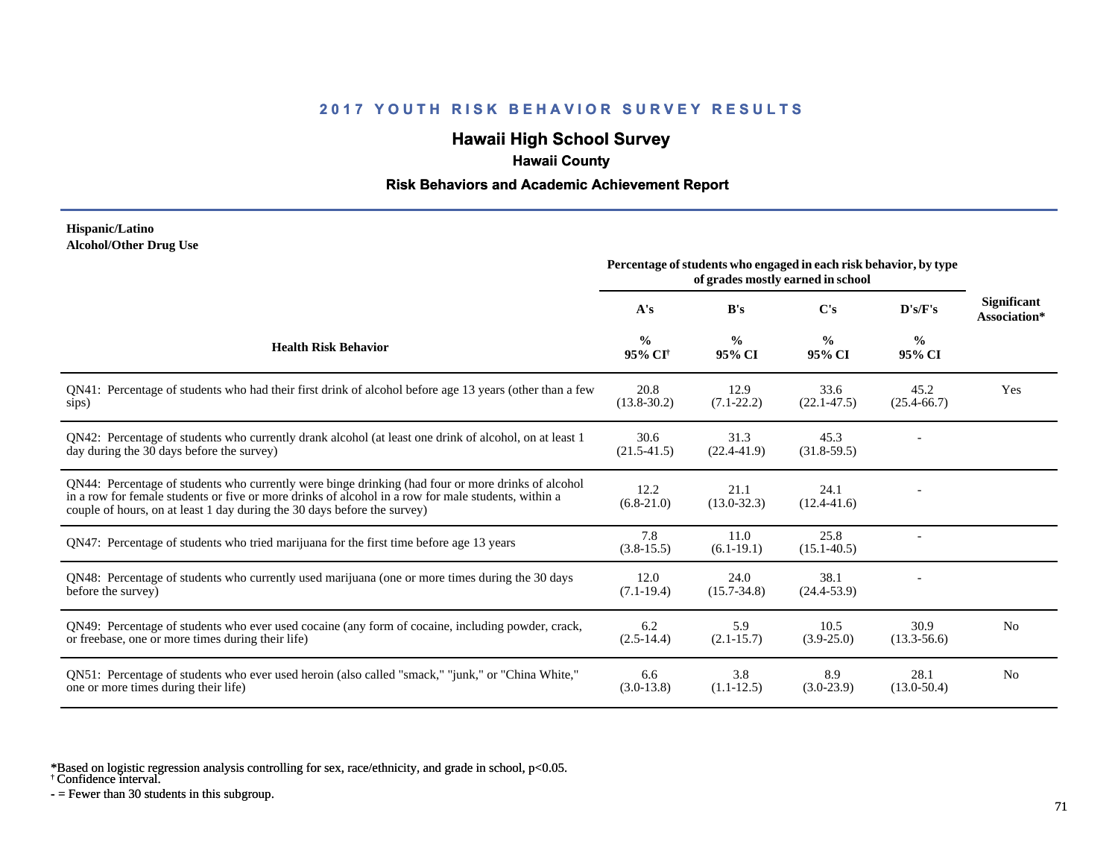# **Hawaii High School Survey**

 **Hawaii County**

### **Risk Behaviors and Academic Achievement Report**

#### **Hispanic/Latino Alcohol/Other Drug Use**

|                                                                                                                                                                                                                                                                                       | Percentage of students who engaged in each risk behavior, by type<br>of grades mostly earned in school |                         |                         |                         |                             |
|---------------------------------------------------------------------------------------------------------------------------------------------------------------------------------------------------------------------------------------------------------------------------------------|--------------------------------------------------------------------------------------------------------|-------------------------|-------------------------|-------------------------|-----------------------------|
|                                                                                                                                                                                                                                                                                       | A's                                                                                                    | B's                     | C's                     | D's/F's                 | Significant<br>Association* |
| <b>Health Risk Behavior</b>                                                                                                                                                                                                                                                           | $\frac{6}{9}$<br>95% CI <sup>†</sup>                                                                   | $\frac{0}{0}$<br>95% CI | $\frac{0}{0}$<br>95% CI | $\frac{6}{9}$<br>95% CI |                             |
| QN41: Percentage of students who had their first drink of alcohol before age 13 years (other than a few<br>sips)                                                                                                                                                                      | 20.8<br>$(13.8 - 30.2)$                                                                                | 12.9<br>$(7.1 - 22.2)$  | 33.6<br>$(22.1 - 47.5)$ | 45.2<br>$(25.4 - 66.7)$ | Yes                         |
| QN42: Percentage of students who currently drank alcohol (at least one drink of alcohol, on at least 1<br>day during the 30 days before the survey)                                                                                                                                   | 30.6<br>$(21.5 - 41.5)$                                                                                | 31.3<br>$(22.4 - 41.9)$ | 45.3<br>$(31.8-59.5)$   |                         |                             |
| QN44: Percentage of students who currently were binge drinking (had four or more drinks of alcohol<br>in a row for female students or five or more drinks of alcohol in a row for male students, within a<br>couple of hours, on at least 1 day during the 30 days before the survey) | 12.2<br>$(6.8-21.0)$                                                                                   | 21.1<br>$(13.0 - 32.3)$ | 24.1<br>$(12.4 - 41.6)$ |                         |                             |
| QN47: Percentage of students who tried marijuana for the first time before age 13 years                                                                                                                                                                                               | 7.8<br>$(3.8-15.5)$                                                                                    | 11.0<br>$(6.1-19.1)$    | 25.8<br>$(15.1 - 40.5)$ |                         |                             |
| QN48: Percentage of students who currently used marijuana (one or more times during the 30 days<br>before the survey)                                                                                                                                                                 | 12.0<br>$(7.1-19.4)$                                                                                   | 24.0<br>$(15.7 - 34.8)$ | 38.1<br>$(24.4 - 53.9)$ |                         |                             |
| QN49: Percentage of students who ever used cocaine (any form of cocaine, including powder, crack,<br>or freebase, one or more times during their life)                                                                                                                                | 6.2<br>$(2.5-14.4)$                                                                                    | 5.9<br>$(2.1 - 15.7)$   | 10.5<br>$(3.9 - 25.0)$  | 30.9<br>$(13.3 - 56.6)$ | N <sub>o</sub>              |
| ON51: Percentage of students who ever used heroin (also called "smack," "junk," or "China White,"<br>one or more times during their life)                                                                                                                                             | 6.6<br>$(3.0-13.8)$                                                                                    | 3.8<br>$(1.1-12.5)$     | 8.9<br>$(3.0-23.9)$     | 28.1<br>$(13.0 - 50.4)$ | N <sub>0</sub>              |

\*Based on logistic regression analysis controlling for sex, race/ethnicity, and grade in school, p<0.05.

† Confidence interval.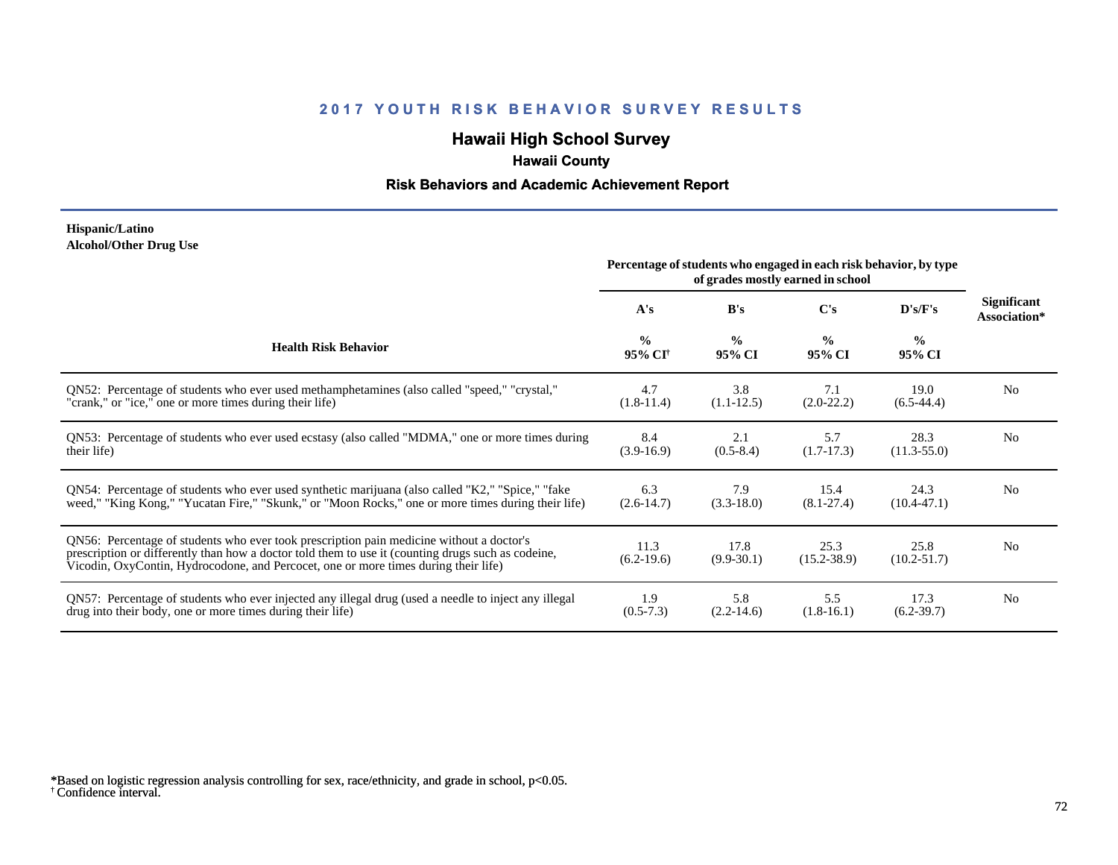## **Hawaii High School Survey**

# **Hawaii County**

## **Risk Behaviors and Academic Achievement Report**

#### **Hispanic/Latino Alcohol/Other Drug Use**

|                                                                                                                                                                                                                                                                                       | Percentage of students who engaged in each risk behavior, by type<br>of grades mostly earned in school |                         |                         |                         |                                    |
|---------------------------------------------------------------------------------------------------------------------------------------------------------------------------------------------------------------------------------------------------------------------------------------|--------------------------------------------------------------------------------------------------------|-------------------------|-------------------------|-------------------------|------------------------------------|
|                                                                                                                                                                                                                                                                                       | A's                                                                                                    | B's                     | C's                     | D's/F's                 | <b>Significant</b><br>Association* |
| <b>Health Risk Behavior</b>                                                                                                                                                                                                                                                           | $\frac{0}{0}$<br>95% CI <sup>†</sup>                                                                   | $\frac{0}{0}$<br>95% CI | $\frac{0}{0}$<br>95% CI | $\frac{0}{0}$<br>95% CI |                                    |
| QN52: Percentage of students who ever used methamphetamines (also called "speed," "crystal,"                                                                                                                                                                                          | 4.7                                                                                                    | 3.8                     | 7.1                     | 19.0                    | N <sub>0</sub>                     |
| "crank," or "ice," one or more times during their life)                                                                                                                                                                                                                               | $(1.8-11.4)$                                                                                           | $(1.1-12.5)$            | $(2.0-22.2)$            | $(6.5-44.4)$            |                                    |
| QN53: Percentage of students who ever used ecstasy (also called "MDMA," one or more times during                                                                                                                                                                                      | 8.4                                                                                                    | 2.1                     | 5.7                     | 28.3                    | N <sub>0</sub>                     |
| their life)                                                                                                                                                                                                                                                                           | $(3.9-16.9)$                                                                                           | $(0.5-8.4)$             | $(1.7-17.3)$            | $(11.3 - 55.0)$         |                                    |
| QN54: Percentage of students who ever used synthetic marijuana (also called "K2," "Spice," "fake                                                                                                                                                                                      | 6.3                                                                                                    | 7.9                     | 15.4                    | 24.3                    | N <sub>0</sub>                     |
| weed," "King Kong," "Yucatan Fire," "Skunk," or "Moon Rocks," one or more times during their life)                                                                                                                                                                                    | $(2.6-14.7)$                                                                                           | $(3.3-18.0)$            | $(8.1 - 27.4)$          | $(10.4 - 47.1)$         |                                    |
| QN56: Percentage of students who ever took prescription pain medicine without a doctor's<br>prescription or differently than how a doctor told them to use it (counting drugs such as codeine,<br>Vicodin, OxyContin, Hydrocodone, and Percocet, one or more times during their life) | 11.3<br>$(6.2-19.6)$                                                                                   | 17.8<br>$(9.9-30.1)$    | 25.3<br>$(15.2 - 38.9)$ | 25.8<br>$(10.2 - 51.7)$ | N <sub>0</sub>                     |
| QN57: Percentage of students who ever injected any illegal drug (used a needle to inject any illegal                                                                                                                                                                                  | 1.9                                                                                                    | 5.8                     | 5.5                     | 17.3                    | N <sub>0</sub>                     |
| drug into their body, one or more times during their life)                                                                                                                                                                                                                            | $(0.5-7.3)$                                                                                            | $(2.2-14.6)$            | $(1.8-16.1)$            | $(6.2 - 39.7)$          |                                    |

<sup>†</sup> Confidence interval. \*Based on logistic regression analysis controlling for sex, race/ethnicity, and grade in school, p<0.05.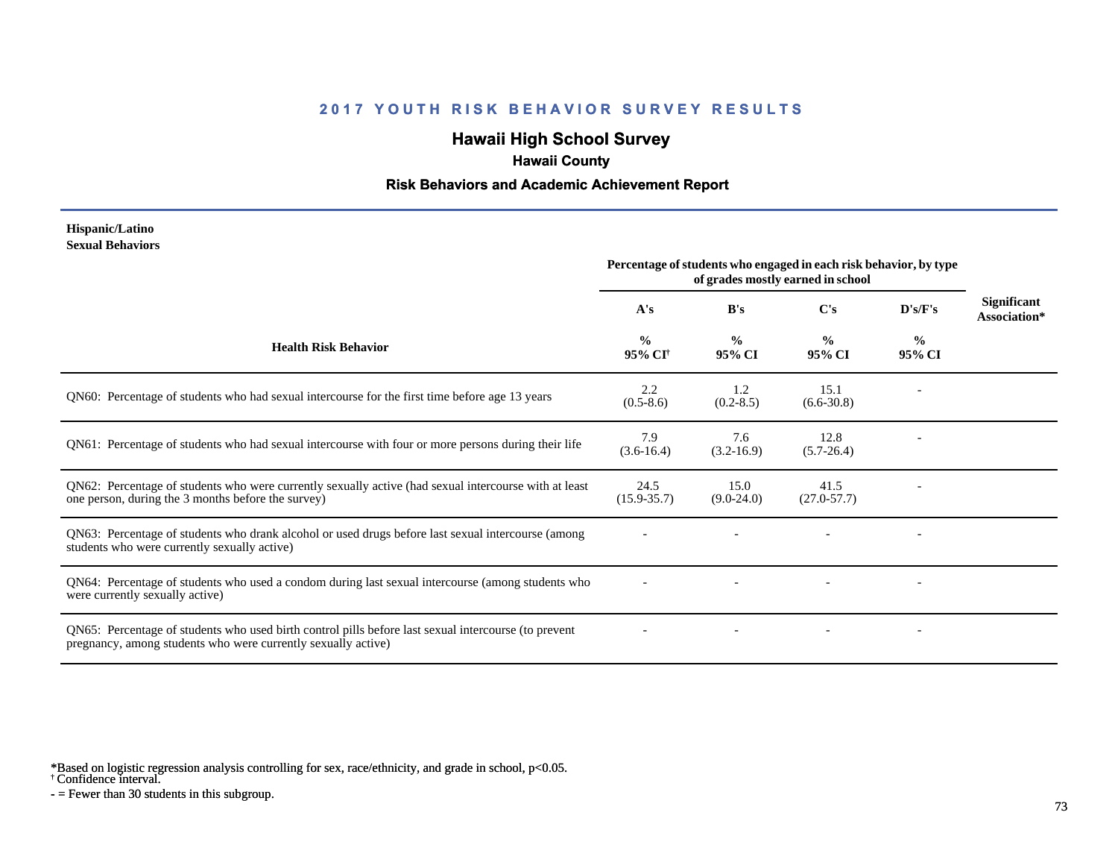# **Hawaii High School Survey**

## **Hawaii County**

#### **Risk Behaviors and Academic Achievement Report**

#### **Hispanic/Latino Sexual Behaviors**

|                                                                                                                                                                       | Percentage of students who engaged in each risk behavior, by type<br>of grades mostly earned in school |                         |                         |                          |                             |
|-----------------------------------------------------------------------------------------------------------------------------------------------------------------------|--------------------------------------------------------------------------------------------------------|-------------------------|-------------------------|--------------------------|-----------------------------|
|                                                                                                                                                                       | A's                                                                                                    | B's                     | C's                     | D's/F's                  | Significant<br>Association* |
| <b>Health Risk Behavior</b>                                                                                                                                           | $\frac{0}{0}$<br>95% CI <sup>†</sup>                                                                   | $\frac{0}{0}$<br>95% CI | $\frac{0}{0}$<br>95% CI | $\frac{0}{0}$<br>95% CI  |                             |
| QN60: Percentage of students who had sexual intercourse for the first time before age 13 years                                                                        | 2.2<br>$(0.5-8.6)$                                                                                     | 1.2<br>$(0.2 - 8.5)$    | 15.1<br>$(6.6 - 30.8)$  |                          |                             |
| QN61: Percentage of students who had sexual intercourse with four or more persons during their life                                                                   | 7.9<br>$(3.6-16.4)$                                                                                    | 7.6<br>$(3.2 - 16.9)$   | 12.8<br>$(5.7 - 26.4)$  |                          |                             |
| QN62: Percentage of students who were currently sexually active (had sexual intercourse with at least<br>one person, during the 3 months before the survey)           | 24.5<br>$(15.9 - 35.7)$                                                                                | 15.0<br>$(9.0-24.0)$    | 41.5<br>$(27.0 - 57.7)$ |                          |                             |
| QN63: Percentage of students who drank alcohol or used drugs before last sexual intercourse (among<br>students who were currently sexually active)                    |                                                                                                        |                         |                         | $\overline{\phantom{a}}$ |                             |
| QN64: Percentage of students who used a condom during last sexual intercourse (among students who<br>were currently sexually active)                                  |                                                                                                        |                         |                         |                          |                             |
| QN65: Percentage of students who used birth control pills before last sexual intercourse (to prevent<br>pregnancy, among students who were currently sexually active) |                                                                                                        |                         |                         | $\overline{\phantom{a}}$ |                             |

\*Based on logistic regression analysis controlling for sex, race/ethnicity, and grade in school, p<0.05.

† Confidence interval.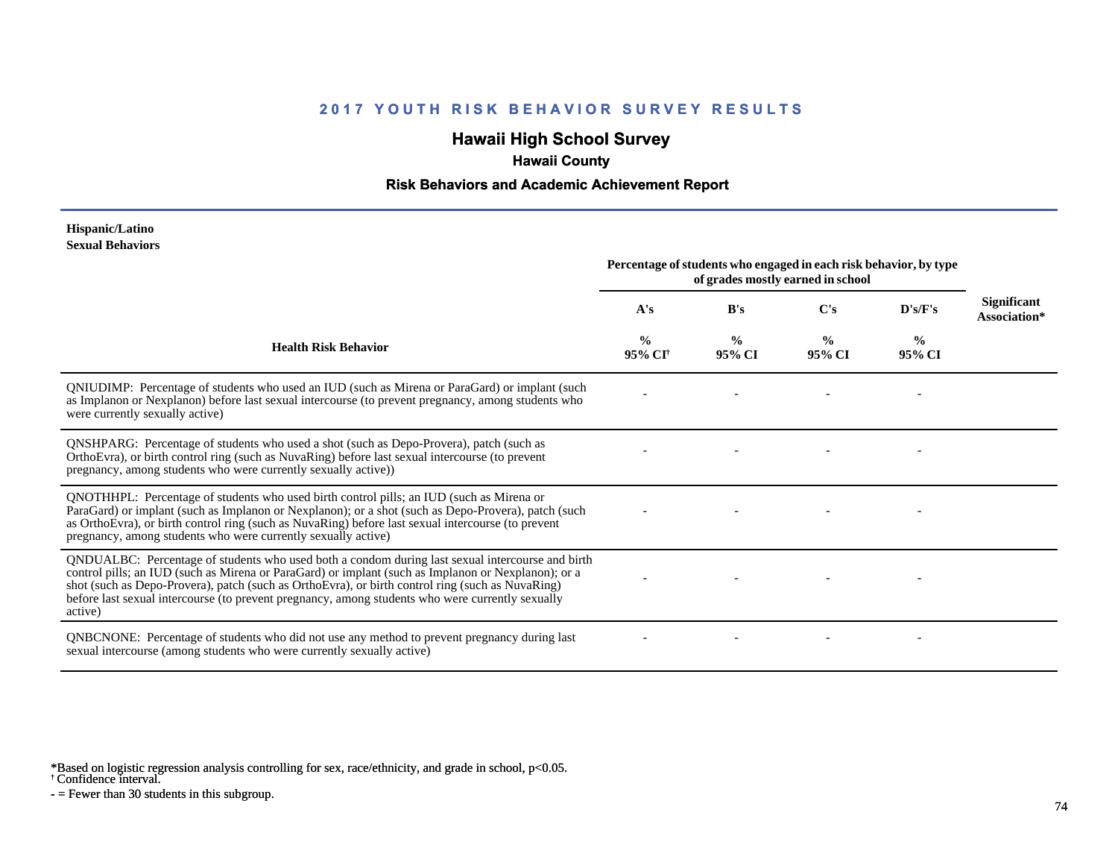# **Hawaii High School Survey**

 **Hawaii County**

#### **Risk Behaviors and Academic Achievement Report**

#### **Hispanic/Latino Sexual Behaviors**

|                                                                                                                                                                                                                                                                                                                                                                                                                            | Percentage of students who engaged in each risk behavior, by type<br>of grades mostly earned in school |                         |                         |                         |                             |
|----------------------------------------------------------------------------------------------------------------------------------------------------------------------------------------------------------------------------------------------------------------------------------------------------------------------------------------------------------------------------------------------------------------------------|--------------------------------------------------------------------------------------------------------|-------------------------|-------------------------|-------------------------|-----------------------------|
|                                                                                                                                                                                                                                                                                                                                                                                                                            | A's                                                                                                    | B's                     | C's                     | D's/F's                 | Significant<br>Association* |
| <b>Health Risk Behavior</b>                                                                                                                                                                                                                                                                                                                                                                                                | $\frac{0}{0}$<br>95% CI                                                                                | $\frac{0}{0}$<br>95% CI | $\frac{0}{0}$<br>95% CI | $\frac{0}{0}$<br>95% CI |                             |
| QNIUDIMP: Percentage of students who used an IUD (such as Mirena or ParaGard) or implant (such<br>as Implanon or Nexplanon) before last sexual intercourse (to prevent pregnancy, among students who<br>were currently sexually active)                                                                                                                                                                                    |                                                                                                        |                         |                         |                         |                             |
| QNSHPARG: Percentage of students who used a shot (such as Depo-Provera), patch (such as<br>OrthoEvra), or birth control ring (such as NuvaRing) before last sexual intercourse (to prevent<br>pregnancy, among students who were currently sexually active))                                                                                                                                                               |                                                                                                        |                         |                         |                         |                             |
| QNOTHHPL: Percentage of students who used birth control pills; an IUD (such as Mirena or<br>ParaGard) or implant (such as Implanon or Nexplanon); or a shot (such as Depo-Provera), patch (such<br>as OrthoEvra), or birth control ring (such as NuvaRing) before last sexual intercourse (to prevent<br>pregnancy, among students who were currently sexually active)                                                     |                                                                                                        |                         |                         |                         |                             |
| QNDUALBC: Percentage of students who used both a condom during last sexual intercourse and birth<br>control pills; an IUD (such as Mirena or ParaGard) or implant (such as Implanon or Nexplanon); or a<br>shot (such as Depo-Provera), patch (such as OrthoEvra), or birth control ring (such as NuvaRing)<br>before last sexual intercourse (to prevent pregnancy, among students who were currently sexually<br>active) |                                                                                                        |                         |                         |                         |                             |
| QNBCNONE: Percentage of students who did not use any method to prevent pregnancy during last<br>sexual intercourse (among students who were currently sexually active)                                                                                                                                                                                                                                                     |                                                                                                        |                         |                         |                         |                             |

\*Based on logistic regression analysis controlling for sex, race/ethnicity, and grade in school, p<0.05.

† Confidence interval.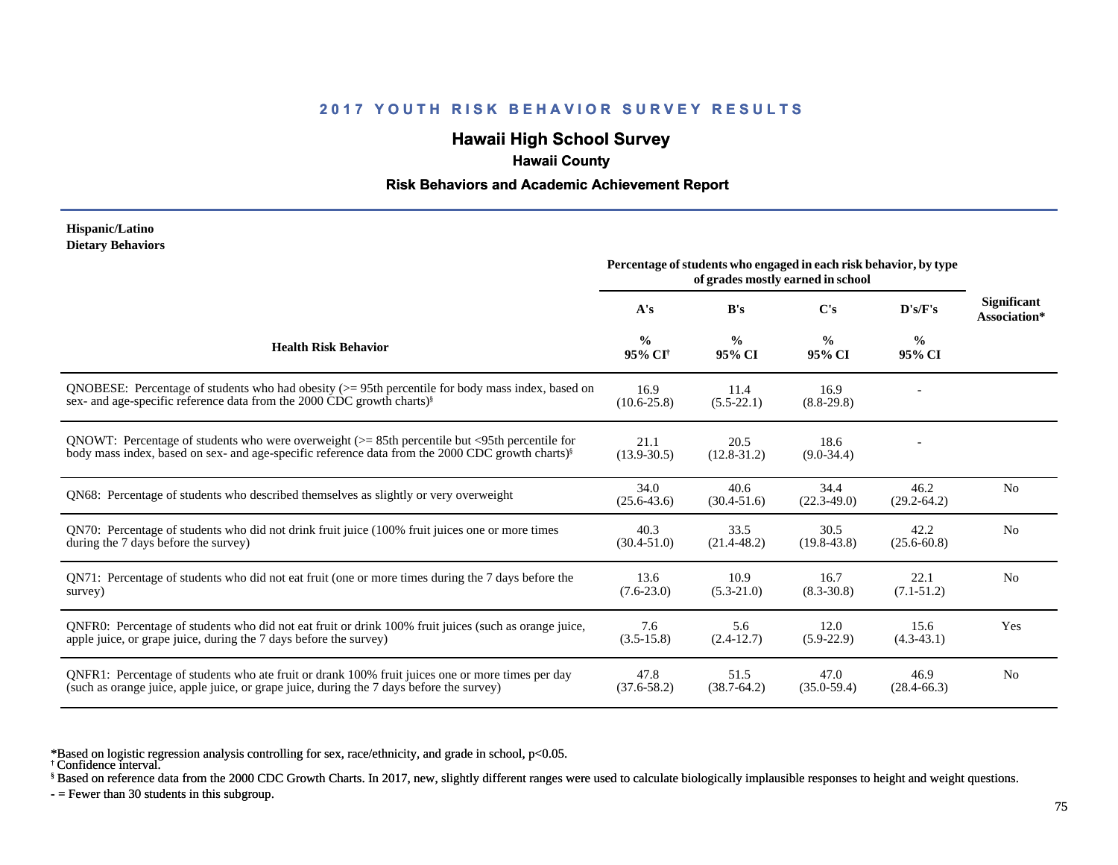## **Hawaii High School Survey**

# **Hawaii County**

#### **Risk Behaviors and Academic Achievement Report**

#### **Hispanic/Latino Dietary Behaviors**

|                                                                                                                                                                                                                         | Percentage of students who engaged in each risk behavior, by type<br>of grades mostly earned in school |                         |                         |                         |                                    |
|-------------------------------------------------------------------------------------------------------------------------------------------------------------------------------------------------------------------------|--------------------------------------------------------------------------------------------------------|-------------------------|-------------------------|-------------------------|------------------------------------|
|                                                                                                                                                                                                                         | A's                                                                                                    | B's                     | $\bf C's$               | D's/F's                 | <b>Significant</b><br>Association* |
| <b>Health Risk Behavior</b>                                                                                                                                                                                             | $\frac{0}{0}$<br>95% CI <sup>†</sup>                                                                   | $\frac{6}{6}$<br>95% CI | $\frac{0}{0}$<br>95% CI | $\frac{0}{0}$<br>95% CI |                                    |
| QNOBESE: Percentage of students who had obesity $(>= 95$ th percentile for body mass index, based on<br>sex- and age-specific reference data from the 2000 CDC growth charts) <sup>§</sup>                              | 16.9<br>$(10.6 - 25.8)$                                                                                | 11.4<br>$(5.5-22.1)$    | 16.9<br>$(8.8-29.8)$    |                         |                                    |
| QNOWT: Percentage of students who were overweight $(>= 85$ th percentile but $\leq$ 95th percentile for<br>body mass index, based on sex- and age-specific reference data from the 2000 CDC growth charts) <sup>§</sup> | 21.1<br>$(13.9 - 30.5)$                                                                                | 20.5<br>$(12.8 - 31.2)$ | 18.6<br>$(9.0-34.4)$    |                         |                                    |
| QN68: Percentage of students who described themselves as slightly or very overweight                                                                                                                                    | 34.0<br>$(25.6 - 43.6)$                                                                                | 40.6<br>$(30.4 - 51.6)$ | 34.4<br>$(22.3 - 49.0)$ | 46.2<br>$(29.2 - 64.2)$ | N <sub>0</sub>                     |
| QN70: Percentage of students who did not drink fruit juice (100% fruit juices one or more times<br>during the 7 days before the survey)                                                                                 | 40.3<br>$(30.4 - 51.0)$                                                                                | 33.5<br>$(21.4 - 48.2)$ | 30.5<br>$(19.8 - 43.8)$ | 42.2<br>$(25.6 - 60.8)$ | N <sub>0</sub>                     |
| QN71: Percentage of students who did not eat fruit (one or more times during the 7 days before the<br>survey)                                                                                                           | 13.6<br>$(7.6 - 23.0)$                                                                                 | 10.9<br>$(5.3-21.0)$    | 16.7<br>$(8.3 - 30.8)$  | 22.1<br>$(7.1 - 51.2)$  | N <sub>0</sub>                     |
| QNFR0: Percentage of students who did not eat fruit or drink 100% fruit juices (such as orange juice,<br>apple juice, or grape juice, during the 7 days before the survey)                                              | 7.6<br>$(3.5 - 15.8)$                                                                                  | 5.6<br>$(2.4-12.7)$     | 12.0<br>$(5.9-22.9)$    | 15.6<br>$(4.3-43.1)$    | Yes                                |
| QNFR1: Percentage of students who ate fruit or drank 100% fruit juices one or more times per day<br>(such as orange juice, apple juice, or grape juice, during the 7 days before the survey)                            | 47.8<br>$(37.6 - 58.2)$                                                                                | 51.5<br>$(38.7 - 64.2)$ | 47.0<br>$(35.0 - 59.4)$ | 46.9<br>$(28.4 - 66.3)$ | N <sub>0</sub>                     |

\*Based on logistic regression analysis controlling for sex, race/ethnicity, and grade in school, p<0.05.

† Confidence interval.

§ Based on reference data from the 2000 CDC Growth Charts. In 2017, new, slightly different ranges were used to calculate biologically implausible responses to height and weight questions.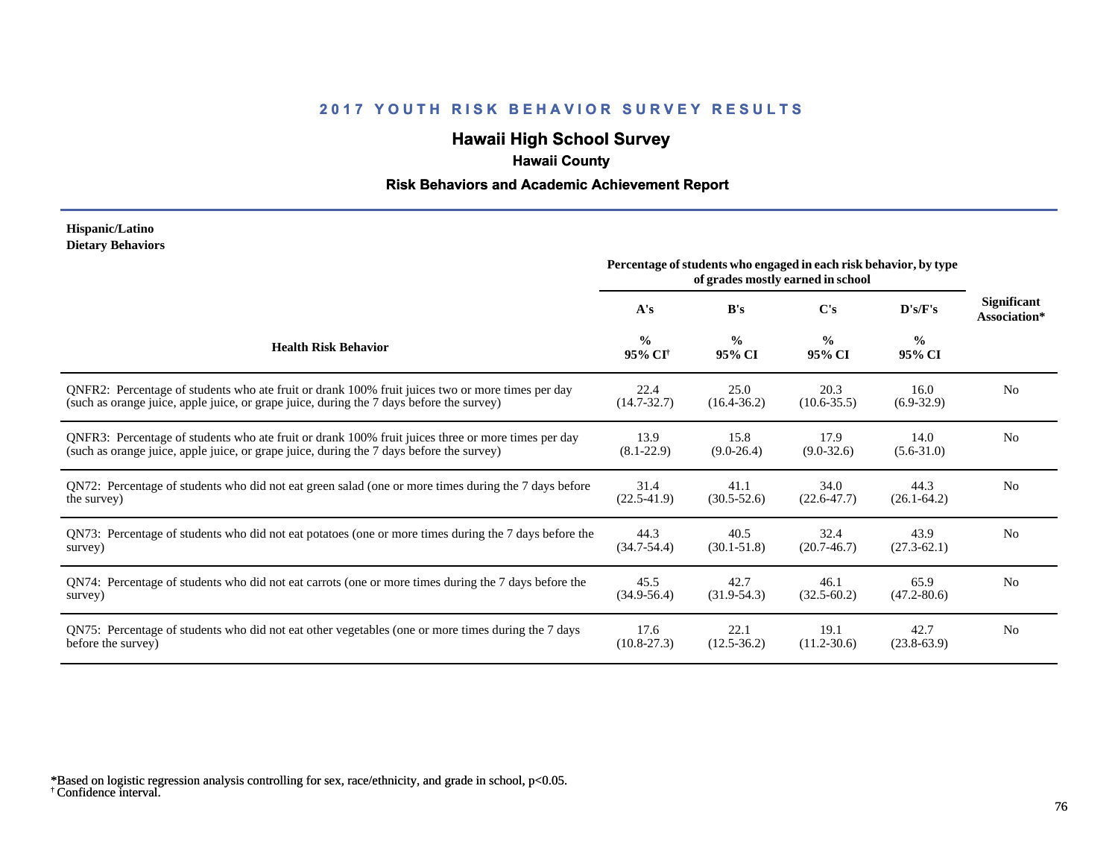# **Hawaii High School Survey**

# **Hawaii County**

### **Risk Behaviors and Academic Achievement Report**

#### **Hispanic/Latino Dietary Behaviors**

|                                                                                                       | Percentage of students who engaged in each risk behavior, by type<br>of grades mostly earned in school |                         |                         |                         |                             |
|-------------------------------------------------------------------------------------------------------|--------------------------------------------------------------------------------------------------------|-------------------------|-------------------------|-------------------------|-----------------------------|
|                                                                                                       | A's                                                                                                    | B's                     | C's                     | D's/F's                 | Significant<br>Association* |
| <b>Health Risk Behavior</b>                                                                           | $\frac{0}{0}$<br>95% CI <sup>+</sup>                                                                   | $\frac{0}{0}$<br>95% CI | $\frac{0}{0}$<br>95% CI | $\frac{0}{0}$<br>95% CI |                             |
| ONFR2: Percentage of students who ate fruit or drank 100% fruit juices two or more times per day      | 22.4                                                                                                   | 25.0                    | 20.3                    | 16.0                    | N <sub>0</sub>              |
| (such as orange juice, apple juice, or grape juice, during the 7 days before the survey)              | $(14.7 - 32.7)$                                                                                        | $(16.4 - 36.2)$         | $(10.6 - 35.5)$         | $(6.9-32.9)$            |                             |
| QNFR3: Percentage of students who ate fruit or drank 100% fruit juices three or more times per day    | 13.9                                                                                                   | 15.8                    | 17.9                    | 14.0                    | N <sub>0</sub>              |
| (such as orange juice, apple juice, or grape juice, during the 7 days before the survey)              | $(8.1 - 22.9)$                                                                                         | $(9.0-26.4)$            | $(9.0-32.6)$            | $(5.6 - 31.0)$          |                             |
| QN72: Percentage of students who did not eat green salad (one or more times during the 7 days before  | 31.4                                                                                                   | 41.1                    | 34.0                    | 44.3                    | N <sub>0</sub>              |
| the survey)                                                                                           | $(22.5 - 41.9)$                                                                                        | $(30.5 - 52.6)$         | $(22.6 - 47.7)$         | $(26.1 - 64.2)$         |                             |
| QN73: Percentage of students who did not eat potatoes (one or more times during the 7 days before the | 44.3                                                                                                   | 40.5                    | 32.4                    | 43.9                    | N <sub>0</sub>              |
| survey)                                                                                               | $(34.7 - 54.4)$                                                                                        | $(30.1 - 51.8)$         | $(20.7 - 46.7)$         | $(27.3 - 62.1)$         |                             |
| QN74: Percentage of students who did not eat carrots (one or more times during the 7 days before the  | 45.5                                                                                                   | 42.7                    | 46.1                    | 65.9                    | N <sub>0</sub>              |
| survey)                                                                                               | $(34.9 - 56.4)$                                                                                        | $(31.9-54.3)$           | $(32.5 - 60.2)$         | $(47.2 - 80.6)$         |                             |
| QN75: Percentage of students who did not eat other vegetables (one or more times during the 7 days    | 17.6                                                                                                   | 22.1                    | 19.1                    | 42.7                    | N <sub>0</sub>              |
| before the survey)                                                                                    | $(10.8-27.3)$                                                                                          | $(12.5 - 36.2)$         | $(11.2 - 30.6)$         | $(23.8-63.9)$           |                             |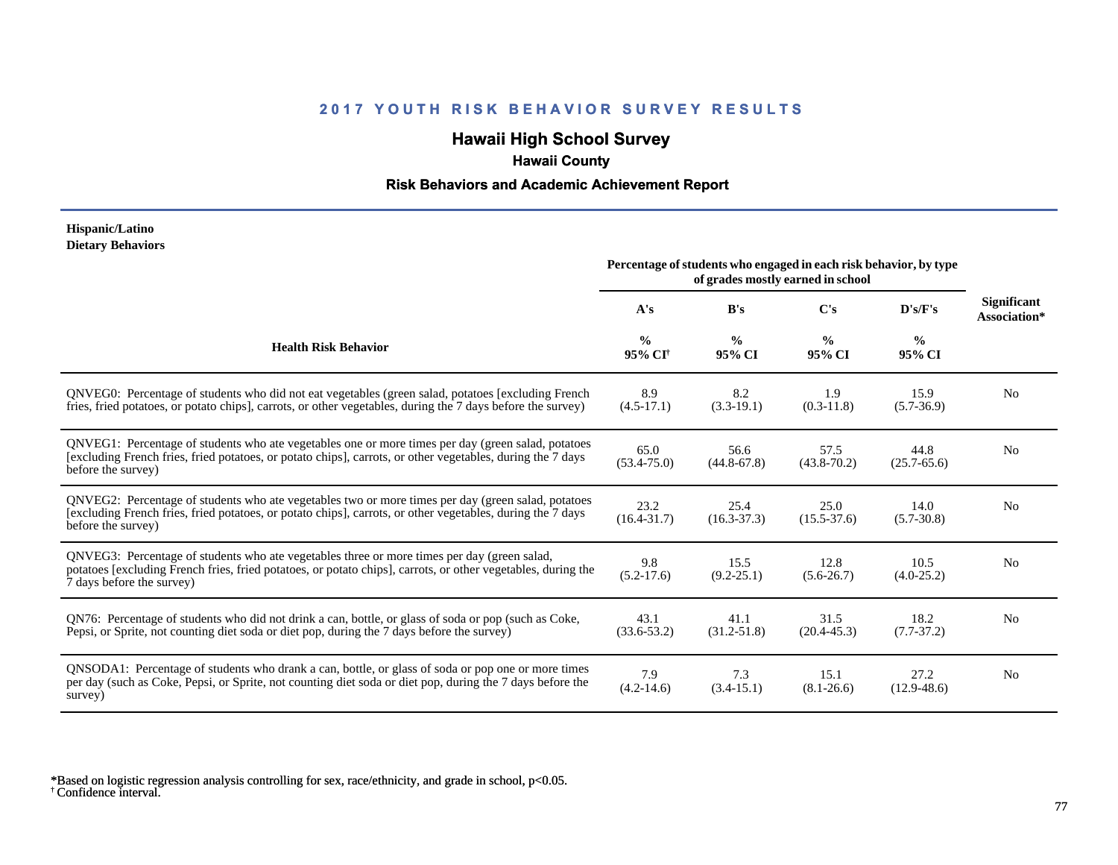## **Hawaii High School Survey**

## **Hawaii County**

### **Risk Behaviors and Academic Achievement Report**

#### **Hispanic/Latino Dietary Behaviors**

|                                                                                                                                                                                                                                          | Percentage of students who engaged in each risk behavior, by type |                         |                         |                         |                                    |
|------------------------------------------------------------------------------------------------------------------------------------------------------------------------------------------------------------------------------------------|-------------------------------------------------------------------|-------------------------|-------------------------|-------------------------|------------------------------------|
|                                                                                                                                                                                                                                          | A's                                                               | B's                     | $\bf C's$               | D's/F's                 | <b>Significant</b><br>Association* |
| <b>Health Risk Behavior</b>                                                                                                                                                                                                              | $\frac{0}{0}$<br>95% CI <sup>+</sup>                              | $\frac{0}{0}$<br>95% CI | $\frac{0}{0}$<br>95% CI | $\frac{0}{0}$<br>95% CI |                                    |
| QNVEG0: Percentage of students who did not eat vegetables (green salad, potatoes [excluding French<br>fries, fried potatoes, or potato chips], carrots, or other vegetables, during the 7 days before the survey)                        | 8.9<br>$(4.5-17.1)$                                               | 8.2<br>$(3.3-19.1)$     | 1.9<br>$(0.3-11.8)$     | 15.9<br>$(5.7-36.9)$    | No                                 |
| QNVEG1: Percentage of students who ate vegetables one or more times per day (green salad, potatoes<br>[excluding French fries, fried potatoes, or potato chips], carrots, or other vegetables, during the 7 days<br>before the survey)   | 65.0<br>$(53.4 - 75.0)$                                           | 56.6<br>$(44.8 - 67.8)$ | 57.5<br>$(43.8 - 70.2)$ | 44.8<br>$(25.7 - 65.6)$ | N <sub>0</sub>                     |
| QNVEG2: Percentage of students who ate vegetables two or more times per day (green salad, potatoes<br>[excluding French fries, fried potatoes, or potato chips], carrots, or other vegetables, during the 7 days<br>before the survey)   | 23.2<br>$(16.4 - 31.7)$                                           | 25.4<br>$(16.3 - 37.3)$ | 25.0<br>$(15.5 - 37.6)$ | 14.0<br>$(5.7 - 30.8)$  | N <sub>0</sub>                     |
| QNVEG3: Percentage of students who ate vegetables three or more times per day (green salad,<br>potatoes [excluding French fries, fried potatoes, or potato chips], carrots, or other vegetables, during the<br>7 days before the survey) | 9.8<br>$(5.2-17.6)$                                               | 15.5<br>$(9.2 - 25.1)$  | 12.8<br>$(5.6 - 26.7)$  | 10.5<br>$(4.0-25.2)$    | N <sub>0</sub>                     |
| QN76: Percentage of students who did not drink a can, bottle, or glass of soda or pop (such as Coke,<br>Pepsi, or Sprite, not counting diet soda or diet pop, during the 7 days before the survey)                                       | 43.1<br>$(33.6 - 53.2)$                                           | 41.1<br>$(31.2 - 51.8)$ | 31.5<br>$(20.4 - 45.3)$ | 18.2<br>$(7.7-37.2)$    | N <sub>0</sub>                     |
| QNSODA1: Percentage of students who drank a can, bottle, or glass of soda or pop one or more times<br>per day (such as Coke, Pepsi, or Sprite, not counting diet soda or diet pop, during the 7 days before the<br>survey)               | 7.9<br>$(4.2 - 14.6)$                                             | 7.3<br>$(3.4-15.1)$     | 15.1<br>$(8.1 - 26.6)$  | 27.2<br>$(12.9 - 48.6)$ | N <sub>0</sub>                     |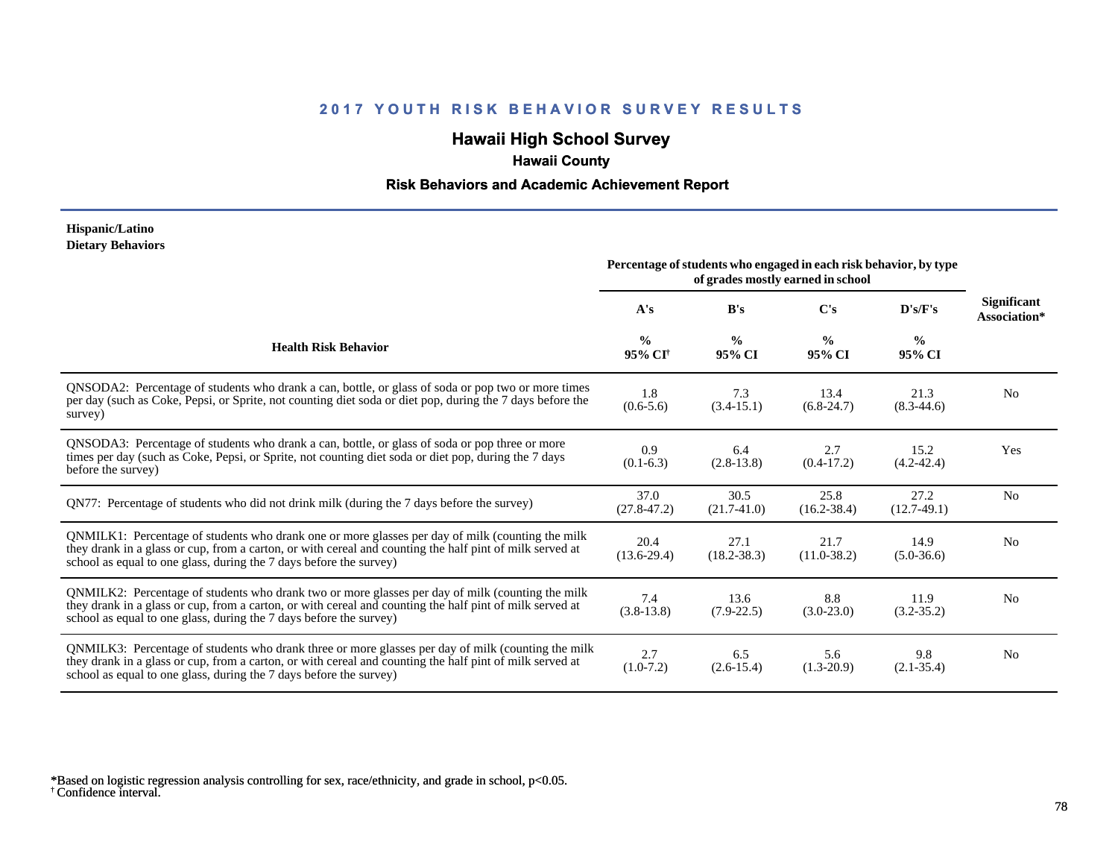# **Hawaii High School Survey**

# **Hawaii County**

### **Risk Behaviors and Academic Achievement Report**

#### **Hispanic/Latino Dietary Behaviors**

|                                                                                                                                                                                                                                                                                      | Percentage of students who engaged in each risk behavior, by type<br>of grades mostly earned in school |                         |                         |                         |                                    |
|--------------------------------------------------------------------------------------------------------------------------------------------------------------------------------------------------------------------------------------------------------------------------------------|--------------------------------------------------------------------------------------------------------|-------------------------|-------------------------|-------------------------|------------------------------------|
|                                                                                                                                                                                                                                                                                      | A's                                                                                                    | B's                     | $\bf C's$               | D's/F's                 | <b>Significant</b><br>Association* |
| <b>Health Risk Behavior</b>                                                                                                                                                                                                                                                          | $\frac{0}{0}$<br>95% CI <sup>+</sup>                                                                   | $\frac{0}{0}$<br>95% CI | $\frac{0}{0}$<br>95% CI | $\frac{0}{0}$<br>95% CI |                                    |
| QNSODA2: Percentage of students who drank a can, bottle, or glass of soda or pop two or more times<br>per day (such as Coke, Pepsi, or Sprite, not counting diet soda or diet pop, during the 7 days before the<br>survey)                                                           | 1.8<br>$(0.6-5.6)$                                                                                     | 7.3<br>$(3.4-15.1)$     | 13.4<br>$(6.8-24.7)$    | 21.3<br>$(8.3-44.6)$    | N <sub>0</sub>                     |
| ONSODA3: Percentage of students who drank a can, bottle, or glass of soda or pop three or more<br>times per day (such as Coke, Pepsi, or Sprite, not counting diet soda or diet pop, during the 7 days<br>before the survey)                                                         | 0.9<br>$(0.1-6.3)$                                                                                     | 6.4<br>$(2.8-13.8)$     | 2.7<br>$(0.4-17.2)$     | 15.2<br>$(4.2 - 42.4)$  | Yes                                |
| QN77: Percentage of students who did not drink milk (during the 7 days before the survey)                                                                                                                                                                                            | 37.0<br>$(27.8 - 47.2)$                                                                                | 30.5<br>$(21.7-41.0)$   | 25.8<br>$(16.2 - 38.4)$ | 27.2<br>$(12.7-49.1)$   | N <sub>0</sub>                     |
| QNMILK1: Percentage of students who drank one or more glasses per day of milk (counting the milk<br>they drank in a glass or cup, from a carton, or with cereal and counting the half pint of milk served at<br>school as equal to one glass, during the 7 days before the survey)   | 20.4<br>$(13.6-29.4)$                                                                                  | 27.1<br>$(18.2 - 38.3)$ | 21.7<br>$(11.0 - 38.2)$ | 14.9<br>$(5.0-36.6)$    | N <sub>0</sub>                     |
| QNMILK2: Percentage of students who drank two or more glasses per day of milk (counting the milk<br>they drank in a glass or cup, from a carton, or with cereal and counting the half pint of milk served at<br>school as equal to one glass, during the 7 days before the survey)   | 7.4<br>$(3.8-13.8)$                                                                                    | 13.6<br>$(7.9-22.5)$    | 8.8<br>$(3.0-23.0)$     | 11.9<br>$(3.2 - 35.2)$  | N <sub>0</sub>                     |
| QNMILK3: Percentage of students who drank three or more glasses per day of milk (counting the milk<br>they drank in a glass or cup, from a carton, or with cereal and counting the half pint of milk served at<br>school as equal to one glass, during the 7 days before the survey) | 2.7<br>$(1.0-7.2)$                                                                                     | 6.5<br>$(2.6-15.4)$     | 5.6<br>$(1.3-20.9)$     | 9.8<br>$(2.1 - 35.4)$   | N <sub>0</sub>                     |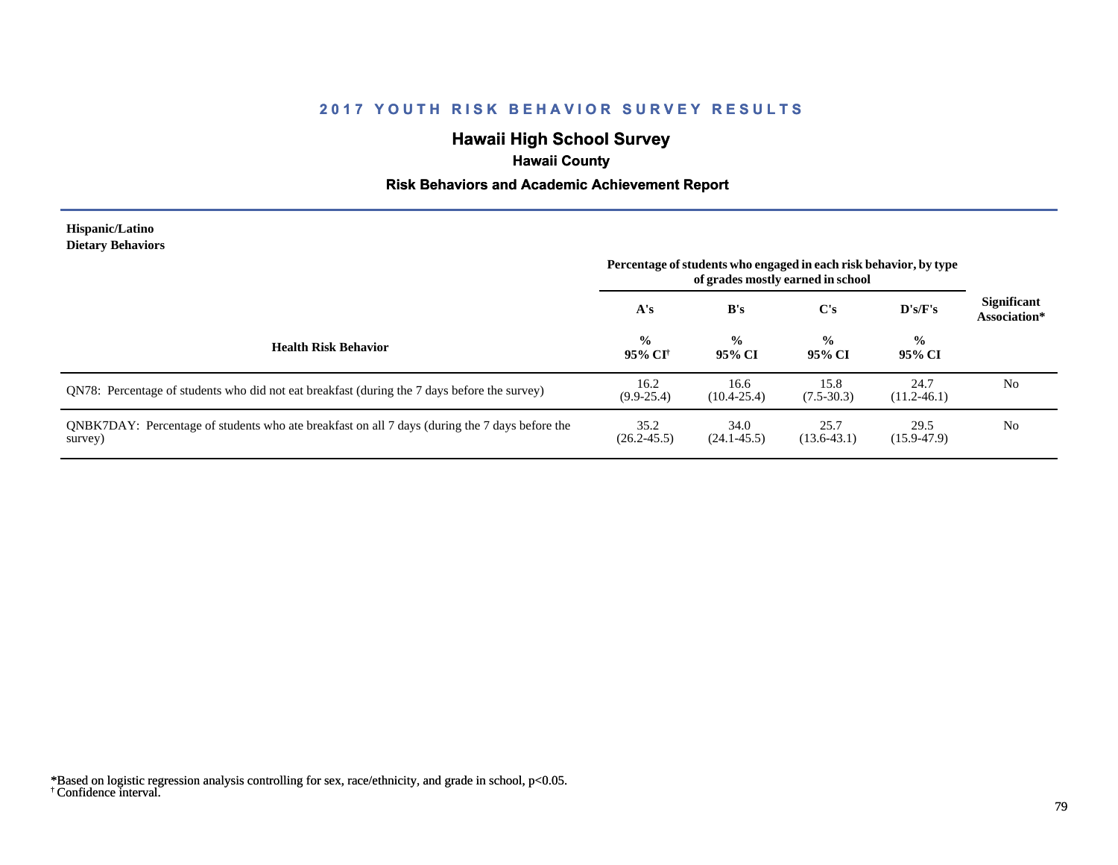# **Hawaii High School Survey**

# **Hawaii County**

### **Risk Behaviors and Academic Achievement Report**

#### **Hispanic/Latino Dietary Behaviors**

|                                                                                                           | Percentage of students who engaged in each risk behavior, by type<br>of grades mostly earned in school |                         |                          |                         |                                    |
|-----------------------------------------------------------------------------------------------------------|--------------------------------------------------------------------------------------------------------|-------------------------|--------------------------|-------------------------|------------------------------------|
|                                                                                                           | A's                                                                                                    | B's                     | C's                      | D's/F's                 | <b>Significant</b><br>Association* |
| <b>Health Risk Behavior</b>                                                                               | $\frac{0}{0}$<br>95% CI†                                                                               | $\frac{0}{0}$<br>95% CI | $\frac{6}{10}$<br>95% CI | $\frac{6}{9}$<br>95% CI |                                    |
| QN78: Percentage of students who did not eat breakfast (during the 7 days before the survey)              | 16.2<br>$(9.9 - 25.4)$                                                                                 | 16.6<br>$(10.4 - 25.4)$ | 15.8<br>$(7.5 - 30.3)$   | 24.7<br>$(11.2 - 46.1)$ | No                                 |
| QNBK7DAY: Percentage of students who ate breakfast on all 7 days (during the 7 days before the<br>survey) | 35.2<br>$(26.2 - 45.5)$                                                                                | 34.0<br>$(24.1 - 45.5)$ | 25.7<br>$(13.6-43.1)$    | 29.5<br>$(15.9 - 47.9)$ | No                                 |

<sup>†</sup> Confidence interval. \*Based on logistic regression analysis controlling for sex, race/ethnicity, and grade in school, p<0.05.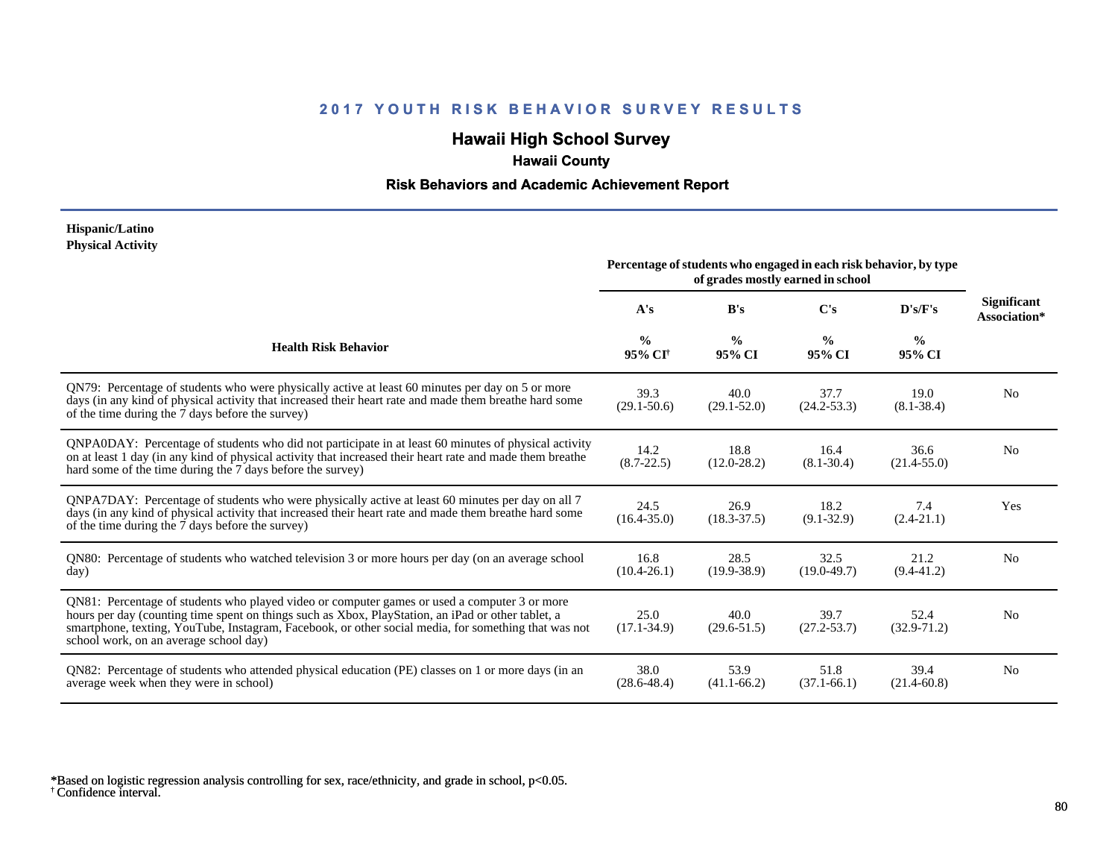# **Hawaii High School Survey**

# **Hawaii County**

### **Risk Behaviors and Academic Achievement Report**

#### **Hispanic/Latino Physical Activity**

|                                                                                                                                                                                                                                                                                                                                                      | Percentage of students who engaged in each risk behavior, by type |                         |                         |                         |                                    |
|------------------------------------------------------------------------------------------------------------------------------------------------------------------------------------------------------------------------------------------------------------------------------------------------------------------------------------------------------|-------------------------------------------------------------------|-------------------------|-------------------------|-------------------------|------------------------------------|
|                                                                                                                                                                                                                                                                                                                                                      | A's                                                               | B's                     | C's                     | D's/F's                 | <b>Significant</b><br>Association* |
| <b>Health Risk Behavior</b>                                                                                                                                                                                                                                                                                                                          | $\frac{0}{0}$<br>95% CI <sup>+</sup>                              | $\frac{6}{9}$<br>95% CI | $\frac{0}{0}$<br>95% CI | $\frac{0}{0}$<br>95% CI |                                    |
| QN79: Percentage of students who were physically active at least 60 minutes per day on 5 or more<br>days (in any kind of physical activity that increased their heart rate and made them breathe hard some<br>of the time during the 7 days before the survey)                                                                                       | 39.3<br>$(29.1 - 50.6)$                                           | 40.0<br>$(29.1 - 52.0)$ | 37.7<br>$(24.2 - 53.3)$ | 19.0<br>$(8.1 - 38.4)$  | N <sub>0</sub>                     |
| QNPA0DAY: Percentage of students who did not participate in at least 60 minutes of physical activity<br>on at least 1 day (in any kind of physical activity that increased their heart rate and made them breathe<br>hard some of the time during the 7 days before the survey)                                                                      | 14.2<br>$(8.7 - 22.5)$                                            | 18.8<br>$(12.0 - 28.2)$ | 16.4<br>$(8.1 - 30.4)$  | 36.6<br>$(21.4 - 55.0)$ | N <sub>0</sub>                     |
| ONPA7DAY: Percentage of students who were physically active at least 60 minutes per day on all 7<br>days (in any kind of physical activity that increased their heart rate and made them breathe hard some<br>of the time during the 7 days before the survey)                                                                                       | 24.5<br>$(16.4 - 35.0)$                                           | 26.9<br>$(18.3 - 37.5)$ | 18.2<br>$(9.1 - 32.9)$  | 7.4<br>$(2.4 - 21.1)$   | Yes                                |
| QN80: Percentage of students who watched television 3 or more hours per day (on an average school<br>day)                                                                                                                                                                                                                                            | 16.8<br>$(10.4 - 26.1)$                                           | 28.5<br>$(19.9 - 38.9)$ | 32.5<br>$(19.0 - 49.7)$ | 21.2<br>$(9.4 - 41.2)$  | N <sub>0</sub>                     |
| QN81: Percentage of students who played video or computer games or used a computer 3 or more<br>hours per day (counting time spent on things such as Xbox, PlayStation, an iPad or other tablet, a<br>smartphone, texting, YouTube, Instagram, Facebook, or other social media, for something that was not<br>school work, on an average school day) | 25.0<br>$(17.1 - 34.9)$                                           | 40.0<br>$(29.6 - 51.5)$ | 39.7<br>$(27.2 - 53.7)$ | 52.4<br>$(32.9 - 71.2)$ | N <sub>0</sub>                     |
| QN82: Percentage of students who attended physical education (PE) classes on 1 or more days (in an<br>average week when they were in school)                                                                                                                                                                                                         | 38.0<br>$(28.6 - 48.4)$                                           | 53.9<br>$(41.1 - 66.2)$ | 51.8<br>$(37.1 - 66.1)$ | 39.4<br>$(21.4 - 60.8)$ | N <sub>0</sub>                     |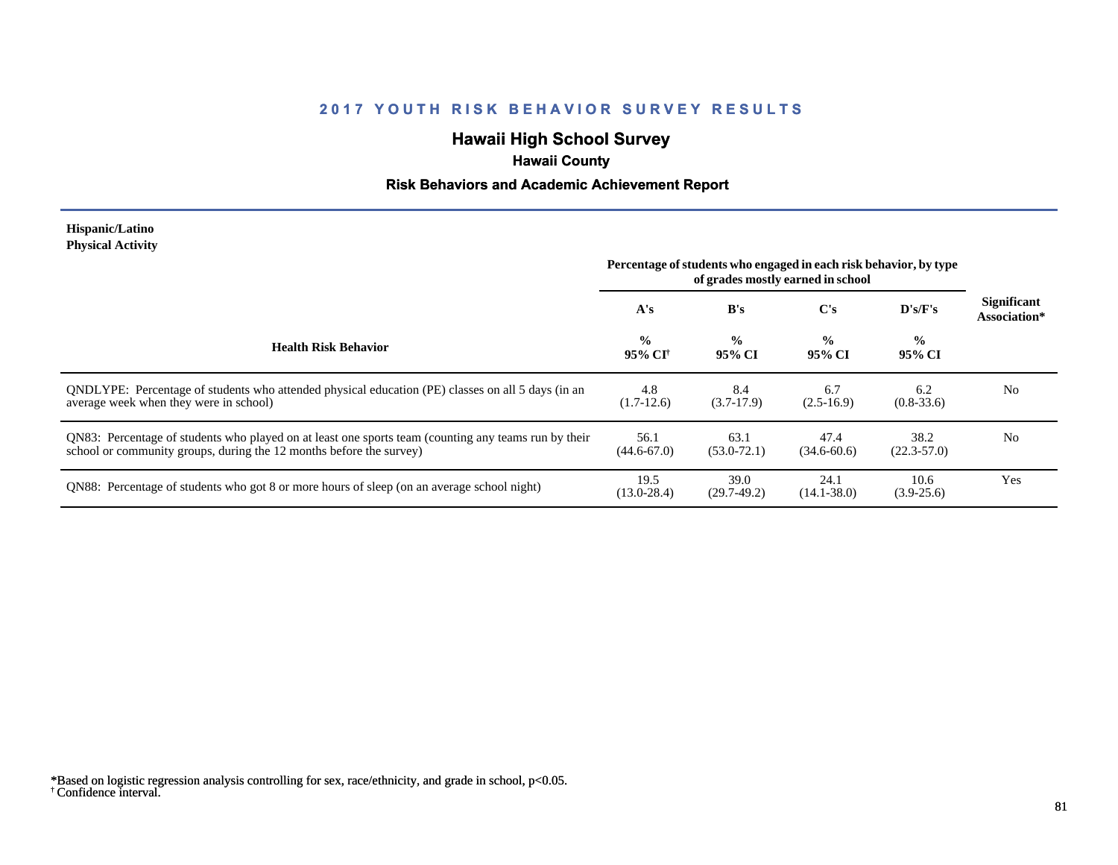# **Hawaii High School Survey**

# **Hawaii County**

### **Risk Behaviors and Academic Achievement Report**

#### **Hispanic/Latino Physical Activity**

|                                                                                                                                                                             | Percentage of students who engaged in each risk behavior, by type<br>of grades mostly earned in school |                         |                         |                         |                                    |
|-----------------------------------------------------------------------------------------------------------------------------------------------------------------------------|--------------------------------------------------------------------------------------------------------|-------------------------|-------------------------|-------------------------|------------------------------------|
|                                                                                                                                                                             | A's                                                                                                    | B's                     | $\bf C's$               | $\bf{D's/F's}$          | <b>Significant</b><br>Association* |
| <b>Health Risk Behavior</b>                                                                                                                                                 | $\frac{0}{0}$<br>95% CI†                                                                               | $\frac{6}{6}$<br>95% CI | $\frac{0}{0}$<br>95% CI | $\frac{0}{0}$<br>95% CI |                                    |
| ONDLYPE: Percentage of students who attended physical education (PE) classes on all 5 days (in an<br>average week when they were in school)                                 | 4.8<br>$(1.7-12.6)$                                                                                    | 8.4<br>$(3.7-17.9)$     | 6.7<br>$(2.5-16.9)$     | 6.2<br>$(0.8-33.6)$     | N <sub>0</sub>                     |
| QN83: Percentage of students who played on at least one sports team (counting any teams run by their<br>school or community groups, during the 12 months before the survey) | 56.1<br>$(44.6 - 67.0)$                                                                                | 63.1<br>$(53.0 - 72.1)$ | 47.4<br>$(34.6 - 60.6)$ | 38.2<br>$(22.3 - 57.0)$ | N <sub>0</sub>                     |
| QN88: Percentage of students who got 8 or more hours of sleep (on an average school night)                                                                                  | 19.5<br>$(13.0 - 28.4)$                                                                                | 39.0<br>$(29.7-49.2)$   | 24.1<br>$(14.1 - 38.0)$ | 10.6<br>$(3.9 - 25.6)$  | Yes                                |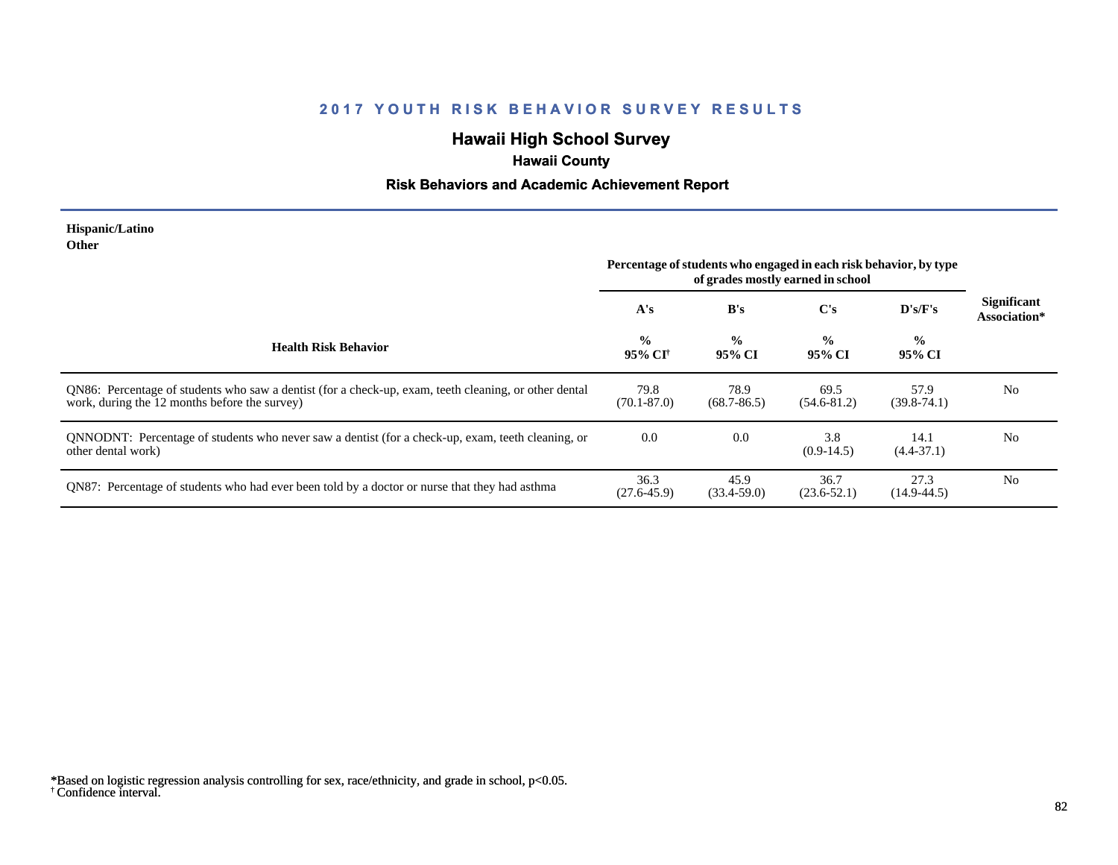# **Hawaii High School Survey**

# **Hawaii County**

### **Risk Behaviors and Academic Achievement Report**

#### **Hispanic/Latino Other**

|                                                                                                                                                        | Percentage of students who engaged in each risk behavior, by type<br>of grades mostly earned in school |                         |                         |                         |                                    |
|--------------------------------------------------------------------------------------------------------------------------------------------------------|--------------------------------------------------------------------------------------------------------|-------------------------|-------------------------|-------------------------|------------------------------------|
|                                                                                                                                                        | A's                                                                                                    | B's                     | $\bf C's$               | D's/F's                 | <b>Significant</b><br>Association* |
| <b>Health Risk Behavior</b>                                                                                                                            | $\frac{0}{0}$<br>95% CI†                                                                               | $\frac{0}{0}$<br>95% CI | $\frac{0}{0}$<br>95% CI | $\frac{0}{0}$<br>95% CI |                                    |
| QN86: Percentage of students who saw a dentist (for a check-up, exam, teeth cleaning, or other dental<br>work, during the 12 months before the survey) | 79.8<br>$(70.1 - 87.0)$                                                                                | 78.9<br>$(68.7 - 86.5)$ | 69.5<br>$(54.6 - 81.2)$ | 57.9<br>$(39.8 - 74.1)$ | N <sub>0</sub>                     |
| QNNODNT: Percentage of students who never saw a dentist (for a check-up, exam, teeth cleaning, or<br>other dental work)                                | 0.0                                                                                                    | 0.0                     | 3.8<br>$(0.9-14.5)$     | 14.1<br>$(4.4 - 37.1)$  | N <sub>0</sub>                     |
| QN87: Percentage of students who had ever been told by a doctor or nurse that they had asthma                                                          | 36.3<br>$(27.6 - 45.9)$                                                                                | 45.9<br>$(33.4 - 59.0)$ | 36.7<br>$(23.6 - 52.1)$ | 27.3<br>$(14.9 - 44.5)$ | N <sub>0</sub>                     |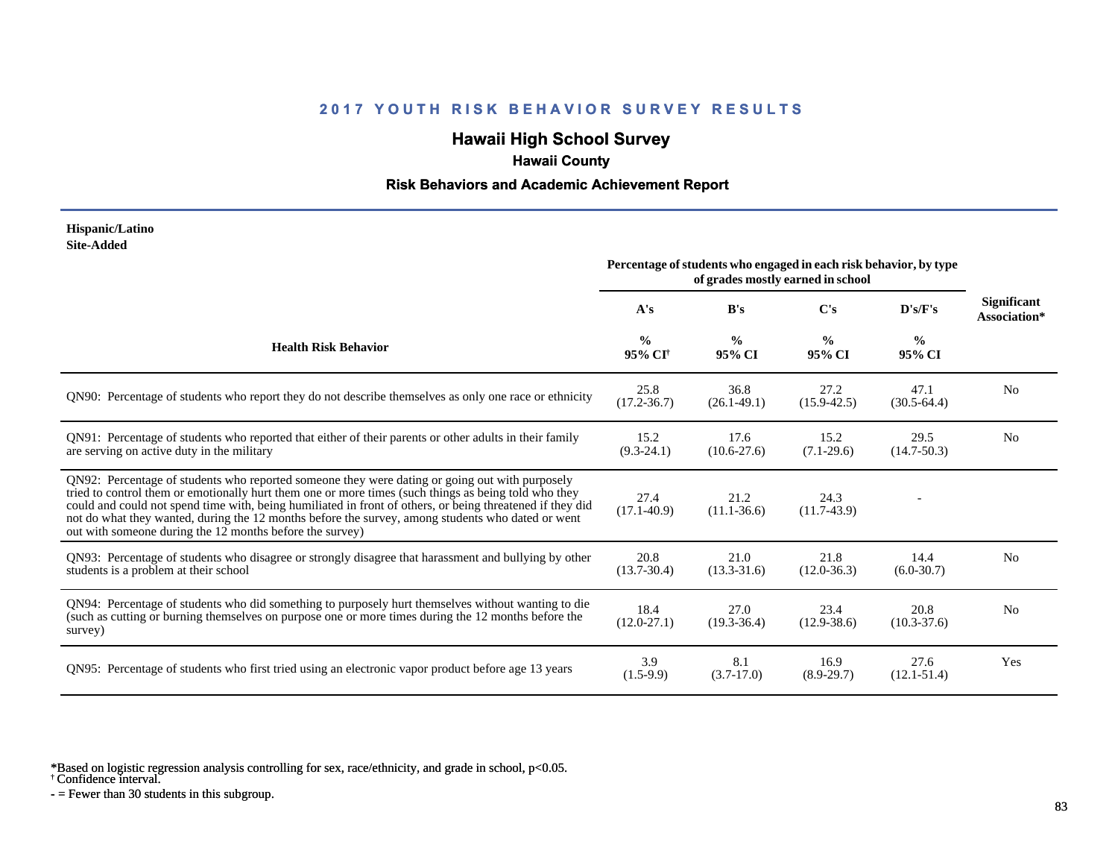# **Hawaii High School Survey**

 **Hawaii County**

#### **Risk Behaviors and Academic Achievement Report**

#### **Hispanic/Latino Site-Added**

|                                                                                                                                                                                                                                                                                                                                                                                                                                                                                      | Percentage of students who engaged in each risk behavior, by type<br>of grades mostly earned in school |                         |                         |                         |                                    |
|--------------------------------------------------------------------------------------------------------------------------------------------------------------------------------------------------------------------------------------------------------------------------------------------------------------------------------------------------------------------------------------------------------------------------------------------------------------------------------------|--------------------------------------------------------------------------------------------------------|-------------------------|-------------------------|-------------------------|------------------------------------|
|                                                                                                                                                                                                                                                                                                                                                                                                                                                                                      | A's                                                                                                    | B's                     | C's                     | D's/F's                 | <b>Significant</b><br>Association* |
| <b>Health Risk Behavior</b>                                                                                                                                                                                                                                                                                                                                                                                                                                                          | $\frac{0}{0}$<br>95% CI <sup>†</sup>                                                                   | $\frac{0}{0}$<br>95% CI | $\frac{0}{0}$<br>95% CI | $\frac{0}{0}$<br>95% CI |                                    |
| QN90: Percentage of students who report they do not describe themselves as only one race or ethnicity                                                                                                                                                                                                                                                                                                                                                                                | 25.8<br>$(17.2 - 36.7)$                                                                                | 36.8<br>$(26.1 - 49.1)$ | 27.2<br>$(15.9 - 42.5)$ | 47.1<br>$(30.5-64.4)$   | N <sub>0</sub>                     |
| QN91: Percentage of students who reported that either of their parents or other adults in their family<br>are serving on active duty in the military                                                                                                                                                                                                                                                                                                                                 | 15.2<br>$(9.3-24.1)$                                                                                   | 17.6<br>$(10.6 - 27.6)$ | 15.2<br>$(7.1-29.6)$    | 29.5<br>$(14.7 - 50.3)$ | N <sub>0</sub>                     |
| QN92: Percentage of students who reported someone they were dating or going out with purposely<br>tried to control them or emotionally hurt them one or more times (such things as being told who they<br>could and could not spend time with, being humiliated in front of others, or being threatened if they did<br>not do what they wanted, during the 12 months before the survey, among students who dated or went<br>out with someone during the 12 months before the survey) | 27.4<br>$(17.1 - 40.9)$                                                                                | 21.2<br>$(11.1 - 36.6)$ | 24.3<br>$(11.7-43.9)$   |                         |                                    |
| QN93: Percentage of students who disagree or strongly disagree that harassment and bullying by other<br>students is a problem at their school                                                                                                                                                                                                                                                                                                                                        | 20.8<br>$(13.7 - 30.4)$                                                                                | 21.0<br>$(13.3 - 31.6)$ | 21.8<br>$(12.0 - 36.3)$ | 14.4<br>$(6.0-30.7)$    | N <sub>0</sub>                     |
| QN94: Percentage of students who did something to purposely hurt themselves without wanting to die<br>(such as cutting or burning themselves on purpose one or more times during the 12 months before the<br>survey)                                                                                                                                                                                                                                                                 | 18.4<br>$(12.0 - 27.1)$                                                                                | 27.0<br>$(19.3 - 36.4)$ | 23.4<br>$(12.9 - 38.6)$ | 20.8<br>$(10.3 - 37.6)$ | N <sub>0</sub>                     |
| QN95: Percentage of students who first tried using an electronic vapor product before age 13 years                                                                                                                                                                                                                                                                                                                                                                                   | 3.9<br>$(1.5-9.9)$                                                                                     | 8.1<br>$(3.7-17.0)$     | 16.9<br>$(8.9-29.7)$    | 27.6<br>$(12.1 - 51.4)$ | Yes                                |

\*Based on logistic regression analysis controlling for sex, race/ethnicity, and grade in school, p<0.05.

† Confidence interval.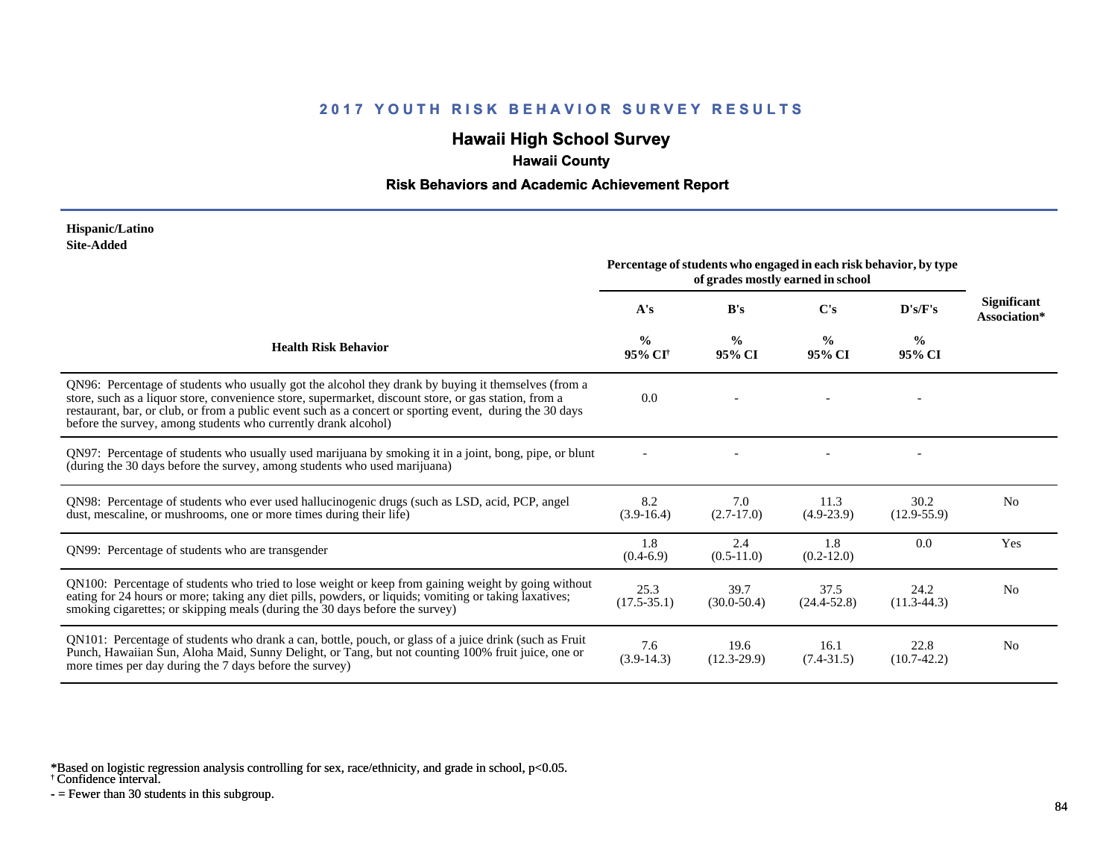# **Hawaii High School Survey**

## **Hawaii County**

#### **Risk Behaviors and Academic Achievement Report**

#### **Hispanic/Latino Site-Added**

|                                                                                                                                                                                                                                                                                                                                                                                            | Percentage of students who engaged in each risk behavior, by type<br>of grades mostly earned in school |                         |                         |                         |                                    |
|--------------------------------------------------------------------------------------------------------------------------------------------------------------------------------------------------------------------------------------------------------------------------------------------------------------------------------------------------------------------------------------------|--------------------------------------------------------------------------------------------------------|-------------------------|-------------------------|-------------------------|------------------------------------|
|                                                                                                                                                                                                                                                                                                                                                                                            | A's                                                                                                    | B's                     | C's                     | D's/F's                 | <b>Significant</b><br>Association* |
| <b>Health Risk Behavior</b>                                                                                                                                                                                                                                                                                                                                                                | $\frac{0}{0}$<br>95% CI <sup>+</sup>                                                                   | $\frac{0}{0}$<br>95% CI | $\frac{0}{0}$<br>95% CI | $\frac{0}{0}$<br>95% CI |                                    |
| QN96: Percentage of students who usually got the alcohol they drank by buying it themselves (from a<br>store, such as a liquor store, convenience store, supermarket, discount store, or gas station, from a<br>restaurant, bar, or club, or from a public event such as a concert or sporting event, during the 30 days<br>before the survey, among students who currently drank alcohol) | 0.0                                                                                                    |                         |                         |                         |                                    |
| QN97: Percentage of students who usually used marijuana by smoking it in a joint, bong, pipe, or blunt<br>(during the 30 days before the survey, among students who used marijuana)                                                                                                                                                                                                        |                                                                                                        |                         |                         |                         |                                    |
| QN98: Percentage of students who ever used hallucinogenic drugs (such as LSD, acid, PCP, angel<br>dust, mescaline, or mushrooms, one or more times during their life)                                                                                                                                                                                                                      | 8.2<br>$(3.9-16.4)$                                                                                    | 7.0<br>$(2.7-17.0)$     | 11.3<br>$(4.9-23.9)$    | 30.2<br>$(12.9 - 55.9)$ | N <sub>0</sub>                     |
| QN99: Percentage of students who are transgender                                                                                                                                                                                                                                                                                                                                           | 1.8<br>$(0.4-6.9)$                                                                                     | 2.4<br>$(0.5-11.0)$     | 1.8<br>$(0.2-12.0)$     | 0.0                     | Yes                                |
| QN100: Percentage of students who tried to lose weight or keep from gaining weight by going without<br>eating for 24 hours or more; taking any diet pills, powders, or liquids; vomiting or taking laxatives;<br>smoking cigarettes; or skipping meals (during the 30 days before the survey)                                                                                              | 25.3<br>$(17.5 - 35.1)$                                                                                | 39.7<br>$(30.0 - 50.4)$ | 37.5<br>$(24.4 - 52.8)$ | 24.2<br>$(11.3-44.3)$   | N <sub>0</sub>                     |
| QN101: Percentage of students who drank a can, bottle, pouch, or glass of a juice drink (such as Fruit<br>Punch, Hawaiian Sun, Aloha Maid, Sunny Delight, or Tang, but not counting 100% fruit juice, one or<br>more times per day during the 7 days before the survey)                                                                                                                    | 7.6<br>$(3.9-14.3)$                                                                                    | 19.6<br>$(12.3 - 29.9)$ | 16.1<br>$(7.4 - 31.5)$  | 22.8<br>$(10.7-42.2)$   | N <sub>0</sub>                     |

\*Based on logistic regression analysis controlling for sex, race/ethnicity, and grade in school, p<0.05.

† Confidence interval.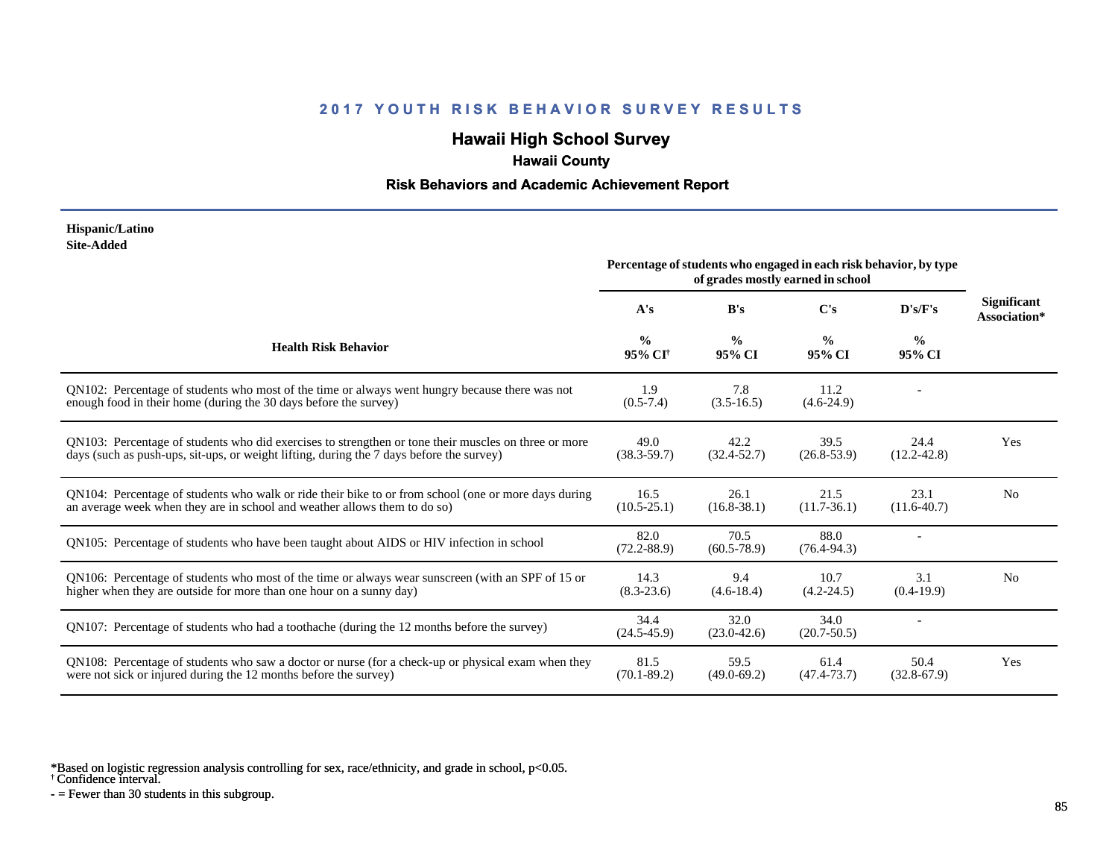# **Hawaii High School Survey**

# **Hawaii County**

#### **Risk Behaviors and Academic Achievement Report**

#### **Hispanic/Latino Site-Added**

|                                                                                                                                                                                                  | Percentage of students who engaged in each risk behavior, by type<br>of grades mostly earned in school |                         |                         |                         |                                    |
|--------------------------------------------------------------------------------------------------------------------------------------------------------------------------------------------------|--------------------------------------------------------------------------------------------------------|-------------------------|-------------------------|-------------------------|------------------------------------|
|                                                                                                                                                                                                  | A's                                                                                                    | B's                     | C's                     | D's/F's                 | <b>Significant</b><br>Association* |
| <b>Health Risk Behavior</b>                                                                                                                                                                      | $\frac{0}{0}$<br>95% CI <sup>+</sup>                                                                   | $\frac{0}{0}$<br>95% CI | $\frac{0}{0}$<br>95% CI | $\frac{0}{0}$<br>95% CI |                                    |
| QN102: Percentage of students who most of the time or always went hungry because there was not<br>enough food in their home (during the 30 days before the survey)                               | 1.9<br>$(0.5 - 7.4)$                                                                                   | 7.8<br>$(3.5-16.5)$     | 11.2<br>$(4.6-24.9)$    |                         |                                    |
| QN103: Percentage of students who did exercises to strengthen or tone their muscles on three or more<br>days (such as push-ups, sit-ups, or weight lifting, during the 7 days before the survey) | 49.0<br>$(38.3 - 59.7)$                                                                                | 42.2<br>$(32.4 - 52.7)$ | 39.5<br>$(26.8 - 53.9)$ | 24.4<br>$(12.2 - 42.8)$ | Yes                                |
| QN104: Percentage of students who walk or ride their bike to or from school (one or more days during<br>an average week when they are in school and weather allows them to do so)                | 16.5<br>$(10.5 - 25.1)$                                                                                | 26.1<br>$(16.8 - 38.1)$ | 21.5<br>$(11.7 - 36.1)$ | 23.1<br>$(11.6-40.7)$   | N <sub>0</sub>                     |
| QN105: Percentage of students who have been taught about AIDS or HIV infection in school                                                                                                         | 82.0<br>$(72.2 - 88.9)$                                                                                | 70.5<br>$(60.5 - 78.9)$ | 88.0<br>$(76.4 - 94.3)$ |                         |                                    |
| QN106: Percentage of students who most of the time or always wear sunscreen (with an SPF of 15 or<br>higher when they are outside for more than one hour on a sunny day)                         | 14.3<br>$(8.3 - 23.6)$                                                                                 | 9.4<br>$(4.6-18.4)$     | 10.7<br>$(4.2 - 24.5)$  | 3.1<br>$(0.4-19.9)$     | N <sub>0</sub>                     |
| QN107: Percentage of students who had a toothache (during the 12 months before the survey)                                                                                                       | 34.4<br>$(24.5 - 45.9)$                                                                                | 32.0<br>$(23.0 - 42.6)$ | 34.0<br>$(20.7 - 50.5)$ |                         |                                    |
| QN108: Percentage of students who saw a doctor or nurse (for a check-up or physical exam when they<br>were not sick or injured during the 12 months before the survey)                           | 81.5<br>$(70.1 - 89.2)$                                                                                | 59.5<br>$(49.0 - 69.2)$ | 61.4<br>$(47.4 - 73.7)$ | 50.4<br>$(32.8-67.9)$   | Yes                                |

\*Based on logistic regression analysis controlling for sex, race/ethnicity, and grade in school, p<0.05.

† Confidence interval.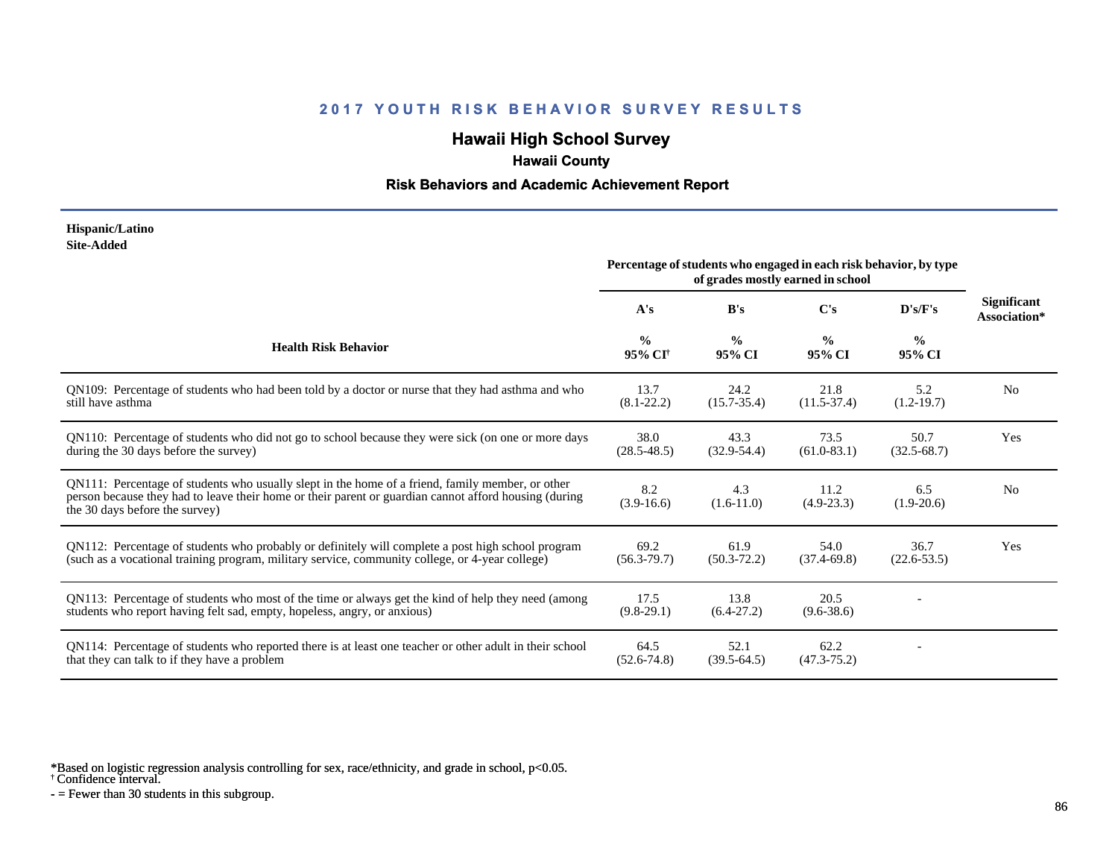# **Hawaii High School Survey**

# **Hawaii County**

#### **Risk Behaviors and Academic Achievement Report**

#### **Hispanic/Latino Site-Added**

|                                                                                                                                                                                                                                             | Percentage of students who engaged in each risk behavior, by type<br>of grades mostly earned in school |                         |                         |                         |                                    |
|---------------------------------------------------------------------------------------------------------------------------------------------------------------------------------------------------------------------------------------------|--------------------------------------------------------------------------------------------------------|-------------------------|-------------------------|-------------------------|------------------------------------|
|                                                                                                                                                                                                                                             | A's                                                                                                    | B's                     | C's                     | D's/F's                 | <b>Significant</b><br>Association* |
| <b>Health Risk Behavior</b>                                                                                                                                                                                                                 | $\frac{0}{0}$<br>95% CI <sup>+</sup>                                                                   | $\frac{0}{0}$<br>95% CI | $\frac{0}{0}$<br>95% CI | $\frac{6}{6}$<br>95% CI |                                    |
| QN109: Percentage of students who had been told by a doctor or nurse that they had asthma and who<br>still have asthma                                                                                                                      | 13.7<br>$(8.1 - 22.2)$                                                                                 | 24.2<br>$(15.7 - 35.4)$ | 21.8<br>$(11.5-37.4)$   | 5.2<br>$(1.2-19.7)$     | N <sub>0</sub>                     |
| QN110: Percentage of students who did not go to school because they were sick (on one or more days<br>during the 30 days before the survey)                                                                                                 | 38.0<br>$(28.5 - 48.5)$                                                                                | 43.3<br>$(32.9 - 54.4)$ | 73.5<br>$(61.0 - 83.1)$ | 50.7<br>$(32.5 - 68.7)$ | Yes                                |
| QN111: Percentage of students who usually slept in the home of a friend, family member, or other<br>person because they had to leave their home or their parent or guardian cannot afford housing (during<br>the 30 days before the survey) | 8.2<br>$(3.9-16.6)$                                                                                    | 4.3<br>$(1.6-11.0)$     | 11.2<br>$(4.9 - 23.3)$  | 6.5<br>$(1.9-20.6)$     | N <sub>0</sub>                     |
| QN112: Percentage of students who probably or definitely will complete a post high school program<br>(such as a vocational training program, military service, community college, or 4-year college)                                        | 69.2<br>$(56.3 - 79.7)$                                                                                | 61.9<br>$(50.3 - 72.2)$ | 54.0<br>$(37.4 - 69.8)$ | 36.7<br>$(22.6 - 53.5)$ | Yes                                |
| QN113: Percentage of students who most of the time or always get the kind of help they need (among<br>students who report having felt sad, empty, hopeless, angry, or anxious)                                                              | 17.5<br>$(9.8-29.1)$                                                                                   | 13.8<br>$(6.4-27.2)$    | 20.5<br>$(9.6 - 38.6)$  |                         |                                    |
| QN114: Percentage of students who reported there is at least one teacher or other adult in their school<br>that they can talk to if they have a problem                                                                                     | 64.5<br>$(52.6 - 74.8)$                                                                                | 52.1<br>$(39.5-64.5)$   | 62.2<br>$(47.3 - 75.2)$ |                         |                                    |

\*Based on logistic regression analysis controlling for sex, race/ethnicity, and grade in school, p<0.05.

† Confidence interval.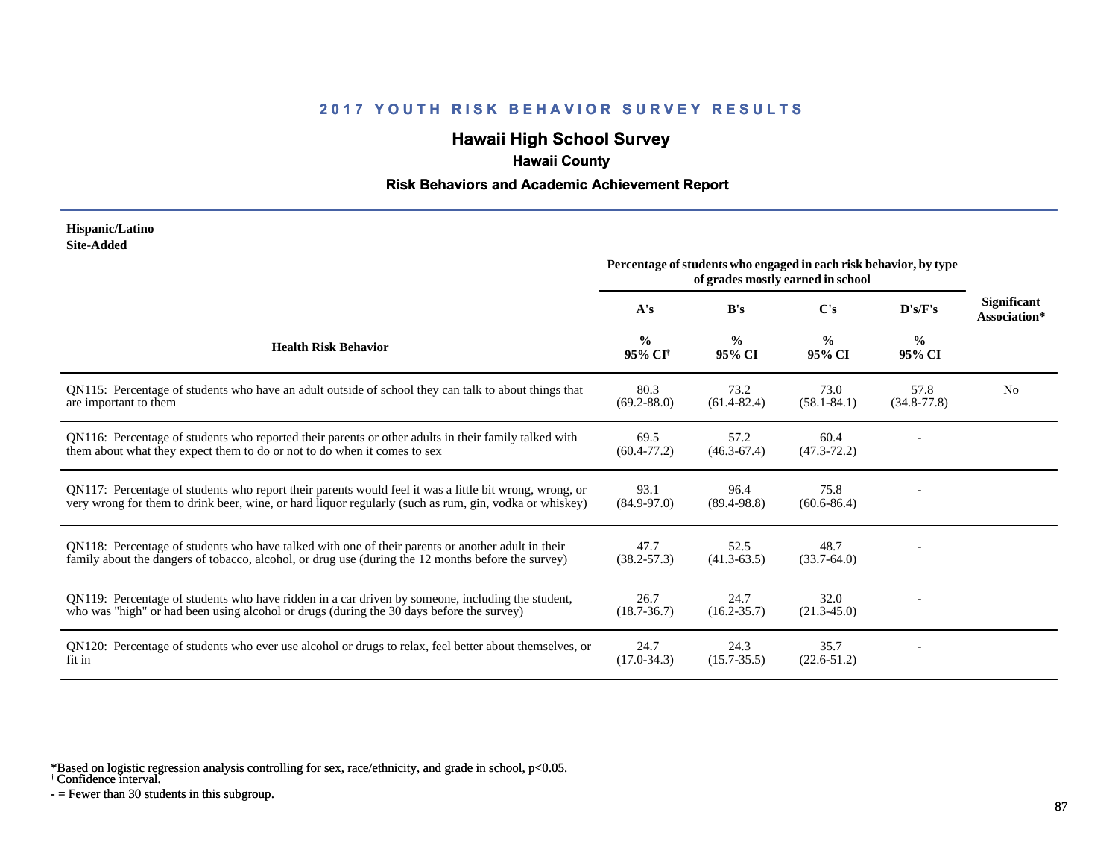# **Hawaii High School Survey**

# **Hawaii County**

#### **Risk Behaviors and Academic Achievement Report**

#### **Hispanic/Latino Site-Added**

|                                                                                                                                                                                                                  | Percentage of students who engaged in each risk behavior, by type<br>of grades mostly earned in school |                         |                         |                         |                                    |
|------------------------------------------------------------------------------------------------------------------------------------------------------------------------------------------------------------------|--------------------------------------------------------------------------------------------------------|-------------------------|-------------------------|-------------------------|------------------------------------|
|                                                                                                                                                                                                                  | A's                                                                                                    | B's                     | $\bf C's$               | D's/F's                 | <b>Significant</b><br>Association* |
| <b>Health Risk Behavior</b>                                                                                                                                                                                      | $\frac{6}{6}$<br>95% CI <sup>†</sup>                                                                   | $\frac{0}{0}$<br>95% CI | $\frac{0}{0}$<br>95% CI | $\frac{0}{0}$<br>95% CI |                                    |
| QN115: Percentage of students who have an adult outside of school they can talk to about things that<br>are important to them                                                                                    | 80.3<br>$(69.2 - 88.0)$                                                                                | 73.2<br>$(61.4 - 82.4)$ | 73.0<br>$(58.1 - 84.1)$ | 57.8<br>$(34.8 - 77.8)$ | N <sub>0</sub>                     |
| QN116: Percentage of students who reported their parents or other adults in their family talked with<br>them about what they expect them to do or not to do when it comes to sex                                 | 69.5<br>$(60.4 - 77.2)$                                                                                | 57.2<br>$(46.3 - 67.4)$ | 60.4<br>$(47.3 - 72.2)$ |                         |                                    |
| QN117: Percentage of students who report their parents would feel it was a little bit wrong, wrong, or<br>very wrong for them to drink beer, wine, or hard liquor regularly (such as rum, gin, vodka or whiskey) | 93.1<br>$(84.9 - 97.0)$                                                                                | 96.4<br>$(89.4 - 98.8)$ | 75.8<br>$(60.6 - 86.4)$ |                         |                                    |
| QN118: Percentage of students who have talked with one of their parents or another adult in their<br>family about the dangers of tobacco, alcohol, or drug use (during the 12 months before the survey)          | 47.7<br>$(38.2 - 57.3)$                                                                                | 52.5<br>$(41.3 - 63.5)$ | 48.7<br>$(33.7 - 64.0)$ |                         |                                    |
| QN119: Percentage of students who have ridden in a car driven by someone, including the student,<br>who was "high" or had been using alcohol or drugs (during the 30 days before the survey)                     | 26.7<br>$(18.7 - 36.7)$                                                                                | 24.7<br>$(16.2 - 35.7)$ | 32.0<br>$(21.3 - 45.0)$ |                         |                                    |
| QN120: Percentage of students who ever use alcohol or drugs to relax, feel better about themselves, or<br>fit in                                                                                                 | 24.7<br>$(17.0 - 34.3)$                                                                                | 24.3<br>$(15.7 - 35.5)$ | 35.7<br>$(22.6 - 51.2)$ |                         |                                    |

\*Based on logistic regression analysis controlling for sex, race/ethnicity, and grade in school, p<0.05.

† Confidence interval.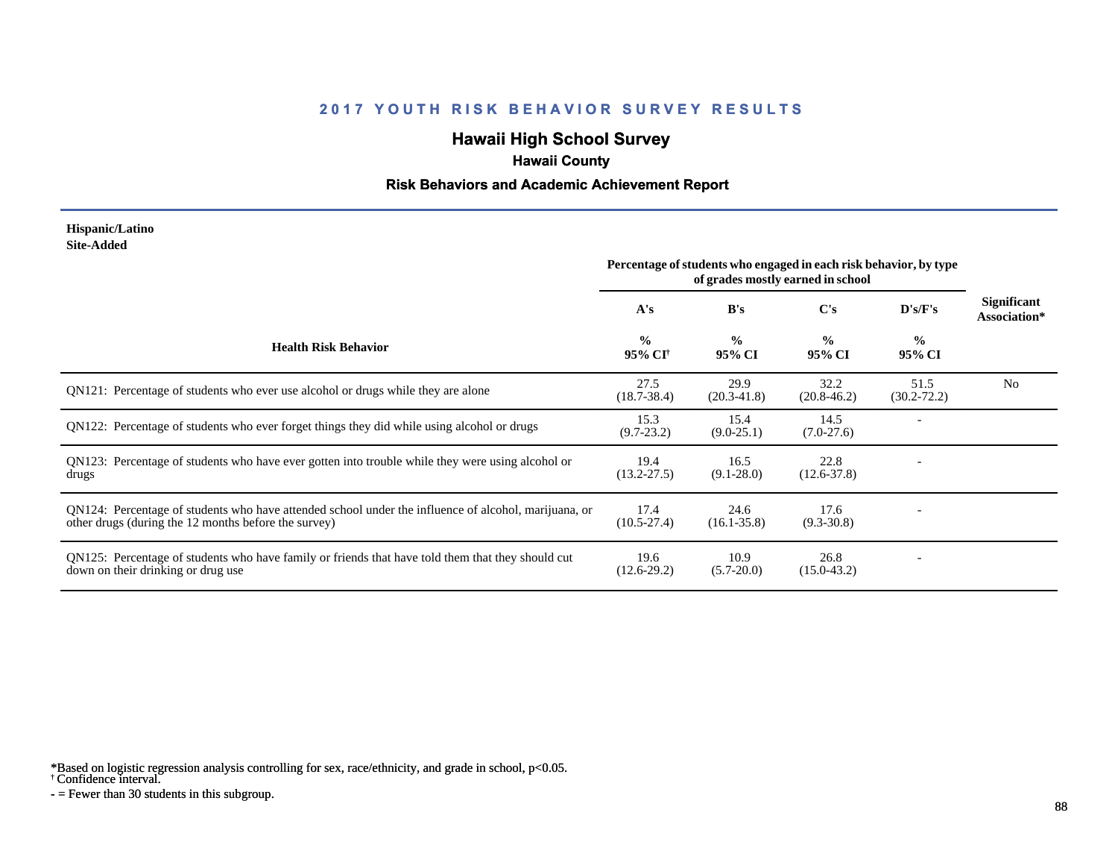# **Hawaii High School Survey**

## **Hawaii County**

#### **Risk Behaviors and Academic Achievement Report**

#### **Hispanic/Latino Site-Added**

|                                                                                                                                                              | Percentage of students who engaged in each risk behavior, by type<br>of grades mostly earned in school |                         |                         |                         |                                    |
|--------------------------------------------------------------------------------------------------------------------------------------------------------------|--------------------------------------------------------------------------------------------------------|-------------------------|-------------------------|-------------------------|------------------------------------|
|                                                                                                                                                              | A's                                                                                                    | B's                     | C's                     | D's/F's                 | <b>Significant</b><br>Association* |
| <b>Health Risk Behavior</b>                                                                                                                                  | $\frac{0}{0}$<br>95% CI <sup>†</sup>                                                                   | $\frac{0}{0}$<br>95% CI | $\frac{0}{0}$<br>95% CI | $\frac{6}{9}$<br>95% CI |                                    |
| QN121: Percentage of students who ever use alcohol or drugs while they are alone                                                                             | 27.5<br>$(18.7 - 38.4)$                                                                                | 29.9<br>$(20.3 - 41.8)$ | 32.2<br>$(20.8 - 46.2)$ | 51.5<br>$(30.2 - 72.2)$ | N <sub>0</sub>                     |
| QN122: Percentage of students who ever forget things they did while using alcohol or drugs                                                                   | 15.3<br>$(9.7 - 23.2)$                                                                                 | 15.4<br>$(9.0-25.1)$    | 14.5<br>$(7.0-27.6)$    |                         |                                    |
| QN123: Percentage of students who have ever gotten into trouble while they were using alcohol or<br>drugs                                                    | 19.4<br>$(13.2 - 27.5)$                                                                                | 16.5<br>$(9.1 - 28.0)$  | 22.8<br>$(12.6 - 37.8)$ |                         |                                    |
| QN124: Percentage of students who have attended school under the influence of alcohol, marijuana, or<br>other drugs (during the 12 months before the survey) | 17.4<br>$(10.5 - 27.4)$                                                                                | 24.6<br>$(16.1 - 35.8)$ | 17.6<br>$(9.3 - 30.8)$  |                         |                                    |
| QN125: Percentage of students who have family or friends that have told them that they should cut<br>down on their drinking or drug use                      | 19.6<br>$(12.6-29.2)$                                                                                  | 10.9<br>$(5.7 - 20.0)$  | 26.8<br>$(15.0 - 43.2)$ |                         |                                    |

\*Based on logistic regression analysis controlling for sex, race/ethnicity, and grade in school, p<0.05.

† Confidence interval.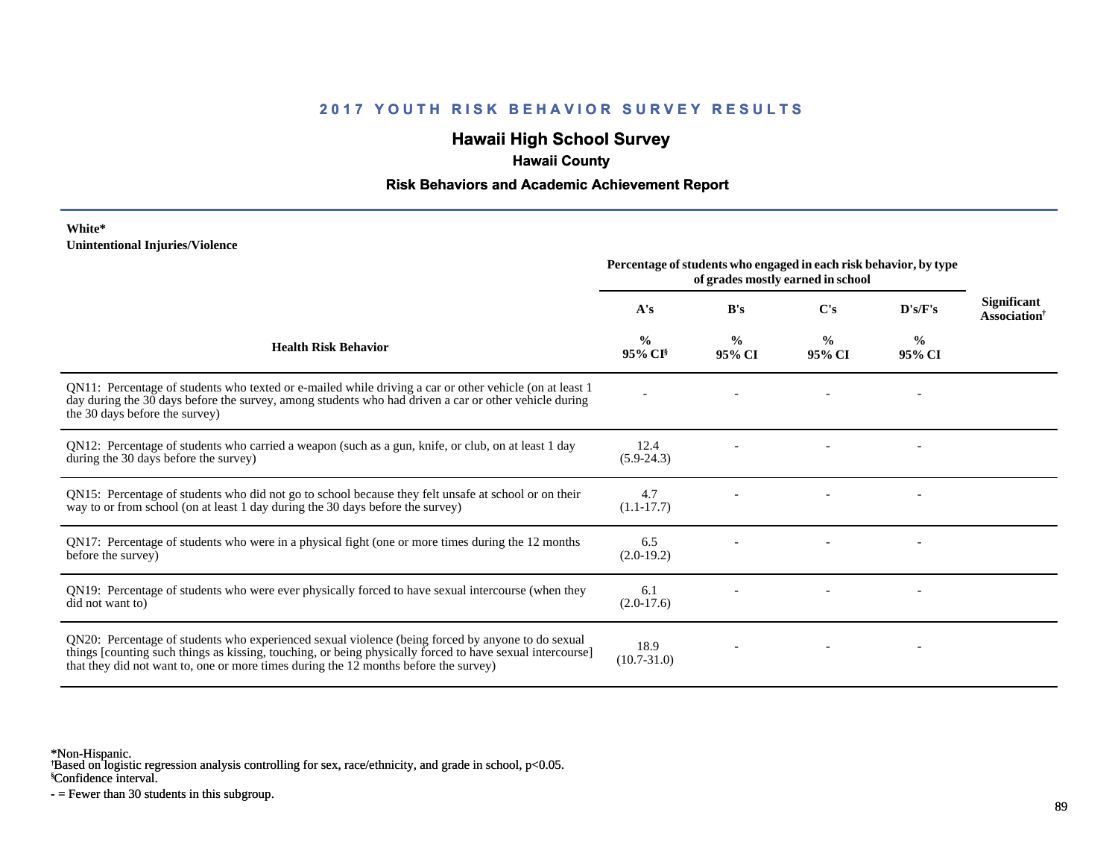## **Hawaii High School Survey**

## **Hawaii County**

#### **Risk Behaviors and Academic Achievement Report**

#### **White\* Unintentional Injuries/Violence**

|                                                                                                                                                                                                                                                                                                        | Percentage of students who engaged in each risk behavior, by type<br>of grades mostly earned in school |                         |                         |                          |                                                       |
|--------------------------------------------------------------------------------------------------------------------------------------------------------------------------------------------------------------------------------------------------------------------------------------------------------|--------------------------------------------------------------------------------------------------------|-------------------------|-------------------------|--------------------------|-------------------------------------------------------|
|                                                                                                                                                                                                                                                                                                        | A's                                                                                                    | B's                     | $\bf C's$               | D's/F's                  | <b>Significant</b><br><b>Association</b> <sup>†</sup> |
| <b>Health Risk Behavior</b>                                                                                                                                                                                                                                                                            | $\frac{0}{0}$<br>95% CI <sup>§</sup>                                                                   | $\frac{0}{0}$<br>95% CI | $\frac{0}{0}$<br>95% CI | $\frac{0}{0}$<br>95% CI  |                                                       |
| QN11: Percentage of students who texted or e-mailed while driving a car or other vehicle (on at least 1<br>day during the 30 days before the survey, among students who had driven a car or other vehicle during<br>the 30 days before the survey)                                                     |                                                                                                        |                         |                         | $\overline{\phantom{0}}$ |                                                       |
| QN12: Percentage of students who carried a weapon (such as a gun, knife, or club, on at least 1 day<br>during the 30 days before the survey)                                                                                                                                                           | 12.4<br>$(5.9-24.3)$                                                                                   |                         |                         |                          |                                                       |
| QN15: Percentage of students who did not go to school because they felt unsafe at school or on their<br>way to or from school (on at least 1 day during the 30 days before the survey)                                                                                                                 | 4.7<br>$(1.1 - 17.7)$                                                                                  |                         |                         |                          |                                                       |
| QN17: Percentage of students who were in a physical fight (one or more times during the 12 months<br>before the survey)                                                                                                                                                                                | 6.5<br>$(2.0-19.2)$                                                                                    |                         |                         |                          |                                                       |
| QN19: Percentage of students who were ever physically forced to have sexual intercourse (when they<br>did not want to)                                                                                                                                                                                 | 6.1<br>$(2.0-17.6)$                                                                                    |                         |                         |                          |                                                       |
| QN20: Percentage of students who experienced sexual violence (being forced by anyone to do sexual<br>things [counting such things as kissing, touching, or being physically forced to have sexual intercourse]<br>that they did not want to, one or more times during the 12 months before the survey) | 18.9<br>$(10.7 - 31.0)$                                                                                |                         |                         |                          |                                                       |

\*Non-Hispanic.

† Based on logistic regression analysis controlling for sex, race/ethnicity, and grade in school, p<0.05.

§Confidence interval.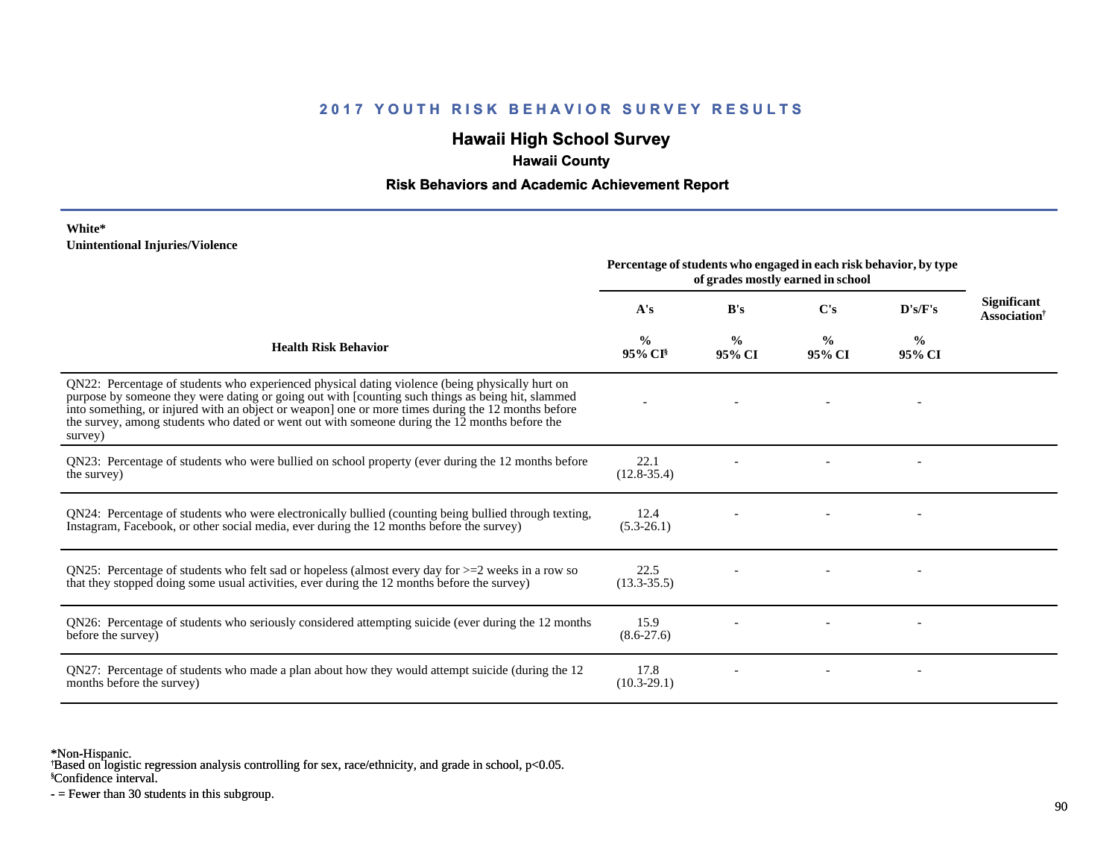## **Hawaii High School Survey**

## **Hawaii County**

### **Risk Behaviors and Academic Achievement Report**

#### **White\* Unintentional Injuries/Violence**

|                                                                                                                                                                                                                                                                                                                                                                                                                        | Percentage of students who engaged in each risk behavior, by type<br>of grades mostly earned in school |                         |                         |                         |                                                       |
|------------------------------------------------------------------------------------------------------------------------------------------------------------------------------------------------------------------------------------------------------------------------------------------------------------------------------------------------------------------------------------------------------------------------|--------------------------------------------------------------------------------------------------------|-------------------------|-------------------------|-------------------------|-------------------------------------------------------|
|                                                                                                                                                                                                                                                                                                                                                                                                                        | A's                                                                                                    | B's                     | $\bf C's$               | D's/F's                 | <b>Significant</b><br><b>Association</b> <sup>†</sup> |
| <b>Health Risk Behavior</b>                                                                                                                                                                                                                                                                                                                                                                                            | %<br>$95\%$ CI <sup>§</sup>                                                                            | $\frac{0}{0}$<br>95% CI | $\frac{0}{0}$<br>95% CI | $\frac{0}{0}$<br>95% CI |                                                       |
| QN22: Percentage of students who experienced physical dating violence (being physically hurt on<br>purpose by someone they were dating or going out with [counting such things as being hit, slammed<br>into something, or injured with an object or weapon] one or more times during the 12 months before<br>the survey, among students who dated or went out with someone during the 12 months before the<br>survey) |                                                                                                        |                         |                         |                         |                                                       |
| QN23: Percentage of students who were bullied on school property (ever during the 12 months before<br>the survey)                                                                                                                                                                                                                                                                                                      | 22.1<br>$(12.8 - 35.4)$                                                                                |                         |                         |                         |                                                       |
| QN24: Percentage of students who were electronically bullied (counting being bullied through texting,<br>Instagram, Facebook, or other social media, ever during the 12 months before the survey)                                                                                                                                                                                                                      | 12.4<br>$(5.3-26.1)$                                                                                   |                         |                         |                         |                                                       |
| QN25: Percentage of students who felt sad or hopeless (almost every day for $>=$ 2 weeks in a row so<br>that they stopped doing some usual activities, ever during the 12 months before the survey)                                                                                                                                                                                                                    | 22.5<br>$(13.3 - 35.5)$                                                                                |                         |                         |                         |                                                       |
| QN26: Percentage of students who seriously considered attempting suicide (ever during the 12 months<br>before the survey)                                                                                                                                                                                                                                                                                              | 15.9<br>$(8.6 - 27.6)$                                                                                 |                         |                         |                         |                                                       |
| QN27: Percentage of students who made a plan about how they would attempt suicide (during the 12<br>months before the survey)                                                                                                                                                                                                                                                                                          | 17.8<br>$(10.3-29.1)$                                                                                  |                         |                         |                         |                                                       |

\*Non-Hispanic.

† Based on logistic regression analysis controlling for sex, race/ethnicity, and grade in school, p<0.05.

§Confidence interval.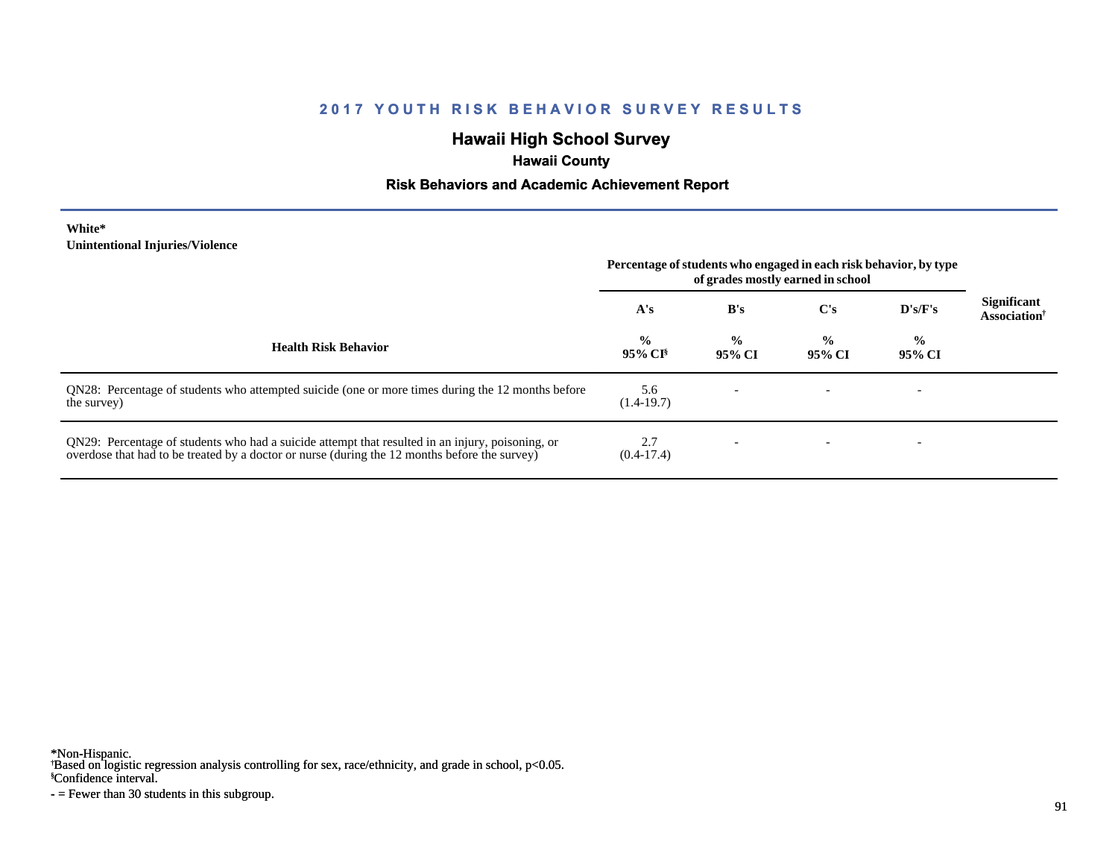## **Hawaii High School Survey**

## **Hawaii County**

#### **Risk Behaviors and Academic Achievement Report**

#### **White\* Unintentional Injuries/Violence**

|                                                                                                                                                                                                   | Percentage of students who engaged in each risk behavior, by type<br>of grades mostly earned in school |                         |                         |                         |                                                |
|---------------------------------------------------------------------------------------------------------------------------------------------------------------------------------------------------|--------------------------------------------------------------------------------------------------------|-------------------------|-------------------------|-------------------------|------------------------------------------------|
|                                                                                                                                                                                                   | A's                                                                                                    | B's                     | C's                     | D's/F's                 | <b>Significant</b><br>Association <sup>†</sup> |
| <b>Health Risk Behavior</b>                                                                                                                                                                       | $\frac{0}{0}$<br>$95\%$ CI <sup>§</sup>                                                                | $\frac{0}{0}$<br>95% CI | $\frac{6}{9}$<br>95% CI | $\frac{0}{0}$<br>95% CI |                                                |
| QN28: Percentage of students who attempted suicide (one or more times during the 12 months before<br>the survey)                                                                                  | 5.6<br>$(1.4-19.7)$                                                                                    |                         |                         |                         |                                                |
| QN29: Percentage of students who had a suicide attempt that resulted in an injury, poisoning, or<br>overdose that had to be treated by a doctor or nurse (during the 12 months before the survey) | 2.7<br>$(0.4-17.4)$                                                                                    |                         |                         |                         |                                                |

\*Non-Hispanic.

† Based on logistic regression analysis controlling for sex, race/ethnicity, and grade in school, p<0.05.

§Confidence interval.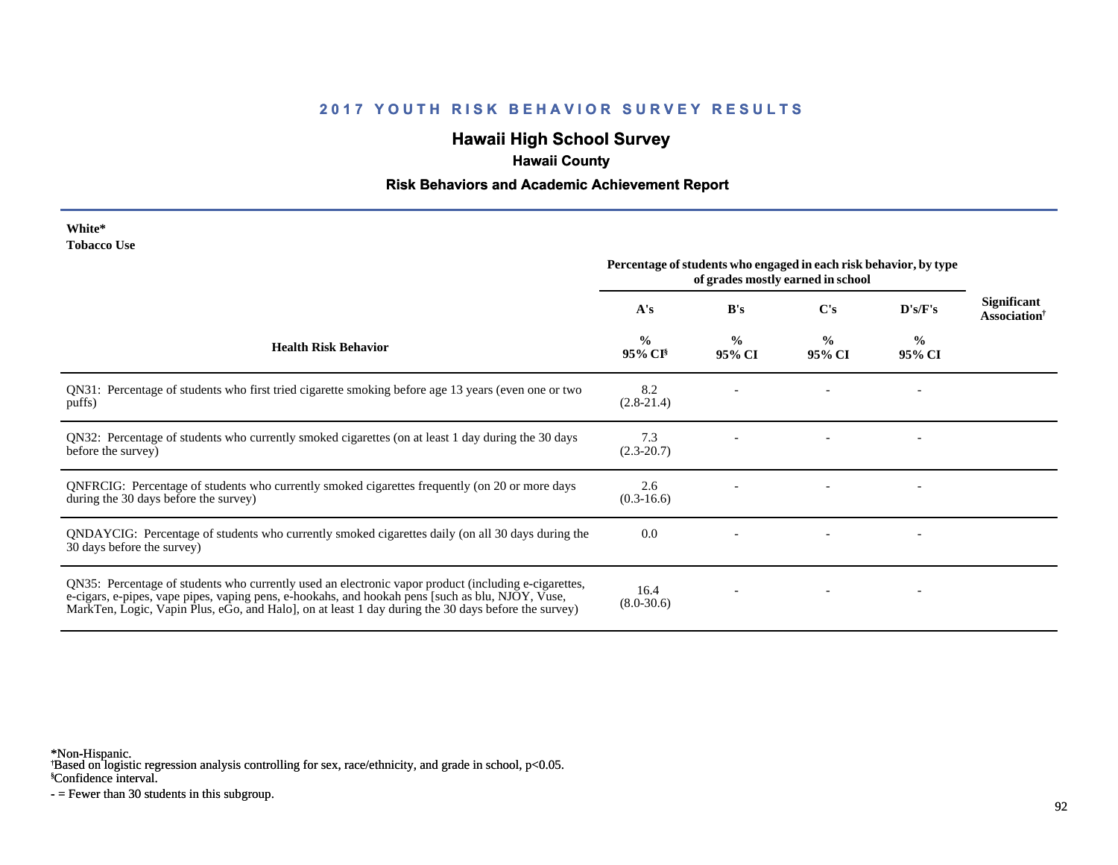# **Hawaii High School Survey**

# **Hawaii County**

#### **Risk Behaviors and Academic Achievement Report**

| White*             |  |
|--------------------|--|
| <b>Tobacco Use</b> |  |

|                                                                                                                                                                                                                                                                                                                 | Percentage of students who engaged in each risk behavior, by type<br>of grades mostly earned in school |                         |                         |                         |                                                       |
|-----------------------------------------------------------------------------------------------------------------------------------------------------------------------------------------------------------------------------------------------------------------------------------------------------------------|--------------------------------------------------------------------------------------------------------|-------------------------|-------------------------|-------------------------|-------------------------------------------------------|
|                                                                                                                                                                                                                                                                                                                 | A's                                                                                                    | B's                     | C's                     | D's/F's                 | <b>Significant</b><br><b>Association</b> <sup>†</sup> |
| <b>Health Risk Behavior</b>                                                                                                                                                                                                                                                                                     | $\frac{0}{0}$<br>$95\%$ CI <sup>§</sup>                                                                | $\frac{0}{0}$<br>95% CI | $\frac{0}{0}$<br>95% CI | $\frac{0}{0}$<br>95% CI |                                                       |
| QN31: Percentage of students who first tried cigarette smoking before age 13 years (even one or two<br>puffs)                                                                                                                                                                                                   | 8.2<br>$(2.8-21.4)$                                                                                    |                         |                         |                         |                                                       |
| QN32: Percentage of students who currently smoked cigarettes (on at least 1 day during the 30 days<br>before the survey)                                                                                                                                                                                        | 7.3<br>$(2.3 - 20.7)$                                                                                  |                         |                         |                         |                                                       |
| QNFRCIG: Percentage of students who currently smoked cigarettes frequently (on 20 or more days<br>during the 30 days before the survey)                                                                                                                                                                         | 2.6<br>$(0.3-16.6)$                                                                                    |                         |                         |                         |                                                       |
| QNDAYCIG: Percentage of students who currently smoked cigarettes daily (on all 30 days during the<br>30 days before the survey)                                                                                                                                                                                 | 0.0                                                                                                    |                         |                         |                         |                                                       |
| QN35: Percentage of students who currently used an electronic vapor product (including e-cigarettes,<br>e-cigars, e-pipes, vape pipes, vaping pens, e-hookahs, and hookah pens [such as blu, NJOY, Vuse,<br>MarkTen, Logic, Vapin Plus, eGo, and Halo], on at least 1 day during the 30 days before the survey) | 16.4<br>$(8.0 - 30.6)$                                                                                 |                         |                         |                         |                                                       |

\*Non-Hispanic.

† Based on logistic regression analysis controlling for sex, race/ethnicity, and grade in school, p<0.05.

§Confidence interval.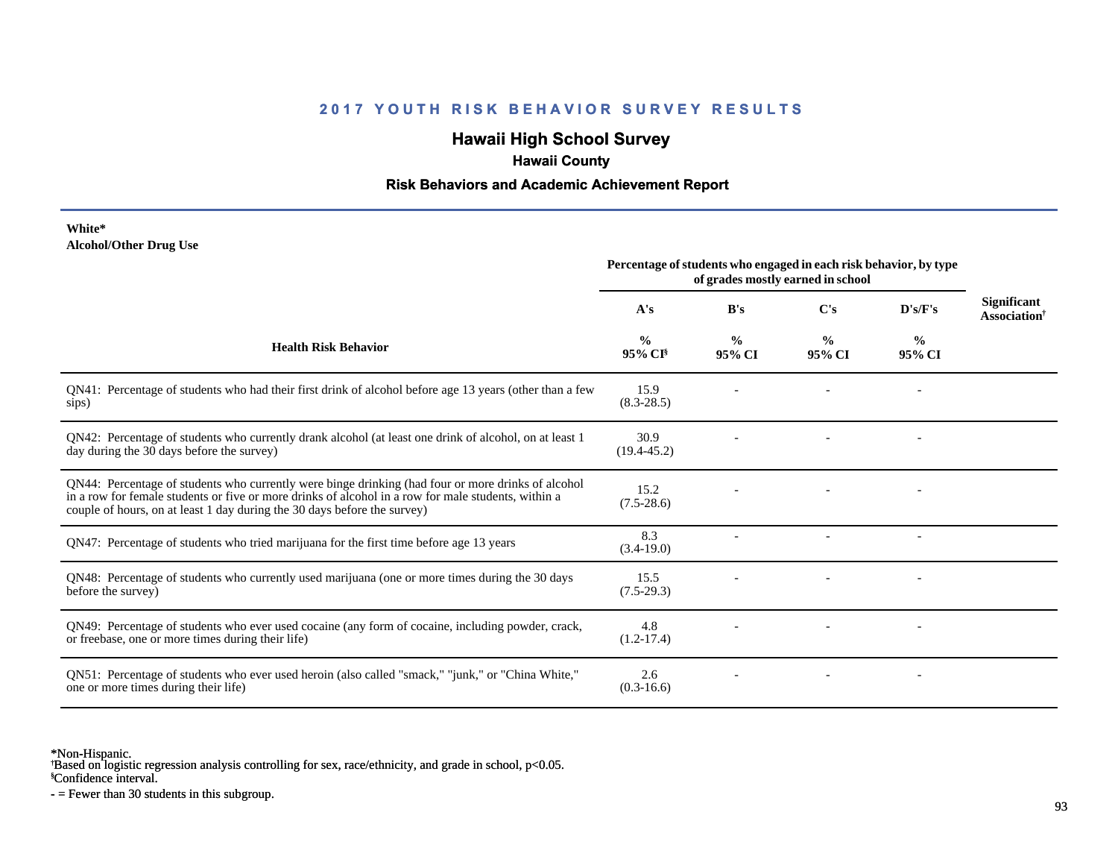## **Hawaii High School Survey**

## **Hawaii County**

### **Risk Behaviors and Academic Achievement Report**

#### **White\* Alcohol/Other Drug Use**

|                                                                                                                                                                                                                                                                                       | Percentage of students who engaged in each risk behavior, by type<br>of grades mostly earned in school |                         |                         |                          |                                                       |
|---------------------------------------------------------------------------------------------------------------------------------------------------------------------------------------------------------------------------------------------------------------------------------------|--------------------------------------------------------------------------------------------------------|-------------------------|-------------------------|--------------------------|-------------------------------------------------------|
|                                                                                                                                                                                                                                                                                       | A's                                                                                                    | B's                     | C's                     | D's/F's                  | <b>Significant</b><br><b>Association</b> <sup>†</sup> |
| <b>Health Risk Behavior</b>                                                                                                                                                                                                                                                           | $\frac{0}{0}$<br>95% CI <sup>§</sup>                                                                   | $\frac{0}{0}$<br>95% CI | $\frac{0}{0}$<br>95% CI | $\frac{0}{0}$<br>95% CI  |                                                       |
| QN41: Percentage of students who had their first drink of alcohol before age 13 years (other than a few<br>sips)                                                                                                                                                                      | 15.9<br>$(8.3 - 28.5)$                                                                                 |                         |                         |                          |                                                       |
| QN42: Percentage of students who currently drank alcohol (at least one drink of alcohol, on at least 1<br>day during the 30 days before the survey)                                                                                                                                   | 30.9<br>$(19.4 - 45.2)$                                                                                |                         |                         |                          |                                                       |
| QN44: Percentage of students who currently were binge drinking (had four or more drinks of alcohol<br>in a row for female students or five or more drinks of alcohol in a row for male students, within a<br>couple of hours, on at least 1 day during the 30 days before the survey) | 15.2<br>$(7.5 - 28.6)$                                                                                 |                         |                         |                          |                                                       |
| QN47: Percentage of students who tried marijuana for the first time before age 13 years                                                                                                                                                                                               | 8.3<br>$(3.4-19.0)$                                                                                    |                         |                         | $\overline{\phantom{a}}$ |                                                       |
| QN48: Percentage of students who currently used marijuana (one or more times during the 30 days<br>before the survey)                                                                                                                                                                 | 15.5<br>$(7.5-29.3)$                                                                                   |                         |                         |                          |                                                       |
| QN49: Percentage of students who ever used cocaine (any form of cocaine, including powder, crack,<br>or freebase, one or more times during their life)                                                                                                                                | 4.8<br>$(1.2-17.4)$                                                                                    |                         |                         |                          |                                                       |
| ON51: Percentage of students who ever used heroin (also called "smack," "junk," or "China White,"<br>one or more times during their life)                                                                                                                                             | 2.6<br>$(0.3-16.6)$                                                                                    |                         |                         |                          |                                                       |

\*Non-Hispanic.

† Based on logistic regression analysis controlling for sex, race/ethnicity, and grade in school, p<0.05.

§Confidence interval.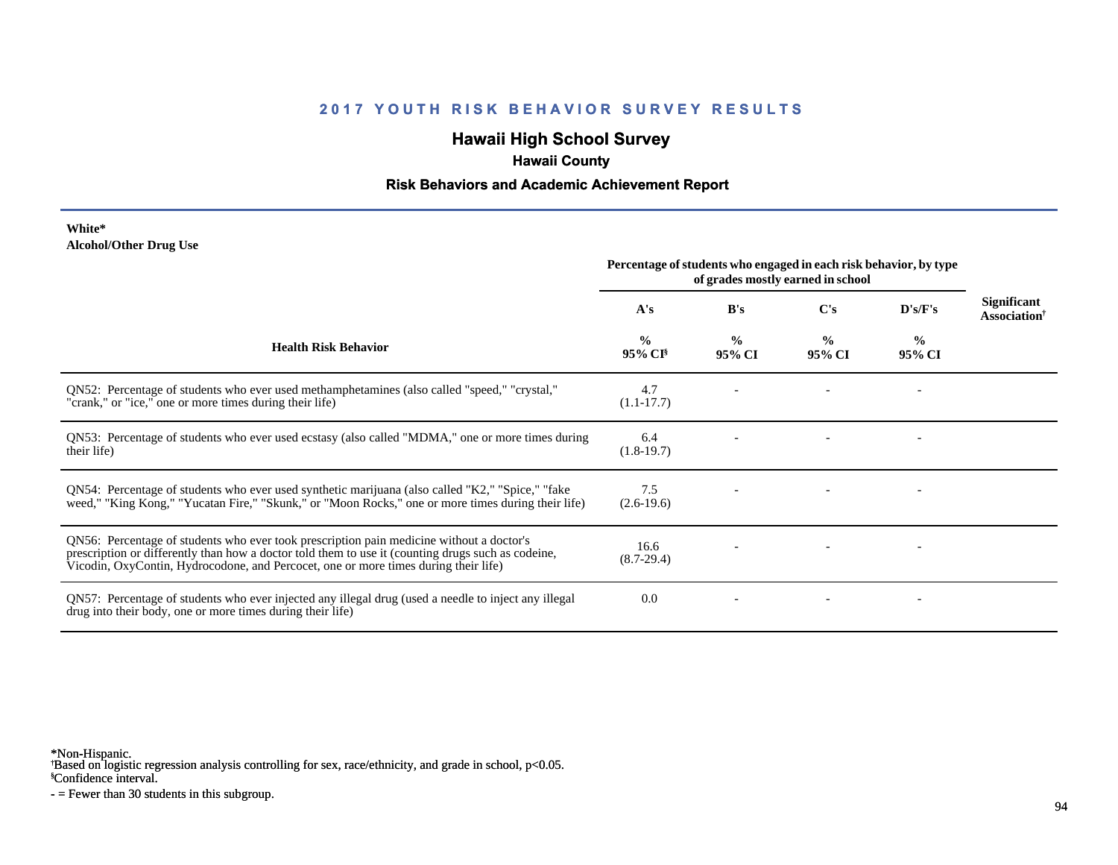## **Hawaii High School Survey**

## **Hawaii County**

#### **Risk Behaviors and Academic Achievement Report**

#### **White\* Alcohol/Other Drug Use**

|                                                                                                                                                                                                                                                                                       | Percentage of students who engaged in each risk behavior, by type<br>of grades mostly earned in school |                         |                         |                         |                                                |
|---------------------------------------------------------------------------------------------------------------------------------------------------------------------------------------------------------------------------------------------------------------------------------------|--------------------------------------------------------------------------------------------------------|-------------------------|-------------------------|-------------------------|------------------------------------------------|
|                                                                                                                                                                                                                                                                                       | A's                                                                                                    | B's                     | C's                     | D's/F's                 | <b>Significant</b><br>Association <sup>†</sup> |
| <b>Health Risk Behavior</b>                                                                                                                                                                                                                                                           | $\frac{0}{0}$<br>95% CI <sup>§</sup>                                                                   | $\frac{0}{0}$<br>95% CI | $\frac{0}{0}$<br>95% CI | $\frac{0}{0}$<br>95% CI |                                                |
| QN52: Percentage of students who ever used methamphetamines (also called "speed," "crystal,"<br>"crank," or "ice," one or more times during their life)                                                                                                                               | 4.7<br>$(1.1 - 17.7)$                                                                                  |                         |                         |                         |                                                |
| QN53: Percentage of students who ever used ecstasy (also called "MDMA," one or more times during<br>their life)                                                                                                                                                                       | 6.4<br>$(1.8-19.7)$                                                                                    |                         |                         |                         |                                                |
| QN54: Percentage of students who ever used synthetic marijuana (also called "K2," "Spice," "fake<br>weed," "King Kong," "Yucatan Fire," "Skunk," or "Moon Rocks," one or more times during their life)                                                                                | 7.5<br>$(2.6-19.6)$                                                                                    |                         |                         |                         |                                                |
| QN56: Percentage of students who ever took prescription pain medicine without a doctor's<br>prescription or differently than how a doctor told them to use it (counting drugs such as codeine,<br>Vicodin, OxyContin, Hydrocodone, and Percocet, one or more times during their life) | 16.6<br>$(8.7-29.4)$                                                                                   |                         |                         |                         |                                                |
| QN57: Percentage of students who ever injected any illegal drug (used a needle to inject any illegal<br>drug into their body, one or more times during their life)                                                                                                                    | 0.0                                                                                                    |                         |                         |                         |                                                |

\*Non-Hispanic.

† Based on logistic regression analysis controlling for sex, race/ethnicity, and grade in school, p<0.05.

§Confidence interval.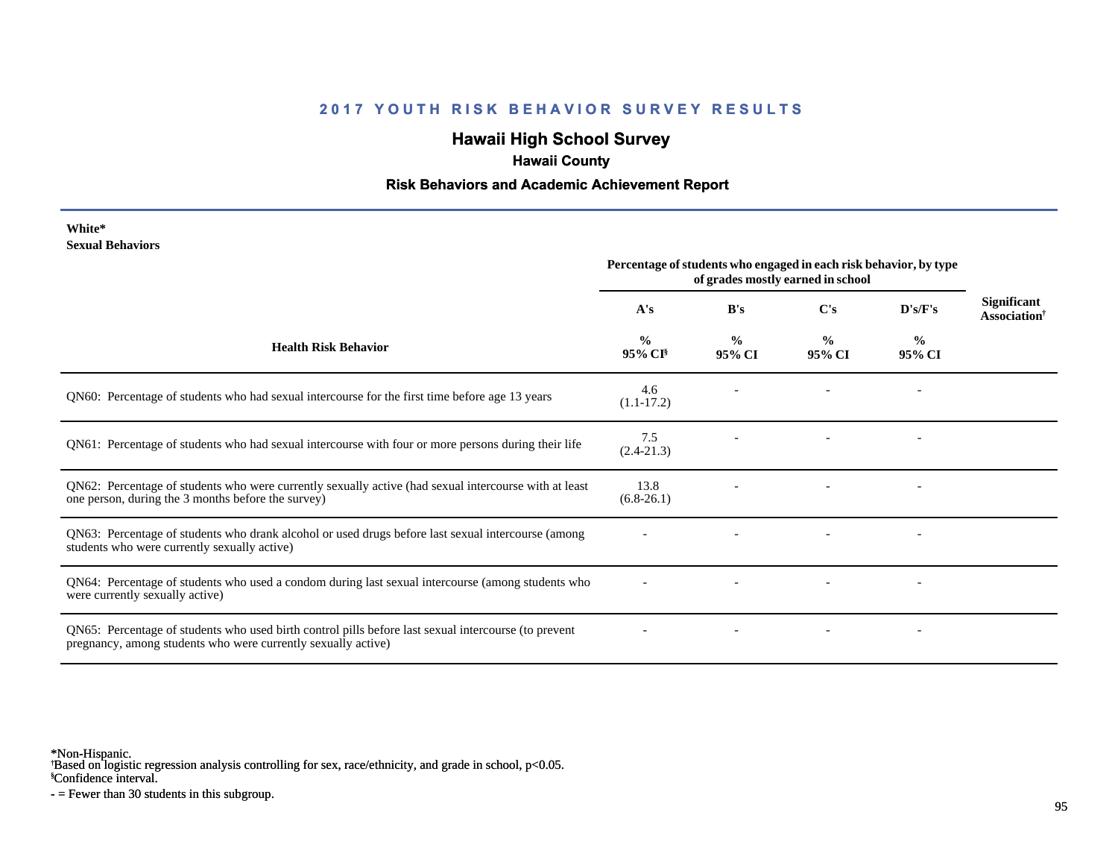## **Hawaii High School Survey**

## **Hawaii County**

### **Risk Behaviors and Academic Achievement Report**

**White\* Sexual Behaviors**

|                                                                                                                                                                       | Percentage of students who engaged in each risk behavior, by type<br>of grades mostly earned in school |                         |                         |                          |                                                |
|-----------------------------------------------------------------------------------------------------------------------------------------------------------------------|--------------------------------------------------------------------------------------------------------|-------------------------|-------------------------|--------------------------|------------------------------------------------|
|                                                                                                                                                                       | A's                                                                                                    | B's                     | C's                     | D's/F's                  | <b>Significant</b><br>Association <sup>†</sup> |
| <b>Health Risk Behavior</b>                                                                                                                                           | $\frac{0}{0}$<br>$95\%$ CI <sup>§</sup>                                                                | $\frac{0}{0}$<br>95% CI | $\frac{0}{0}$<br>95% CI | $\frac{0}{0}$<br>95% CI  |                                                |
| QN60: Percentage of students who had sexual intercourse for the first time before age 13 years                                                                        | 4.6<br>$(1.1-17.2)$                                                                                    |                         |                         |                          |                                                |
| QN61: Percentage of students who had sexual intercourse with four or more persons during their life                                                                   | 7.5<br>$(2.4 - 21.3)$                                                                                  |                         |                         | $\overline{\phantom{a}}$ |                                                |
| QN62: Percentage of students who were currently sexually active (had sexual intercourse with at least<br>one person, during the 3 months before the survey)           | 13.8<br>$(6.8-26.1)$                                                                                   |                         |                         |                          |                                                |
| QN63: Percentage of students who drank alcohol or used drugs before last sexual intercourse (among<br>students who were currently sexually active)                    |                                                                                                        |                         |                         |                          |                                                |
| QN64: Percentage of students who used a condom during last sexual intercourse (among students who<br>were currently sexually active)                                  |                                                                                                        |                         |                         |                          |                                                |
| QN65: Percentage of students who used birth control pills before last sexual intercourse (to prevent<br>pregnancy, among students who were currently sexually active) |                                                                                                        |                         |                         |                          |                                                |

\*Non-Hispanic.

† Based on logistic regression analysis controlling for sex, race/ethnicity, and grade in school, p<0.05.

§Confidence interval.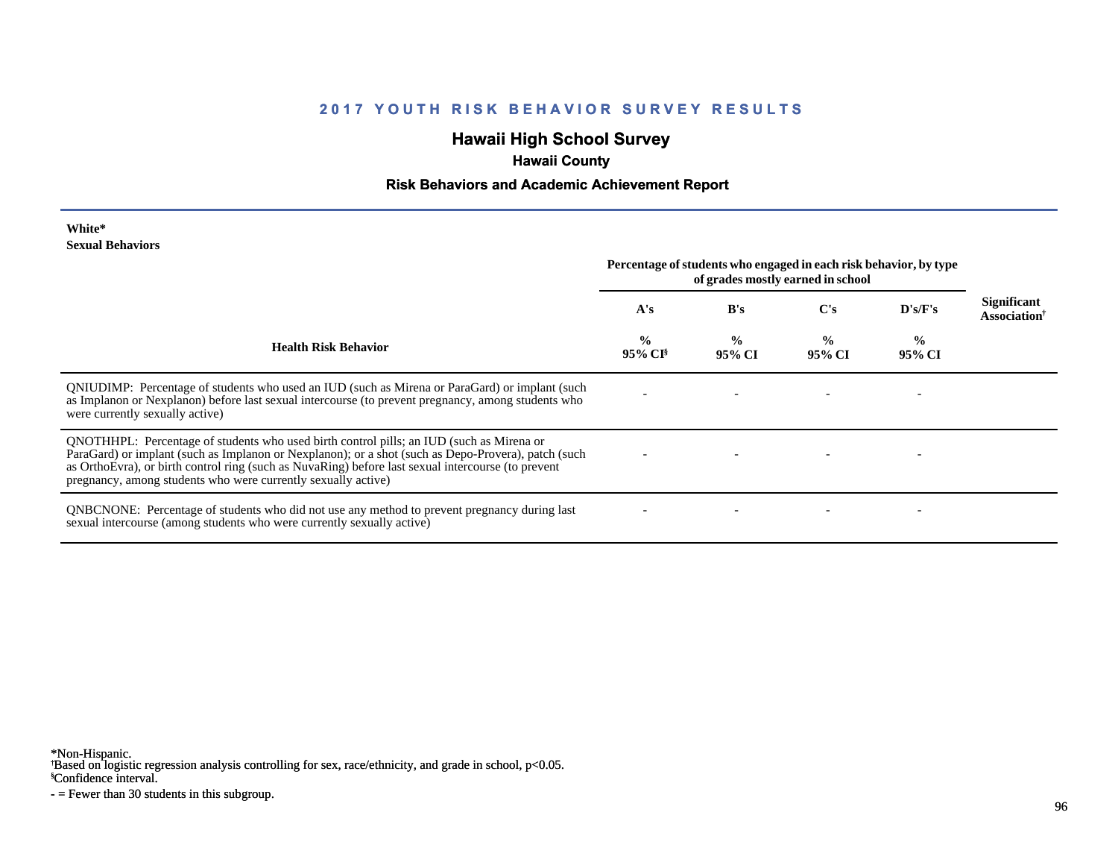## **Hawaii High School Survey**

# **Hawaii County**

#### **Risk Behaviors and Academic Achievement Report**

#### **White\* Sexual Behaviors**

|                                                                                                                                                                                                                                                                                                                                                                        | Percentage of students who engaged in each risk behavior, by type<br>of grades mostly earned in school |                         |                         |                         |                                                |
|------------------------------------------------------------------------------------------------------------------------------------------------------------------------------------------------------------------------------------------------------------------------------------------------------------------------------------------------------------------------|--------------------------------------------------------------------------------------------------------|-------------------------|-------------------------|-------------------------|------------------------------------------------|
|                                                                                                                                                                                                                                                                                                                                                                        | A's                                                                                                    | B's                     | $\bf C's$               | D's/F's                 | <b>Significant</b><br>Association <sup>†</sup> |
| <b>Health Risk Behavior</b>                                                                                                                                                                                                                                                                                                                                            | $\frac{0}{0}$<br>95% CI <sup>§</sup>                                                                   | $\frac{0}{0}$<br>95% CI | $\frac{0}{0}$<br>95% CI | $\frac{6}{6}$<br>95% CI |                                                |
| QNIUDIMP: Percentage of students who used an IUD (such as Mirena or ParaGard) or implant (such<br>as Implanon or Nexplanon) before last sexual intercourse (to prevent pregnancy, among students who<br>were currently sexually active)                                                                                                                                |                                                                                                        |                         |                         |                         |                                                |
| QNOTHHPL: Percentage of students who used birth control pills; an IUD (such as Mirena or<br>ParaGard) or implant (such as Implanon or Nexplanon); or a shot (such as Depo-Provera), patch (such<br>as OrthoEvra), or birth control ring (such as NuvaRing) before last sexual intercourse (to prevent<br>pregnancy, among students who were currently sexually active) |                                                                                                        |                         |                         |                         |                                                |
| <b>QNBCNONE:</b> Percentage of students who did not use any method to prevent pregnancy during last<br>sexual intercourse (among students who were currently sexually active)                                                                                                                                                                                          |                                                                                                        |                         |                         |                         |                                                |

\*Non-Hispanic.

† Based on logistic regression analysis controlling for sex, race/ethnicity, and grade in school, p<0.05.

§Confidence interval.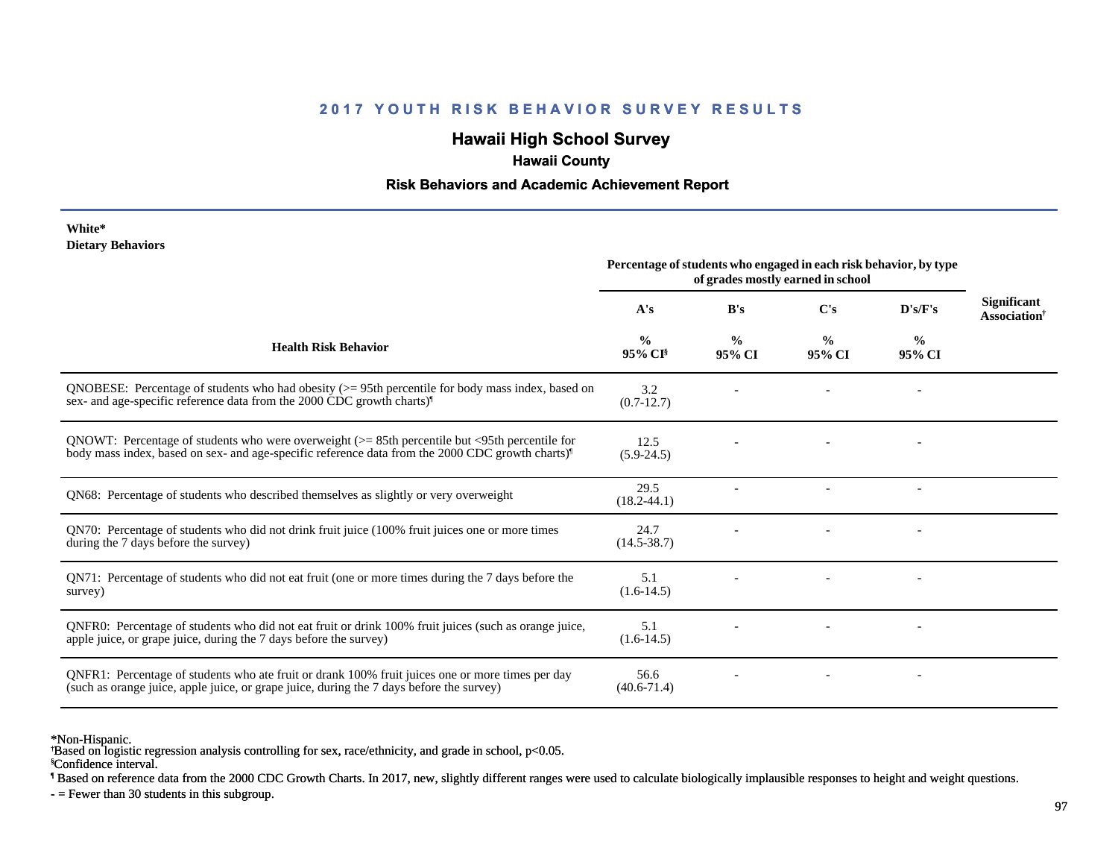## **Hawaii High School Survey**

### **Hawaii County**

#### **Risk Behaviors and Academic Achievement Report**

#### **White\* Dietary Behaviors**

|                                                                                                                                                                                                                   | Percentage of students who engaged in each risk behavior, by type<br>of grades mostly earned in school |                         |                         |                          |                                                |  |
|-------------------------------------------------------------------------------------------------------------------------------------------------------------------------------------------------------------------|--------------------------------------------------------------------------------------------------------|-------------------------|-------------------------|--------------------------|------------------------------------------------|--|
|                                                                                                                                                                                                                   | A's                                                                                                    | B's                     | $\bf C's$               | D's/F's                  | Significant<br><b>Association</b> <sup>†</sup> |  |
| <b>Health Risk Behavior</b>                                                                                                                                                                                       | $\frac{0}{0}$<br>95% CI <sup>§</sup>                                                                   | $\frac{0}{0}$<br>95% CI | $\frac{0}{0}$<br>95% CI | $\%$<br>95% CI           |                                                |  |
| QNOBESE: Percentage of students who had obesity $(>= 95$ th percentile for body mass index, based on<br>sex- and age-specific reference data from the 2000 CDC growth charts) <sup>1</sup>                        | 3.2<br>$(0.7-12.7)$                                                                                    |                         |                         |                          |                                                |  |
| QNOWT: Percentage of students who were overweight $(>= 85$ th percentile but <95th percentile for<br>body mass index, based on sex- and age-specific reference data from the 2000 CDC growth charts) <sup>1</sup> | 12.5<br>$(5.9 - 24.5)$                                                                                 |                         |                         |                          |                                                |  |
| QN68: Percentage of students who described themselves as slightly or very overweight                                                                                                                              | 29.5<br>$(18.2 - 44.1)$                                                                                |                         |                         | $\overline{\phantom{a}}$ |                                                |  |
| QN70: Percentage of students who did not drink fruit juice (100% fruit juices one or more times<br>during the 7 days before the survey)                                                                           | 24.7<br>$(14.5 - 38.7)$                                                                                |                         |                         |                          |                                                |  |
| QN71: Percentage of students who did not eat fruit (one or more times during the 7 days before the<br>survey)                                                                                                     | 5.1<br>$(1.6-14.5)$                                                                                    |                         |                         |                          |                                                |  |
| ONFR0: Percentage of students who did not eat fruit or drink 100% fruit juices (such as orange juice,<br>apple juice, or grape juice, during the 7 days before the survey)                                        | 5.1<br>$(1.6-14.5)$                                                                                    |                         |                         |                          |                                                |  |
| QNFR1: Percentage of students who ate fruit or drank 100% fruit juices one or more times per day<br>(such as orange juice, apple juice, or grape juice, during the 7 days before the survey)                      | 56.6<br>$(40.6 - 71.4)$                                                                                |                         |                         |                          |                                                |  |

\*Non-Hispanic.

§Confidence interval. † Based on logistic regression analysis controlling for sex, race/ethnicity, and grade in school, p<0.05.

¶ Based on reference data from the 2000 CDC Growth Charts. In 2017, new, slightly different ranges were used to calculate biologically implausible responses to height and weight questions.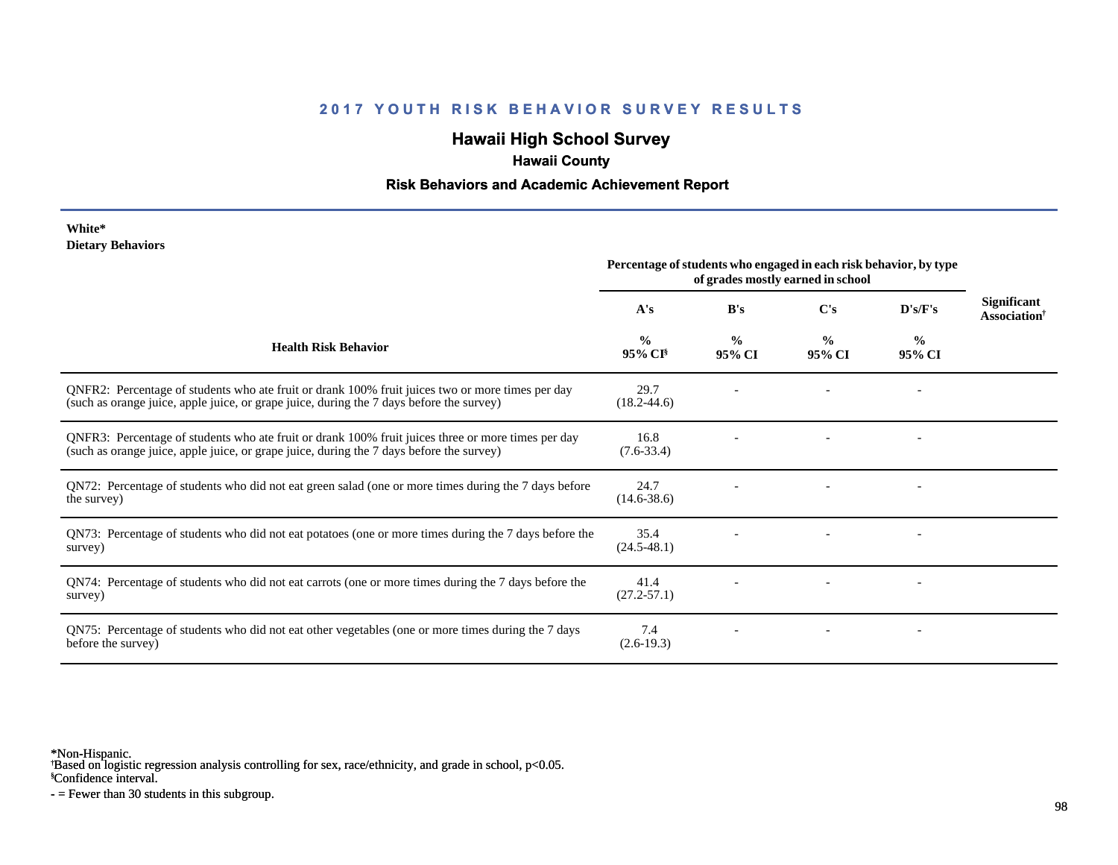## **Hawaii High School Survey**

## **Hawaii County**

### **Risk Behaviors and Academic Achievement Report**

#### **White\* Dietary Behaviors**

|                                                                                                                                                                                                | Percentage of students who engaged in each risk behavior, by type<br>of grades mostly earned in school |                         |                         |                          |                                                       |
|------------------------------------------------------------------------------------------------------------------------------------------------------------------------------------------------|--------------------------------------------------------------------------------------------------------|-------------------------|-------------------------|--------------------------|-------------------------------------------------------|
|                                                                                                                                                                                                | A's                                                                                                    | B's                     | $\bf C's$               | D's/F's                  | <b>Significant</b><br><b>Association</b> <sup>†</sup> |
| <b>Health Risk Behavior</b>                                                                                                                                                                    | $\frac{0}{0}$<br>95% CI <sup>§</sup>                                                                   | $\frac{0}{0}$<br>95% CI | $\frac{0}{0}$<br>95% CI | $\frac{0}{0}$<br>95% CI  |                                                       |
| QNFR2: Percentage of students who ate fruit or drank 100% fruit juices two or more times per day<br>(such as orange juice, apple juice, or grape juice, during the 7 days before the survey)   | 29.7<br>$(18.2 - 44.6)$                                                                                |                         |                         |                          |                                                       |
| QNFR3: Percentage of students who ate fruit or drank 100% fruit juices three or more times per day<br>(such as orange juice, apple juice, or grape juice, during the 7 days before the survey) | 16.8<br>$(7.6 - 33.4)$                                                                                 |                         |                         |                          |                                                       |
| QN72: Percentage of students who did not eat green salad (one or more times during the 7 days before<br>the survey)                                                                            | 24.7<br>$(14.6 - 38.6)$                                                                                |                         |                         |                          |                                                       |
| QN73: Percentage of students who did not eat potatoes (one or more times during the 7 days before the<br>survey)                                                                               | 35.4<br>$(24.5 - 48.1)$                                                                                |                         |                         |                          |                                                       |
| QN74: Percentage of students who did not eat carrots (one or more times during the 7 days before the<br>survey)                                                                                | 41.4<br>$(27.2 - 57.1)$                                                                                |                         |                         | $\overline{\phantom{a}}$ |                                                       |
| QN75: Percentage of students who did not eat other vegetables (one or more times during the 7 days<br>before the survey)                                                                       | 7.4<br>$(2.6-19.3)$                                                                                    |                         |                         |                          |                                                       |

\*Non-Hispanic.

† Based on logistic regression analysis controlling for sex, race/ethnicity, and grade in school, p<0.05.

§Confidence interval.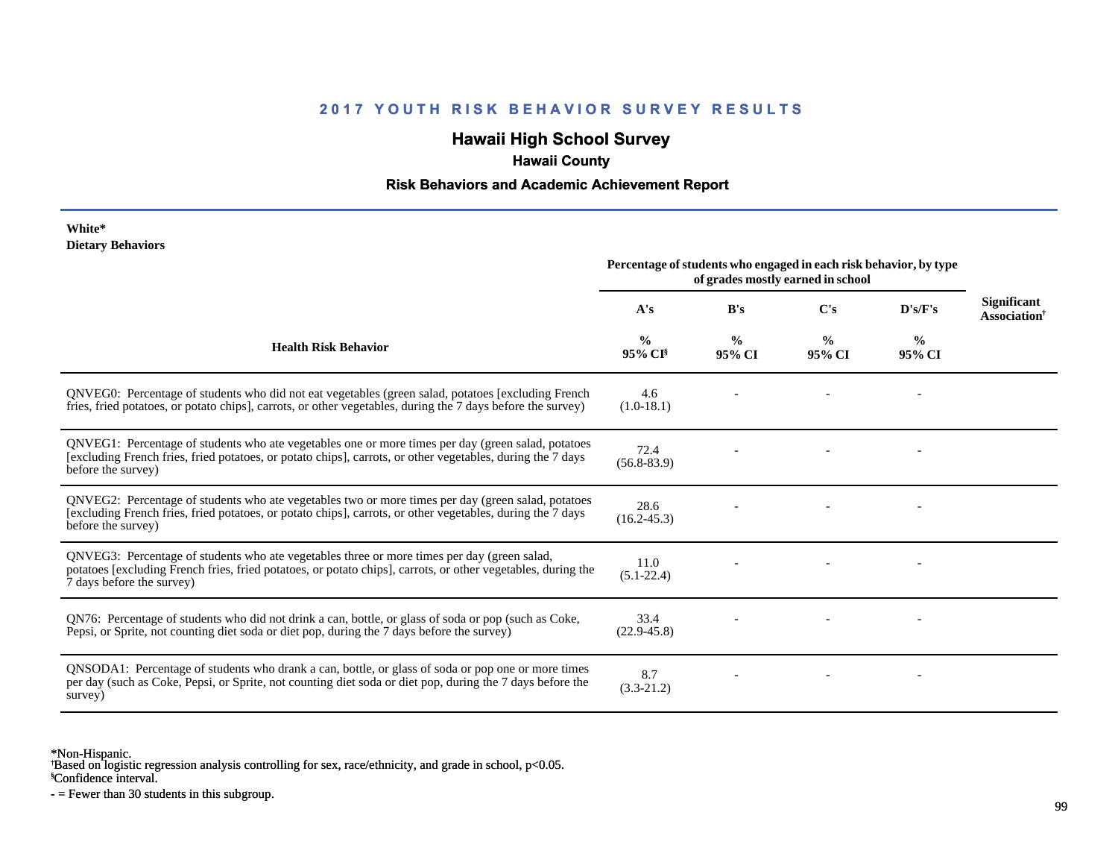## **Hawaii High School Survey**

## **Hawaii County**

#### **Risk Behaviors and Academic Achievement Report**

#### **White\* Dietary Behaviors**

|                                                                                                                                                                                                                                          | Percentage of students who engaged in each risk behavior, by type<br>of grades mostly earned in school |                         |                         |                         |                                                |
|------------------------------------------------------------------------------------------------------------------------------------------------------------------------------------------------------------------------------------------|--------------------------------------------------------------------------------------------------------|-------------------------|-------------------------|-------------------------|------------------------------------------------|
|                                                                                                                                                                                                                                          | A's                                                                                                    | B's                     | C's                     | D's/F's                 | <b>Significant</b><br>Association <sup>†</sup> |
| <b>Health Risk Behavior</b>                                                                                                                                                                                                              | $\frac{0}{0}$<br>95% CI <sup>§</sup>                                                                   | $\frac{0}{0}$<br>95% CI | $\frac{0}{0}$<br>95% CI | $\frac{0}{0}$<br>95% CI |                                                |
| QNVEG0: Percentage of students who did not eat vegetables (green salad, potatoes [excluding French]<br>fries, fried potatoes, or potato chips], carrots, or other vegetables, during the 7 days before the survey)                       | 4.6<br>$(1.0-18.1)$                                                                                    |                         |                         |                         |                                                |
| QNVEG1: Percentage of students who ate vegetables one or more times per day (green salad, potatoes<br>[excluding French fries, fried potatoes, or potato chips], carrots, or other vegetables, during the 7 days<br>before the survey)   | 72.4<br>$(56.8 - 83.9)$                                                                                |                         |                         |                         |                                                |
| QNVEG2: Percentage of students who ate vegetables two or more times per day (green salad, potatoes<br>[excluding French fries, fried potatoes, or potato chips], carrots, or other vegetables, during the 7 days<br>before the survey)   | 28.6<br>$(16.2 - 45.3)$                                                                                |                         |                         |                         |                                                |
| QNVEG3: Percentage of students who ate vegetables three or more times per day (green salad,<br>potatoes [excluding French fries, fried potatoes, or potato chips], carrots, or other vegetables, during the<br>7 days before the survey) | 11.0<br>$(5.1 - 22.4)$                                                                                 |                         |                         |                         |                                                |
| QN76: Percentage of students who did not drink a can, bottle, or glass of soda or pop (such as Coke,<br>Pepsi, or Sprite, not counting diet soda or diet pop, during the 7 days before the survey)                                       | 33.4<br>$(22.9 - 45.8)$                                                                                |                         |                         |                         |                                                |
| QNSODA1: Percentage of students who drank a can, bottle, or glass of soda or pop one or more times<br>per day (such as Coke, Pepsi, or Sprite, not counting diet soda or diet pop, during the 7 days before the<br>survey)               | 8.7<br>$(3.3-21.2)$                                                                                    |                         |                         |                         |                                                |

\*Non-Hispanic.

† Based on logistic regression analysis controlling for sex, race/ethnicity, and grade in school, p<0.05.

§Confidence interval.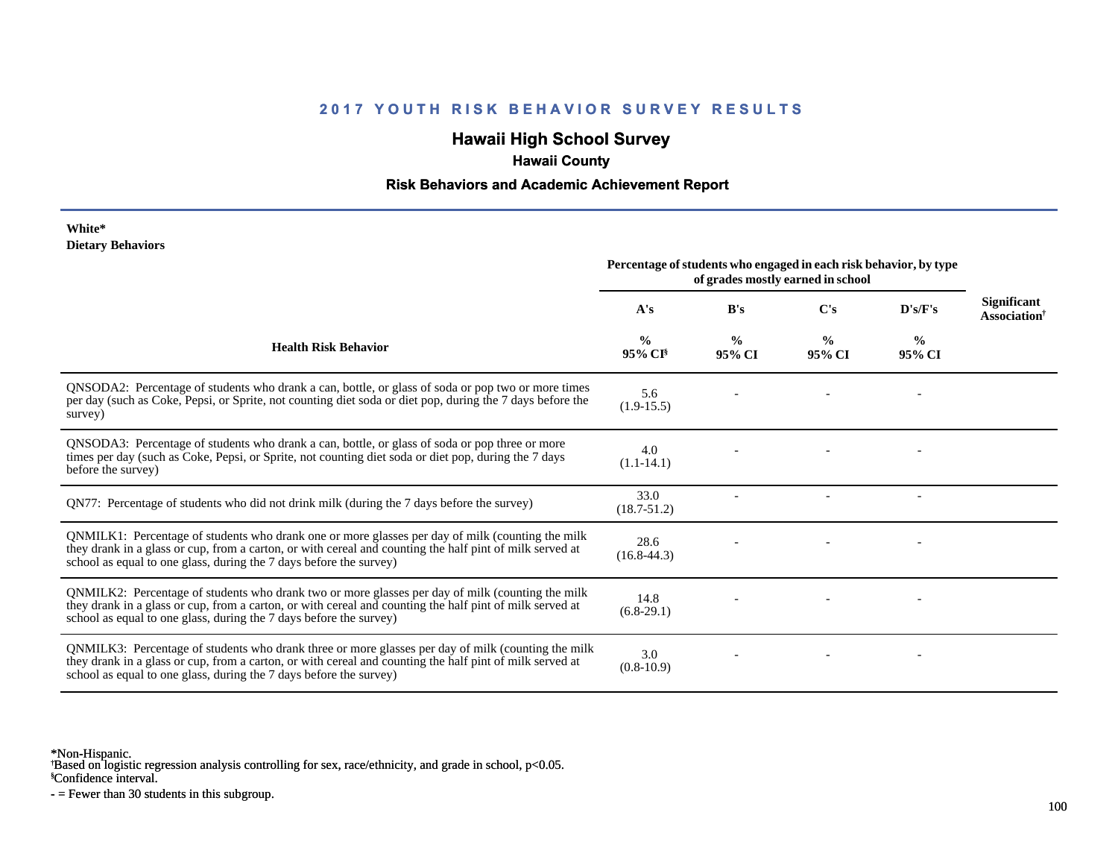## **Hawaii High School Survey**

## **Hawaii County**

#### **Risk Behaviors and Academic Achievement Report**

#### **White\* Dietary Behaviors**

|                                                                                                                                                                                                                                                                                      | Percentage of students who engaged in each risk behavior, by type<br>of grades mostly earned in school |                         |                         |                         |                                                |  |
|--------------------------------------------------------------------------------------------------------------------------------------------------------------------------------------------------------------------------------------------------------------------------------------|--------------------------------------------------------------------------------------------------------|-------------------------|-------------------------|-------------------------|------------------------------------------------|--|
|                                                                                                                                                                                                                                                                                      | A's                                                                                                    | B's                     | $\bf C's$               | D's/F's                 | <b>Significant</b><br>Association <sup>†</sup> |  |
| <b>Health Risk Behavior</b>                                                                                                                                                                                                                                                          | $\frac{6}{6}$<br>95% CI <sup>§</sup>                                                                   | $\frac{6}{9}$<br>95% CI | $\frac{0}{0}$<br>95% CI | $\frac{0}{0}$<br>95% CI |                                                |  |
| QNSODA2: Percentage of students who drank a can, bottle, or glass of soda or pop two or more times<br>per day (such as Coke, Pepsi, or Sprite, not counting diet soda or diet pop, during the 7 days before the<br>survey)                                                           | 5.6<br>$(1.9-15.5)$                                                                                    |                         |                         |                         |                                                |  |
| QNSODA3: Percentage of students who drank a can, bottle, or glass of soda or pop three or more<br>times per day (such as Coke, Pepsi, or Sprite, not counting diet soda or diet pop, during the 7 days<br>before the survey)                                                         | 4.0<br>$(1.1-14.1)$                                                                                    |                         |                         |                         |                                                |  |
| QN77: Percentage of students who did not drink milk (during the 7 days before the survey)                                                                                                                                                                                            | 33.0<br>$(18.7 - 51.2)$                                                                                |                         |                         |                         |                                                |  |
| QNMILK1: Percentage of students who drank one or more glasses per day of milk (counting the milk<br>they drank in a glass or cup, from a carton, or with cereal and counting the half pint of milk served at<br>school as equal to one glass, during the 7 days before the survey)   | 28.6<br>$(16.8 - 44.3)$                                                                                |                         |                         |                         |                                                |  |
| QNMILK2: Percentage of students who drank two or more glasses per day of milk (counting the milk<br>they drank in a glass or cup, from a carton, or with cereal and counting the half pint of milk served at<br>school as equal to one glass, during the 7 days before the survey)   | 14.8<br>$(6.8-29.1)$                                                                                   |                         |                         |                         |                                                |  |
| QNMILK3: Percentage of students who drank three or more glasses per day of milk (counting the milk<br>they drank in a glass or cup, from a carton, or with cereal and counting the half pint of milk served at<br>school as equal to one glass, during the 7 days before the survey) | 3.0<br>$(0.8-10.9)$                                                                                    |                         |                         |                         |                                                |  |

\*Non-Hispanic.

† Based on logistic regression analysis controlling for sex, race/ethnicity, and grade in school, p<0.05.

§Confidence interval.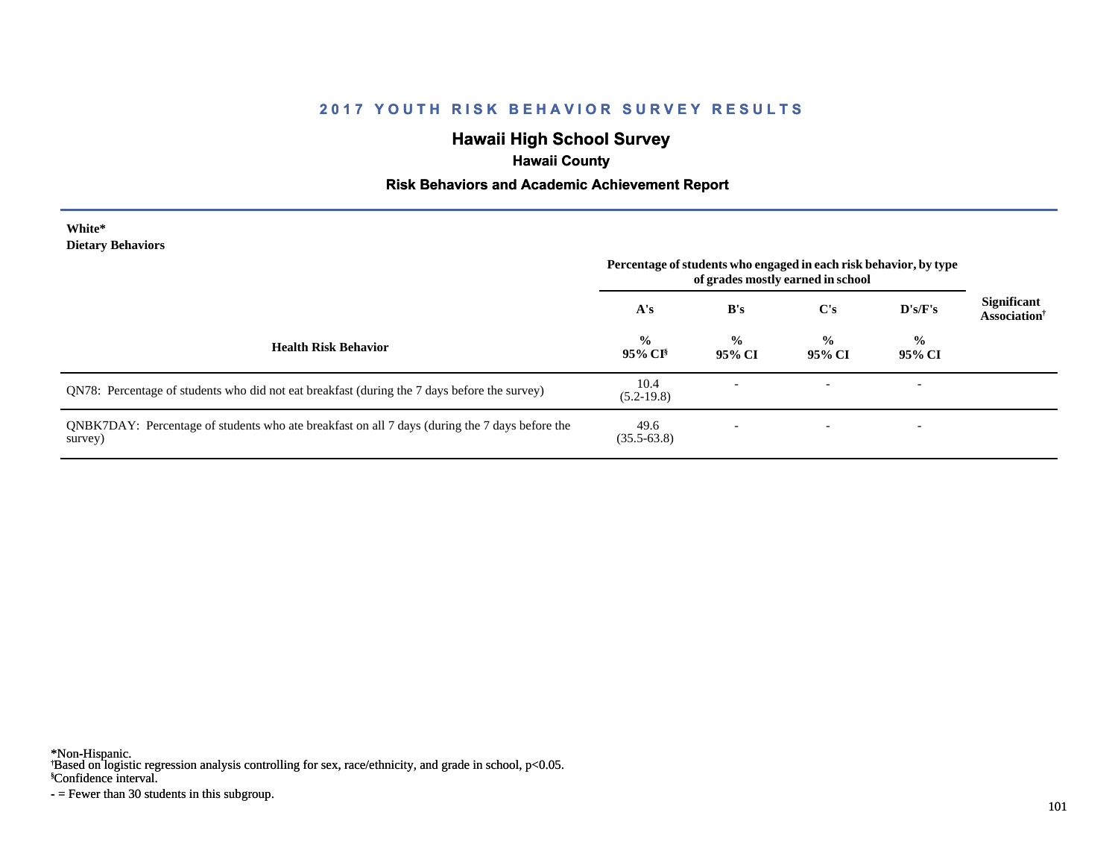## **Hawaii High School Survey**

## **Hawaii County**

### **Risk Behaviors and Academic Achievement Report**

#### **White\* Dietary Behaviors**

|                                                                                                           | Percentage of students who engaged in each risk behavior, by type<br>of grades mostly earned in school |                         |                         |                          |                                                |
|-----------------------------------------------------------------------------------------------------------|--------------------------------------------------------------------------------------------------------|-------------------------|-------------------------|--------------------------|------------------------------------------------|
|                                                                                                           | A's                                                                                                    | B's                     | C's                     | D's/F's                  | <b>Significant</b><br>Association <sup>†</sup> |
| <b>Health Risk Behavior</b>                                                                               | $\frac{0}{0}$<br>$95\%$ CI <sup>§</sup>                                                                | $\frac{0}{0}$<br>95% CI | $\frac{0}{0}$<br>95% CI | $\frac{0}{0}$<br>95% CI  |                                                |
| QN78: Percentage of students who did not eat breakfast (during the 7 days before the survey)              | 10.4<br>$(5.2-19.8)$                                                                                   |                         |                         | $\overline{\phantom{0}}$ |                                                |
| QNBK7DAY: Percentage of students who ate breakfast on all 7 days (during the 7 days before the<br>survey) | 49.6<br>$(35.5 - 63.8)$                                                                                |                         |                         | $\overline{\phantom{a}}$ |                                                |

\*Non-Hispanic.

† Based on logistic regression analysis controlling for sex, race/ethnicity, and grade in school, p<0.05.

§Confidence interval.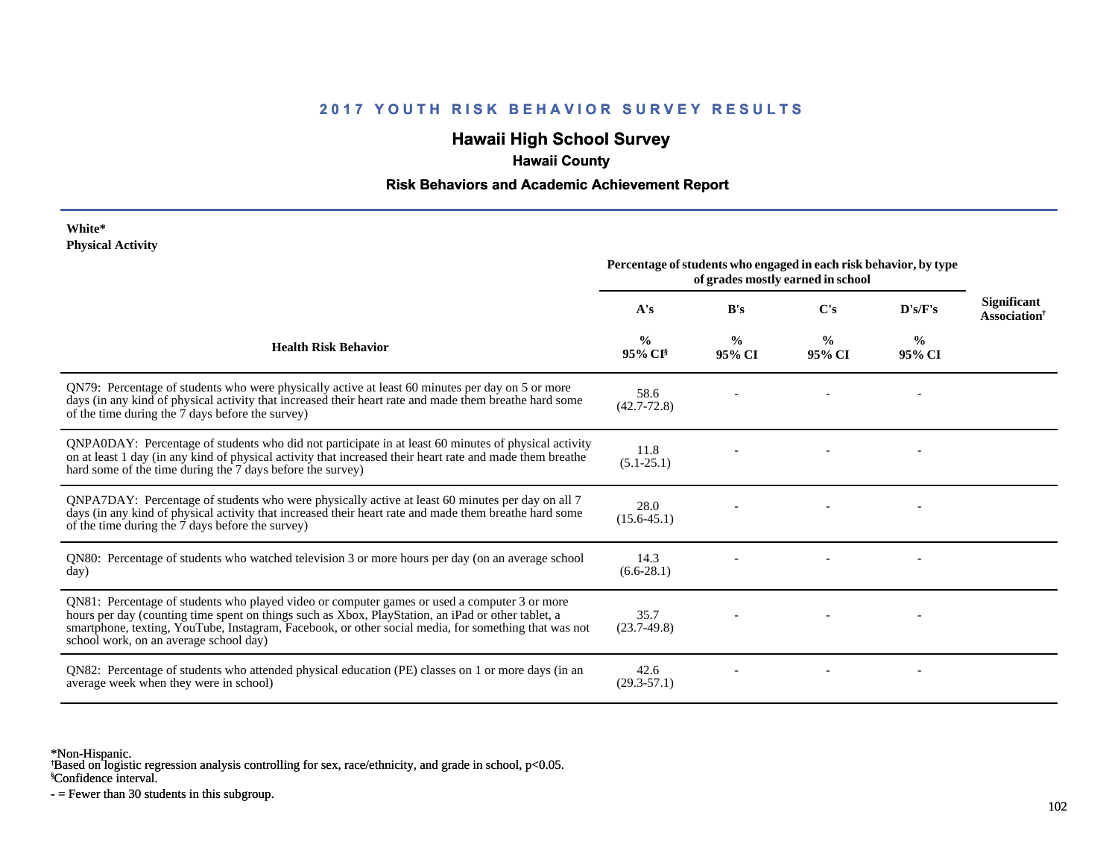## **Hawaii High School Survey**

## **Hawaii County**

#### **Risk Behaviors and Academic Achievement Report**

#### **White\* Physical Activity**

|                                                                                                                                                                                                                                                                                                                                                      | Percentage of students who engaged in each risk behavior, by type<br>of grades mostly earned in school |                         |                         |                         |                                                       |
|------------------------------------------------------------------------------------------------------------------------------------------------------------------------------------------------------------------------------------------------------------------------------------------------------------------------------------------------------|--------------------------------------------------------------------------------------------------------|-------------------------|-------------------------|-------------------------|-------------------------------------------------------|
|                                                                                                                                                                                                                                                                                                                                                      | A's                                                                                                    | B's                     | $\bf C's$               | D's/F's                 | <b>Significant</b><br><b>Association</b> <sup>†</sup> |
| <b>Health Risk Behavior</b>                                                                                                                                                                                                                                                                                                                          | $\frac{0}{0}$<br>$95\%$ CI <sup>§</sup>                                                                | $\frac{0}{0}$<br>95% CI | $\frac{0}{0}$<br>95% CI | $\frac{0}{0}$<br>95% CI |                                                       |
| QN79: Percentage of students who were physically active at least 60 minutes per day on 5 or more<br>days (in any kind of physical activity that increased their heart rate and made them breathe hard some<br>of the time during the 7 days before the survey)                                                                                       | 58.6<br>$(42.7 - 72.8)$                                                                                |                         |                         |                         |                                                       |
| QNPA0DAY: Percentage of students who did not participate in at least 60 minutes of physical activity<br>on at least 1 day (in any kind of physical activity that increased their heart rate and made them breathe<br>hard some of the time during the 7 days before the survey)                                                                      | 11.8<br>$(5.1 - 25.1)$                                                                                 |                         |                         |                         |                                                       |
| QNPA7DAY: Percentage of students who were physically active at least 60 minutes per day on all 7<br>days (in any kind of physical activity that increased their heart rate and made them breathe hard some<br>of the time during the 7 days before the survey)                                                                                       | 28.0<br>$(15.6 - 45.1)$                                                                                |                         |                         |                         |                                                       |
| QN80: Percentage of students who watched television 3 or more hours per day (on an average school<br>day)                                                                                                                                                                                                                                            | 14.3<br>$(6.6-28.1)$                                                                                   |                         |                         |                         |                                                       |
| QN81: Percentage of students who played video or computer games or used a computer 3 or more<br>hours per day (counting time spent on things such as Xbox, PlayStation, an iPad or other tablet, a<br>smartphone, texting, YouTube, Instagram, Facebook, or other social media, for something that was not<br>school work, on an average school day) | 35.7<br>$(23.7-49.8)$                                                                                  |                         |                         |                         |                                                       |
| QN82: Percentage of students who attended physical education (PE) classes on 1 or more days (in an<br>average week when they were in school)                                                                                                                                                                                                         | 42.6<br>$(29.3 - 57.1)$                                                                                |                         |                         |                         |                                                       |

\*Non-Hispanic.

† Based on logistic regression analysis controlling for sex, race/ethnicity, and grade in school, p<0.05.

§Confidence interval.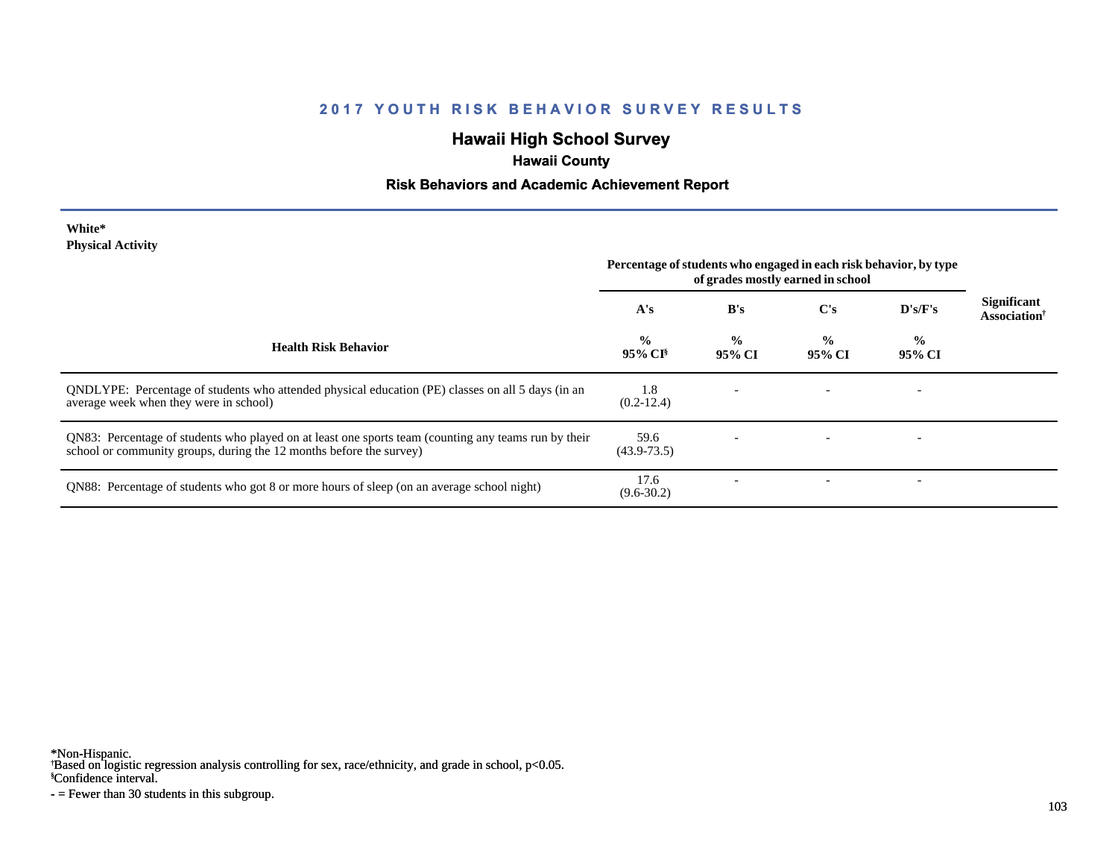# **Hawaii High School Survey**

# **Hawaii County**

## **Risk Behaviors and Academic Achievement Report**

| White*                   |  |
|--------------------------|--|
| <b>Physical Activity</b> |  |

|                                                                                                                                                                             | Percentage of students who engaged in each risk behavior, by type<br>of grades mostly earned in school |                         |                         |                         |                                                |
|-----------------------------------------------------------------------------------------------------------------------------------------------------------------------------|--------------------------------------------------------------------------------------------------------|-------------------------|-------------------------|-------------------------|------------------------------------------------|
|                                                                                                                                                                             | A's                                                                                                    | B's                     | $\bf C's$               | D's/F's                 | <b>Significant</b><br>Association <sup>†</sup> |
| <b>Health Risk Behavior</b>                                                                                                                                                 | $\frac{0}{0}$<br>95% CI <sup>§</sup>                                                                   | $\frac{0}{0}$<br>95% CI | $\frac{0}{0}$<br>95% CI | $\frac{0}{0}$<br>95% CI |                                                |
| QNDLYPE: Percentage of students who attended physical education (PE) classes on all 5 days (in an<br>average week when they were in school)                                 | 1.8<br>$(0.2-12.4)$                                                                                    |                         |                         |                         |                                                |
| QN83: Percentage of students who played on at least one sports team (counting any teams run by their<br>school or community groups, during the 12 months before the survey) | 59.6<br>$(43.9 - 73.5)$                                                                                |                         |                         |                         |                                                |
| QN88: Percentage of students who got 8 or more hours of sleep (on an average school night)                                                                                  | 17.6<br>$(9.6 - 30.2)$                                                                                 |                         |                         |                         |                                                |

\*Non-Hispanic.

† Based on logistic regression analysis controlling for sex, race/ethnicity, and grade in school, p<0.05.

§Confidence interval.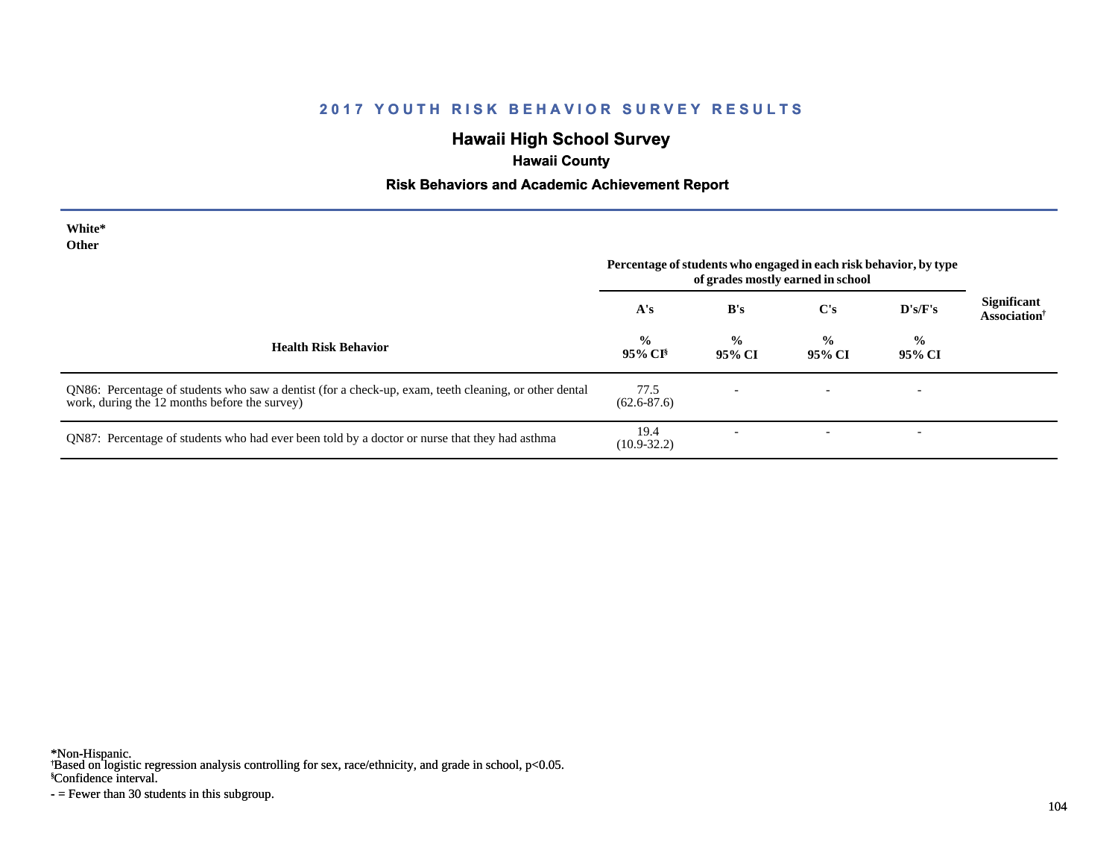## **Hawaii High School Survey**

# **Hawaii County**

### **Risk Behaviors and Academic Achievement Report**

| White*<br>Other                                                                                                                                        |                                      |                          | Percentage of students who engaged in each risk behavior, by type<br>of grades mostly earned in school |                          |                                                |
|--------------------------------------------------------------------------------------------------------------------------------------------------------|--------------------------------------|--------------------------|--------------------------------------------------------------------------------------------------------|--------------------------|------------------------------------------------|
|                                                                                                                                                        | A's                                  | B's                      | C's                                                                                                    | D's/F's                  | Significant<br><b>Association</b> <sup>†</sup> |
| <b>Health Risk Behavior</b>                                                                                                                            | $\frac{0}{0}$<br>95% CI <sup>§</sup> | $\frac{0}{0}$<br>95% CI  | $\frac{0}{0}$<br>95% CI                                                                                | $\frac{0}{0}$<br>95% CI  |                                                |
| QN86: Percentage of students who saw a dentist (for a check-up, exam, teeth cleaning, or other dental<br>work, during the 12 months before the survey) | 77.5<br>$(62.6 - 87.6)$              | $\overline{\phantom{0}}$ | $\overline{\phantom{0}}$                                                                               | $\overline{\phantom{a}}$ |                                                |
| QN87: Percentage of students who had ever been told by a doctor or nurse that they had asthma                                                          | 19.4<br>$(10.9 - 32.2)$              | $\overline{\phantom{0}}$ | $\overline{\phantom{a}}$                                                                               | $\overline{\phantom{a}}$ |                                                |

\*Non-Hispanic.

† Based on logistic regression analysis controlling for sex, race/ethnicity, and grade in school, p<0.05.

§Confidence interval.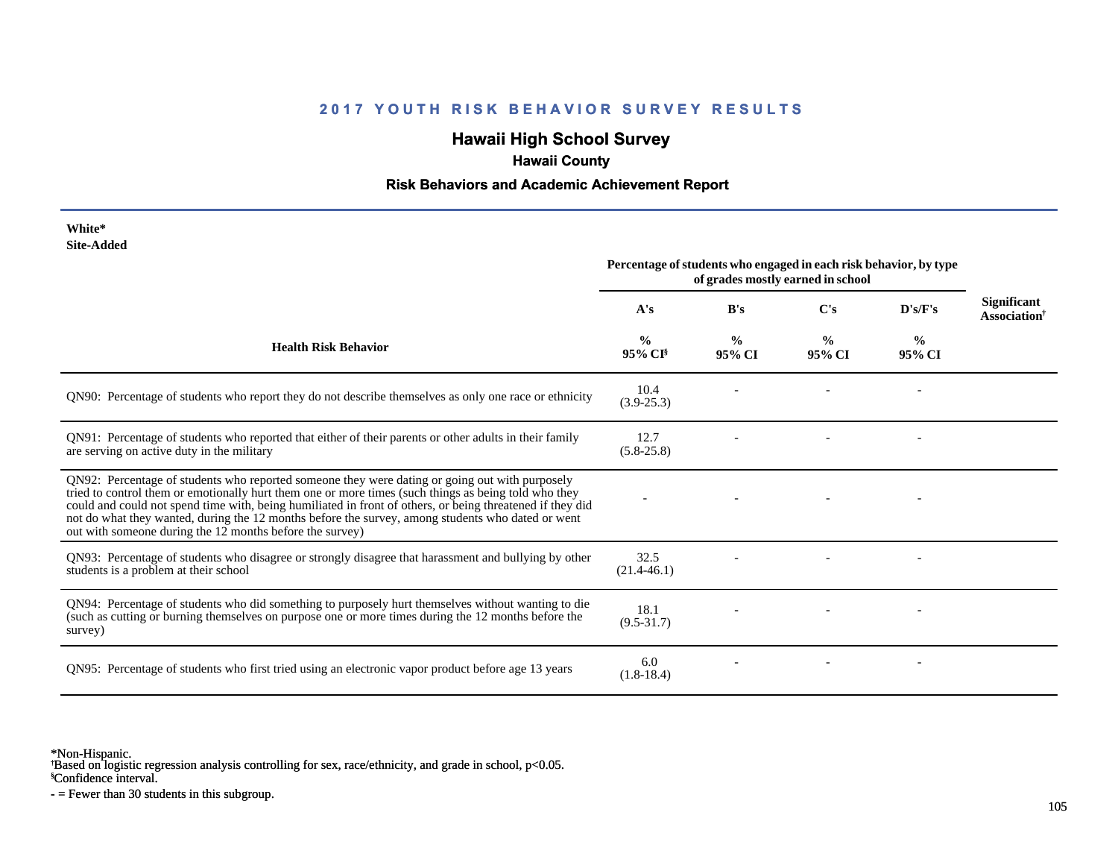## **Hawaii High School Survey**

## **Hawaii County**

#### **Risk Behaviors and Academic Achievement Report**

| White*<br><b>Site-Added</b>                                                                                                                                                                                                                                                                                                                                                                                                                                                          | Percentage of students who engaged in each risk behavior, by type<br>of grades mostly earned in school |                         |                         |                         |                                                       |
|--------------------------------------------------------------------------------------------------------------------------------------------------------------------------------------------------------------------------------------------------------------------------------------------------------------------------------------------------------------------------------------------------------------------------------------------------------------------------------------|--------------------------------------------------------------------------------------------------------|-------------------------|-------------------------|-------------------------|-------------------------------------------------------|
|                                                                                                                                                                                                                                                                                                                                                                                                                                                                                      | A's                                                                                                    | B's                     | $\bf C's$               | D's/F's                 | <b>Significant</b><br><b>Association</b> <sup>†</sup> |
| <b>Health Risk Behavior</b>                                                                                                                                                                                                                                                                                                                                                                                                                                                          | $\frac{0}{0}$<br>95% CI <sup>§</sup>                                                                   | $\frac{0}{0}$<br>95% CI | $\frac{0}{0}$<br>95% CI | $\frac{0}{0}$<br>95% CI |                                                       |
| ON90: Percentage of students who report they do not describe themselves as only one race or ethnicity                                                                                                                                                                                                                                                                                                                                                                                | 10.4<br>$(3.9 - 25.3)$                                                                                 |                         |                         |                         |                                                       |
| QN91: Percentage of students who reported that either of their parents or other adults in their family<br>are serving on active duty in the military                                                                                                                                                                                                                                                                                                                                 | 12.7<br>$(5.8-25.8)$                                                                                   |                         |                         |                         |                                                       |
| QN92: Percentage of students who reported someone they were dating or going out with purposely<br>tried to control them or emotionally hurt them one or more times (such things as being told who they<br>could and could not spend time with, being humiliated in front of others, or being threatened if they did<br>not do what they wanted, during the 12 months before the survey, among students who dated or went<br>out with someone during the 12 months before the survey) |                                                                                                        |                         |                         |                         |                                                       |
| QN93: Percentage of students who disagree or strongly disagree that harassment and bullying by other<br>students is a problem at their school                                                                                                                                                                                                                                                                                                                                        | 32.5<br>$(21.4 - 46.1)$                                                                                |                         |                         |                         |                                                       |
| QN94: Percentage of students who did something to purposely hurt themselves without wanting to die<br>(such as cutting or burning themselves on purpose one or more times during the 12 months before the<br>survey)                                                                                                                                                                                                                                                                 | 18.1<br>$(9.5 - 31.7)$                                                                                 |                         |                         |                         |                                                       |
| QN95: Percentage of students who first tried using an electronic vapor product before age 13 years                                                                                                                                                                                                                                                                                                                                                                                   | 6.0<br>$(1.8-18.4)$                                                                                    |                         |                         |                         |                                                       |

\*Non-Hispanic.

† Based on logistic regression analysis controlling for sex, race/ethnicity, and grade in school, p<0.05.

§Confidence interval.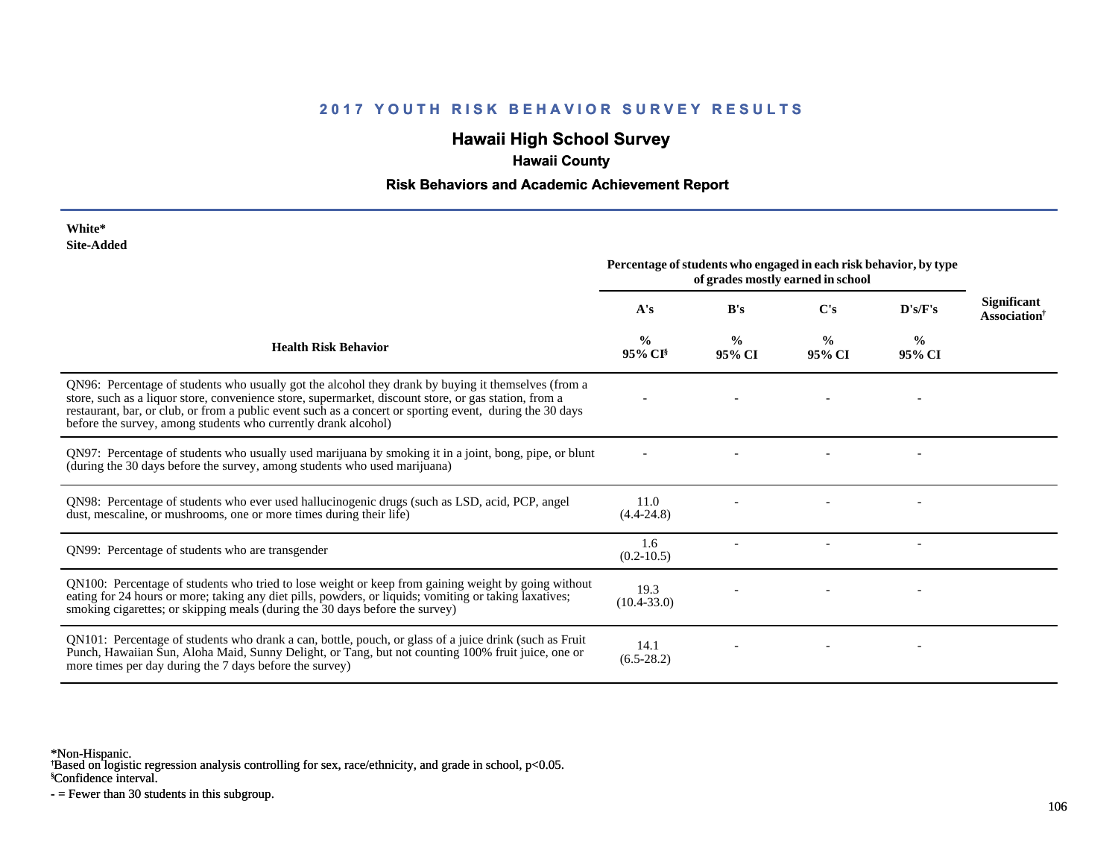# **Hawaii High School Survey**

# **Hawaii County**

### **Risk Behaviors and Academic Achievement Report**

| White*     |
|------------|
| Site-Added |

|                                                                                                                                                                                                                                                                                                                                                                                            | Percentage of students who engaged in each risk behavior, by type<br>of grades mostly earned in school |                         |                         |                         |                                                |
|--------------------------------------------------------------------------------------------------------------------------------------------------------------------------------------------------------------------------------------------------------------------------------------------------------------------------------------------------------------------------------------------|--------------------------------------------------------------------------------------------------------|-------------------------|-------------------------|-------------------------|------------------------------------------------|
|                                                                                                                                                                                                                                                                                                                                                                                            | A's                                                                                                    | B's                     | C's                     | D's/F's                 | <b>Significant</b><br>Association <sup>†</sup> |
| <b>Health Risk Behavior</b>                                                                                                                                                                                                                                                                                                                                                                | $\frac{0}{0}$<br>95% CI                                                                                | $\frac{0}{0}$<br>95% CI | $\frac{0}{0}$<br>95% CI | $\frac{6}{9}$<br>95% CI |                                                |
| QN96: Percentage of students who usually got the alcohol they drank by buying it themselves (from a<br>store, such as a liquor store, convenience store, supermarket, discount store, or gas station, from a<br>restaurant, bar, or club, or from a public event such as a concert or sporting event, during the 30 days<br>before the survey, among students who currently drank alcohol) |                                                                                                        |                         |                         |                         |                                                |
| QN97: Percentage of students who usually used marijuana by smoking it in a joint, bong, pipe, or blunt<br>(during the 30 days before the survey, among students who used marijuana)                                                                                                                                                                                                        |                                                                                                        |                         |                         |                         |                                                |
| QN98: Percentage of students who ever used hallucinogenic drugs (such as LSD, acid, PCP, angel<br>dust, mescaline, or mushrooms, one or more times during their life)                                                                                                                                                                                                                      | 11.0<br>$(4.4 - 24.8)$                                                                                 |                         |                         |                         |                                                |
| QN99: Percentage of students who are transgender                                                                                                                                                                                                                                                                                                                                           | 1.6<br>$(0.2 - 10.5)$                                                                                  |                         |                         |                         |                                                |
| QN100: Percentage of students who tried to lose weight or keep from gaining weight by going without<br>eating for 24 hours or more; taking any diet pills, powders, or liquids; vomiting or taking laxatives;<br>smoking cigarettes; or skipping meals (during the 30 days before the survey)                                                                                              | 19.3<br>$(10.4 - 33.0)$                                                                                |                         |                         |                         |                                                |
| QN101: Percentage of students who drank a can, bottle, pouch, or glass of a juice drink (such as Fruit<br>Punch, Hawaiian Sun, Aloha Maid, Sunny Delight, or Tang, but not counting 100% fruit juice, one or<br>more times per day during the 7 days before the survey)                                                                                                                    | 14.1<br>$(6.5-28.2)$                                                                                   |                         |                         |                         |                                                |

\*Non-Hispanic.

† Based on logistic regression analysis controlling for sex, race/ethnicity, and grade in school, p<0.05.

§Confidence interval.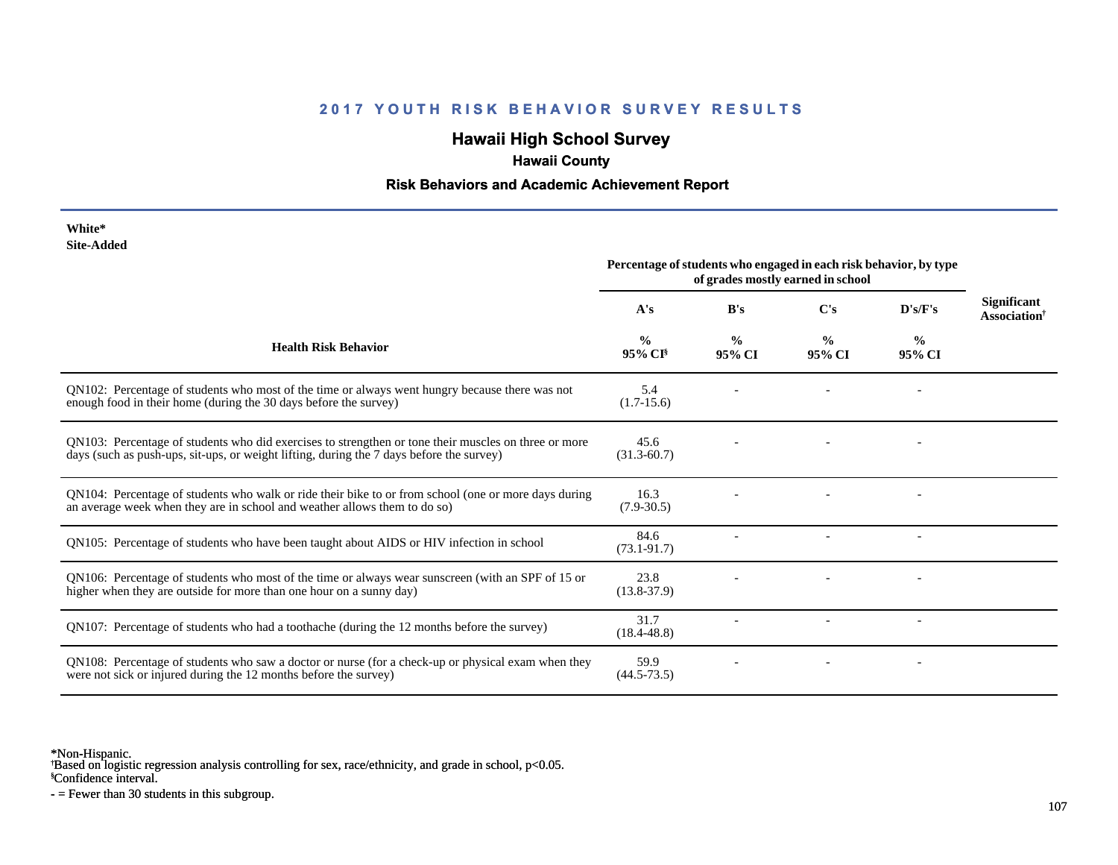## **Hawaii High School Survey**

# **Hawaii County**

## **Risk Behaviors and Academic Achievement Report**

| White*     |
|------------|
| Site-Added |

|                                                                                                                                                                                                  | Percentage of students who engaged in each risk behavior, by type<br>of grades mostly earned in school |                         |                         |                         |                                                |
|--------------------------------------------------------------------------------------------------------------------------------------------------------------------------------------------------|--------------------------------------------------------------------------------------------------------|-------------------------|-------------------------|-------------------------|------------------------------------------------|
|                                                                                                                                                                                                  | A's                                                                                                    | B's                     | C's                     | D's/F's                 | <b>Significant</b><br>Association <sup>†</sup> |
| <b>Health Risk Behavior</b>                                                                                                                                                                      | %<br>95% CI <sup>§</sup>                                                                               | $\frac{0}{0}$<br>95% CI | $\frac{0}{0}$<br>95% CI | $\frac{0}{0}$<br>95% CI |                                                |
| QN102: Percentage of students who most of the time or always went hungry because there was not<br>enough food in their home (during the 30 days before the survey)                               | 5.4<br>$(1.7-15.6)$                                                                                    |                         |                         |                         |                                                |
| QN103: Percentage of students who did exercises to strengthen or tone their muscles on three or more<br>days (such as push-ups, sit-ups, or weight lifting, during the 7 days before the survey) | 45.6<br>$(31.3 - 60.7)$                                                                                |                         |                         |                         |                                                |
| QN104: Percentage of students who walk or ride their bike to or from school (one or more days during<br>an average week when they are in school and weather allows them to do so)                | 16.3<br>$(7.9 - 30.5)$                                                                                 |                         |                         |                         |                                                |
| QN105: Percentage of students who have been taught about AIDS or HIV infection in school                                                                                                         | 84.6<br>$(73.1 - 91.7)$                                                                                |                         |                         |                         |                                                |
| QN106: Percentage of students who most of the time or always wear sunscreen (with an SPF of 15 or<br>higher when they are outside for more than one hour on a sunny day)                         | 23.8<br>$(13.8 - 37.9)$                                                                                |                         |                         |                         |                                                |
| QN107: Percentage of students who had a toothache (during the 12 months before the survey)                                                                                                       | 31.7<br>$(18.4 - 48.8)$                                                                                |                         |                         |                         |                                                |
| QN108: Percentage of students who saw a doctor or nurse (for a check-up or physical exam when they<br>were not sick or injured during the 12 months before the survey)                           | 59.9<br>$(44.5 - 73.5)$                                                                                |                         |                         |                         |                                                |

\*Non-Hispanic.

† Based on logistic regression analysis controlling for sex, race/ethnicity, and grade in school, p<0.05.

§Confidence interval.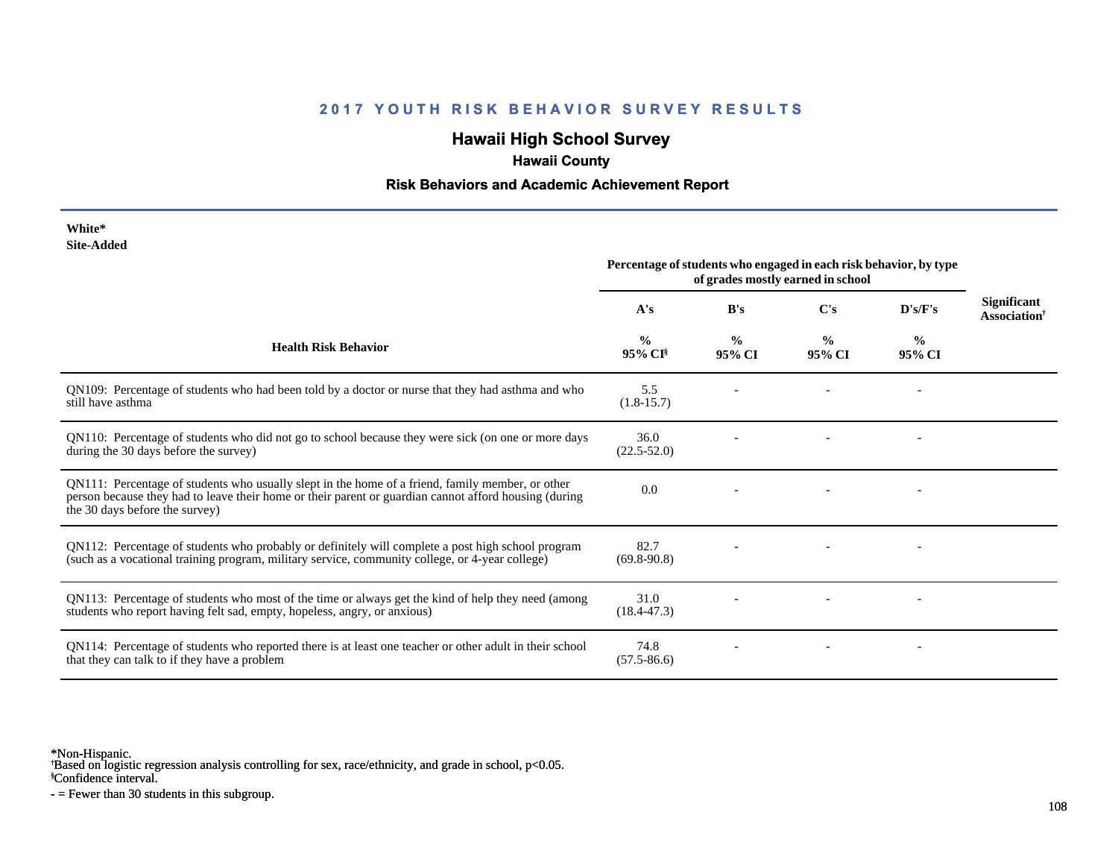# **Hawaii High School Survey**

# **Hawaii County**

### **Risk Behaviors and Academic Achievement Report**

| White*     |
|------------|
| Site-Added |

| Site-Augeu                                                                                                                                                                                                                                  | Percentage of students who engaged in each risk behavior, by type<br>of grades mostly earned in school |                         |                         |                         |                                                |
|---------------------------------------------------------------------------------------------------------------------------------------------------------------------------------------------------------------------------------------------|--------------------------------------------------------------------------------------------------------|-------------------------|-------------------------|-------------------------|------------------------------------------------|
|                                                                                                                                                                                                                                             | A's                                                                                                    | B's                     | C's                     | D's/F's                 | <b>Significant</b><br>Association <sup>†</sup> |
| <b>Health Risk Behavior</b>                                                                                                                                                                                                                 | $\frac{0}{0}$<br>95% CI <sup>§</sup>                                                                   | $\frac{0}{0}$<br>95% CI | $\frac{0}{0}$<br>95% CI | $\frac{6}{9}$<br>95% CI |                                                |
| QN109: Percentage of students who had been told by a doctor or nurse that they had asthma and who<br>still have asthma                                                                                                                      | 5.5<br>$(1.8-15.7)$                                                                                    |                         |                         |                         |                                                |
| QN110: Percentage of students who did not go to school because they were sick (on one or more days<br>during the 30 days before the survey)                                                                                                 | 36.0<br>$(22.5 - 52.0)$                                                                                |                         |                         |                         |                                                |
| QN111: Percentage of students who usually slept in the home of a friend, family member, or other<br>person because they had to leave their home or their parent or guardian cannot afford housing (during<br>the 30 days before the survey) | 0.0                                                                                                    |                         |                         |                         |                                                |
| QN112: Percentage of students who probably or definitely will complete a post high school program<br>(such as a vocational training program, military service, community college, or 4-year college)                                        | 82.7<br>$(69.8-90.8)$                                                                                  |                         |                         |                         |                                                |
| QN113: Percentage of students who most of the time or always get the kind of help they need (among<br>students who report having felt sad, empty, hopeless, angry, or anxious)                                                              | 31.0<br>$(18.4 - 47.3)$                                                                                |                         |                         |                         |                                                |
| QN114: Percentage of students who reported there is at least one teacher or other adult in their school<br>that they can talk to if they have a problem                                                                                     | 74.8<br>$(57.5 - 86.6)$                                                                                |                         |                         |                         |                                                |

\*Non-Hispanic.

† Based on logistic regression analysis controlling for sex, race/ethnicity, and grade in school, p<0.05.

§Confidence interval.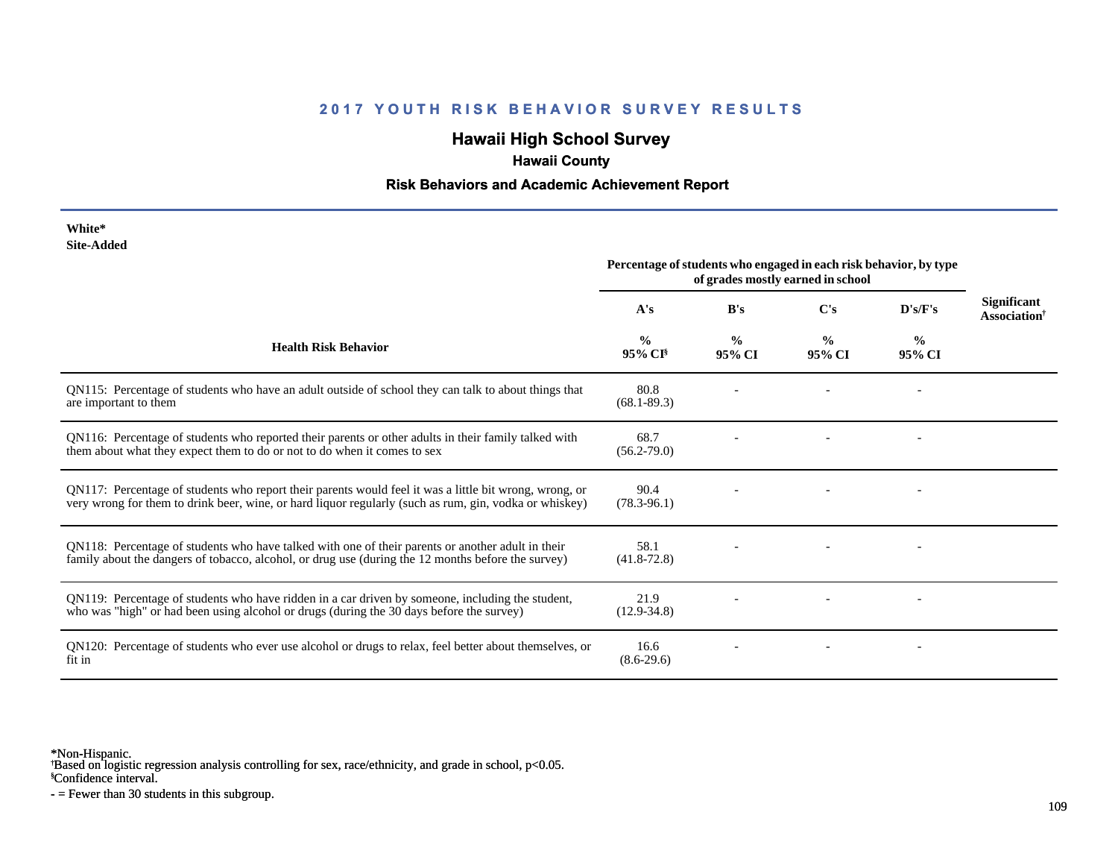#### **2017 YOUTH RISK BEHAVIOR SURVEY RESULTS**

# **Hawaii High School Survey**

# **Hawaii County**

## **Risk Behaviors and Academic Achievement Report**

| White*     |
|------------|
| Site-Added |

|                                                                                                                                                                                                                  | Percentage of students who engaged in each risk behavior, by type<br>of grades mostly earned in school |                         |                         |                         |                                                |
|------------------------------------------------------------------------------------------------------------------------------------------------------------------------------------------------------------------|--------------------------------------------------------------------------------------------------------|-------------------------|-------------------------|-------------------------|------------------------------------------------|
|                                                                                                                                                                                                                  | A's                                                                                                    | B's                     | C's                     | D's/F's                 | <b>Significant</b><br>Association <sup>†</sup> |
| <b>Health Risk Behavior</b>                                                                                                                                                                                      | $\frac{0}{0}$<br>95% CI <sup>§</sup>                                                                   | $\frac{0}{0}$<br>95% CI | $\frac{0}{0}$<br>95% CI | $\frac{0}{0}$<br>95% CI |                                                |
| QN115: Percentage of students who have an adult outside of school they can talk to about things that<br>are important to them                                                                                    | 80.8<br>$(68.1 - 89.3)$                                                                                |                         |                         |                         |                                                |
| QN116: Percentage of students who reported their parents or other adults in their family talked with<br>them about what they expect them to do or not to do when it comes to sex                                 | 68.7<br>$(56.2 - 79.0)$                                                                                |                         |                         |                         |                                                |
| QN117: Percentage of students who report their parents would feel it was a little bit wrong, wrong, or<br>very wrong for them to drink beer, wine, or hard liquor regularly (such as rum, gin, vodka or whiskey) | 90.4<br>$(78.3 - 96.1)$                                                                                |                         |                         |                         |                                                |
| QN118: Percentage of students who have talked with one of their parents or another adult in their<br>family about the dangers of tobacco, alcohol, or drug use (during the 12 months before the survey)          | 58.1<br>$(41.8 - 72.8)$                                                                                |                         |                         |                         |                                                |
| QN119: Percentage of students who have ridden in a car driven by someone, including the student,<br>who was "high" or had been using alcohol or drugs (during the 30 days before the survey)                     | 21.9<br>$(12.9 - 34.8)$                                                                                |                         |                         |                         |                                                |
| QN120: Percentage of students who ever use alcohol or drugs to relax, feel better about themselves, or<br>fit in                                                                                                 | 16.6<br>$(8.6-29.6)$                                                                                   |                         |                         |                         |                                                |

\*Non-Hispanic.

† Based on logistic regression analysis controlling for sex, race/ethnicity, and grade in school, p<0.05.

§Confidence interval.

- = Fewer than 30 students in this subgroup.